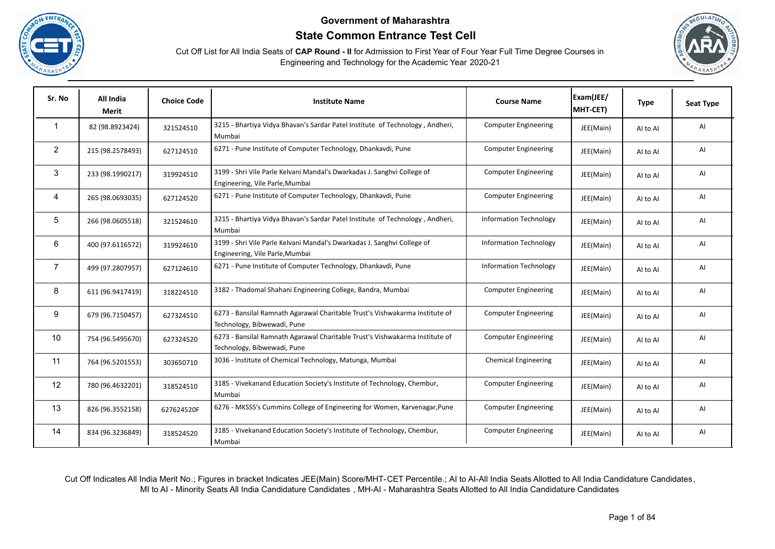





| Sr. No         | All India<br>Merit | <b>Choice Code</b> | <b>Institute Name</b>                                                                                       | <b>Course Name</b>            | Exam(JEE/<br>MHT-CET) | <b>Type</b> | <b>Seat Type</b> |
|----------------|--------------------|--------------------|-------------------------------------------------------------------------------------------------------------|-------------------------------|-----------------------|-------------|------------------|
| $\mathbf{1}$   | 82 (98.8923424)    | 321524510          | 3215 - Bhartiya Vidya Bhavan's Sardar Patel Institute of Technology, Andheri,<br>Mumbai                     | <b>Computer Engineering</b>   | JEE(Main)             | Al to Al    | AI               |
| $\overline{2}$ | 215 (98.2578493)   | 627124510          | 6271 - Pune Institute of Computer Technology, Dhankavdi, Pune                                               | <b>Computer Engineering</b>   | JEE(Main)             | AI to AI    | AI               |
| 3              | 233 (98.1990217)   | 319924510          | 3199 - Shri Vile Parle Kelvani Mandal's Dwarkadas J. Sanghvi College of<br>Engineering, Vile Parle, Mumbai  | <b>Computer Engineering</b>   | JEE(Main)             | AI to AI    | AI               |
| 4              | 265 (98.0693035)   | 627124520          | 6271 - Pune Institute of Computer Technology, Dhankavdi, Pune                                               | <b>Computer Engineering</b>   | JEE(Main)             | Al to Al    | AI               |
| 5              | 266 (98.0605518)   | 321524610          | 3215 - Bhartiya Vidya Bhavan's Sardar Patel Institute of Technology, Andheri,<br>Mumbai                     | <b>Information Technology</b> | JEE(Main)             | Al to Al    | AI               |
| 6              | 400 (97.6116572)   | 319924610          | 3199 - Shri Vile Parle Kelvani Mandal's Dwarkadas J. Sanghvi College of<br>Engineering, Vile Parle, Mumbai  | <b>Information Technology</b> | JEE(Main)             | Al to Al    | AI               |
| $\overline{7}$ | 499 (97.2807957)   | 627124610          | 6271 - Pune Institute of Computer Technology, Dhankavdi, Pune                                               | <b>Information Technology</b> | JEE(Main)             | Al to Al    | AI               |
| 8              | 611 (96.9417419)   | 318224510          | 3182 - Thadomal Shahani Engineering College, Bandra, Mumbai                                                 | <b>Computer Engineering</b>   | JEE(Main)             | Al to Al    | AI               |
| 9              | 679 (96.7150457)   | 627324510          | 6273 - Bansilal Ramnath Agarawal Charitable Trust's Vishwakarma Institute of<br>Technology, Bibwewadi, Pune | <b>Computer Engineering</b>   | JEE(Main)             | AI to AI    | AI               |
| 10             | 754 (96.5495670)   | 627324520          | 6273 - Bansilal Ramnath Agarawal Charitable Trust's Vishwakarma Institute of<br>Technology, Bibwewadi, Pune | <b>Computer Engineering</b>   | JEE(Main)             | Al to Al    | AI               |
| 11             | 764 (96.5201553)   | 303650710          | 3036 - Institute of Chemical Technology, Matunga, Mumbai                                                    | <b>Chemical Engineering</b>   | JEE(Main)             | Al to Al    | AI               |
| 12             | 780 (96.4632201)   | 318524510          | 3185 - Vivekanand Education Society's Institute of Technology, Chembur,<br>Mumbai                           | <b>Computer Engineering</b>   | JEE(Main)             | Al to Al    | AI               |
| 13             | 826 (96.3552158)   | 627624520F         | 6276 - MKSSS's Cummins College of Engineering for Women, Karvenagar, Pune                                   | <b>Computer Engineering</b>   | JEE(Main)             | Al to Al    | AI               |
| 14             | 834 (96.3236849)   | 318524520          | 3185 - Vivekanand Education Society's Institute of Technology, Chembur,<br>Mumbai                           | <b>Computer Engineering</b>   | JEE(Main)             | Al to Al    | AI               |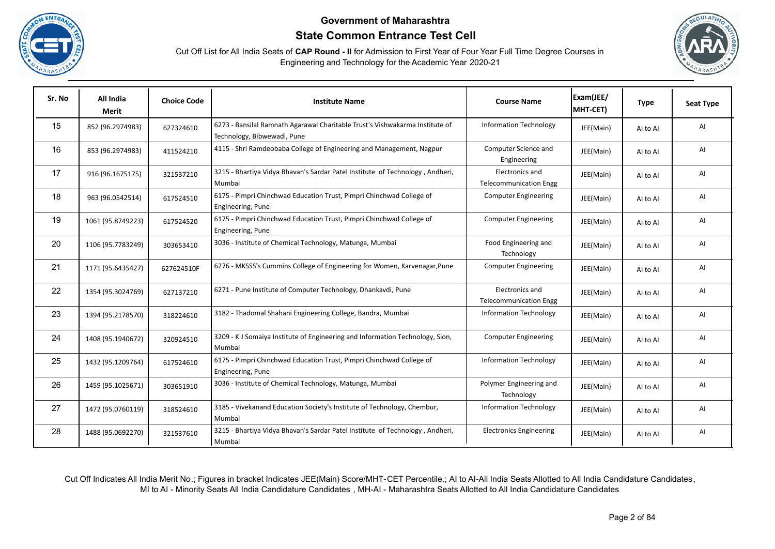





| Sr. No | All India<br>Merit | <b>Choice Code</b> | <b>Institute Name</b>                                                                                       | <b>Course Name</b>                               | Exam(JEE/<br>MHT-CET) | <b>Type</b> | <b>Seat Type</b> |
|--------|--------------------|--------------------|-------------------------------------------------------------------------------------------------------------|--------------------------------------------------|-----------------------|-------------|------------------|
| 15     | 852 (96.2974983)   | 627324610          | 6273 - Bansilal Ramnath Agarawal Charitable Trust's Vishwakarma Institute of<br>Technology, Bibwewadi, Pune | <b>Information Technology</b>                    | JEE(Main)             | AI to AI    | Al               |
| 16     | 853 (96.2974983)   | 411524210          | 4115 - Shri Ramdeobaba College of Engineering and Management, Nagpur                                        | Computer Science and<br>Engineering              | JEE(Main)             | AI to AI    | AI               |
| 17     | 916 (96.1675175)   | 321537210          | 3215 - Bhartiya Vidya Bhavan's Sardar Patel Institute of Technology, Andheri,<br>Mumbai                     | Electronics and<br><b>Telecommunication Engg</b> | JEE(Main)             | Al to Al    | Al               |
| 18     | 963 (96.0542514)   | 617524510          | 6175 - Pimpri Chinchwad Education Trust, Pimpri Chinchwad College of<br>Engineering, Pune                   | <b>Computer Engineering</b>                      | JEE(Main)             | AI to AI    | Al               |
| 19     | 1061 (95.8749223)  | 617524520          | 6175 - Pimpri Chinchwad Education Trust, Pimpri Chinchwad College of<br>Engineering, Pune                   | <b>Computer Engineering</b>                      | JEE(Main)             | Al to Al    | AI               |
| 20     | 1106 (95.7783249)  | 303653410          | 3036 - Institute of Chemical Technology, Matunga, Mumbai                                                    | Food Engineering and<br>Technology               | JEE(Main)             | AI to AI    | AI               |
| 21     | 1171 (95.6435427)  | 627624510F         | 6276 - MKSSS's Cummins College of Engineering for Women, Karvenagar, Pune                                   | <b>Computer Engineering</b>                      | JEE(Main)             | AI to AI    | AI               |
| 22     | 1354 (95.3024769)  | 627137210          | 6271 - Pune Institute of Computer Technology, Dhankavdi, Pune                                               | Electronics and<br><b>Telecommunication Engg</b> | JEE(Main)             | AI to AI    | Al               |
| 23     | 1394 (95.2178570)  | 318224610          | 3182 - Thadomal Shahani Engineering College, Bandra, Mumbai                                                 | <b>Information Technology</b>                    | JEE(Main)             | AI to AI    | Al               |
| 24     | 1408 (95.1940672)  | 320924510          | 3209 - KJ Somaiya Institute of Engineering and Information Technology, Sion,<br>Mumbai                      | <b>Computer Engineering</b>                      | JEE(Main)             | AI to AI    | Al               |
| 25     | 1432 (95.1209764)  | 617524610          | 6175 - Pimpri Chinchwad Education Trust, Pimpri Chinchwad College of<br>Engineering, Pune                   | <b>Information Technology</b>                    | JEE(Main)             | AI to AI    | Al               |
| 26     | 1459 (95.1025671)  | 303651910          | 3036 - Institute of Chemical Technology, Matunga, Mumbai                                                    | Polymer Engineering and<br>Technology            | JEE(Main)             | AI to AI    | Al               |
| 27     | 1472 (95.0760119)  | 318524610          | 3185 - Vivekanand Education Society's Institute of Technology, Chembur,<br>Mumbai                           | <b>Information Technology</b>                    | JEE(Main)             | Al to Al    | AI               |
| 28     | 1488 (95.0692270)  | 321537610          | 3215 - Bhartiya Vidya Bhavan's Sardar Patel Institute of Technology, Andheri,<br>Mumbai                     | <b>Electronics Engineering</b>                   | JEE(Main)             | AI to AI    | AI               |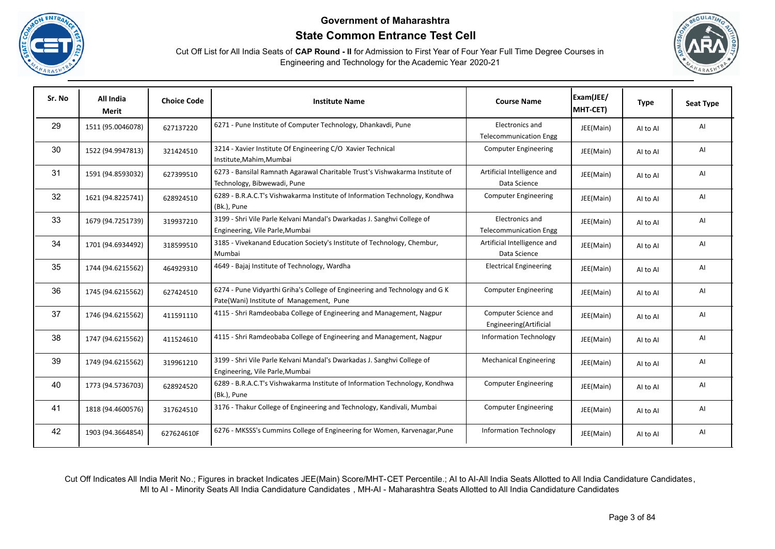





| Sr. No | All India<br>Merit | <b>Choice Code</b> | <b>Institute Name</b>                                                                                                   | <b>Course Name</b>                               | Exam(JEE/<br>MHT-CET) | <b>Type</b> | <b>Seat Type</b> |
|--------|--------------------|--------------------|-------------------------------------------------------------------------------------------------------------------------|--------------------------------------------------|-----------------------|-------------|------------------|
| 29     | 1511 (95.0046078)  | 627137220          | 6271 - Pune Institute of Computer Technology, Dhankavdi, Pune                                                           | Electronics and<br><b>Telecommunication Engg</b> | JEE(Main)             | AI to AI    | Al               |
| 30     | 1522 (94.9947813)  | 321424510          | 3214 - Xavier Institute Of Engineering C/O Xavier Technical<br>Institute, Mahim, Mumbai                                 | <b>Computer Engineering</b>                      | JEE(Main)             | AI to AI    | AI               |
| 31     | 1591 (94.8593032)  | 627399510          | 6273 - Bansilal Ramnath Agarawal Charitable Trust's Vishwakarma Institute of<br>Technology, Bibwewadi, Pune             | Artificial Intelligence and<br>Data Science      | JEE(Main)             | Al to Al    | Al               |
| 32     | 1621 (94.8225741)  | 628924510          | 6289 - B.R.A.C.T's Vishwakarma Institute of Information Technology, Kondhwa<br>(Bk.), Pune                              | <b>Computer Engineering</b>                      | JEE(Main)             | Al to Al    | AI               |
| 33     | 1679 (94.7251739)  | 319937210          | 3199 - Shri Vile Parle Kelvani Mandal's Dwarkadas J. Sanghvi College of<br>Engineering, Vile Parle, Mumbai              | Electronics and<br><b>Telecommunication Engg</b> | JEE(Main)             | AI to AI    | AI               |
| 34     | 1701 (94.6934492)  | 318599510          | 3185 - Vivekanand Education Society's Institute of Technology, Chembur,<br>Mumbai                                       | Artificial Intelligence and<br>Data Science      | JEE(Main)             | Al to Al    | Al               |
| 35     | 1744 (94.6215562)  | 464929310          | 4649 - Bajaj Institute of Technology, Wardha                                                                            | <b>Electrical Engineering</b>                    | JEE(Main)             | AI to AI    | Al               |
| 36     | 1745 (94.6215562)  | 627424510          | 6274 - Pune Vidyarthi Griha's College of Engineering and Technology and G K<br>Pate(Wani) Institute of Management, Pune | <b>Computer Engineering</b>                      | JEE(Main)             | AI to AI    | AI               |
| 37     | 1746 (94.6215562)  | 411591110          | 4115 - Shri Ramdeobaba College of Engineering and Management, Nagpur                                                    | Computer Science and<br>Engineering(Artificial   | JEE(Main)             | AI to AI    | AI               |
| 38     | 1747 (94.6215562)  | 411524610          | 4115 - Shri Ramdeobaba College of Engineering and Management, Nagpur                                                    | <b>Information Technology</b>                    | JEE(Main)             | Al to Al    | Al               |
| 39     | 1749 (94.6215562)  | 319961210          | 3199 - Shri Vile Parle Kelvani Mandal's Dwarkadas J. Sanghvi College of<br>Engineering, Vile Parle, Mumbai              | <b>Mechanical Engineering</b>                    | JEE(Main)             | AI to AI    | Al               |
| 40     | 1773 (94.5736703)  | 628924520          | 6289 - B.R.A.C.T's Vishwakarma Institute of Information Technology, Kondhwa<br>(Bk.), Pune                              | <b>Computer Engineering</b>                      | JEE(Main)             | Al to Al    | AI               |
| 41     | 1818 (94.4600576)  | 317624510          | 3176 - Thakur College of Engineering and Technology, Kandivali, Mumbai                                                  | <b>Computer Engineering</b>                      | JEE(Main)             | AI to AI    | Al               |
| 42     | 1903 (94.3664854)  | 627624610F         | 6276 - MKSSS's Cummins College of Engineering for Women, Karvenagar, Pune                                               | <b>Information Technology</b>                    | JEE(Main)             | Al to Al    | Al               |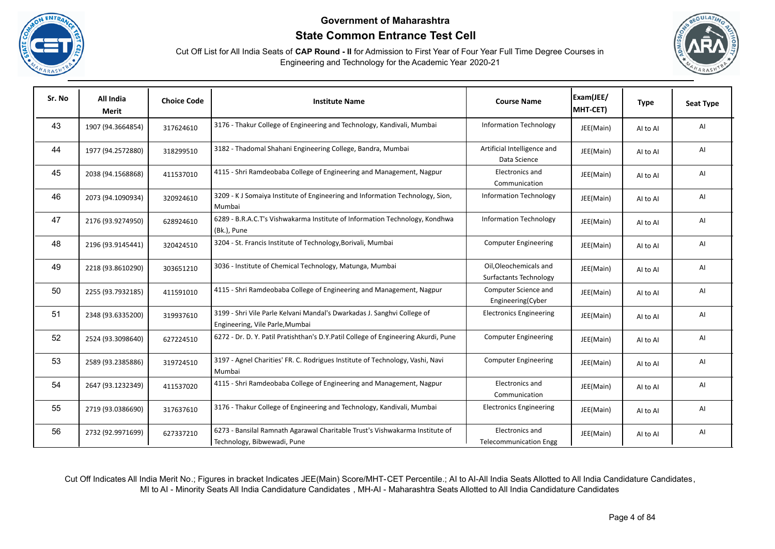





| Sr. No | All India<br>Merit | <b>Choice Code</b> | <b>Institute Name</b>                                                                                       | <b>Course Name</b>                               | Exam(JEE/<br>MHT-CET) | <b>Type</b> | <b>Seat Type</b> |
|--------|--------------------|--------------------|-------------------------------------------------------------------------------------------------------------|--------------------------------------------------|-----------------------|-------------|------------------|
| 43     | 1907 (94.3664854)  | 317624610          | 3176 - Thakur College of Engineering and Technology, Kandivali, Mumbai                                      | <b>Information Technology</b>                    | JEE(Main)             | Al to Al    | Al               |
| 44     | 1977 (94.2572880)  | 318299510          | 3182 - Thadomal Shahani Engineering College, Bandra, Mumbai                                                 | Artificial Intelligence and<br>Data Science      | JEE(Main)             | Al to Al    | AI               |
| 45     | 2038 (94.1568868)  | 411537010          | 4115 - Shri Ramdeobaba College of Engineering and Management, Nagpur                                        | Electronics and<br>Communication                 | JEE(Main)             | Al to Al    | Al               |
| 46     | 2073 (94.1090934)  | 320924610          | 3209 - K J Somaiya Institute of Engineering and Information Technology, Sion,<br>Mumbai                     | <b>Information Technology</b>                    | JEE(Main)             | AI to AI    | Al               |
| 47     | 2176 (93.9274950)  | 628924610          | 6289 - B.R.A.C.T's Vishwakarma Institute of Information Technology, Kondhwa<br>(Bk.), Pune                  | <b>Information Technology</b>                    | JEE(Main)             | Al to Al    | AI               |
| 48     | 2196 (93.9145441)  | 320424510          | 3204 - St. Francis Institute of Technology, Borivali, Mumbai                                                | <b>Computer Engineering</b>                      | JEE(Main)             | Al to Al    | AI               |
| 49     | 2218 (93.8610290)  | 303651210          | 3036 - Institute of Chemical Technology, Matunga, Mumbai                                                    | Oil, Oleochemicals and<br>Surfactants Technology | JEE(Main)             | Al to Al    | Al               |
| 50     | 2255 (93.7932185)  | 411591010          | 4115 - Shri Ramdeobaba College of Engineering and Management, Nagpur                                        | Computer Science and<br>Engineering(Cyber        | JEE(Main)             | AI to AI    | Al               |
| 51     | 2348 (93.6335200)  | 319937610          | 3199 - Shri Vile Parle Kelvani Mandal's Dwarkadas J. Sanghvi College of<br>Engineering, Vile Parle, Mumbai  | <b>Electronics Engineering</b>                   | JEE(Main)             | AI to AI    | Al               |
| 52     | 2524 (93.3098640)  | 627224510          | 6272 - Dr. D. Y. Patil Pratishthan's D.Y.Patil College of Engineering Akurdi, Pune                          | <b>Computer Engineering</b>                      | JEE(Main)             | Al to Al    | AI               |
| 53     | 2589 (93.2385886)  | 319724510          | 3197 - Agnel Charities' FR. C. Rodrigues Institute of Technology, Vashi, Navi<br>Mumbai                     | <b>Computer Engineering</b>                      | JEE(Main)             | Al to Al    | Al               |
| 54     | 2647 (93.1232349)  | 411537020          | 4115 - Shri Ramdeobaba College of Engineering and Management, Nagpur                                        | Electronics and<br>Communication                 | JEE(Main)             | Al to Al    | Al               |
| 55     | 2719 (93.0386690)  | 317637610          | 3176 - Thakur College of Engineering and Technology, Kandivali, Mumbai                                      | <b>Electronics Engineering</b>                   | JEE(Main)             | AI to AI    | AI               |
| 56     | 2732 (92.9971699)  | 627337210          | 6273 - Bansilal Ramnath Agarawal Charitable Trust's Vishwakarma Institute of<br>Technology, Bibwewadi, Pune | Electronics and<br><b>Telecommunication Engg</b> | JEE(Main)             | Al to Al    | Al               |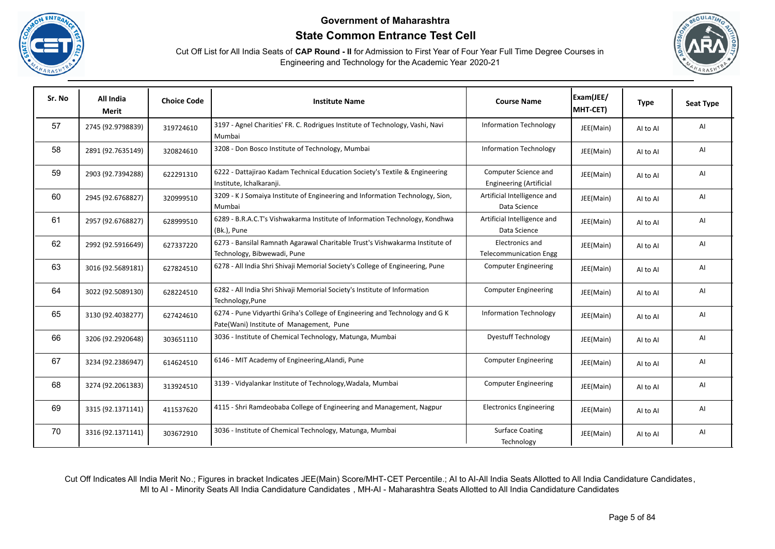





| Sr. No | All India<br>Merit | <b>Choice Code</b> | <b>Institute Name</b>                                                                                                   | <b>Course Name</b>                                     | Exam(JEE/<br>MHT-CET) | <b>Type</b> | Seat Type |
|--------|--------------------|--------------------|-------------------------------------------------------------------------------------------------------------------------|--------------------------------------------------------|-----------------------|-------------|-----------|
| 57     | 2745 (92.9798839)  | 319724610          | 3197 - Agnel Charities' FR. C. Rodrigues Institute of Technology, Vashi, Navi<br>Mumbai                                 | <b>Information Technology</b>                          | JEE(Main)             | AI to AI    | AI        |
| 58     | 2891 (92.7635149)  | 320824610          | 3208 - Don Bosco Institute of Technology, Mumbai                                                                        | <b>Information Technology</b>                          | JEE(Main)             | AI to AI    | AI        |
| 59     | 2903 (92.7394288)  | 622291310          | 6222 - Dattajirao Kadam Technical Education Society's Textile & Engineering<br>Institute, Ichalkaranji.                 | Computer Science and<br><b>Engineering (Artificial</b> | JEE(Main)             | AI to AI    | AI        |
| 60     | 2945 (92.6768827)  | 320999510          | 3209 - KJ Somaiya Institute of Engineering and Information Technology, Sion,<br>Mumbai                                  | Artificial Intelligence and<br>Data Science            | JEE(Main)             | AI to AI    | AI        |
| 61     | 2957 (92.6768827)  | 628999510          | 6289 - B.R.A.C.T's Vishwakarma Institute of Information Technology, Kondhwa<br>(Bk.), Pune                              | Artificial Intelligence and<br>Data Science            | JEE(Main)             | AI to AI    | AI        |
| 62     | 2992 (92.5916649)  | 627337220          | 6273 - Bansilal Ramnath Agarawal Charitable Trust's Vishwakarma Institute of<br>Technology, Bibwewadi, Pune             | Electronics and<br><b>Telecommunication Engg</b>       | JEE(Main)             | AI to AI    | AI        |
| 63     | 3016 (92.5689181)  | 627824510          | 6278 - All India Shri Shivaji Memorial Society's College of Engineering, Pune                                           | <b>Computer Engineering</b>                            | JEE(Main)             | AI to AI    | AI        |
| 64     | 3022 (92.5089130)  | 628224510          | 6282 - All India Shri Shivaji Memorial Society's Institute of Information<br>Technology, Pune                           | <b>Computer Engineering</b>                            | JEE(Main)             | AI to AI    | AI        |
| 65     | 3130 (92.4038277)  | 627424610          | 6274 - Pune Vidyarthi Griha's College of Engineering and Technology and G K<br>Pate(Wani) Institute of Management, Pune | <b>Information Technology</b>                          | JEE(Main)             | AI to AI    | AI        |
| 66     | 3206 (92.2920648)  | 303651110          | 3036 - Institute of Chemical Technology, Matunga, Mumbai                                                                | <b>Dyestuff Technology</b>                             | JEE(Main)             | AI to AI    | AI        |
| 67     | 3234 (92.2386947)  | 614624510          | 6146 - MIT Academy of Engineering, Alandi, Pune                                                                         | <b>Computer Engineering</b>                            | JEE(Main)             | AI to AI    | AI        |
| 68     | 3274 (92.2061383)  | 313924510          | 3139 - Vidyalankar Institute of Technology, Wadala, Mumbai                                                              | <b>Computer Engineering</b>                            | JEE(Main)             | AI to AI    | AI        |
| 69     | 3315 (92.1371141)  | 411537620          | 4115 - Shri Ramdeobaba College of Engineering and Management, Nagpur                                                    | <b>Electronics Engineering</b>                         | JEE(Main)             | AI to AI    | AI        |
| 70     | 3316 (92.1371141)  | 303672910          | 3036 - Institute of Chemical Technology, Matunga, Mumbai                                                                | <b>Surface Coating</b><br>Technology                   | JEE(Main)             | AI to AI    | AI        |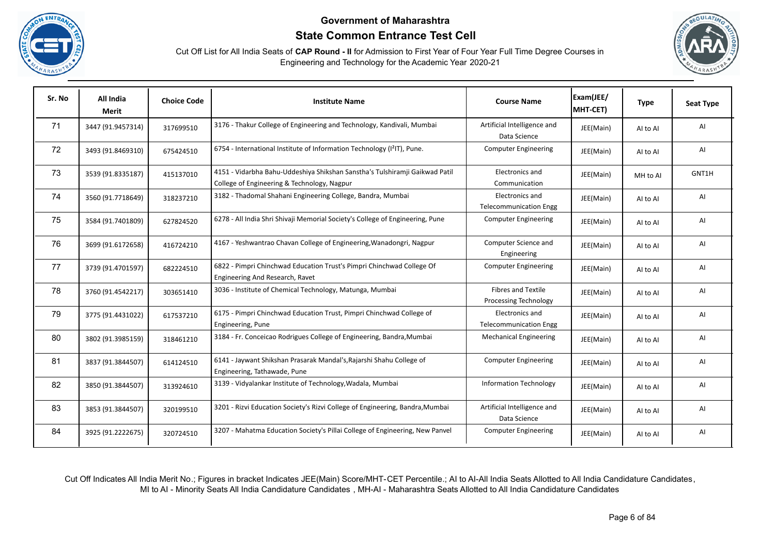





| Sr. No | All India<br><b>Merit</b> | <b>Choice Code</b> | <b>Institute Name</b>                                                                                                      | <b>Course Name</b>                                 | Exam(JEE/<br>MHT-CET) | <b>Type</b> | <b>Seat Type</b> |
|--------|---------------------------|--------------------|----------------------------------------------------------------------------------------------------------------------------|----------------------------------------------------|-----------------------|-------------|------------------|
| 71     | 3447 (91.9457314)         | 317699510          | 3176 - Thakur College of Engineering and Technology, Kandivali, Mumbai                                                     | Artificial Intelligence and<br>Data Science        | JEE(Main)             | AI to AI    | AI               |
| 72     | 3493 (91.8469310)         | 675424510          | 6754 - International Institute of Information Technology (I <sup>2</sup> IT), Pune.                                        | <b>Computer Engineering</b>                        | JEE(Main)             | AI to AI    | AI               |
| 73     | 3539 (91.8335187)         | 415137010          | 4151 - Vidarbha Bahu-Uddeshiya Shikshan Sanstha's Tulshiramji Gaikwad Patil<br>College of Engineering & Technology, Nagpur | Electronics and<br>Communication                   | JEE(Main)             | MH to Al    | GNT1H            |
| 74     | 3560 (91.7718649)         | 318237210          | 3182 - Thadomal Shahani Engineering College, Bandra, Mumbai                                                                | Electronics and<br><b>Telecommunication Engg</b>   | JEE(Main)             | AI to AI    | AI               |
| 75     | 3584 (91.7401809)         | 627824520          | 6278 - All India Shri Shivaji Memorial Society's College of Engineering, Pune                                              | <b>Computer Engineering</b>                        | JEE(Main)             | AI to AI    | AI               |
| 76     | 3699 (91.6172658)         | 416724210          | 4167 - Yeshwantrao Chavan College of Engineering, Wanadongri, Nagpur                                                       | Computer Science and<br>Engineering                | JEE(Main)             | Al to Al    | AI               |
| 77     | 3739 (91.4701597)         | 682224510          | 6822 - Pimpri Chinchwad Education Trust's Pimpri Chinchwad College Of<br>Engineering And Research, Ravet                   | <b>Computer Engineering</b>                        | JEE(Main)             | Al to Al    | AI               |
| 78     | 3760 (91.4542217)         | 303651410          | 3036 - Institute of Chemical Technology, Matunga, Mumbai                                                                   | <b>Fibres and Textile</b><br>Processing Technology | JEE(Main)             | AI to AI    | Al               |
| 79     | 3775 (91.4431022)         | 617537210          | 6175 - Pimpri Chinchwad Education Trust, Pimpri Chinchwad College of<br>Engineering, Pune                                  | Electronics and<br><b>Telecommunication Engg</b>   | JEE(Main)             | AI to AI    | AI               |
| 80     | 3802 (91.3985159)         | 318461210          | 3184 - Fr. Conceicao Rodrigues College of Engineering, Bandra, Mumbai                                                      | <b>Mechanical Engineering</b>                      | JEE(Main)             | Al to Al    | AI               |
| 81     | 3837 (91.3844507)         | 614124510          | 6141 - Jaywant Shikshan Prasarak Mandal's, Rajarshi Shahu College of<br>Engineering, Tathawade, Pune                       | <b>Computer Engineering</b>                        | JEE(Main)             | Al to Al    | AI               |
| 82     | 3850 (91.3844507)         | 313924610          | 3139 - Vidyalankar Institute of Technology, Wadala, Mumbai                                                                 | <b>Information Technology</b>                      | JEE(Main)             | AI to AI    | AI               |
| 83     | 3853 (91.3844507)         | 320199510          | 3201 - Rizvi Education Society's Rizvi College of Engineering, Bandra, Mumbai                                              | Artificial Intelligence and<br>Data Science        | JEE(Main)             | AI to AI    | AI               |
| 84     | 3925 (91.2222675)         | 320724510          | 3207 - Mahatma Education Society's Pillai College of Engineering, New Panvel                                               | <b>Computer Engineering</b>                        | JEE(Main)             | Al to Al    | AI               |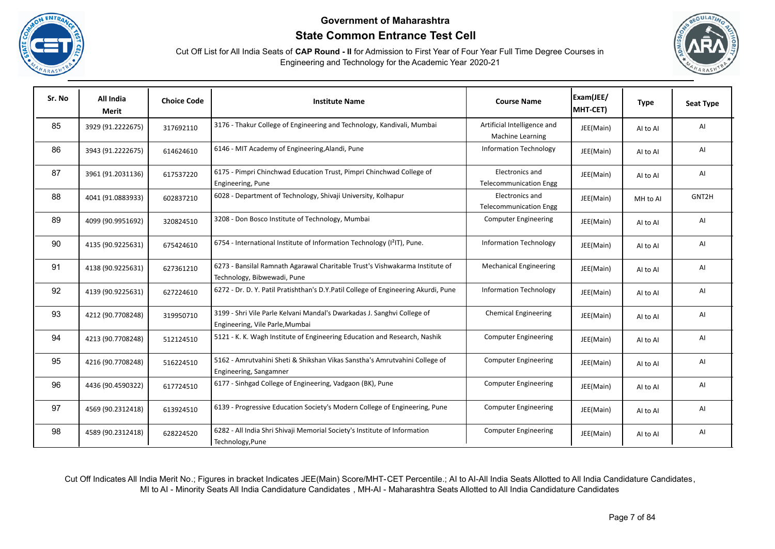





| Sr. No | All India<br><b>Merit</b> | <b>Choice Code</b> | <b>Institute Name</b>                                                                                       | <b>Course Name</b>                               | Exam(JEE/<br>MHT-CET) | <b>Type</b> | <b>Seat Type</b> |
|--------|---------------------------|--------------------|-------------------------------------------------------------------------------------------------------------|--------------------------------------------------|-----------------------|-------------|------------------|
| 85     | 3929 (91.2222675)         | 317692110          | 3176 - Thakur College of Engineering and Technology, Kandivali, Mumbai                                      | Artificial Intelligence and<br>Machine Learning  | JEE(Main)             | Al to Al    | AI               |
| 86     | 3943 (91.2222675)         | 614624610          | 6146 - MIT Academy of Engineering, Alandi, Pune                                                             | <b>Information Technology</b>                    | JEE(Main)             | AI to AI    | AI               |
| 87     | 3961 (91.2031136)         | 617537220          | 6175 - Pimpri Chinchwad Education Trust, Pimpri Chinchwad College of<br>Engineering, Pune                   | Electronics and<br><b>Telecommunication Engg</b> | JEE(Main)             | Al to Al    | AI               |
| 88     | 4041 (91.0883933)         | 602837210          | 6028 - Department of Technology, Shivaji University, Kolhapur                                               | Electronics and<br><b>Telecommunication Engg</b> | JEE(Main)             | MH to Al    | GNT2H            |
| 89     | 4099 (90.9951692)         | 320824510          | 3208 - Don Bosco Institute of Technology, Mumbai                                                            | <b>Computer Engineering</b>                      | JEE(Main)             | Al to Al    | AI               |
| 90     | 4135 (90.9225631)         | 675424610          | 6754 - International Institute of Information Technology (I <sup>2</sup> IT), Pune.                         | <b>Information Technology</b>                    | JEE(Main)             | Al to Al    | AI               |
| 91     | 4138 (90.9225631)         | 627361210          | 6273 - Bansilal Ramnath Agarawal Charitable Trust's Vishwakarma Institute of<br>Technology, Bibwewadi, Pune | <b>Mechanical Engineering</b>                    | JEE(Main)             | Al to Al    | AI               |
| 92     | 4139 (90.9225631)         | 627224610          | 6272 - Dr. D. Y. Patil Pratishthan's D.Y.Patil College of Engineering Akurdi, Pune                          | <b>Information Technology</b>                    | JEE(Main)             | Al to Al    | AI               |
| 93     | 4212 (90.7708248)         | 319950710          | 3199 - Shri Vile Parle Kelvani Mandal's Dwarkadas J. Sanghvi College of<br>Engineering, Vile Parle, Mumbai  | <b>Chemical Engineering</b>                      | JEE(Main)             | Al to Al    | AI               |
| 94     | 4213 (90.7708248)         | 512124510          | 5121 - K. K. Wagh Institute of Engineering Education and Research, Nashik                                   | <b>Computer Engineering</b>                      | JEE(Main)             | Al to Al    | AI               |
| 95     | 4216 (90.7708248)         | 516224510          | 5162 - Amrutvahini Sheti & Shikshan Vikas Sanstha's Amrutvahini College of<br>Engineering, Sangamner        | <b>Computer Engineering</b>                      | JEE(Main)             | AI to AI    | AI               |
| 96     | 4436 (90.4590322)         | 617724510          | 6177 - Sinhgad College of Engineering, Vadgaon (BK), Pune                                                   | <b>Computer Engineering</b>                      | JEE(Main)             | Al to Al    | AI               |
| 97     | 4569 (90.2312418)         | 613924510          | 6139 - Progressive Education Society's Modern College of Engineering, Pune                                  | <b>Computer Engineering</b>                      | JEE(Main)             | Al to Al    | AI               |
| 98     | 4589 (90.2312418)         | 628224520          | 6282 - All India Shri Shivaji Memorial Society's Institute of Information<br>Technology, Pune               | <b>Computer Engineering</b>                      | JEE(Main)             | AI to AI    | AI               |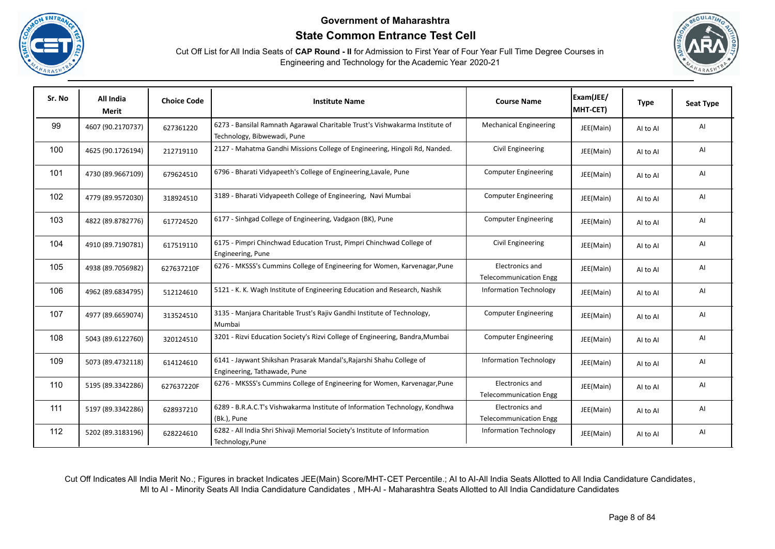





| Sr. No | All India<br>Merit | <b>Choice Code</b> | <b>Institute Name</b>                                                                                       | <b>Course Name</b>                               | Exam(JEE/<br>MHT-CET) | <b>Type</b> | Seat Type |
|--------|--------------------|--------------------|-------------------------------------------------------------------------------------------------------------|--------------------------------------------------|-----------------------|-------------|-----------|
| 99     | 4607 (90.2170737)  | 627361220          | 6273 - Bansilal Ramnath Agarawal Charitable Trust's Vishwakarma Institute of<br>Technology, Bibwewadi, Pune | <b>Mechanical Engineering</b>                    | JEE(Main)             | AI to AI    | AI        |
| 100    | 4625 (90.1726194)  | 212719110          | 2127 - Mahatma Gandhi Missions College of Engineering, Hingoli Rd, Nanded.                                  | Civil Engineering                                | JEE(Main)             | Al to Al    | AI        |
| 101    | 4730 (89.9667109)  | 679624510          | 6796 - Bharati Vidyapeeth's College of Engineering, Lavale, Pune                                            | <b>Computer Engineering</b>                      | JEE(Main)             | AI to AI    | AI        |
| 102    | 4779 (89.9572030)  | 318924510          | 3189 - Bharati Vidyapeeth College of Engineering, Navi Mumbai                                               | <b>Computer Engineering</b>                      | JEE(Main)             | AI to AI    | AI        |
| 103    | 4822 (89.8782776)  | 617724520          | 6177 - Sinhgad College of Engineering, Vadgaon (BK), Pune                                                   | <b>Computer Engineering</b>                      | JEE(Main)             | Al to Al    | AI        |
| 104    | 4910 (89.7190781)  | 617519110          | 6175 - Pimpri Chinchwad Education Trust, Pimpri Chinchwad College of<br>Engineering, Pune                   | Civil Engineering                                | JEE(Main)             | Al to Al    | Al        |
| 105    | 4938 (89.7056982)  | 627637210F         | 6276 - MKSSS's Cummins College of Engineering for Women, Karvenagar, Pune                                   | Electronics and<br><b>Telecommunication Engg</b> | JEE(Main)             | AI to AI    | AI        |
| 106    | 4962 (89.6834795)  | 512124610          | 5121 - K. K. Wagh Institute of Engineering Education and Research, Nashik                                   | <b>Information Technology</b>                    | JEE(Main)             | AI to AI    | AI        |
| 107    | 4977 (89.6659074)  | 313524510          | 3135 - Manjara Charitable Trust's Rajiv Gandhi Institute of Technology,<br>Mumbai                           | <b>Computer Engineering</b>                      | JEE(Main)             | Al to Al    | AI        |
| 108    | 5043 (89.6122760)  | 320124510          | 3201 - Rizvi Education Society's Rizvi College of Engineering, Bandra, Mumbai                               | <b>Computer Engineering</b>                      | JEE(Main)             | AI to AI    | AI        |
| 109    | 5073 (89.4732118)  | 614124610          | 6141 - Jaywant Shikshan Prasarak Mandal's, Rajarshi Shahu College of<br>Engineering, Tathawade, Pune        | <b>Information Technology</b>                    | JEE(Main)             | AI to AI    | AI        |
| 110    | 5195 (89.3342286)  | 627637220F         | 6276 - MKSSS's Cummins College of Engineering for Women, Karvenagar, Pune                                   | Electronics and<br><b>Telecommunication Engg</b> | JEE(Main)             | Al to Al    | AI        |
| 111    | 5197 (89.3342286)  | 628937210          | 6289 - B.R.A.C.T's Vishwakarma Institute of Information Technology, Kondhwa<br>(Bk.), Pune                  | Electronics and<br><b>Telecommunication Engg</b> | JEE(Main)             | AI to AI    | AI        |
| 112    | 5202 (89.3183196)  | 628224610          | 6282 - All India Shri Shivaji Memorial Society's Institute of Information<br>Technology, Pune               | <b>Information Technology</b>                    | JEE(Main)             | Al to Al    | AI        |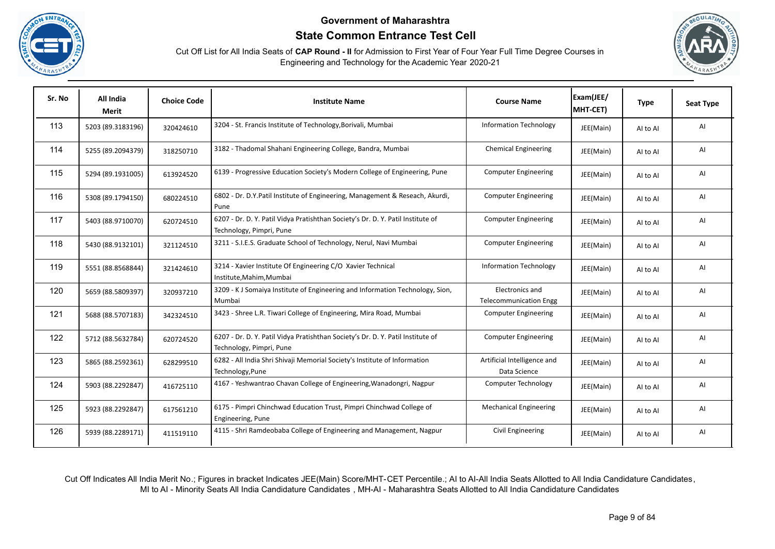





| Sr. No | All India<br>Merit | <b>Choice Code</b> | <b>Institute Name</b>                                                                                       | <b>Course Name</b>                               | Exam(JEE/<br>MHT-CET) | <b>Type</b> | <b>Seat Type</b> |
|--------|--------------------|--------------------|-------------------------------------------------------------------------------------------------------------|--------------------------------------------------|-----------------------|-------------|------------------|
| 113    | 5203 (89.3183196)  | 320424610          | 3204 - St. Francis Institute of Technology, Borivali, Mumbai                                                | <b>Information Technology</b>                    | JEE(Main)             | AI to AI    | Al               |
| 114    | 5255 (89.2094379)  | 318250710          | 3182 - Thadomal Shahani Engineering College, Bandra, Mumbai                                                 | <b>Chemical Engineering</b>                      | JEE(Main)             | Al to Al    | AI               |
| 115    | 5294 (89.1931005)  | 613924520          | 6139 - Progressive Education Society's Modern College of Engineering, Pune                                  | <b>Computer Engineering</b>                      | JEE(Main)             | AI to AI    | AI               |
| 116    | 5308 (89.1794150)  | 680224510          | 6802 - Dr. D.Y.Patil Institute of Engineering, Management & Reseach, Akurdi,<br>Pune                        | <b>Computer Engineering</b>                      | JEE(Main)             | Al to Al    | AI               |
| 117    | 5403 (88.9710070)  | 620724510          | 6207 - Dr. D. Y. Patil Vidya Pratishthan Society's Dr. D. Y. Patil Institute of<br>Technology, Pimpri, Pune | <b>Computer Engineering</b>                      | JEE(Main)             | Al to Al    | Al               |
| 118    | 5430 (88.9132101)  | 321124510          | 3211 - S.I.E.S. Graduate School of Technology, Nerul, Navi Mumbai                                           | <b>Computer Engineering</b>                      | JEE(Main)             | Al to Al    | Al               |
| 119    | 5551 (88.8568844)  | 321424610          | 3214 - Xavier Institute Of Engineering C/O Xavier Technical<br>Institute, Mahim, Mumbai                     | <b>Information Technology</b>                    | JEE(Main)             | Al to Al    | AI               |
| 120    | 5659 (88.5809397)  | 320937210          | 3209 - KJ Somaiya Institute of Engineering and Information Technology, Sion,<br>Mumbai                      | Electronics and<br><b>Telecommunication Engg</b> | JEE(Main)             | AI to AI    | Al               |
| 121    | 5688 (88.5707183)  | 342324510          | 3423 - Shree L.R. Tiwari College of Engineering, Mira Road, Mumbai                                          | <b>Computer Engineering</b>                      | JEE(Main)             | AI to AI    | Al               |
| 122    | 5712 (88.5632784)  | 620724520          | 6207 - Dr. D. Y. Patil Vidya Pratishthan Society's Dr. D. Y. Patil Institute of<br>Technology, Pimpri, Pune | <b>Computer Engineering</b>                      | JEE(Main)             | AI to AI    | AI               |
| 123    | 5865 (88.2592361)  | 628299510          | 6282 - All India Shri Shivaji Memorial Society's Institute of Information<br>Technology, Pune               | Artificial Intelligence and<br>Data Science      | JEE(Main)             | AI to AI    | Al               |
| 124    | 5903 (88.2292847)  | 416725110          | 4167 - Yeshwantrao Chavan College of Engineering, Wanadongri, Nagpur                                        | Computer Technology                              | JEE(Main)             | Al to Al    | Al               |
| 125    | 5923 (88.2292847)  | 617561210          | 6175 - Pimpri Chinchwad Education Trust, Pimpri Chinchwad College of<br>Engineering, Pune                   | <b>Mechanical Engineering</b>                    | JEE(Main)             | AI to AI    | Al               |
| 126    | 5939 (88.2289171)  | 411519110          | 4115 - Shri Ramdeobaba College of Engineering and Management, Nagpur                                        | Civil Engineering                                | JEE(Main)             | Al to Al    | Al               |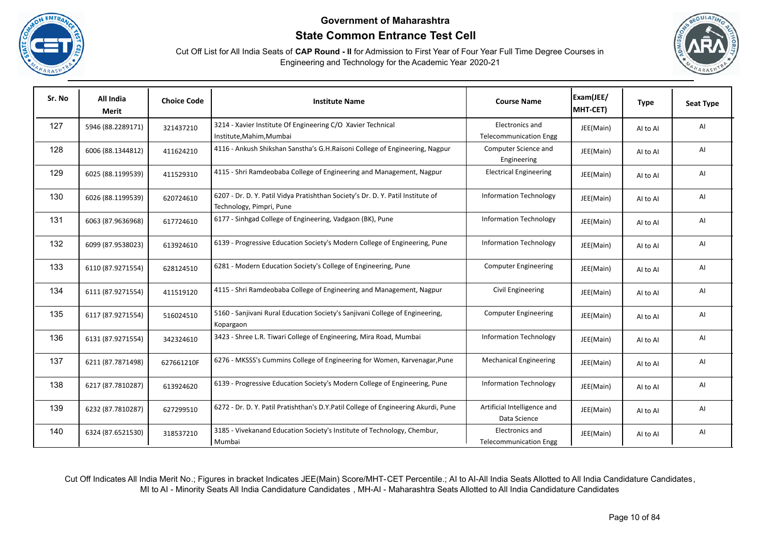





| Sr. No | All India<br><b>Merit</b> | <b>Choice Code</b> | <b>Institute Name</b>                                                                                       | <b>Course Name</b>                               | Exam(JEE/<br>MHT-CET) | <b>Type</b> | <b>Seat Type</b> |
|--------|---------------------------|--------------------|-------------------------------------------------------------------------------------------------------------|--------------------------------------------------|-----------------------|-------------|------------------|
| 127    | 5946 (88.2289171)         | 321437210          | 3214 - Xavier Institute Of Engineering C/O Xavier Technical<br>Institute, Mahim, Mumbai                     | Electronics and<br><b>Telecommunication Engg</b> | JEE(Main)             | Al to Al    | AI               |
| 128    | 6006 (88.1344812)         | 411624210          | 4116 - Ankush Shikshan Sanstha's G.H.Raisoni College of Engineering, Nagpur                                 | Computer Science and<br>Engineering              | JEE(Main)             | AI to AI    | AI               |
| 129    | 6025 (88.1199539)         | 411529310          | 4115 - Shri Ramdeobaba College of Engineering and Management, Nagpur                                        | <b>Electrical Engineering</b>                    | JEE(Main)             | Al to Al    | AI               |
| 130    | 6026 (88.1199539)         | 620724610          | 6207 - Dr. D. Y. Patil Vidya Pratishthan Society's Dr. D. Y. Patil Institute of<br>Technology, Pimpri, Pune | <b>Information Technology</b>                    | JEE(Main)             | AI to AI    | AI               |
| 131    | 6063 (87.9636968)         | 617724610          | 6177 - Sinhgad College of Engineering, Vadgaon (BK), Pune                                                   | <b>Information Technology</b>                    | JEE(Main)             | AI to AI    | AI               |
| 132    | 6099 (87.9538023)         | 613924610          | 6139 - Progressive Education Society's Modern College of Engineering, Pune                                  | <b>Information Technology</b>                    | JEE(Main)             | AI to AI    | AI               |
| 133    | 6110 (87.9271554)         | 628124510          | 6281 - Modern Education Society's College of Engineering, Pune                                              | <b>Computer Engineering</b>                      | JEE(Main)             | AI to AI    | AI               |
| 134    | 6111 (87.9271554)         | 411519120          | 4115 - Shri Ramdeobaba College of Engineering and Management, Nagpur                                        | Civil Engineering                                | JEE(Main)             | AI to AI    | AI               |
| 135    | 6117 (87.9271554)         | 516024510          | 5160 - Sanjivani Rural Education Society's Sanjivani College of Engineering,<br>Kopargaon                   | <b>Computer Engineering</b>                      | JEE(Main)             | Al to Al    | AI               |
| 136    | 6131 (87.9271554)         | 342324610          | 3423 - Shree L.R. Tiwari College of Engineering, Mira Road, Mumbai                                          | <b>Information Technology</b>                    | JEE(Main)             | Al to Al    | AI               |
| 137    | 6211 (87.7871498)         | 627661210F         | 6276 - MKSSS's Cummins College of Engineering for Women, Karvenagar, Pune                                   | <b>Mechanical Engineering</b>                    | JEE(Main)             | Al to Al    | AI               |
| 138    | 6217 (87.7810287)         | 613924620          | 6139 - Progressive Education Society's Modern College of Engineering, Pune                                  | <b>Information Technology</b>                    | JEE(Main)             | AI to AI    | AI               |
| 139    | 6232 (87.7810287)         | 627299510          | 6272 - Dr. D. Y. Patil Pratishthan's D.Y.Patil College of Engineering Akurdi, Pune                          | Artificial Intelligence and<br>Data Science      | JEE(Main)             | Al to Al    | AI               |
| 140    | 6324 (87.6521530)         | 318537210          | 3185 - Vivekanand Education Society's Institute of Technology, Chembur,<br>Mumbai                           | Electronics and<br><b>Telecommunication Engg</b> | JEE(Main)             | AI to AI    | AI               |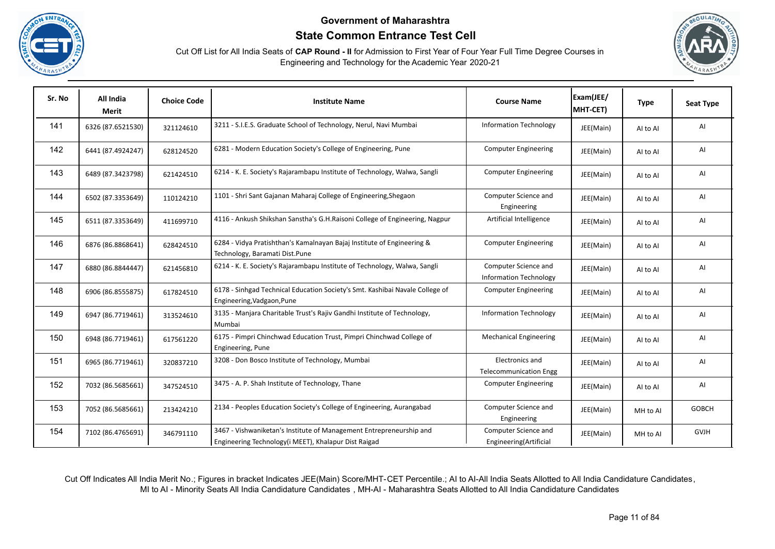





| Sr. No | All India<br><b>Merit</b> | <b>Choice Code</b> | <b>Institute Name</b>                                                                                                       | <b>Course Name</b>                                    | Exam(JEE/<br>MHT-CET) | <b>Type</b> | <b>Seat Type</b> |
|--------|---------------------------|--------------------|-----------------------------------------------------------------------------------------------------------------------------|-------------------------------------------------------|-----------------------|-------------|------------------|
| 141    | 6326 (87.6521530)         | 321124610          | 3211 - S.I.E.S. Graduate School of Technology, Nerul, Navi Mumbai                                                           | <b>Information Technology</b>                         | JEE(Main)             | Al to Al    | AI               |
| 142    | 6441 (87.4924247)         | 628124520          | 6281 - Modern Education Society's College of Engineering, Pune                                                              | <b>Computer Engineering</b>                           | JEE(Main)             | Al to Al    | AI               |
| 143    | 6489 (87.3423798)         | 621424510          | 6214 - K. E. Society's Rajarambapu Institute of Technology, Walwa, Sangli                                                   | <b>Computer Engineering</b>                           | JEE(Main)             | Al to Al    | AI               |
| 144    | 6502 (87.3353649)         | 110124210          | 1101 - Shri Sant Gajanan Maharaj College of Engineering, Shegaon                                                            | Computer Science and<br>Engineering                   | JEE(Main)             | Al to Al    | AI               |
| 145    | 6511 (87.3353649)         | 411699710          | 4116 - Ankush Shikshan Sanstha's G.H.Raisoni College of Engineering, Nagpur                                                 | Artificial Intelligence                               | JEE(Main)             | Al to Al    | AI               |
| 146    | 6876 (86.8868641)         | 628424510          | 6284 - Vidya Pratishthan's Kamalnayan Bajaj Institute of Engineering &<br>Technology, Baramati Dist.Pune                    | <b>Computer Engineering</b>                           | JEE(Main)             | Al to Al    | AI               |
| 147    | 6880 (86.8844447)         | 621456810          | 6214 - K. E. Society's Rajarambapu Institute of Technology, Walwa, Sangli                                                   | Computer Science and<br><b>Information Technology</b> | JEE(Main)             | AI to AI    | AI               |
| 148    | 6906 (86.8555875)         | 617824510          | 6178 - Sinhgad Technical Education Society's Smt. Kashibai Navale College of<br>Engineering, Vadgaon, Pune                  | <b>Computer Engineering</b>                           | JEE(Main)             | Al to Al    | AI               |
| 149    | 6947 (86.7719461)         | 313524610          | 3135 - Manjara Charitable Trust's Rajiv Gandhi Institute of Technology,<br>Mumbai                                           | <b>Information Technology</b>                         | JEE(Main)             | AI to AI    | AI               |
| 150    | 6948 (86.7719461)         | 617561220          | 6175 - Pimpri Chinchwad Education Trust, Pimpri Chinchwad College of<br>Engineering, Pune                                   | <b>Mechanical Engineering</b>                         | JEE(Main)             | Al to Al    | AI               |
| 151    | 6965 (86.7719461)         | 320837210          | 3208 - Don Bosco Institute of Technology, Mumbai                                                                            | Electronics and<br><b>Telecommunication Engg</b>      | JEE(Main)             | AI to AI    | AI               |
| 152    | 7032 (86.5685661)         | 347524510          | 3475 - A. P. Shah Institute of Technology, Thane                                                                            | <b>Computer Engineering</b>                           | JEE(Main)             | Al to Al    | AI               |
| 153    | 7052 (86.5685661)         | 213424210          | 2134 - Peoples Education Society's College of Engineering, Aurangabad                                                       | Computer Science and<br>Engineering                   | JEE(Main)             | MH to Al    | <b>GOBCH</b>     |
| 154    | 7102 (86.4765691)         | 346791110          | 3467 - Vishwaniketan's Institute of Management Entrepreneurship and<br>Engineering Technology(i MEET), Khalapur Dist Raigad | Computer Science and<br>Engineering(Artificial        | JEE(Main)             | MH to Al    | <b>GVJH</b>      |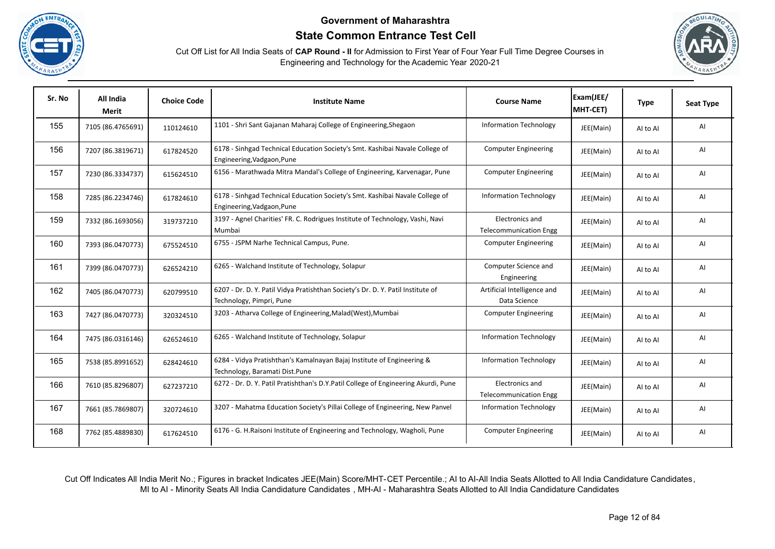





| Sr. No | All India<br>Merit | <b>Choice Code</b> | <b>Institute Name</b>                                                                                       | <b>Course Name</b>                               | Exam(JEE/<br>MHT-CET) | <b>Type</b> | <b>Seat Type</b> |
|--------|--------------------|--------------------|-------------------------------------------------------------------------------------------------------------|--------------------------------------------------|-----------------------|-------------|------------------|
| 155    | 7105 (86.4765691)  | 110124610          | 1101 - Shri Sant Gajanan Maharaj College of Engineering, Shegaon                                            | <b>Information Technology</b>                    | JEE(Main)             | AI to AI    | AI               |
| 156    | 7207 (86.3819671)  | 617824520          | 6178 - Sinhgad Technical Education Society's Smt. Kashibai Navale College of<br>Engineering, Vadgaon, Pune  | <b>Computer Engineering</b>                      | JEE(Main)             | AI to AI    | AI               |
| 157    | 7230 (86.3334737)  | 615624510          | 6156 - Marathwada Mitra Mandal's College of Engineering, Karvenagar, Pune                                   | <b>Computer Engineering</b>                      | JEE(Main)             | AI to AI    | AI               |
| 158    | 7285 (86.2234746)  | 617824610          | 6178 - Sinhgad Technical Education Society's Smt. Kashibai Navale College of<br>Engineering, Vadgaon, Pune  | <b>Information Technology</b>                    | JEE(Main)             | AI to AI    | AI               |
| 159    | 7332 (86.1693056)  | 319737210          | 3197 - Agnel Charities' FR. C. Rodrigues Institute of Technology, Vashi, Navi<br>Mumbai                     | Electronics and<br><b>Telecommunication Engg</b> | JEE(Main)             | AI to AI    | AI               |
| 160    | 7393 (86.0470773)  | 675524510          | 6755 - JSPM Narhe Technical Campus, Pune.                                                                   | <b>Computer Engineering</b>                      | JEE(Main)             | Al to Al    | AI               |
| 161    | 7399 (86.0470773)  | 626524210          | 6265 - Walchand Institute of Technology, Solapur                                                            | Computer Science and<br>Engineering              | JEE(Main)             | AI to AI    | AI               |
| 162    | 7405 (86.0470773)  | 620799510          | 6207 - Dr. D. Y. Patil Vidya Pratishthan Society's Dr. D. Y. Patil Institute of<br>Technology, Pimpri, Pune | Artificial Intelligence and<br>Data Science      | JEE(Main)             | AI to AI    | AI               |
| 163    | 7427 (86.0470773)  | 320324510          | 3203 - Atharva College of Engineering, Malad (West), Mumbai                                                 | <b>Computer Engineering</b>                      | JEE(Main)             | AI to AI    | AI               |
| 164    | 7475 (86.0316146)  | 626524610          | 6265 - Walchand Institute of Technology, Solapur                                                            | <b>Information Technology</b>                    | JEE(Main)             | Al to Al    | AI               |
| 165    | 7538 (85.8991652)  | 628424610          | 6284 - Vidya Pratishthan's Kamalnayan Bajaj Institute of Engineering &<br>Technology, Baramati Dist.Pune    | <b>Information Technology</b>                    | JEE(Main)             | AI to AI    | AI               |
| 166    | 7610 (85.8296807)  | 627237210          | 6272 - Dr. D. Y. Patil Pratishthan's D.Y.Patil College of Engineering Akurdi, Pune                          | Electronics and<br><b>Telecommunication Engg</b> | JEE(Main)             | AI to AI    | AI               |
| 167    | 7661 (85.7869807)  | 320724610          | 3207 - Mahatma Education Society's Pillai College of Engineering, New Panvel                                | <b>Information Technology</b>                    | JEE(Main)             | AI to AI    | AI               |
| 168    | 7762 (85.4889830)  | 617624510          | 6176 - G. H. Raisoni Institute of Engineering and Technology, Wagholi, Pune                                 | <b>Computer Engineering</b>                      | JEE(Main)             | Al to Al    | AI               |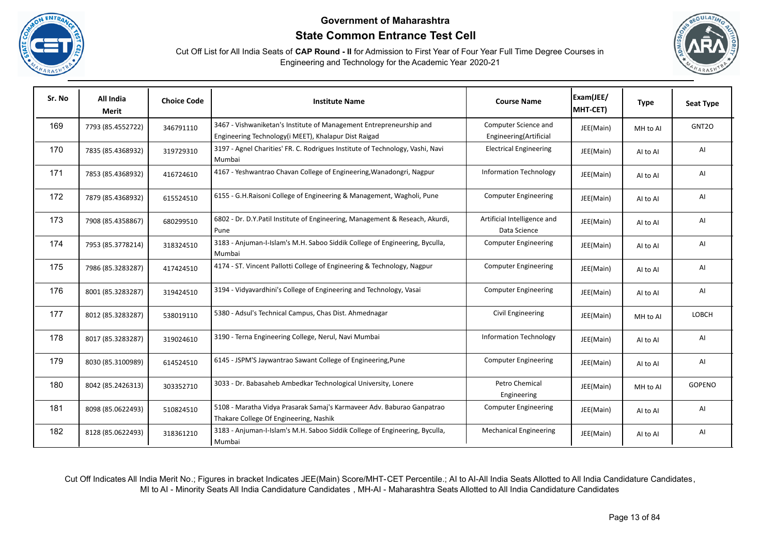





| Sr. No | All India<br>Merit | <b>Choice Code</b> | <b>Institute Name</b>                                                                                                       | <b>Course Name</b>                             | Exam(JEE/<br>MHT-CET) | <b>Type</b> | <b>Seat Type</b> |
|--------|--------------------|--------------------|-----------------------------------------------------------------------------------------------------------------------------|------------------------------------------------|-----------------------|-------------|------------------|
| 169    | 7793 (85.4552722)  | 346791110          | 3467 - Vishwaniketan's Institute of Management Entrepreneurship and<br>Engineering Technology(i MEET), Khalapur Dist Raigad | Computer Science and<br>Engineering(Artificial | JEE(Main)             | MH to Al    | GNT2O            |
| 170    | 7835 (85.4368932)  | 319729310          | 3197 - Agnel Charities' FR. C. Rodrigues Institute of Technology, Vashi, Navi<br>Mumbai                                     | <b>Electrical Engineering</b>                  | JEE(Main)             | Al to Al    | AI               |
| 171    | 7853 (85.4368932)  | 416724610          | 4167 - Yeshwantrao Chavan College of Engineering, Wanadongri, Nagpur                                                        | <b>Information Technology</b>                  | JEE(Main)             | Al to Al    | AI               |
| 172    | 7879 (85.4368932)  | 615524510          | 6155 - G.H.Raisoni College of Engineering & Management, Wagholi, Pune                                                       | <b>Computer Engineering</b>                    | JEE(Main)             | Al to Al    | AI               |
| 173    | 7908 (85.4358867)  | 680299510          | 6802 - Dr. D.Y.Patil Institute of Engineering, Management & Reseach, Akurdi,<br>Pune                                        | Artificial Intelligence and<br>Data Science    | JEE(Main)             | AI to AI    | AI               |
| 174    | 7953 (85.3778214)  | 318324510          | 3183 - Anjuman-I-Islam's M.H. Saboo Siddik College of Engineering, Byculla,<br>Mumbai                                       | <b>Computer Engineering</b>                    | JEE(Main)             | Al to Al    | AI               |
| 175    | 7986 (85.3283287)  | 417424510          | 4174 - ST. Vincent Pallotti College of Engineering & Technology, Nagpur                                                     | <b>Computer Engineering</b>                    | JEE(Main)             | Al to Al    | AI               |
| 176    | 8001 (85.3283287)  | 319424510          | 3194 - Vidyavardhini's College of Engineering and Technology, Vasai                                                         | <b>Computer Engineering</b>                    | JEE(Main)             | Al to Al    | AI               |
| 177    | 8012 (85.3283287)  | 538019110          | 5380 - Adsul's Technical Campus, Chas Dist. Ahmednagar                                                                      | Civil Engineering                              | JEE(Main)             | MH to Al    | LOBCH            |
| 178    | 8017 (85.3283287)  | 319024610          | 3190 - Terna Engineering College, Nerul, Navi Mumbai                                                                        | <b>Information Technology</b>                  | JEE(Main)             | Al to Al    | AI               |
| 179    | 8030 (85.3100989)  | 614524510          | 6145 - JSPM'S Jaywantrao Sawant College of Engineering, Pune                                                                | <b>Computer Engineering</b>                    | JEE(Main)             | Al to Al    | AI               |
| 180    | 8042 (85.2426313)  | 303352710          | 3033 - Dr. Babasaheb Ambedkar Technological University, Lonere                                                              | Petro Chemical<br>Engineering                  | JEE(Main)             | MH to Al    | <b>GOPENO</b>    |
| 181    | 8098 (85.0622493)  | 510824510          | 5108 - Maratha Vidya Prasarak Samaj's Karmaveer Adv. Baburao Ganpatrao<br>Thakare College Of Engineering, Nashik            | <b>Computer Engineering</b>                    | JEE(Main)             | AI to AI    | AI               |
| 182    | 8128 (85.0622493)  | 318361210          | 3183 - Anjuman-I-Islam's M.H. Saboo Siddik College of Engineering, Byculla,<br>Mumbai                                       | <b>Mechanical Engineering</b>                  | JEE(Main)             | AI to AI    | AI               |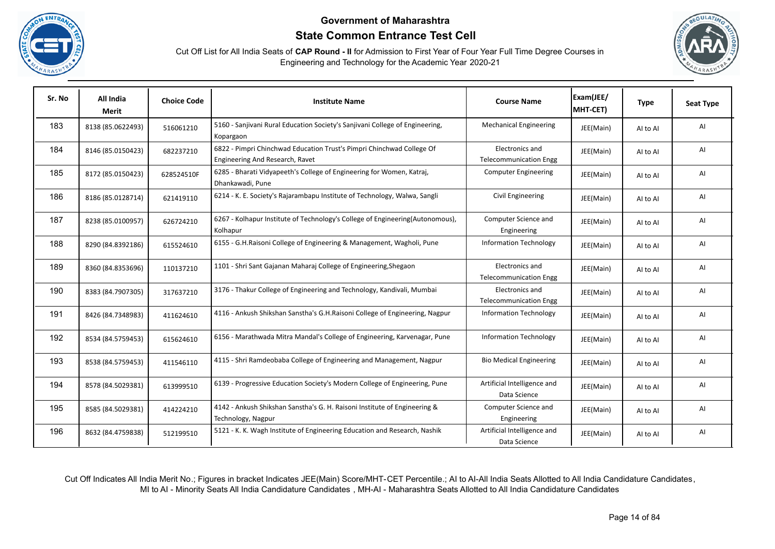





| Sr. No | All India<br><b>Merit</b> | <b>Choice Code</b> | <b>Institute Name</b>                                                                                    | <b>Course Name</b>                               | Exam(JEE/<br>MHT-CET) | <b>Type</b> | <b>Seat Type</b> |
|--------|---------------------------|--------------------|----------------------------------------------------------------------------------------------------------|--------------------------------------------------|-----------------------|-------------|------------------|
| 183    | 8138 (85.0622493)         | 516061210          | 5160 - Sanjivani Rural Education Society's Sanjivani College of Engineering,<br>Kopargaon                | <b>Mechanical Engineering</b>                    | JEE(Main)             | Al to Al    | AI               |
| 184    | 8146 (85.0150423)         | 682237210          | 6822 - Pimpri Chinchwad Education Trust's Pimpri Chinchwad College Of<br>Engineering And Research, Ravet | Electronics and<br><b>Telecommunication Engg</b> | JEE(Main)             | Al to Al    | AI               |
| 185    | 8172 (85.0150423)         | 628524510F         | 6285 - Bharati Vidyapeeth's College of Engineering for Women, Katraj,<br>Dhankawadi, Pune                | <b>Computer Engineering</b>                      | JEE(Main)             | AI to AI    | AI               |
| 186    | 8186 (85.0128714)         | 621419110          | 6214 - K. E. Society's Rajarambapu Institute of Technology, Walwa, Sangli                                | Civil Engineering                                | JEE(Main)             | Al to Al    | AI               |
| 187    | 8238 (85.0100957)         | 626724210          | 6267 - Kolhapur Institute of Technology's College of Engineering(Autonomous),<br>Kolhapur                | Computer Science and<br>Engineering              | JEE(Main)             | AI to AI    | AI               |
| 188    | 8290 (84.8392186)         | 615524610          | 6155 - G.H.Raisoni College of Engineering & Management, Wagholi, Pune                                    | <b>Information Technology</b>                    | JEE(Main)             | Al to Al    | AI               |
| 189    | 8360 (84.8353696)         | 110137210          | 1101 - Shri Sant Gajanan Maharaj College of Engineering, Shegaon                                         | Electronics and<br><b>Telecommunication Engg</b> | JEE(Main)             | AI to AI    | AI               |
| 190    | 8383 (84.7907305)         | 317637210          | 3176 - Thakur College of Engineering and Technology, Kandivali, Mumbai                                   | Electronics and<br><b>Telecommunication Engg</b> | JEE(Main)             | Al to Al    | AI               |
| 191    | 8426 (84.7348983)         | 411624610          | 4116 - Ankush Shikshan Sanstha's G.H.Raisoni College of Engineering, Nagpur                              | <b>Information Technology</b>                    | JEE(Main)             | AI to AI    | AI               |
| 192    | 8534 (84.5759453)         | 615624610          | 6156 - Marathwada Mitra Mandal's College of Engineering, Karvenagar, Pune                                | <b>Information Technology</b>                    | JEE(Main)             | Al to Al    | AI               |
| 193    | 8538 (84.5759453)         | 411546110          | 4115 - Shri Ramdeobaba College of Engineering and Management, Nagpur                                     | <b>Bio Medical Engineering</b>                   | JEE(Main)             | Al to Al    | Al               |
| 194    | 8578 (84.5029381)         | 613999510          | 6139 - Progressive Education Society's Modern College of Engineering, Pune                               | Artificial Intelligence and<br>Data Science      | JEE(Main)             | Al to Al    | AI               |
| 195    | 8585 (84.5029381)         | 414224210          | 4142 - Ankush Shikshan Sanstha's G. H. Raisoni Institute of Engineering &<br>Technology, Nagpur          | Computer Science and<br>Engineering              | JEE(Main)             | Al to Al    | AI               |
| 196    | 8632 (84.4759838)         | 512199510          | 5121 - K. K. Wagh Institute of Engineering Education and Research, Nashik                                | Artificial Intelligence and<br>Data Science      | JEE(Main)             | Al to Al    | AI               |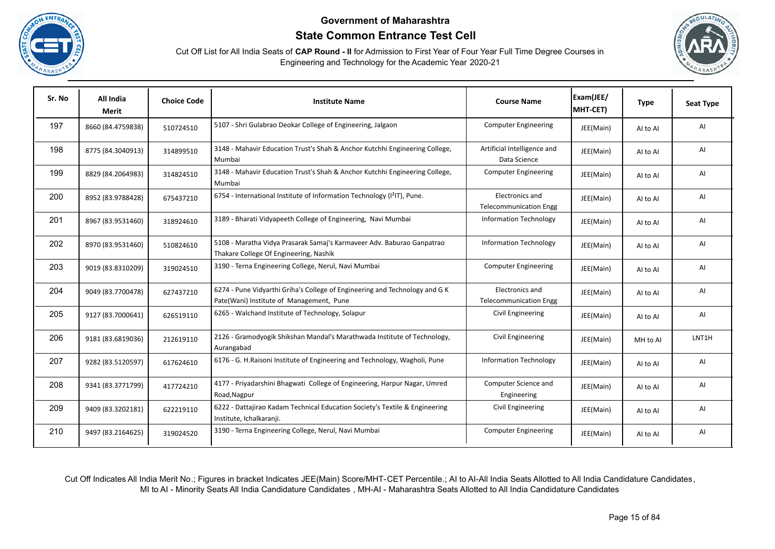





| Sr. No | All India<br>Merit | <b>Choice Code</b> | <b>Institute Name</b>                                                                                                   | <b>Course Name</b>                               | Exam(JEE/<br>MHT-CET) | <b>Type</b> | <b>Seat Type</b> |
|--------|--------------------|--------------------|-------------------------------------------------------------------------------------------------------------------------|--------------------------------------------------|-----------------------|-------------|------------------|
| 197    | 8660 (84.4759838)  | 510724510          | 5107 - Shri Gulabrao Deokar College of Engineering, Jalgaon                                                             | <b>Computer Engineering</b>                      | JEE(Main)             | Al to Al    | AI               |
| 198    | 8775 (84.3040913)  | 314899510          | 3148 - Mahavir Education Trust's Shah & Anchor Kutchhi Engineering College,<br>Mumbai                                   | Artificial Intelligence and<br>Data Science      | JEE(Main)             | Al to Al    | AI               |
| 199    | 8829 (84.2064983)  | 314824510          | 3148 - Mahavir Education Trust's Shah & Anchor Kutchhi Engineering College,<br>Mumbai                                   | <b>Computer Engineering</b>                      | JEE(Main)             | Al to Al    | AI               |
| 200    | 8952 (83.9788428)  | 675437210          | 6754 - International Institute of Information Technology (I <sup>2</sup> IT), Pune.                                     | Electronics and<br><b>Telecommunication Engg</b> | JEE(Main)             | AI to AI    | AI               |
| 201    | 8967 (83.9531460)  | 318924610          | 3189 - Bharati Vidyapeeth College of Engineering, Navi Mumbai                                                           | <b>Information Technology</b>                    | JEE(Main)             | Al to Al    | AI               |
| 202    | 8970 (83.9531460)  | 510824610          | 5108 - Maratha Vidya Prasarak Samaj's Karmaveer Adv. Baburao Ganpatrao<br>Thakare College Of Engineering, Nashik        | <b>Information Technology</b>                    | JEE(Main)             | Al to Al    | AI               |
| 203    | 9019 (83.8310209)  | 319024510          | 3190 - Terna Engineering College, Nerul, Navi Mumbai                                                                    | <b>Computer Engineering</b>                      | JEE(Main)             | Al to Al    | AI               |
| 204    | 9049 (83.7700478)  | 627437210          | 6274 - Pune Vidyarthi Griha's College of Engineering and Technology and G K<br>Pate(Wani) Institute of Management, Pune | Electronics and<br><b>Telecommunication Engg</b> | JEE(Main)             | Al to Al    | AI               |
| 205    | 9127 (83.7000641)  | 626519110          | 6265 - Walchand Institute of Technology, Solapur                                                                        | Civil Engineering                                | JEE(Main)             | AI to AI    | AI               |
| 206    | 9181 (83.6819036)  | 212619110          | 2126 - Gramodyogik Shikshan Mandal's Marathwada Institute of Technology,<br>Aurangabad                                  | Civil Engineering                                | JEE(Main)             | MH to Al    | LNT1H            |
| 207    | 9282 (83.5120597)  | 617624610          | 6176 - G. H.Raisoni Institute of Engineering and Technology, Wagholi, Pune                                              | <b>Information Technology</b>                    | JEE(Main)             | AI to AI    | AI               |
| 208    | 9341 (83.3771799)  | 417724210          | 4177 - Priyadarshini Bhagwati College of Engineering, Harpur Nagar, Umred<br>Road, Nagpur                               | Computer Science and<br>Engineering              | JEE(Main)             | Al to Al    | AI               |
| 209    | 9409 (83.3202181)  | 622219110          | 6222 - Dattajirao Kadam Technical Education Society's Textile & Engineering<br>Institute, Ichalkaranji.                 | Civil Engineering                                | JEE(Main)             | Al to Al    | AI               |
| 210    | 9497 (83.2164625)  | 319024520          | 3190 - Terna Engineering College, Nerul, Navi Mumbai                                                                    | <b>Computer Engineering</b>                      | JEE(Main)             | Al to Al    | AI               |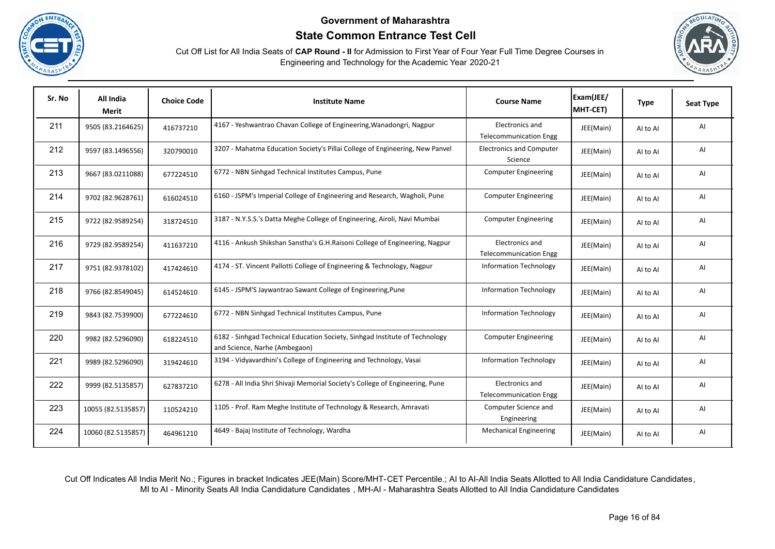





| Sr. No | All India<br>Merit | <b>Choice Code</b> | <b>Institute Name</b>                                                                                        | <b>Course Name</b>                               | Exam(JEE/<br>MHT-CET) | <b>Type</b> | <b>Seat Type</b> |
|--------|--------------------|--------------------|--------------------------------------------------------------------------------------------------------------|--------------------------------------------------|-----------------------|-------------|------------------|
| 211    | 9505 (83.2164625)  | 416737210          | 4167 - Yeshwantrao Chavan College of Engineering, Wanadongri, Nagpur                                         | Electronics and<br><b>Telecommunication Engg</b> | JEE(Main)             | AI to AI    | AI               |
| 212    | 9597 (83.1496556)  | 320790010          | 3207 - Mahatma Education Society's Pillai College of Engineering, New Panvel                                 | <b>Electronics and Computer</b><br>Science       | JEE(Main)             | Al to Al    | AI               |
| 213    | 9667 (83.0211088)  | 677224510          | 6772 - NBN Sinhgad Technical Institutes Campus, Pune                                                         | <b>Computer Engineering</b>                      | JEE(Main)             | Al to Al    | AI               |
| 214    | 9702 (82.9628761)  | 616024510          | 6160 - JSPM's Imperial College of Engineering and Research, Wagholi, Pune                                    | <b>Computer Engineering</b>                      | JEE(Main)             | AI to AI    | AI               |
| 215    | 9722 (82.9589254)  | 318724510          | 3187 - N.Y.S.S.'s Datta Meghe College of Engineering, Airoli, Navi Mumbai                                    | <b>Computer Engineering</b>                      | JEE(Main)             | AI to AI    | AI               |
| 216    | 9729 (82.9589254)  | 411637210          | 4116 - Ankush Shikshan Sanstha's G.H.Raisoni College of Engineering, Nagpur                                  | Electronics and<br><b>Telecommunication Engg</b> | JEE(Main)             | Al to Al    | AI               |
| 217    | 9751 (82.9378102)  | 417424610          | 4174 - ST. Vincent Pallotti College of Engineering & Technology, Nagpur                                      | <b>Information Technology</b>                    | JEE(Main)             | Al to Al    | AI               |
| 218    | 9766 (82.8549045)  | 614524610          | 6145 - JSPM'S Jaywantrao Sawant College of Engineering, Pune                                                 | <b>Information Technology</b>                    | JEE(Main)             | Al to Al    | AI               |
| 219    | 9843 (82.7539900)  | 677224610          | 6772 - NBN Sinhgad Technical Institutes Campus, Pune                                                         | <b>Information Technology</b>                    | JEE(Main)             | Al to Al    | AI               |
| 220    | 9982 (82.5296090)  | 618224510          | 6182 - Sinhgad Technical Education Society, Sinhgad Institute of Technology<br>and Science, Narhe (Ambegaon) | <b>Computer Engineering</b>                      | JEE(Main)             | AI to AI    | AI               |
| 221    | 9989 (82.5296090)  | 319424610          | 3194 - Vidyavardhini's College of Engineering and Technology, Vasai                                          | <b>Information Technology</b>                    | JEE(Main)             | AI to AI    | AI               |
| 222    | 9999 (82.5135857)  | 627837210          | 6278 - All India Shri Shivaji Memorial Society's College of Engineering, Pune                                | Electronics and<br><b>Telecommunication Engg</b> | JEE(Main)             | AI to AI    | AI               |
| 223    | 10055 (82.5135857) | 110524210          | 1105 - Prof. Ram Meghe Institute of Technology & Research, Amravati                                          | Computer Science and<br>Engineering              | JEE(Main)             | Al to Al    | Al               |
| 224    | 10060 (82.5135857) | 464961210          | 4649 - Bajaj Institute of Technology, Wardha                                                                 | <b>Mechanical Engineering</b>                    | JEE(Main)             | Al to Al    | AI               |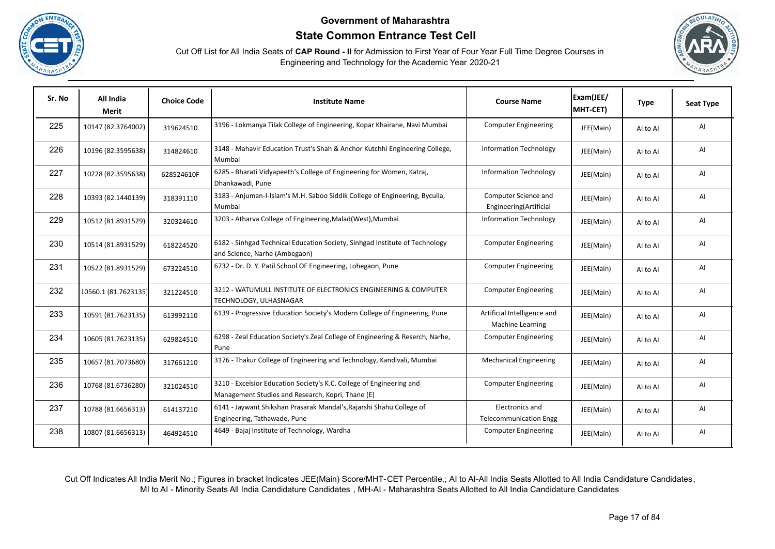





| Sr. No | All India<br>Merit   | <b>Choice Code</b> | <b>Institute Name</b>                                                                                                     | <b>Course Name</b>                                     | Exam(JEE/<br>MHT-CET) | <b>Type</b> | <b>Seat Type</b> |
|--------|----------------------|--------------------|---------------------------------------------------------------------------------------------------------------------------|--------------------------------------------------------|-----------------------|-------------|------------------|
| 225    | 10147 (82.3764002)   | 319624510          | 3196 - Lokmanya Tilak College of Engineering, Kopar Khairane, Navi Mumbai                                                 | <b>Computer Engineering</b>                            | JEE(Main)             | Al to Al    | AI               |
| 226    | 10196 (82.3595638)   | 314824610          | 3148 - Mahavir Education Trust's Shah & Anchor Kutchhi Engineering College,<br>Mumbai                                     | <b>Information Technology</b>                          | JEE(Main)             | Al to Al    | AI               |
| 227    | 10228 (82.3595638)   | 628524610F         | 6285 - Bharati Vidyapeeth's College of Engineering for Women, Katraj,<br>Dhankawadi, Pune                                 | <b>Information Technology</b>                          | JEE(Main)             | Al to Al    | AI               |
| 228    | 10393 (82.1440139)   | 318391110          | 3183 - Anjuman-I-Islam's M.H. Saboo Siddik College of Engineering, Byculla,<br>Mumbai                                     | Computer Science and<br>Engineering(Artificial         | JEE(Main)             | AI to AI    | AI               |
| 229    | 10512 (81.8931529)   | 320324610          | 3203 - Atharva College of Engineering, Malad (West), Mumbai                                                               | <b>Information Technology</b>                          | JEE(Main)             | Al to Al    | AI               |
| 230    | 10514 (81.8931529)   | 618224520          | 6182 - Sinhgad Technical Education Society, Sinhgad Institute of Technology<br>and Science, Narhe (Ambegaon)              | <b>Computer Engineering</b>                            | JEE(Main)             | Al to Al    | AI               |
| 231    | 10522 (81.8931529)   | 673224510          | 6732 - Dr. D. Y. Patil School OF Engineering, Lohegaon, Pune                                                              | <b>Computer Engineering</b>                            | JEE(Main)             | Al to Al    | AI               |
| 232    | 10560.1 (81.7623135) | 321224510          | 3212 - WATUMULL INSTITUTE OF ELECTRONICS ENGINEERING & COMPUTER<br>TECHNOLOGY, ULHASNAGAR                                 | <b>Computer Engineering</b>                            | JEE(Main)             | AI to AI    | AI               |
| 233    | 10591 (81.7623135)   | 613992110          | 6139 - Progressive Education Society's Modern College of Engineering, Pune                                                | Artificial Intelligence and<br><b>Machine Learning</b> | JEE(Main)             | Al to Al    | AI               |
| 234    | 10605 (81.7623135)   | 629824510          | 6298 - Zeal Education Society's Zeal College of Engineering & Reserch, Narhe,<br>Pune                                     | <b>Computer Engineering</b>                            | JEE(Main)             | AI to AI    | AI               |
| 235    | 10657 (81.7073680)   | 317661210          | 3176 - Thakur College of Engineering and Technology, Kandivali, Mumbai                                                    | <b>Mechanical Engineering</b>                          | JEE(Main)             | Al to Al    | AI               |
| 236    | 10768 (81.6736280)   | 321024510          | 3210 - Excelsior Education Society's K.C. College of Engineering and<br>Management Studies and Research, Kopri, Thane (E) | <b>Computer Engineering</b>                            | JEE(Main)             | Al to Al    | AI               |
| 237    | 10788 (81.6656313)   | 614137210          | 6141 - Jaywant Shikshan Prasarak Mandal's, Rajarshi Shahu College of<br>Engineering, Tathawade, Pune                      | Electronics and<br><b>Telecommunication Engg</b>       | JEE(Main)             | AI to AI    | AI               |
| 238    | 10807 (81.6656313)   | 464924510          | 4649 - Bajaj Institute of Technology, Wardha                                                                              | <b>Computer Engineering</b>                            | JEE(Main)             | Al to Al    | AI               |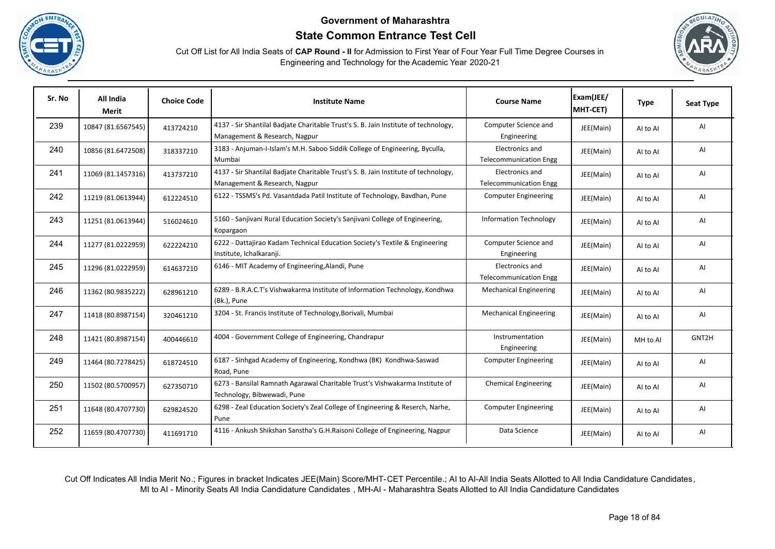





| Sr. No | All India<br>Merit | <b>Choice Code</b> | <b>Institute Name</b>                                                                                                | <b>Course Name</b>                               | Exam(JEE/<br>MHT-CET) | <b>Type</b> | <b>Seat Type</b> |
|--------|--------------------|--------------------|----------------------------------------------------------------------------------------------------------------------|--------------------------------------------------|-----------------------|-------------|------------------|
| 239    | 10847 (81.6567545) | 413724210          | 4137 - Sir Shantilal Badjate Charitable Trust's S. B. Jain Institute of technology,<br>Management & Research, Nagpur | Computer Science and<br>Engineering              | JEE(Main)             | Al to Al    | AI               |
| 240    | 10856 (81.6472508) | 318337210          | 3183 - Anjuman-I-Islam's M.H. Saboo Siddik College of Engineering, Byculla,<br>Mumbai                                | Electronics and<br><b>Telecommunication Engg</b> | JEE(Main)             | AI to AI    | AI               |
| 241    | 11069 (81.1457316) | 413737210          | 4137 - Sir Shantilal Badjate Charitable Trust's S. B. Jain Institute of technology,<br>Management & Research, Nagpur | Electronics and<br><b>Telecommunication Engg</b> | JEE(Main)             | Al to Al    | AI               |
| 242    | 11219 (81.0613944) | 612224510          | 6122 - TSSMS's Pd. Vasantdada Patil Institute of Technology, Bavdhan, Pune                                           | <b>Computer Engineering</b>                      | JEE(Main)             | AI to AI    | AI               |
| 243    | 11251 (81.0613944) | 516024610          | 5160 - Sanjivani Rural Education Society's Sanjivani College of Engineering,<br>Kopargaon                            | <b>Information Technology</b>                    | JEE(Main)             | Al to Al    | AI               |
| 244    | 11277 (81.0222959) | 622224210          | 6222 - Dattajirao Kadam Technical Education Society's Textile & Engineering<br>Institute, Ichalkaranji.              | Computer Science and<br>Engineering              | JEE(Main)             | AI to AI    | AI               |
| 245    | 11296 (81.0222959) | 614637210          | 6146 - MIT Academy of Engineering, Alandi, Pune                                                                      | Electronics and<br><b>Telecommunication Engg</b> | JEE(Main)             | AI to AI    | AI               |
| 246    | 11362 (80.9835222) | 628961210          | 6289 - B.R.A.C.T's Vishwakarma Institute of Information Technology, Kondhwa<br>(Bk.), Pune                           | <b>Mechanical Engineering</b>                    | JEE(Main)             | AI to AI    | AI               |
| 247    | 11418 (80.8987154) | 320461210          | 3204 - St. Francis Institute of Technology, Borivali, Mumbai                                                         | <b>Mechanical Engineering</b>                    | JEE(Main)             | Al to Al    | AI               |
| 248    | 11421 (80.8987154) | 400446610          | 4004 - Government College of Engineering, Chandrapur                                                                 | Instrumentation<br>Engineering                   | JEE(Main)             | MH to Al    | GNT2H            |
| 249    | 11464 (80.7278425) | 618724510          | 6187 - Sinhgad Academy of Engineering, Kondhwa (BK) Kondhwa-Saswad<br>Road, Pune                                     | <b>Computer Engineering</b>                      | JEE(Main)             | Al to Al    | AI               |
| 250    | 11502 (80.5700957) | 627350710          | 6273 - Bansilal Ramnath Agarawal Charitable Trust's Vishwakarma Institute of<br>Technology, Bibwewadi, Pune          | <b>Chemical Engineering</b>                      | JEE(Main)             | AI to AI    | AI               |
| 251    | 11648 (80.4707730) | 629824520          | 6298 - Zeal Education Society's Zeal College of Engineering & Reserch, Narhe,<br>Pune                                | <b>Computer Engineering</b>                      | JEE(Main)             | AI to AI    | AI               |
| 252    | 11659 (80.4707730) | 411691710          | 4116 - Ankush Shikshan Sanstha's G.H.Raisoni College of Engineering, Nagpur                                          | Data Science                                     | JEE(Main)             | Al to Al    | AI               |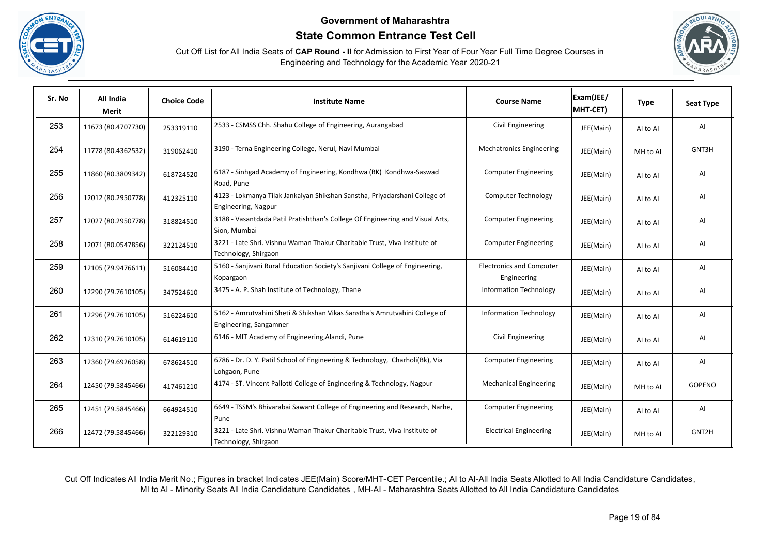





| Sr. No | All India<br>Merit | <b>Choice Code</b> | <b>Institute Name</b>                                                                                | <b>Course Name</b>                             | Exam(JEE/<br>MHT-CET) | <b>Type</b> | <b>Seat Type</b> |
|--------|--------------------|--------------------|------------------------------------------------------------------------------------------------------|------------------------------------------------|-----------------------|-------------|------------------|
| 253    | 11673 (80.4707730) | 253319110          | 2533 - CSMSS Chh. Shahu College of Engineering, Aurangabad                                           | Civil Engineering                              | JEE(Main)             | Al to Al    | AI               |
| 254    | 11778 (80.4362532) | 319062410          | 3190 - Terna Engineering College, Nerul, Navi Mumbai                                                 | <b>Mechatronics Engineering</b>                | JEE(Main)             | MH to Al    | GNT3H            |
| 255    | 11860 (80.3809342) | 618724520          | 6187 - Sinhgad Academy of Engineering, Kondhwa (BK) Kondhwa-Saswad<br>Road, Pune                     | <b>Computer Engineering</b>                    | JEE(Main)             | Al to Al    | AI               |
| 256    | 12012 (80.2950778) | 412325110          | 4123 - Lokmanya Tilak Jankalyan Shikshan Sanstha, Priyadarshani College of<br>Engineering, Nagpur    | Computer Technology                            | JEE(Main)             | AI to AI    | AI               |
| 257    | 12027 (80.2950778) | 318824510          | 3188 - Vasantdada Patil Pratishthan's College Of Engineering and Visual Arts,<br>Sion, Mumbai        | <b>Computer Engineering</b>                    | JEE(Main)             | Al to Al    | AI               |
| 258    | 12071 (80.0547856) | 322124510          | 3221 - Late Shri. Vishnu Waman Thakur Charitable Trust, Viva Institute of<br>Technology, Shirgaon    | <b>Computer Engineering</b>                    | JEE(Main)             | Al to Al    | AI               |
| 259    | 12105 (79.9476611) | 516084410          | 5160 - Sanjivani Rural Education Society's Sanjivani College of Engineering,<br>Kopargaon            | <b>Electronics and Computer</b><br>Engineering | JEE(Main)             | Al to Al    | AI               |
| 260    | 12290 (79.7610105) | 347524610          | 3475 - A. P. Shah Institute of Technology, Thane                                                     | <b>Information Technology</b>                  | JEE(Main)             | AI to AI    | AI               |
| 261    | 12296 (79.7610105) | 516224610          | 5162 - Amrutvahini Sheti & Shikshan Vikas Sanstha's Amrutvahini College of<br>Engineering, Sangamner | <b>Information Technology</b>                  | JEE(Main)             | Al to Al    | AI               |
| 262    | 12310 (79.7610105) | 614619110          | 6146 - MIT Academy of Engineering, Alandi, Pune                                                      | Civil Engineering                              | JEE(Main)             | Al to Al    | AI               |
| 263    | 12360 (79.6926058) | 678624510          | 6786 - Dr. D. Y. Patil School of Engineering & Technology, Charholi(Bk), Via<br>Lohgaon, Pune        | <b>Computer Engineering</b>                    | JEE(Main)             | Al to Al    | AI               |
| 264    | 12450 (79.5845466) | 417461210          | 4174 - ST. Vincent Pallotti College of Engineering & Technology, Nagpur                              | <b>Mechanical Engineering</b>                  | JEE(Main)             | MH to Al    | <b>GOPENO</b>    |
| 265    | 12451 (79.5845466) | 664924510          | 6649 - TSSM's Bhivarabai Sawant College of Engineering and Research, Narhe,<br>Pune                  | <b>Computer Engineering</b>                    | JEE(Main)             | Al to Al    | AI               |
| 266    | 12472 (79.5845466) | 322129310          | 3221 - Late Shri. Vishnu Waman Thakur Charitable Trust, Viva Institute of<br>Technology, Shirgaon    | <b>Electrical Engineering</b>                  | JEE(Main)             | MH to Al    | GNT2H            |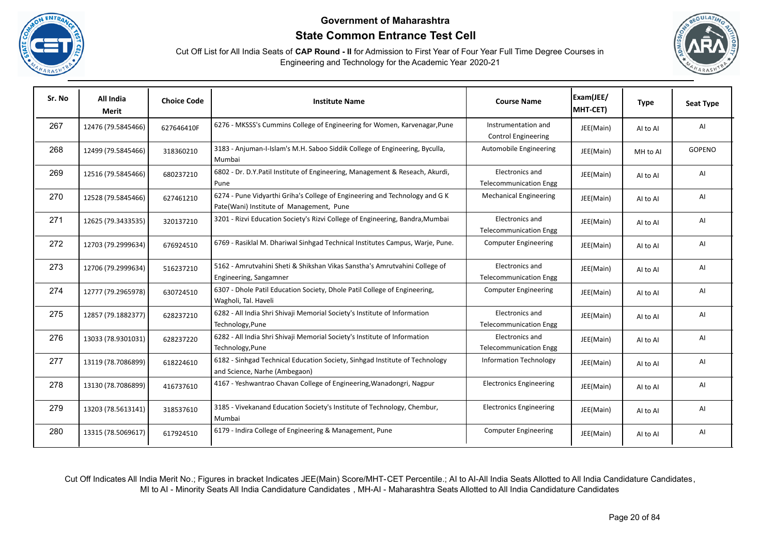





| Sr. No | All India<br>Merit | <b>Choice Code</b> | <b>Institute Name</b>                                                                                                   | <b>Course Name</b>                                | Exam(JEE/<br>MHT-CET) | <b>Type</b> | <b>Seat Type</b> |
|--------|--------------------|--------------------|-------------------------------------------------------------------------------------------------------------------------|---------------------------------------------------|-----------------------|-------------|------------------|
| 267    | 12476 (79.5845466) | 627646410F         | 6276 - MKSSS's Cummins College of Engineering for Women, Karvenagar, Pune                                               | Instrumentation and<br><b>Control Engineering</b> | JEE(Main)             | Al to Al    | AI               |
| 268    | 12499 (79.5845466) | 318360210          | 3183 - Anjuman-I-Islam's M.H. Saboo Siddik College of Engineering, Byculla,<br>Mumbai                                   | Automobile Engineering                            | JEE(Main)             | MH to Al    | <b>GOPENO</b>    |
| 269    | 12516 (79.5845466) | 680237210          | 6802 - Dr. D.Y.Patil Institute of Engineering, Management & Reseach, Akurdi,<br>Pune                                    | Electronics and<br><b>Telecommunication Engg</b>  | JEE(Main)             | Al to Al    | AI               |
| 270    | 12528 (79.5845466) | 627461210          | 6274 - Pune Vidyarthi Griha's College of Engineering and Technology and G K<br>Pate(Wani) Institute of Management, Pune | <b>Mechanical Engineering</b>                     | JEE(Main)             | AI to AI    | AI               |
| 271    | 12625 (79.3433535) | 320137210          | 3201 - Rizvi Education Society's Rizvi College of Engineering, Bandra, Mumbai                                           | Electronics and<br><b>Telecommunication Engg</b>  | JEE(Main)             | Al to Al    | AI               |
| 272    | 12703 (79.2999634) | 676924510          | 6769 - Rasiklal M. Dhariwal Sinhgad Technical Institutes Campus, Warje, Pune.                                           | <b>Computer Engineering</b>                       | JEE(Main)             | AI to AI    | AI               |
| 273    | 12706 (79.2999634) | 516237210          | 5162 - Amrutvahini Sheti & Shikshan Vikas Sanstha's Amrutvahini College of<br>Engineering, Sangamner                    | Electronics and<br><b>Telecommunication Engg</b>  | JEE(Main)             | AI to AI    | AI               |
| 274    | 12777 (79.2965978) | 630724510          | 6307 - Dhole Patil Education Society, Dhole Patil College of Engineering,<br>Wagholi, Tal. Haveli                       | <b>Computer Engineering</b>                       | JEE(Main)             | AI to AI    | AI               |
| 275    | 12857 (79.1882377) | 628237210          | 6282 - All India Shri Shivaji Memorial Society's Institute of Information<br>Technology, Pune                           | Electronics and<br><b>Telecommunication Engg</b>  | JEE(Main)             | AI to AI    | AI               |
| 276    | 13033 (78.9301031) | 628237220          | 6282 - All India Shri Shivaji Memorial Society's Institute of Information<br>Technology, Pune                           | Electronics and<br><b>Telecommunication Engg</b>  | JEE(Main)             | AI to AI    | AI               |
| 277    | 13119 (78.7086899) | 618224610          | 6182 - Sinhgad Technical Education Society, Sinhgad Institute of Technology<br>and Science, Narhe (Ambegaon)            | <b>Information Technology</b>                     | JEE(Main)             | Al to Al    | AI               |
| 278    | 13130 (78.7086899) | 416737610          | 4167 - Yeshwantrao Chavan College of Engineering, Wanadongri, Nagpur                                                    | <b>Electronics Engineering</b>                    | JEE(Main)             | Al to Al    | AI               |
| 279    | 13203 (78.5613141) | 318537610          | 3185 - Vivekanand Education Society's Institute of Technology, Chembur,<br>Mumbai                                       | <b>Electronics Engineering</b>                    | JEE(Main)             | Al to Al    | AI               |
| 280    | 13315 (78.5069617) | 617924510          | 6179 - Indira College of Engineering & Management, Pune                                                                 | <b>Computer Engineering</b>                       | JEE(Main)             | AI to AI    | AI               |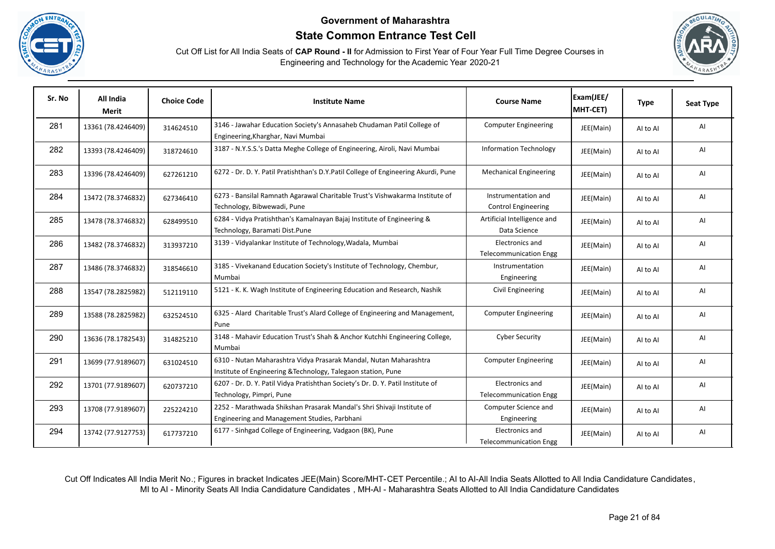





| Sr. No | All India<br>Merit | <b>Choice Code</b> | <b>Institute Name</b>                                                                                                              | <b>Course Name</b>                                      | Exam(JEE/<br>MHT-CET) | <b>Type</b> | <b>Seat Type</b> |
|--------|--------------------|--------------------|------------------------------------------------------------------------------------------------------------------------------------|---------------------------------------------------------|-----------------------|-------------|------------------|
| 281    | 13361 (78.4246409) | 314624510          | 3146 - Jawahar Education Society's Annasaheb Chudaman Patil College of<br>Engineering, Kharghar, Navi Mumbai                       | <b>Computer Engineering</b>                             | JEE(Main)             | AI to AI    | AI               |
| 282    | 13393 (78.4246409) | 318724610          | 3187 - N.Y.S.S.'s Datta Meghe College of Engineering, Airoli, Navi Mumbai                                                          | <b>Information Technology</b>                           | JEE(Main)             | AI to AI    | AI               |
| 283    | 13396 (78.4246409) | 627261210          | 6272 - Dr. D. Y. Patil Pratishthan's D.Y.Patil College of Engineering Akurdi, Pune                                                 | <b>Mechanical Engineering</b>                           | JEE(Main)             | AI to AI    | AI               |
| 284    | 13472 (78.3746832) | 627346410          | 6273 - Bansilal Ramnath Agarawal Charitable Trust's Vishwakarma Institute of<br>Technology, Bibwewadi, Pune                        | Instrumentation and<br><b>Control Engineering</b>       | JEE(Main)             | AI to AI    | AI               |
| 285    | 13478 (78.3746832) | 628499510          | 6284 - Vidya Pratishthan's Kamalnayan Bajaj Institute of Engineering &<br>Technology, Baramati Dist.Pune                           | Artificial Intelligence and<br>Data Science             | JEE(Main)             | AI to AI    | AI               |
| 286    | 13482 (78.3746832) | 313937210          | 3139 - Vidyalankar Institute of Technology, Wadala, Mumbai                                                                         | <b>Electronics and</b><br><b>Telecommunication Engg</b> | JEE(Main)             | AI to AI    | AI               |
| 287    | 13486 (78.3746832) | 318546610          | 3185 - Vivekanand Education Society's Institute of Technology, Chembur,<br>Mumbai                                                  | Instrumentation<br>Engineering                          | JEE(Main)             | AI to AI    | AI               |
| 288    | 13547 (78.2825982) | 512119110          | 5121 - K. K. Wagh Institute of Engineering Education and Research, Nashik                                                          | Civil Engineering                                       | JEE(Main)             | AI to AI    | AI               |
| 289    | 13588 (78.2825982) | 632524510          | 6325 - Alard Charitable Trust's Alard College of Engineering and Management,<br>Pune                                               | <b>Computer Engineering</b>                             | JEE(Main)             | AI to AI    | AI               |
| 290    | 13636 (78.1782543) | 314825210          | 3148 - Mahavir Education Trust's Shah & Anchor Kutchhi Engineering College,<br>Mumbai                                              | <b>Cyber Security</b>                                   | JEE(Main)             | AI to AI    | AI               |
| 291    | 13699 (77.9189607) | 631024510          | 6310 - Nutan Maharashtra Vidya Prasarak Mandal, Nutan Maharashtra<br>Institute of Engineering & Technology, Talegaon station, Pune | <b>Computer Engineering</b>                             | JEE(Main)             | AI to AI    | AI               |
| 292    | 13701 (77.9189607) | 620737210          | 6207 - Dr. D. Y. Patil Vidya Pratishthan Society's Dr. D. Y. Patil Institute of<br>Technology, Pimpri, Pune                        | Electronics and<br><b>Telecommunication Engg</b>        | JEE(Main)             | AI to AI    | AI               |
| 293    | 13708 (77.9189607) | 225224210          | 2252 - Marathwada Shikshan Prasarak Mandal's Shri Shivaji Institute of<br>Engineering and Management Studies, Parbhani             | Computer Science and<br>Engineering                     | JEE(Main)             | AI to AI    | AI               |
| 294    | 13742 (77.9127753) | 617737210          | 6177 - Sinhgad College of Engineering, Vadgaon (BK), Pune                                                                          | Electronics and<br><b>Telecommunication Engg</b>        | JEE(Main)             | Al to Al    | AI               |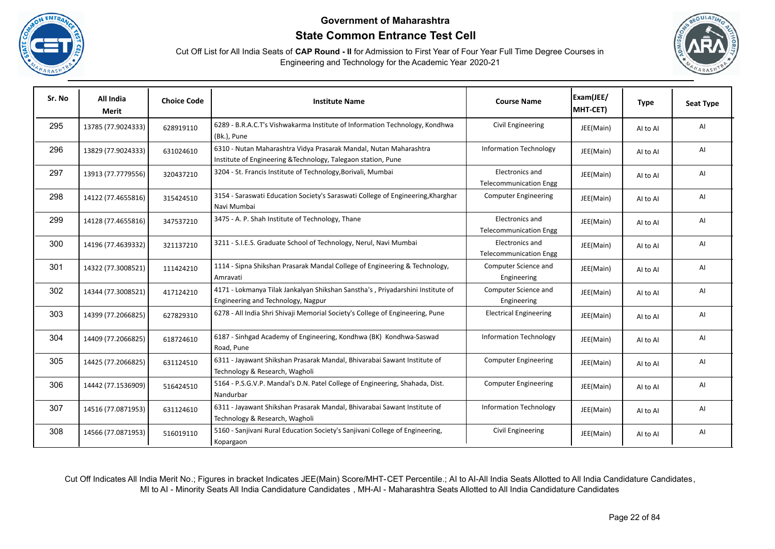





| Sr. No | All India<br>Merit | <b>Choice Code</b> | <b>Institute Name</b>                                                                                                              | <b>Course Name</b>                               | Exam(JEE/<br>MHT-CET) | <b>Type</b> | <b>Seat Type</b> |
|--------|--------------------|--------------------|------------------------------------------------------------------------------------------------------------------------------------|--------------------------------------------------|-----------------------|-------------|------------------|
| 295    | 13785 (77.9024333) | 628919110          | 6289 - B.R.A.C.T's Vishwakarma Institute of Information Technology, Kondhwa<br>(Bk.), Pune                                         | Civil Engineering                                | JEE(Main)             | Al to Al    | Al               |
| 296    | 13829 (77.9024333) | 631024610          | 6310 - Nutan Maharashtra Vidya Prasarak Mandal, Nutan Maharashtra<br>Institute of Engineering & Technology, Talegaon station, Pune | <b>Information Technology</b>                    | JEE(Main)             | AI to AI    | AI               |
| 297    | 13913 (77.7779556) | 320437210          | 3204 - St. Francis Institute of Technology, Borivali, Mumbai                                                                       | Electronics and<br><b>Telecommunication Engg</b> | JEE(Main)             | AI to AI    | Al               |
| 298    | 14122 (77.4655816) | 315424510          | 3154 - Saraswati Education Society's Saraswati College of Engineering, Kharghar<br>Navi Mumbai                                     | <b>Computer Engineering</b>                      | JEE(Main)             | AI to AI    | AI               |
| 299    | 14128 (77.4655816) | 347537210          | 3475 - A. P. Shah Institute of Technology, Thane                                                                                   | Electronics and<br><b>Telecommunication Engg</b> | JEE(Main)             | Al to Al    | Al               |
| 300    | 14196 (77.4639332) | 321137210          | 3211 - S.I.E.S. Graduate School of Technology, Nerul, Navi Mumbai                                                                  | Electronics and<br><b>Telecommunication Engg</b> | JEE(Main)             | Al to Al    | Al               |
| 301    | 14322 (77.3008521) | 111424210          | 1114 - Sipna Shikshan Prasarak Mandal College of Engineering & Technology,<br>Amravati                                             | Computer Science and<br>Engineering              | JEE(Main)             | Al to Al    | AI               |
| 302    | 14344 (77.3008521) | 417124210          | 4171 - Lokmanya Tilak Jankalyan Shikshan Sanstha's, Priyadarshini Institute of<br>Engineering and Technology, Nagpur               | Computer Science and<br>Engineering              | JEE(Main)             | Al to Al    | AI               |
| 303    | 14399 (77.2066825) | 627829310          | 6278 - All India Shri Shivaji Memorial Society's College of Engineering, Pune                                                      | <b>Electrical Engineering</b>                    | JEE(Main)             | Al to Al    | AI               |
| 304    | 14409 (77.2066825) | 618724610          | 6187 - Sinhgad Academy of Engineering, Kondhwa (BK) Kondhwa-Saswad<br>Road, Pune                                                   | <b>Information Technology</b>                    | JEE(Main)             | AI to AI    | Al               |
| 305    | 14425 (77.2066825) | 631124510          | 6311 - Jayawant Shikshan Prasarak Mandal, Bhivarabai Sawant Institute of<br>Technology & Research, Wagholi                         | <b>Computer Engineering</b>                      | JEE(Main)             | Al to Al    | Al               |
| 306    | 14442 (77.1536909) | 516424510          | 5164 - P.S.G.V.P. Mandal's D.N. Patel College of Engineering, Shahada, Dist.<br>Nandurbar                                          | <b>Computer Engineering</b>                      | JEE(Main)             | Al to Al    | Al               |
| 307    | 14516 (77.0871953) | 631124610          | 6311 - Jayawant Shikshan Prasarak Mandal, Bhivarabai Sawant Institute of<br>Technology & Research, Wagholi                         | <b>Information Technology</b>                    | JEE(Main)             | Al to Al    | Al               |
| 308    | 14566 (77.0871953) | 516019110          | 5160 - Sanjivani Rural Education Society's Sanjivani College of Engineering,<br>Kopargaon                                          | Civil Engineering                                | JEE(Main)             | Al to Al    | Al               |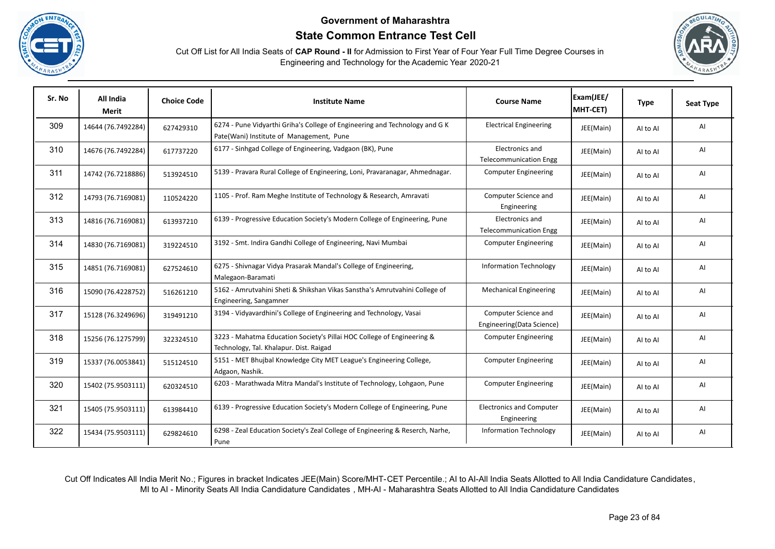





| Sr. No | All India<br><b>Merit</b> | <b>Choice Code</b> | <b>Institute Name</b>                                                                                                   | <b>Course Name</b>                                | Exam(JEE/<br>MHT-CET) | <b>Type</b> | <b>Seat Type</b> |
|--------|---------------------------|--------------------|-------------------------------------------------------------------------------------------------------------------------|---------------------------------------------------|-----------------------|-------------|------------------|
| 309    | 14644 (76.7492284)        | 627429310          | 6274 - Pune Vidyarthi Griha's College of Engineering and Technology and G K<br>Pate(Wani) Institute of Management, Pune | <b>Electrical Engineering</b>                     | JEE(Main)             | AI to AI    | AI               |
| 310    | 14676 (76.7492284)        | 617737220          | 6177 - Sinhgad College of Engineering, Vadgaon (BK), Pune                                                               | Electronics and<br><b>Telecommunication Engg</b>  | JEE(Main)             | AI to AI    | AI               |
| 311    | 14742 (76.7218886)        | 513924510          | 5139 - Pravara Rural College of Engineering, Loni, Pravaranagar, Ahmednagar.                                            | <b>Computer Engineering</b>                       | JEE(Main)             | Al to Al    | AI               |
| 312    | 14793 (76.7169081)        | 110524220          | 1105 - Prof. Ram Meghe Institute of Technology & Research, Amravati                                                     | Computer Science and<br>Engineering               | JEE(Main)             | Al to Al    | AI               |
| 313    | 14816 (76.7169081)        | 613937210          | 6139 - Progressive Education Society's Modern College of Engineering, Pune                                              | Electronics and<br><b>Telecommunication Engg</b>  | JEE(Main)             | Al to Al    | AI               |
| 314    | 14830 (76.7169081)        | 319224510          | 3192 - Smt. Indira Gandhi College of Engineering, Navi Mumbai                                                           | <b>Computer Engineering</b>                       | JEE(Main)             | AI to AI    | AI               |
| 315    | 14851 (76.7169081)        | 627524610          | 6275 - Shivnagar Vidya Prasarak Mandal's College of Engineering,<br>Malegaon-Baramati                                   | <b>Information Technology</b>                     | JEE(Main)             | AI to AI    | AI               |
| 316    | 15090 (76.4228752)        | 516261210          | 5162 - Amrutvahini Sheti & Shikshan Vikas Sanstha's Amrutvahini College of<br>Engineering, Sangamner                    | <b>Mechanical Engineering</b>                     | JEE(Main)             | AI to AI    | AI               |
| 317    | 15128 (76.3249696)        | 319491210          | 3194 - Vidyavardhini's College of Engineering and Technology, Vasai                                                     | Computer Science and<br>Engineering(Data Science) | JEE(Main)             | AI to AI    | AI               |
| 318    | 15256 (76.1275799)        | 322324510          | 3223 - Mahatma Education Society's Pillai HOC College of Engineering &<br>Technology, Tal. Khalapur. Dist. Raigad       | <b>Computer Engineering</b>                       | JEE(Main)             | AI to AI    | AI               |
| 319    | 15337 (76.0053841)        | 515124510          | 5151 - MET Bhujbal Knowledge City MET League's Engineering College,<br>Adgaon, Nashik.                                  | <b>Computer Engineering</b>                       | JEE(Main)             | AI to AI    | AI               |
| 320    | 15402 (75.9503111)        | 620324510          | 6203 - Marathwada Mitra Mandal's Institute of Technology, Lohgaon, Pune                                                 | <b>Computer Engineering</b>                       | JEE(Main)             | Al to Al    | AI               |
| 321    | 15405 (75.9503111)        | 613984410          | 6139 - Progressive Education Society's Modern College of Engineering, Pune                                              | <b>Electronics and Computer</b><br>Engineering    | JEE(Main)             | Al to Al    | AI               |
| 322    | 15434 (75.9503111)        | 629824610          | 6298 - Zeal Education Society's Zeal College of Engineering & Reserch, Narhe,<br>Pune                                   | <b>Information Technology</b>                     | JEE(Main)             | AI to AI    | AI               |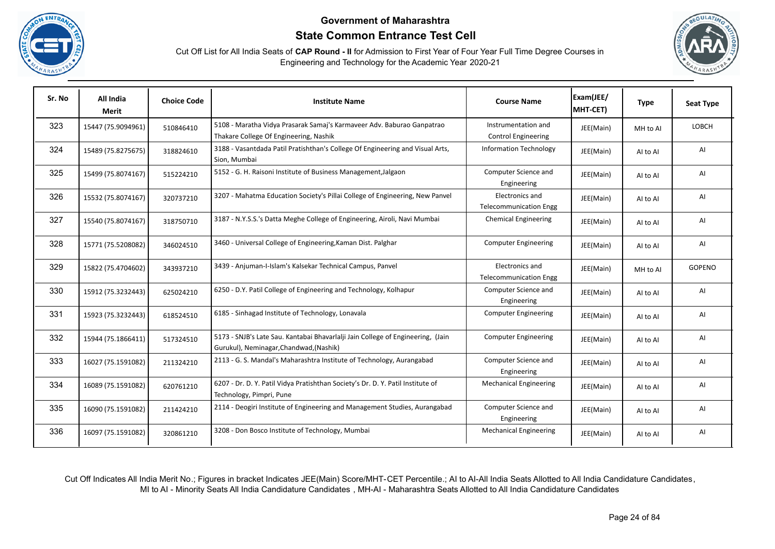





| Sr. No | All India<br>Merit | <b>Choice Code</b> | <b>Institute Name</b>                                                                                                      | <b>Course Name</b>                                | Exam(JEE/<br>MHT-CET) | <b>Type</b> | <b>Seat Type</b> |
|--------|--------------------|--------------------|----------------------------------------------------------------------------------------------------------------------------|---------------------------------------------------|-----------------------|-------------|------------------|
| 323    | 15447 (75.9094961) | 510846410          | 5108 - Maratha Vidya Prasarak Samaj's Karmaveer Adv. Baburao Ganpatrao<br>Thakare College Of Engineering, Nashik           | Instrumentation and<br><b>Control Engineering</b> | JEE(Main)             | MH to Al    | LOBCH            |
| 324    | 15489 (75.8275675) | 318824610          | 3188 - Vasantdada Patil Pratishthan's College Of Engineering and Visual Arts,<br>Sion, Mumbai                              | <b>Information Technology</b>                     | JEE(Main)             | Al to Al    | AI               |
| 325    | 15499 (75.8074167) | 515224210          | 5152 - G. H. Raisoni Institute of Business Management, Jalgaon                                                             | Computer Science and<br>Engineering               | JEE(Main)             | Al to Al    | AI               |
| 326    | 15532 (75.8074167) | 320737210          | 3207 - Mahatma Education Society's Pillai College of Engineering, New Panvel                                               | Electronics and<br><b>Telecommunication Engg</b>  | JEE(Main)             | Al to Al    | AI               |
| 327    | 15540 (75.8074167) | 318750710          | 3187 - N.Y.S.S.'s Datta Meghe College of Engineering, Airoli, Navi Mumbai                                                  | <b>Chemical Engineering</b>                       | JEE(Main)             | Al to Al    | AI               |
| 328    | 15771 (75.5208082) | 346024510          | 3460 - Universal College of Engineering, Kaman Dist. Palghar                                                               | <b>Computer Engineering</b>                       | JEE(Main)             | Al to Al    | AI               |
| 329    | 15822 (75.4704602) | 343937210          | 3439 - Anjuman-I-Islam's Kalsekar Technical Campus, Panvel                                                                 | Electronics and<br><b>Telecommunication Engg</b>  | JEE(Main)             | MH to Al    | <b>GOPENO</b>    |
| 330    | 15912 (75.3232443) | 625024210          | 6250 - D.Y. Patil College of Engineering and Technology, Kolhapur                                                          | Computer Science and<br>Engineering               | JEE(Main)             | AI to AI    | AI               |
| 331    | 15923 (75.3232443) | 618524510          | 6185 - Sinhagad Institute of Technology, Lonavala                                                                          | <b>Computer Engineering</b>                       | JEE(Main)             | Al to Al    | AI               |
| 332    | 15944 (75.1866411) | 517324510          | 5173 - SNJB's Late Sau. Kantabai Bhavarlalji Jain College of Engineering, (Jain<br>Gurukul), Neminagar, Chandwad, (Nashik) | <b>Computer Engineering</b>                       | JEE(Main)             | Al to Al    | AI               |
| 333    | 16027 (75.1591082) | 211324210          | 2113 - G. S. Mandal's Maharashtra Institute of Technology, Aurangabad                                                      | Computer Science and<br>Engineering               | JEE(Main)             | AI to AI    | Al               |
| 334    | 16089 (75.1591082) | 620761210          | 6207 - Dr. D. Y. Patil Vidya Pratishthan Society's Dr. D. Y. Patil Institute of<br>Technology, Pimpri, Pune                | <b>Mechanical Engineering</b>                     | JEE(Main)             | Al to Al    | AI               |
| 335    | 16090 (75.1591082) | 211424210          | 2114 - Deogiri Institute of Engineering and Management Studies, Aurangabad                                                 | Computer Science and<br>Engineering               | JEE(Main)             | AI to AI    | AI               |
| 336    | 16097 (75.1591082) | 320861210          | 3208 - Don Bosco Institute of Technology, Mumbai                                                                           | <b>Mechanical Engineering</b>                     | JEE(Main)             | Al to Al    | AI               |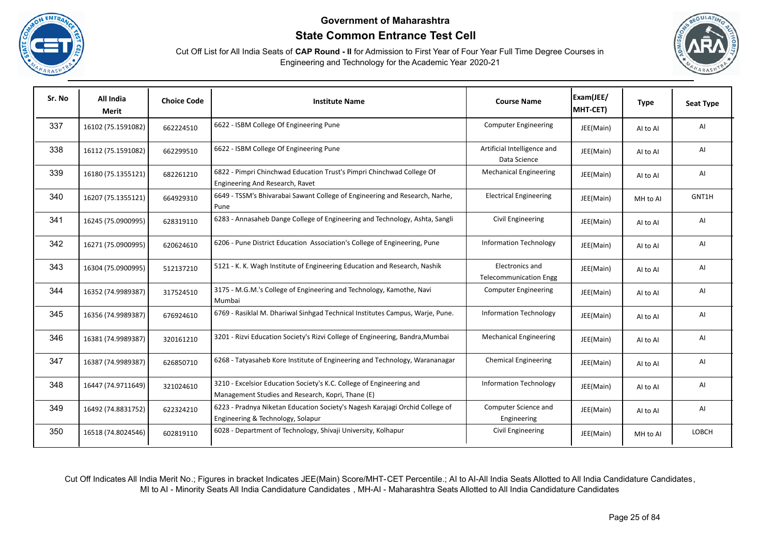





| Sr. No | All India<br><b>Merit</b> | <b>Choice Code</b> | <b>Institute Name</b>                                                                                                     | <b>Course Name</b>                               | Exam(JEE/<br>MHT-CET) | <b>Type</b> | <b>Seat Type</b> |
|--------|---------------------------|--------------------|---------------------------------------------------------------------------------------------------------------------------|--------------------------------------------------|-----------------------|-------------|------------------|
| 337    | 16102 (75.1591082)        | 662224510          | 6622 - ISBM College Of Engineering Pune                                                                                   | <b>Computer Engineering</b>                      | JEE(Main)             | AI to AI    | AI               |
| 338    | 16112 (75.1591082)        | 662299510          | 6622 - ISBM College Of Engineering Pune                                                                                   | Artificial Intelligence and<br>Data Science      | JEE(Main)             | AI to AI    | AI               |
| 339    | 16180 (75.1355121)        | 682261210          | 6822 - Pimpri Chinchwad Education Trust's Pimpri Chinchwad College Of<br>Engineering And Research, Ravet                  | <b>Mechanical Engineering</b>                    | JEE(Main)             | Al to Al    | AI               |
| 340    | 16207 (75.1355121)        | 664929310          | 6649 - TSSM's Bhivarabai Sawant College of Engineering and Research, Narhe,<br>Pune                                       | <b>Electrical Engineering</b>                    | JEE(Main)             | MH to Al    | GNT1H            |
| 341    | 16245 (75.0900995)        | 628319110          | 6283 - Annasaheb Dange College of Engineering and Technology, Ashta, Sangli                                               | Civil Engineering                                | JEE(Main)             | Al to Al    | AI               |
| 342    | 16271 (75.0900995)        | 620624610          | 6206 - Pune District Education Association's College of Engineering, Pune                                                 | <b>Information Technology</b>                    | JEE(Main)             | Al to Al    | AI               |
| 343    | 16304 (75.0900995)        | 512137210          | 5121 - K. K. Wagh Institute of Engineering Education and Research, Nashik                                                 | Electronics and<br><b>Telecommunication Engg</b> | JEE(Main)             | Al to Al    | AI               |
| 344    | 16352 (74.9989387)        | 317524510          | 3175 - M.G.M.'s College of Engineering and Technology, Kamothe, Navi<br>Mumbai                                            | <b>Computer Engineering</b>                      | JEE(Main)             | Al to Al    | AI               |
| 345    | 16356 (74.9989387)        | 676924610          | 6769 - Rasiklal M. Dhariwal Sinhgad Technical Institutes Campus, Warje, Pune.                                             | <b>Information Technology</b>                    | JEE(Main)             | Al to Al    | AI               |
| 346    | 16381 (74.9989387)        | 320161210          | 3201 - Rizvi Education Society's Rizvi College of Engineering, Bandra, Mumbai                                             | <b>Mechanical Engineering</b>                    | JEE(Main)             | AI to AI    | AI               |
| 347    | 16387 (74.9989387)        | 626850710          | 6268 - Tatyasaheb Kore Institute of Engineering and Technology, Warananagar                                               | <b>Chemical Engineering</b>                      | JEE(Main)             | AI to AI    | AI               |
| 348    | 16447 (74.9711649)        | 321024610          | 3210 - Excelsior Education Society's K.C. College of Engineering and<br>Management Studies and Research, Kopri, Thane (E) | <b>Information Technology</b>                    | JEE(Main)             | Al to Al    | Al               |
| 349    | 16492 (74.8831752)        | 622324210          | 6223 - Pradnya Niketan Education Society's Nagesh Karajagi Orchid College of<br>Engineering & Technology, Solapur         | Computer Science and<br>Engineering              | JEE(Main)             | Al to Al    | AI               |
| 350    | 16518 (74.8024546)        | 602819110          | 6028 - Department of Technology, Shivaji University, Kolhapur                                                             | Civil Engineering                                | JEE(Main)             | MH to Al    | LOBCH            |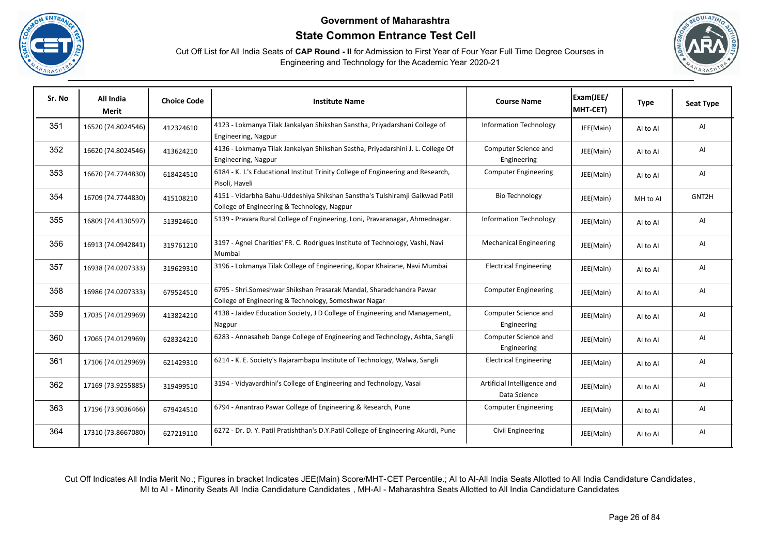





| Sr. No | All India<br><b>Merit</b> | <b>Choice Code</b> | <b>Institute Name</b>                                                                                                       | <b>Course Name</b>                          | Exam(JEE/<br>MHT-CET) | <b>Type</b> | <b>Seat Type</b> |
|--------|---------------------------|--------------------|-----------------------------------------------------------------------------------------------------------------------------|---------------------------------------------|-----------------------|-------------|------------------|
| 351    | 16520 (74.8024546)        | 412324610          | 4123 - Lokmanya Tilak Jankalyan Shikshan Sanstha, Priyadarshani College of<br>Engineering, Nagpur                           | <b>Information Technology</b>               | JEE(Main)             | AI to AI    | AI               |
| 352    | 16620 (74.8024546)        | 413624210          | 4136 - Lokmanya Tilak Jankalyan Shikshan Sastha, Priyadarshini J. L. College Of<br>Engineering, Nagpur                      | Computer Science and<br>Engineering         | JEE(Main)             | AI to AI    | AI               |
| 353    | 16670 (74.7744830)        | 618424510          | 6184 - K. J.'s Educational Institut Trinity College of Engineering and Research,<br>Pisoli, Haveli                          | <b>Computer Engineering</b>                 | JEE(Main)             | AI to AI    | AI               |
| 354    | 16709 (74.7744830)        | 415108210          | 4151 - Vidarbha Bahu-Uddeshiya Shikshan Sanstha's Tulshiramji Gaikwad Patil<br>College of Engineering & Technology, Nagpur  | <b>Bio Technology</b>                       | JEE(Main)             | MH to Al    | GNT2H            |
| 355    | 16809 (74.4130597)        | 513924610          | 5139 - Pravara Rural College of Engineering, Loni, Pravaranagar, Ahmednagar.                                                | <b>Information Technology</b>               | JEE(Main)             | Al to Al    | AI               |
| 356    | 16913 (74.0942841)        | 319761210          | 3197 - Agnel Charities' FR. C. Rodrigues Institute of Technology, Vashi, Navi<br>Mumbai                                     | <b>Mechanical Engineering</b>               | JEE(Main)             | Al to Al    | AI               |
| 357    | 16938 (74.0207333)        | 319629310          | 3196 - Lokmanya Tilak College of Engineering, Kopar Khairane, Navi Mumbai                                                   | <b>Electrical Engineering</b>               | JEE(Main)             | Al to Al    | AI               |
| 358    | 16986 (74.0207333)        | 679524510          | 6795 - Shri.Someshwar Shikshan Prasarak Mandal, Sharadchandra Pawar<br>College of Engineering & Technology, Someshwar Nagar | <b>Computer Engineering</b>                 | JEE(Main)             | AI to AI    | AI               |
| 359    | 17035 (74.0129969)        | 413824210          | 4138 - Jaidev Education Society, J D College of Engineering and Management,<br>Nagpur                                       | Computer Science and<br>Engineering         | JEE(Main)             | Al to Al    | AI               |
| 360    | 17065 (74.0129969)        | 628324210          | 6283 - Annasaheb Dange College of Engineering and Technology, Ashta, Sangli                                                 | Computer Science and<br>Engineering         | JEE(Main)             | Al to Al    | AI               |
| 361    | 17106 (74.0129969)        | 621429310          | 6214 - K. E. Society's Rajarambapu Institute of Technology, Walwa, Sangli                                                   | <b>Electrical Engineering</b>               | JEE(Main)             | Al to Al    | AI               |
| 362    | 17169 (73.9255885)        | 319499510          | 3194 - Vidyavardhini's College of Engineering and Technology, Vasai                                                         | Artificial Intelligence and<br>Data Science | JEE(Main)             | Al to Al    | AI               |
| 363    | 17196 (73.9036466)        | 679424510          | 6794 - Anantrao Pawar College of Engineering & Research, Pune                                                               | <b>Computer Engineering</b>                 | JEE(Main)             | Al to Al    | AI               |
| 364    | 17310 (73.8667080)        | 627219110          | 6272 - Dr. D. Y. Patil Pratishthan's D.Y.Patil College of Engineering Akurdi, Pune                                          | Civil Engineering                           | JEE(Main)             | Al to Al    | AI               |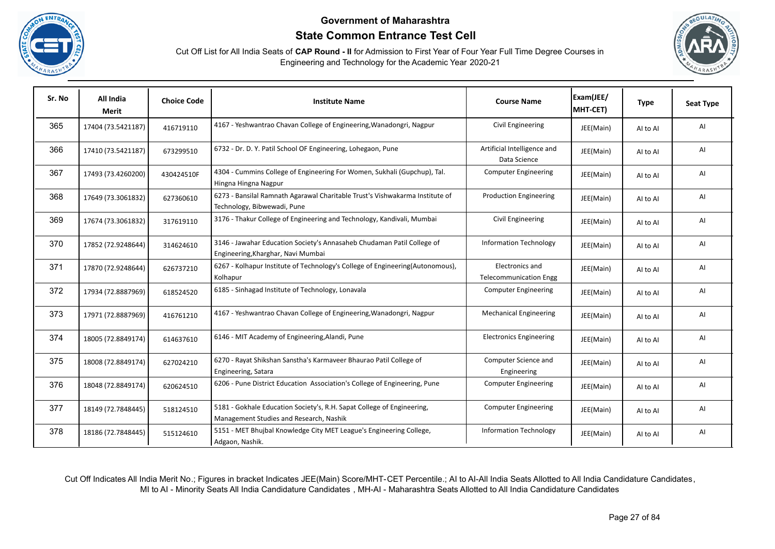





| Sr. No | All India<br><b>Merit</b> | <b>Choice Code</b> | <b>Institute Name</b>                                                                                             | <b>Course Name</b>                               | Exam(JEE/<br>MHT-CET) | <b>Type</b> | <b>Seat Type</b> |
|--------|---------------------------|--------------------|-------------------------------------------------------------------------------------------------------------------|--------------------------------------------------|-----------------------|-------------|------------------|
| 365    | 17404 (73.5421187)        | 416719110          | 4167 - Yeshwantrao Chavan College of Engineering, Wanadongri, Nagpur                                              | Civil Engineering                                | JEE(Main)             | AI to AI    | AI               |
| 366    | 17410 (73.5421187)        | 673299510          | 6732 - Dr. D. Y. Patil School OF Engineering, Lohegaon, Pune                                                      | Artificial Intelligence and<br>Data Science      | JEE(Main)             | Al to Al    | Al               |
| 367    | 17493 (73.4260200)        | 430424510F         | 4304 - Cummins College of Engineering For Women, Sukhali (Gupchup), Tal.<br>Hingna Hingna Nagpur                  | <b>Computer Engineering</b>                      | JEE(Main)             | Al to Al    | AI               |
| 368    | 17649 (73.3061832)        | 627360610          | 6273 - Bansilal Ramnath Agarawal Charitable Trust's Vishwakarma Institute of<br>Technology, Bibwewadi, Pune       | <b>Production Engineering</b>                    | JEE(Main)             | Al to Al    | AI               |
| 369    | 17674 (73.3061832)        | 317619110          | 3176 - Thakur College of Engineering and Technology, Kandivali, Mumbai                                            | Civil Engineering                                | JEE(Main)             | Al to Al    | AI               |
| 370    | 17852 (72.9248644)        | 314624610          | 3146 - Jawahar Education Society's Annasaheb Chudaman Patil College of<br>Engineering, Kharghar, Navi Mumbai      | <b>Information Technology</b>                    | JEE(Main)             | Al to Al    | AI               |
| 371    | 17870 (72.9248644)        | 626737210          | 6267 - Kolhapur Institute of Technology's College of Engineering(Autonomous),<br>Kolhapur                         | Electronics and<br><b>Telecommunication Engg</b> | JEE(Main)             | Al to Al    | AI               |
| 372    | 17934 (72.8887969)        | 618524520          | 6185 - Sinhagad Institute of Technology, Lonavala                                                                 | <b>Computer Engineering</b>                      | JEE(Main)             | AI to AI    | AI               |
| 373    | 17971 (72.8887969)        | 416761210          | 4167 - Yeshwantrao Chavan College of Engineering, Wanadongri, Nagpur                                              | <b>Mechanical Engineering</b>                    | JEE(Main)             | Al to Al    | AI               |
| 374    | 18005 (72.8849174)        | 614637610          | 6146 - MIT Academy of Engineering, Alandi, Pune                                                                   | <b>Electronics Engineering</b>                   | JEE(Main)             | Al to Al    | AI               |
| 375    | 18008 (72.8849174)        | 627024210          | 6270 - Rayat Shikshan Sanstha's Karmaveer Bhaurao Patil College of<br>Engineering, Satara                         | Computer Science and<br>Engineering              | JEE(Main)             | Al to Al    | Al               |
| 376    | 18048 (72.8849174)        | 620624510          | 6206 - Pune District Education Association's College of Engineering, Pune                                         | <b>Computer Engineering</b>                      | JEE(Main)             | Al to Al    | AI               |
| 377    | 18149 (72.7848445)        | 518124510          | 5181 - Gokhale Education Society's, R.H. Sapat College of Engineering,<br>Management Studies and Research, Nashik | <b>Computer Engineering</b>                      | JEE(Main)             | AI to AI    | AI               |
| 378    | 18186 (72.7848445)        | 515124610          | 5151 - MET Bhujbal Knowledge City MET League's Engineering College,<br>Adgaon, Nashik.                            | <b>Information Technology</b>                    | JEE(Main)             | Al to Al    | AI               |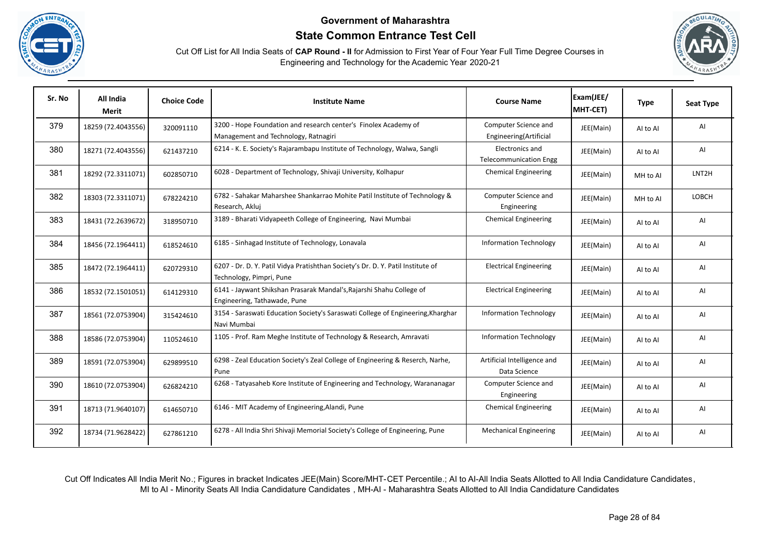





| Sr. No | All India<br><b>Merit</b> | <b>Choice Code</b> | <b>Institute Name</b>                                                                                       | <b>Course Name</b>                               | Exam(JEE/<br>MHT-CET) | <b>Type</b> | <b>Seat Type</b> |
|--------|---------------------------|--------------------|-------------------------------------------------------------------------------------------------------------|--------------------------------------------------|-----------------------|-------------|------------------|
| 379    | 18259 (72.4043556)        | 320091110          | 3200 - Hope Foundation and research center's Finolex Academy of<br>Management and Technology, Ratnagiri     | Computer Science and<br>Engineering(Artificial   | JEE(Main)             | Al to Al    | AI               |
| 380    | 18271 (72.4043556)        | 621437210          | 6214 - K. E. Society's Rajarambapu Institute of Technology, Walwa, Sangli                                   | Electronics and<br><b>Telecommunication Engg</b> | JEE(Main)             | Al to Al    | AI               |
| 381    | 18292 (72.3311071)        | 602850710          | 6028 - Department of Technology, Shivaji University, Kolhapur                                               | <b>Chemical Engineering</b>                      | JEE(Main)             | MH to Al    | LNT2H            |
| 382    | 18303 (72.3311071)        | 678224210          | 6782 - Sahakar Maharshee Shankarrao Mohite Patil Institute of Technology &<br>Research, Akluj               | Computer Science and<br>Engineering              | JEE(Main)             | MH to Al    | LOBCH            |
| 383    | 18431 (72.2639672)        | 318950710          | 3189 - Bharati Vidyapeeth College of Engineering, Navi Mumbai                                               | <b>Chemical Engineering</b>                      | JEE(Main)             | Al to Al    | AI               |
| 384    | 18456 (72.1964411)        | 618524610          | 6185 - Sinhagad Institute of Technology, Lonavala                                                           | <b>Information Technology</b>                    | JEE(Main)             | AI to AI    | AI               |
| 385    | 18472 (72.1964411)        | 620729310          | 6207 - Dr. D. Y. Patil Vidya Pratishthan Society's Dr. D. Y. Patil Institute of<br>Technology, Pimpri, Pune | <b>Electrical Engineering</b>                    | JEE(Main)             | Al to Al    | AI               |
| 386    | 18532 (72.1501051)        | 614129310          | 6141 - Jaywant Shikshan Prasarak Mandal's, Rajarshi Shahu College of<br>Engineering, Tathawade, Pune        | <b>Electrical Engineering</b>                    | JEE(Main)             | AI to AI    | AI               |
| 387    | 18561 (72.0753904)        | 315424610          | 3154 - Saraswati Education Society's Saraswati College of Engineering, Kharghar<br>Navi Mumbai              | <b>Information Technology</b>                    | JEE(Main)             | AI to AI    | AI               |
| 388    | 18586 (72.0753904)        | 110524610          | 1105 - Prof. Ram Meghe Institute of Technology & Research, Amravati                                         | <b>Information Technology</b>                    | JEE(Main)             | Al to Al    | AI               |
| 389    | 18591 (72.0753904)        | 629899510          | 6298 - Zeal Education Society's Zeal College of Engineering & Reserch, Narhe,<br>Pune                       | Artificial Intelligence and<br>Data Science      | JEE(Main)             | Al to Al    | AI               |
| 390    | 18610 (72.0753904)        | 626824210          | 6268 - Tatyasaheb Kore Institute of Engineering and Technology, Warananagar                                 | Computer Science and<br>Engineering              | JEE(Main)             | Al to Al    | AI               |
| 391    | 18713 (71.9640107)        | 614650710          | 6146 - MIT Academy of Engineering, Alandi, Pune                                                             | <b>Chemical Engineering</b>                      | JEE(Main)             | AI to AI    | AI               |
| 392    | 18734 (71.9628422)        | 627861210          | 6278 - All India Shri Shivaji Memorial Society's College of Engineering, Pune                               | <b>Mechanical Engineering</b>                    | JEE(Main)             | Al to Al    | AI               |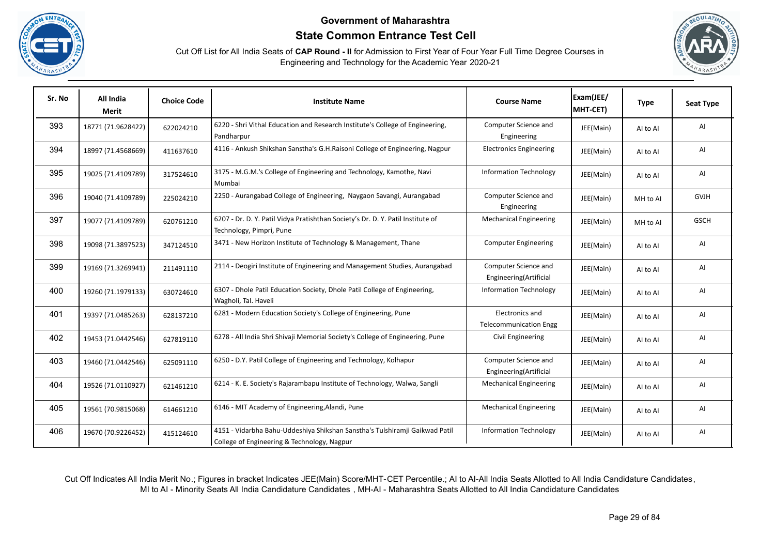





| Sr. No | All India<br><b>Merit</b> | <b>Choice Code</b> | <b>Institute Name</b>                                                                                                      | <b>Course Name</b>                               | Exam(JEE/<br>MHT-CET) | <b>Type</b> | <b>Seat Type</b> |
|--------|---------------------------|--------------------|----------------------------------------------------------------------------------------------------------------------------|--------------------------------------------------|-----------------------|-------------|------------------|
| 393    | 18771 (71.9628422)        | 622024210          | 6220 - Shri Vithal Education and Research Institute's College of Engineering,<br>Pandharpur                                | Computer Science and<br>Engineering              | JEE(Main)             | Al to Al    | AI               |
| 394    | 18997 (71.4568669)        | 411637610          | 4116 - Ankush Shikshan Sanstha's G.H.Raisoni College of Engineering, Nagpur                                                | <b>Electronics Engineering</b>                   | JEE(Main)             | Al to Al    | AI               |
| 395    | 19025 (71.4109789)        | 317524610          | 3175 - M.G.M.'s College of Engineering and Technology, Kamothe, Navi<br>Mumbai                                             | <b>Information Technology</b>                    | JEE(Main)             | Al to Al    | AI               |
| 396    | 19040 (71.4109789)        | 225024210          | 2250 - Aurangabad College of Engineering, Naygaon Savangi, Aurangabad                                                      | Computer Science and<br>Engineering              | JEE(Main)             | MH to Al    | <b>GVJH</b>      |
| 397    | 19077 (71.4109789)        | 620761210          | 6207 - Dr. D. Y. Patil Vidya Pratishthan Society's Dr. D. Y. Patil Institute of<br>Technology, Pimpri, Pune                | <b>Mechanical Engineering</b>                    | JEE(Main)             | MH to Al    | <b>GSCH</b>      |
| 398    | 19098 (71.3897523)        | 347124510          | 3471 - New Horizon Institute of Technology & Management, Thane                                                             | <b>Computer Engineering</b>                      | JEE(Main)             | Al to Al    | AI               |
| 399    | 19169 (71.3269941)        | 211491110          | 2114 - Deogiri Institute of Engineering and Management Studies, Aurangabad                                                 | Computer Science and<br>Engineering(Artificial   | JEE(Main)             | AI to AI    | AI               |
| 400    | 19260 (71.1979133)        | 630724610          | 6307 - Dhole Patil Education Society, Dhole Patil College of Engineering,<br>Wagholi, Tal. Haveli                          | <b>Information Technology</b>                    | JEE(Main)             | Al to Al    | Al               |
| 401    | 19397 (71.0485263)        | 628137210          | 6281 - Modern Education Society's College of Engineering, Pune                                                             | Electronics and<br><b>Telecommunication Engg</b> | JEE(Main)             | AI to AI    | Al               |
| 402    | 19453 (71.0442546)        | 627819110          | 6278 - All India Shri Shivaji Memorial Society's College of Engineering, Pune                                              | Civil Engineering                                | JEE(Main)             | Al to Al    | AI               |
| 403    | 19460 (71.0442546)        | 625091110          | 6250 - D.Y. Patil College of Engineering and Technology, Kolhapur                                                          | Computer Science and<br>Engineering(Artificial   | JEE(Main)             | AI to AI    | AI               |
| 404    | 19526 (71.0110927)        | 621461210          | 6214 - K. E. Society's Rajarambapu Institute of Technology, Walwa, Sangli                                                  | <b>Mechanical Engineering</b>                    | JEE(Main)             | Al to Al    | AI               |
| 405    | 19561 (70.9815068)        | 614661210          | 6146 - MIT Academy of Engineering, Alandi, Pune                                                                            | <b>Mechanical Engineering</b>                    | JEE(Main)             | AI to AI    | AI               |
| 406    | 19670 (70.9226452)        | 415124610          | 4151 - Vidarbha Bahu-Uddeshiya Shikshan Sanstha's Tulshiramji Gaikwad Patil<br>College of Engineering & Technology, Nagpur | <b>Information Technology</b>                    | JEE(Main)             | Al to Al    | AI               |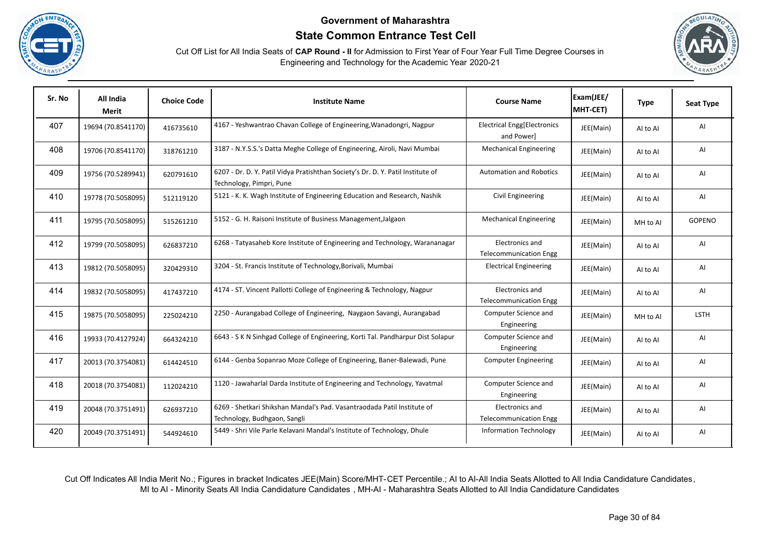





| Sr. No | All India<br>Merit | <b>Choice Code</b> | <b>Institute Name</b>                                                                                       | <b>Course Name</b>                               | Exam(JEE/<br>MHT-CET) | <b>Type</b> | <b>Seat Type</b> |
|--------|--------------------|--------------------|-------------------------------------------------------------------------------------------------------------|--------------------------------------------------|-----------------------|-------------|------------------|
| 407    | 19694 (70.8541170) | 416735610          | 4167 - Yeshwantrao Chavan College of Engineering, Wanadongri, Nagpur                                        | Electrical Engg[Electronics<br>and Power]        | JEE(Main)             | AI to AI    | AI               |
| 408    | 19706 (70.8541170) | 318761210          | 3187 - N.Y.S.S.'s Datta Meghe College of Engineering, Airoli, Navi Mumbai                                   | <b>Mechanical Engineering</b>                    | JEE(Main)             | AI to AI    | AI               |
| 409    | 19756 (70.5289941) | 620791610          | 6207 - Dr. D. Y. Patil Vidya Pratishthan Society's Dr. D. Y. Patil Institute of<br>Technology, Pimpri, Pune | <b>Automation and Robotics</b>                   | JEE(Main)             | Al to Al    | AI               |
| 410    | 19778 (70.5058095) | 512119120          | 5121 - K. K. Wagh Institute of Engineering Education and Research, Nashik                                   | Civil Engineering                                | JEE(Main)             | Al to Al    | AI               |
| 411    | 19795 (70.5058095) | 515261210          | 5152 - G. H. Raisoni Institute of Business Management, Jalgaon                                              | <b>Mechanical Engineering</b>                    | JEE(Main)             | MH to Al    | <b>GOPENO</b>    |
| 412    | 19799 (70.5058095) | 626837210          | 6268 - Tatyasaheb Kore Institute of Engineering and Technology, Warananagar                                 | Electronics and<br><b>Telecommunication Engg</b> | JEE(Main)             | AI to AI    | AI               |
| 413    | 19812 (70.5058095) | 320429310          | 3204 - St. Francis Institute of Technology, Borivali, Mumbai                                                | <b>Electrical Engineering</b>                    | JEE(Main)             | AI to AI    | AI               |
| 414    | 19832 (70.5058095) | 417437210          | 4174 - ST. Vincent Pallotti College of Engineering & Technology, Nagpur                                     | Electronics and<br><b>Telecommunication Engg</b> | JEE(Main)             | AI to AI    | AI               |
| 415    | 19875 (70.5058095) | 225024210          | 2250 - Aurangabad College of Engineering, Naygaon Savangi, Aurangabad                                       | Computer Science and<br>Engineering              | JEE(Main)             | MH to Al    | <b>LSTH</b>      |
| 416    | 19933 (70.4127924) | 664324210          | 6643 - S K N Sinhgad College of Engineering, Korti Tal. Pandharpur Dist Solapur                             | Computer Science and<br>Engineering              | JEE(Main)             | Al to Al    | AI               |
| 417    | 20013 (70.3754081) | 614424510          | 6144 - Genba Sopanrao Moze College of Engineering, Baner-Balewadi, Pune                                     | <b>Computer Engineering</b>                      | JEE(Main)             | AI to AI    | AI               |
| 418    | 20018 (70.3754081) | 112024210          | 1120 - Jawaharlal Darda Institute of Engineering and Technology, Yavatmal                                   | Computer Science and<br>Engineering              | JEE(Main)             | Al to Al    | AI               |
| 419    | 20048 (70.3751491) | 626937210          | 6269 - Shetkari Shikshan Mandal's Pad. Vasantraodada Patil Institute of<br>Technology, Budhgaon, Sangli     | Electronics and<br><b>Telecommunication Engg</b> | JEE(Main)             | AI to AI    | AI               |
| 420    | 20049 (70.3751491) | 544924610          | 5449 - Shri Vile Parle Kelavani Mandal's Institute of Technology, Dhule                                     | <b>Information Technology</b>                    | JEE(Main)             | Al to Al    | AI               |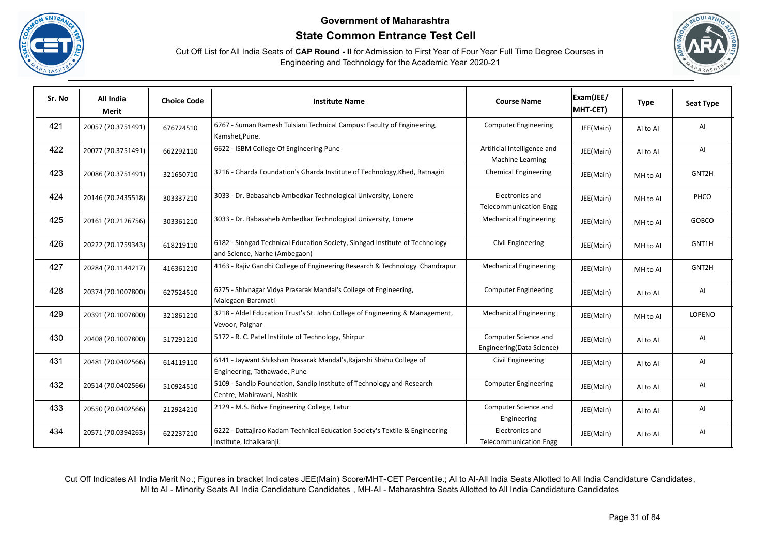





| Sr. No | All India<br>Merit | <b>Choice Code</b> | <b>Institute Name</b>                                                                                        | <b>Course Name</b>                                     | Exam(JEE/<br>MHT-CET) | <b>Type</b> | <b>Seat Type</b> |
|--------|--------------------|--------------------|--------------------------------------------------------------------------------------------------------------|--------------------------------------------------------|-----------------------|-------------|------------------|
| 421    | 20057 (70.3751491) | 676724510          | 6767 - Suman Ramesh Tulsiani Technical Campus: Faculty of Engineering,<br>Kamshet, Pune.                     | <b>Computer Engineering</b>                            | JEE(Main)             | Al to Al    | AI               |
| 422    | 20077 (70.3751491) | 662292110          | 6622 - ISBM College Of Engineering Pune                                                                      | Artificial Intelligence and<br><b>Machine Learning</b> | JEE(Main)             | Al to Al    | AI               |
| 423    | 20086 (70.3751491) | 321650710          | 3216 - Gharda Foundation's Gharda Institute of Technology, Khed, Ratnagiri                                   | <b>Chemical Engineering</b>                            | JEE(Main)             | MH to Al    | GNT2H            |
| 424    | 20146 (70.2435518) | 303337210          | 3033 - Dr. Babasaheb Ambedkar Technological University, Lonere                                               | Electronics and<br><b>Telecommunication Engg</b>       | JEE(Main)             | MH to Al    | PHCO             |
| 425    | 20161 (70.2126756) | 303361210          | 3033 - Dr. Babasaheb Ambedkar Technological University, Lonere                                               | <b>Mechanical Engineering</b>                          | JEE(Main)             | MH to Al    | GOBCO            |
| 426    | 20222 (70.1759343) | 618219110          | 6182 - Sinhgad Technical Education Society, Sinhgad Institute of Technology<br>and Science, Narhe (Ambegaon) | Civil Engineering                                      | JEE(Main)             | MH to Al    | GNT1H            |
| 427    | 20284 (70.1144217) | 416361210          | 4163 - Rajiv Gandhi College of Engineering Research & Technology Chandrapur                                  | <b>Mechanical Engineering</b>                          | JEE(Main)             | MH to AI    | GNT2H            |
| 428    | 20374 (70.1007800) | 627524510          | 6275 - Shivnagar Vidya Prasarak Mandal's College of Engineering,<br>Malegaon-Baramati                        | <b>Computer Engineering</b>                            | JEE(Main)             | Al to Al    | AI               |
| 429    | 20391 (70.1007800) | 321861210          | 3218 - Aldel Education Trust's St. John College of Engineering & Management,<br>Vevoor, Palghar              | <b>Mechanical Engineering</b>                          | JEE(Main)             | MH to Al    | LOPENO           |
| 430    | 20408 (70.1007800) | 517291210          | 5172 - R. C. Patel Institute of Technology, Shirpur                                                          | Computer Science and<br>Engineering(Data Science)      | JEE(Main)             | AI to AI    | AI               |
| 431    | 20481 (70.0402566) | 614119110          | 6141 - Jaywant Shikshan Prasarak Mandal's, Rajarshi Shahu College of<br>Engineering, Tathawade, Pune         | Civil Engineering                                      | JEE(Main)             | Al to Al    | AI               |
| 432    | 20514 (70.0402566) | 510924510          | 5109 - Sandip Foundation, Sandip Institute of Technology and Research<br>Centre, Mahiravani, Nashik          | <b>Computer Engineering</b>                            | JEE(Main)             | Al to Al    | AI               |
| 433    | 20550 (70.0402566) | 212924210          | 2129 - M.S. Bidve Engineering College, Latur                                                                 | Computer Science and<br>Engineering                    | JEE(Main)             | Al to Al    | AI               |
| 434    | 20571 (70.0394263) | 622237210          | 6222 - Dattajirao Kadam Technical Education Society's Textile & Engineering<br>Institute, Ichalkaranji.      | Electronics and<br><b>Telecommunication Engg</b>       | JEE(Main)             | Al to Al    | Al               |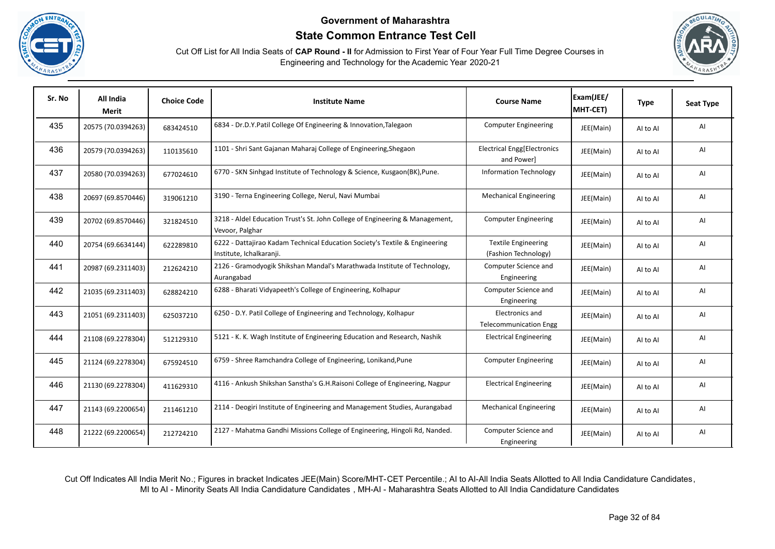





| Sr. No | All India<br><b>Merit</b> | <b>Choice Code</b> | <b>Institute Name</b>                                                                                   | <b>Course Name</b>                                 | Exam(JEE/<br>MHT-CET) | <b>Type</b> | <b>Seat Type</b> |
|--------|---------------------------|--------------------|---------------------------------------------------------------------------------------------------------|----------------------------------------------------|-----------------------|-------------|------------------|
| 435    | 20575 (70.0394263)        | 683424510          | 6834 - Dr.D.Y.Patil College Of Engineering & Innovation, Talegaon                                       | <b>Computer Engineering</b>                        | JEE(Main)             | AI to AI    | AI               |
| 436    | 20579 (70.0394263)        | 110135610          | 1101 - Shri Sant Gajanan Maharaj College of Engineering, Shegaon                                        | <b>Electrical Engg[Electronics</b><br>and Power]   | JEE(Main)             | AI to AI    | AI               |
| 437    | 20580 (70.0394263)        | 677024610          | 6770 - SKN Sinhgad Institute of Technology & Science, Kusgaon(BK), Pune.                                | <b>Information Technology</b>                      | JEE(Main)             | Al to Al    | AI               |
| 438    | 20697 (69.8570446)        | 319061210          | 3190 - Terna Engineering College, Nerul, Navi Mumbai                                                    | <b>Mechanical Engineering</b>                      | JEE(Main)             | AI to AI    | AI               |
| 439    | 20702 (69.8570446)        | 321824510          | 3218 - Aldel Education Trust's St. John College of Engineering & Management,<br>Vevoor, Palghar         | <b>Computer Engineering</b>                        | JEE(Main)             | Al to Al    | AI               |
| 440    | 20754 (69.6634144)        | 622289810          | 6222 - Dattajirao Kadam Technical Education Society's Textile & Engineering<br>Institute, Ichalkaranji. | <b>Textile Engineering</b><br>(Fashion Technology) | JEE(Main)             | AI to AI    | AI               |
| 441    | 20987 (69.2311403)        | 212624210          | 2126 - Gramodyogik Shikshan Mandal's Marathwada Institute of Technology,<br>Aurangabad                  | Computer Science and<br>Engineering                | JEE(Main)             | AI to AI    | AI               |
| 442    | 21035 (69.2311403)        | 628824210          | 6288 - Bharati Vidyapeeth's College of Engineering, Kolhapur                                            | Computer Science and<br>Engineering                | JEE(Main)             | AI to AI    | AI               |
| 443    | 21051 (69.2311403)        | 625037210          | 6250 - D.Y. Patil College of Engineering and Technology, Kolhapur                                       | Electronics and<br><b>Telecommunication Engg</b>   | JEE(Main)             | AI to AI    | AI               |
| 444    | 21108 (69.2278304)        | 512129310          | 5121 - K. K. Wagh Institute of Engineering Education and Research, Nashik                               | <b>Electrical Engineering</b>                      | JEE(Main)             | AI to AI    | AI               |
| 445    | 21124 (69.2278304)        | 675924510          | 6759 - Shree Ramchandra College of Engineering, Lonikand, Pune                                          | <b>Computer Engineering</b>                        | JEE(Main)             | AI to AI    | AI               |
| 446    | 21130 (69.2278304)        | 411629310          | 4116 - Ankush Shikshan Sanstha's G.H.Raisoni College of Engineering, Nagpur                             | <b>Electrical Engineering</b>                      | JEE(Main)             | Al to Al    | AI               |
| 447    | 21143 (69.2200654)        | 211461210          | 2114 - Deogiri Institute of Engineering and Management Studies, Aurangabad                              | <b>Mechanical Engineering</b>                      | JEE(Main)             | Al to Al    | AI               |
| 448    | 21222 (69.2200654)        | 212724210          | 2127 - Mahatma Gandhi Missions College of Engineering, Hingoli Rd, Nanded.                              | Computer Science and<br>Engineering                | JEE(Main)             | AI to AI    | AI               |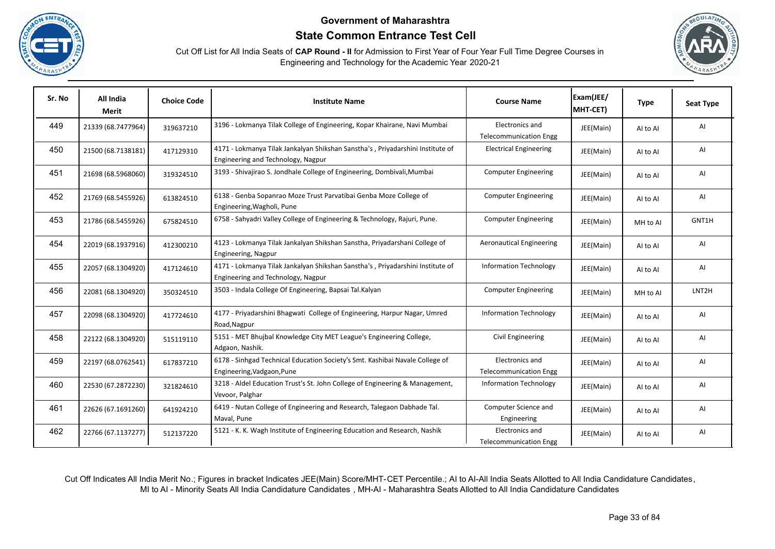





| Sr. No | All India<br>Merit | <b>Choice Code</b> | <b>Institute Name</b>                                                                                                | <b>Course Name</b>                               | Exam(JEE/<br>MHT-CET) | <b>Type</b> | <b>Seat Type</b>   |
|--------|--------------------|--------------------|----------------------------------------------------------------------------------------------------------------------|--------------------------------------------------|-----------------------|-------------|--------------------|
| 449    | 21339 (68.7477964) | 319637210          | 3196 - Lokmanya Tilak College of Engineering, Kopar Khairane, Navi Mumbai                                            | Electronics and<br><b>Telecommunication Engg</b> | JEE(Main)             | Al to Al    | AI                 |
| 450    | 21500 (68.7138181) | 417129310          | 4171 - Lokmanya Tilak Jankalyan Shikshan Sanstha's, Priyadarshini Institute of<br>Engineering and Technology, Nagpur | <b>Electrical Engineering</b>                    | JEE(Main)             | Al to Al    | AI                 |
| 451    | 21698 (68.5968060) | 319324510          | 3193 - Shivajirao S. Jondhale College of Engineering, Dombivali, Mumbai                                              | <b>Computer Engineering</b>                      | JEE(Main)             | AI to AI    | AI                 |
| 452    | 21769 (68.5455926) | 613824510          | 6138 - Genba Sopanrao Moze Trust Parvatibai Genba Moze College of<br>Engineering, Wagholi, Pune                      | <b>Computer Engineering</b>                      | JEE(Main)             | Al to Al    | AI                 |
| 453    | 21786 (68.5455926) | 675824510          | 6758 - Sahyadri Valley College of Engineering & Technology, Rajuri, Pune.                                            | <b>Computer Engineering</b>                      | JEE(Main)             | MH to AI    | GNT1H              |
| 454    | 22019 (68.1937916) | 412300210          | 4123 - Lokmanya Tilak Jankalyan Shikshan Sanstha, Priyadarshani College of<br>Engineering, Nagpur                    | <b>Aeronautical Engineering</b>                  | JEE(Main)             | AI to AI    | AI                 |
| 455    | 22057 (68.1304920) | 417124610          | 4171 - Lokmanya Tilak Jankalyan Shikshan Sanstha's, Priyadarshini Institute of<br>Engineering and Technology, Nagpur | <b>Information Technology</b>                    | JEE(Main)             | Al to Al    | AI                 |
| 456    | 22081 (68.1304920) | 350324510          | 3503 - Indala College Of Engineering, Bapsai Tal.Kalyan                                                              | <b>Computer Engineering</b>                      | JEE(Main)             | MH to Al    | LNT <sub>2</sub> H |
| 457    | 22098 (68.1304920) | 417724610          | 4177 - Priyadarshini Bhagwati College of Engineering, Harpur Nagar, Umred<br>Road, Nagpur                            | <b>Information Technology</b>                    | JEE(Main)             | Al to Al    | AI                 |
| 458    | 22122 (68.1304920) | 515119110          | 5151 - MET Bhujbal Knowledge City MET League's Engineering College,<br>Adgaon, Nashik.                               | Civil Engineering                                | JEE(Main)             | Al to Al    | AI                 |
| 459    | 22197 (68.0762541) | 617837210          | 6178 - Sinhgad Technical Education Society's Smt. Kashibai Navale College of<br>Engineering, Vadgaon, Pune           | Electronics and<br><b>Telecommunication Engg</b> | JEE(Main)             | AI to AI    | AI                 |
| 460    | 22530 (67.2872230) | 321824610          | 3218 - Aldel Education Trust's St. John College of Engineering & Management,<br>Vevoor, Palghar                      | <b>Information Technology</b>                    | JEE(Main)             | Al to Al    | AI                 |
| 461    | 22626 (67.1691260) | 641924210          | 6419 - Nutan College of Engineering and Research, Talegaon Dabhade Tal.<br>Maval, Pune                               | Computer Science and<br>Engineering              | JEE(Main)             | Al to Al    | AI                 |
| 462    | 22766 (67.1137277) | 512137220          | 5121 - K. K. Wagh Institute of Engineering Education and Research, Nashik                                            | Electronics and<br><b>Telecommunication Engg</b> | JEE(Main)             | Al to Al    | AI                 |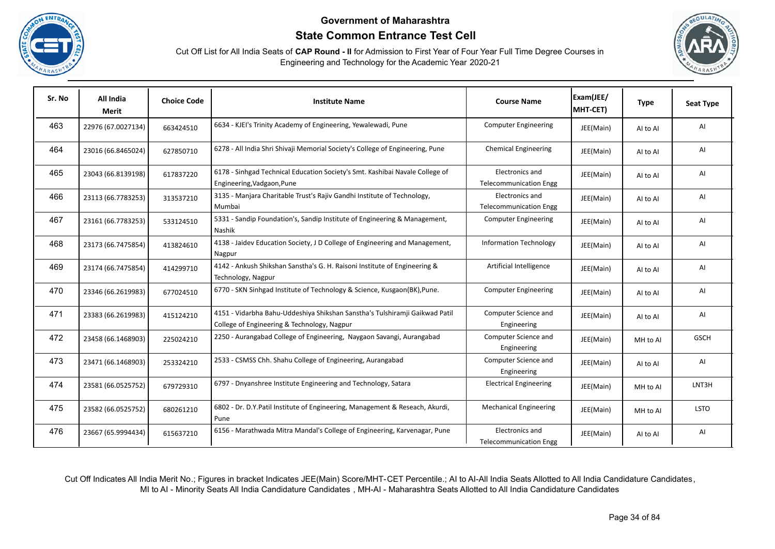





| Sr. No | All India<br>Merit | <b>Choice Code</b> | <b>Institute Name</b>                                                                                                      | <b>Course Name</b>                               | Exam(JEE/<br>MHT-CET) | <b>Type</b> | <b>Seat Type</b> |
|--------|--------------------|--------------------|----------------------------------------------------------------------------------------------------------------------------|--------------------------------------------------|-----------------------|-------------|------------------|
| 463    | 22976 (67.0027134) | 663424510          | 6634 - KJEI's Trinity Academy of Engineering, Yewalewadi, Pune                                                             | <b>Computer Engineering</b>                      | JEE(Main)             | Al to Al    | AI               |
| 464    | 23016 (66.8465024) | 627850710          | 6278 - All India Shri Shivaji Memorial Society's College of Engineering, Pune                                              | <b>Chemical Engineering</b>                      | JEE(Main)             | AI to AI    | AI               |
| 465    | 23043 (66.8139198) | 617837220          | 6178 - Sinhgad Technical Education Society's Smt. Kashibai Navale College of<br>Engineering, Vadgaon, Pune                 | Electronics and<br><b>Telecommunication Engg</b> | JEE(Main)             | AI to AI    | AI               |
| 466    | 23113 (66.7783253) | 313537210          | 3135 - Manjara Charitable Trust's Rajiv Gandhi Institute of Technology,<br>Mumbai                                          | Electronics and<br><b>Telecommunication Engg</b> | JEE(Main)             | AI to AI    | AI               |
| 467    | 23161 (66.7783253) | 533124510          | 5331 - Sandip Foundation's, Sandip Institute of Engineering & Management,<br>Nashik                                        | <b>Computer Engineering</b>                      | JEE(Main)             | Al to Al    | AI               |
| 468    | 23173 (66.7475854) | 413824610          | 4138 - Jaidev Education Society, J D College of Engineering and Management,<br>Nagpur                                      | <b>Information Technology</b>                    | JEE(Main)             | AI to AI    | AI               |
| 469    | 23174 (66.7475854) | 414299710          | 4142 - Ankush Shikshan Sanstha's G. H. Raisoni Institute of Engineering &<br>Technology, Nagpur                            | Artificial Intelligence                          | JEE(Main)             | AI to AI    | AI               |
| 470    | 23346 (66.2619983) | 677024510          | 6770 - SKN Sinhgad Institute of Technology & Science, Kusgaon(BK), Pune.                                                   | <b>Computer Engineering</b>                      | JEE(Main)             | Al to Al    | AI               |
| 471    | 23383 (66.2619983) | 415124210          | 4151 - Vidarbha Bahu-Uddeshiya Shikshan Sanstha's Tulshiramji Gaikwad Patil<br>College of Engineering & Technology, Nagpur | Computer Science and<br>Engineering              | JEE(Main)             | AI to AI    | AI               |
| 472    | 23458 (66.1468903) | 225024210          | 2250 - Aurangabad College of Engineering, Naygaon Savangi, Aurangabad                                                      | Computer Science and<br>Engineering              | JEE(Main)             | MH to Al    | <b>GSCH</b>      |
| 473    | 23471 (66.1468903) | 253324210          | 2533 - CSMSS Chh. Shahu College of Engineering, Aurangabad                                                                 | Computer Science and<br>Engineering              | JEE(Main)             | AI to AI    | AI               |
| 474    | 23581 (66.0525752) | 679729310          | 6797 - Dnyanshree Institute Engineering and Technology, Satara                                                             | <b>Electrical Engineering</b>                    | JEE(Main)             | MH to Al    | LNT3H            |
| 475    | 23582 (66.0525752) | 680261210          | 6802 - Dr. D.Y.Patil Institute of Engineering, Management & Reseach, Akurdi,<br>Pune                                       | <b>Mechanical Engineering</b>                    | JEE(Main)             | MH to Al    | <b>LSTO</b>      |
| 476    | 23667 (65.9994434) | 615637210          | 6156 - Marathwada Mitra Mandal's College of Engineering, Karvenagar, Pune                                                  | Electronics and<br><b>Telecommunication Engg</b> | JEE(Main)             | AI to AI    | AI               |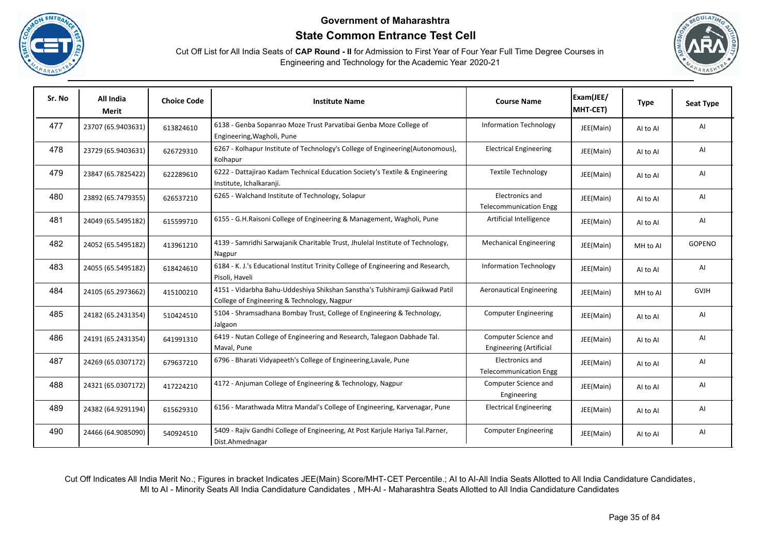





| Sr. No | All India<br>Merit | <b>Choice Code</b> | <b>Institute Name</b>                                                                                                      | <b>Course Name</b>                                     | Exam(JEE/<br>MHT-CET) | <b>Type</b> | <b>Seat Type</b> |
|--------|--------------------|--------------------|----------------------------------------------------------------------------------------------------------------------------|--------------------------------------------------------|-----------------------|-------------|------------------|
| 477    | 23707 (65.9403631) | 613824610          | 6138 - Genba Sopanrao Moze Trust Parvatibai Genba Moze College of<br>Engineering, Wagholi, Pune                            | <b>Information Technology</b>                          | JEE(Main)             | Al to Al    | AI               |
| 478    | 23729 (65.9403631) | 626729310          | 6267 - Kolhapur Institute of Technology's College of Engineering(Autonomous),<br>Kolhapur                                  | <b>Electrical Engineering</b>                          | JEE(Main)             | AI to AI    | AI               |
| 479    | 23847 (65.7825422) | 622289610          | 6222 - Dattajirao Kadam Technical Education Society's Textile & Engineering<br>Institute, Ichalkaranji.                    | <b>Textile Technology</b>                              | JEE(Main)             | AI to AI    | AI               |
| 480    | 23892 (65.7479355) | 626537210          | 6265 - Walchand Institute of Technology, Solapur                                                                           | Electronics and<br><b>Telecommunication Engg</b>       | JEE(Main)             | AI to AI    | AI               |
| 481    | 24049 (65.5495182) | 615599710          | 6155 - G.H.Raisoni College of Engineering & Management, Wagholi, Pune                                                      | Artificial Intelligence                                | JEE(Main)             | Al to Al    | AI               |
| 482    | 24052 (65.5495182) | 413961210          | 4139 - Samridhi Sarwajanik Charitable Trust, Jhulelal Institute of Technology,<br>Nagpur                                   | <b>Mechanical Engineering</b>                          | JEE(Main)             | MH to Al    | <b>GOPENO</b>    |
| 483    | 24055 (65.5495182) | 618424610          | 6184 - K. J.'s Educational Institut Trinity College of Engineering and Research,<br>Pisoli, Haveli                         | <b>Information Technology</b>                          | JEE(Main)             | AI to AI    | AI               |
| 484    | 24105 (65.2973662) | 415100210          | 4151 - Vidarbha Bahu-Uddeshiya Shikshan Sanstha's Tulshiramji Gaikwad Patil<br>College of Engineering & Technology, Nagpur | <b>Aeronautical Engineering</b>                        | JEE(Main)             | MH to AI    | <b>GVJH</b>      |
| 485    | 24182 (65.2431354) | 510424510          | 5104 - Shramsadhana Bombay Trust, College of Engineering & Technology,<br>Jalgaon                                          | <b>Computer Engineering</b>                            | JEE(Main)             | AI to AI    | AI               |
| 486    | 24191 (65.2431354) | 641991310          | 6419 - Nutan College of Engineering and Research, Talegaon Dabhade Tal.<br>Maval, Pune                                     | Computer Science and<br><b>Engineering (Artificial</b> | JEE(Main)             | AI to AI    | AI               |
| 487    | 24269 (65.0307172) | 679637210          | 6796 - Bharati Vidyapeeth's College of Engineering, Lavale, Pune                                                           | Electronics and<br><b>Telecommunication Engg</b>       | JEE(Main)             | AI to AI    | AI               |
| 488    | 24321 (65.0307172) | 417224210          | 4172 - Anjuman College of Engineering & Technology, Nagpur                                                                 | Computer Science and<br>Engineering                    | JEE(Main)             | AI to AI    | AI               |
| 489    | 24382 (64.9291194) | 615629310          | 6156 - Marathwada Mitra Mandal's College of Engineering, Karvenagar, Pune                                                  | <b>Electrical Engineering</b>                          | JEE(Main)             | AI to AI    | AI               |
| 490    | 24466 (64.9085090) | 540924510          | 5409 - Rajiv Gandhi College of Engineering, At Post Karjule Hariya Tal.Parner,<br>Dist.Ahmednagar                          | <b>Computer Engineering</b>                            | JEE(Main)             | AI to AI    | AI               |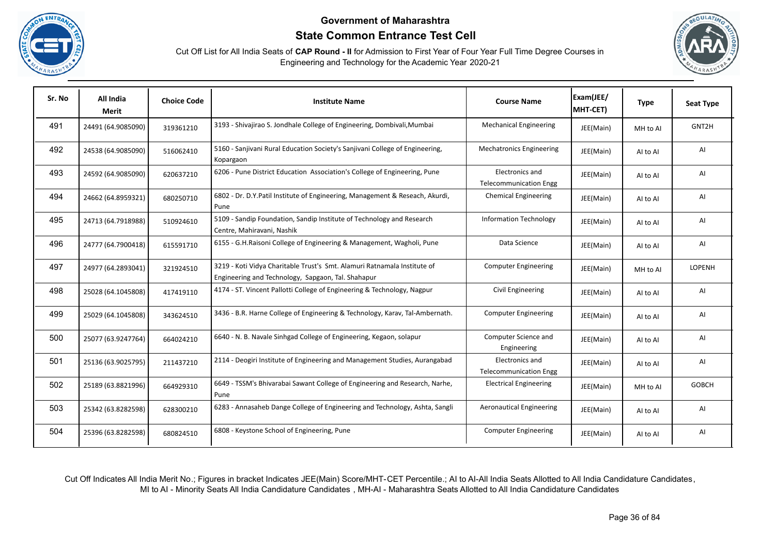





| Sr. No | All India<br>Merit | <b>Choice Code</b> | <b>Institute Name</b>                                                                                                          | <b>Course Name</b>                               | Exam(JEE/<br>MHT-CET) | <b>Type</b> | <b>Seat Type</b> |
|--------|--------------------|--------------------|--------------------------------------------------------------------------------------------------------------------------------|--------------------------------------------------|-----------------------|-------------|------------------|
| 491    | 24491 (64.9085090) | 319361210          | 3193 - Shivajirao S. Jondhale College of Engineering, Dombivali, Mumbai                                                        | <b>Mechanical Engineering</b>                    | JEE(Main)             | MH to Al    | GNT2H            |
| 492    | 24538 (64.9085090) | 516062410          | 5160 - Sanjivani Rural Education Society's Sanjivani College of Engineering,<br>Kopargaon                                      | <b>Mechatronics Engineering</b>                  | JEE(Main)             | Al to Al    | AI               |
| 493    | 24592 (64.9085090) | 620637210          | 6206 - Pune District Education Association's College of Engineering, Pune                                                      | Electronics and<br><b>Telecommunication Engg</b> | JEE(Main)             | Al to Al    | AI               |
| 494    | 24662 (64.8959321) | 680250710          | 6802 - Dr. D.Y.Patil Institute of Engineering, Management & Reseach, Akurdi,<br>Pune                                           | <b>Chemical Engineering</b>                      | JEE(Main)             | Al to Al    | AI               |
| 495    | 24713 (64.7918988) | 510924610          | 5109 - Sandip Foundation, Sandip Institute of Technology and Research<br>Centre, Mahiravani, Nashik                            | <b>Information Technology</b>                    | JEE(Main)             | Al to Al    | AI               |
| 496    | 24777 (64.7900418) | 615591710          | 6155 - G.H.Raisoni College of Engineering & Management, Wagholi, Pune                                                          | Data Science                                     | JEE(Main)             | AI to AI    | AI               |
| 497    | 24977 (64.2893041) | 321924510          | 3219 - Koti Vidya Charitable Trust's Smt. Alamuri Ratnamala Institute of<br>Engineering and Technology, Sapgaon, Tal. Shahapur | <b>Computer Engineering</b>                      | JEE(Main)             | MH to Al    | <b>LOPENH</b>    |
| 498    | 25028 (64.1045808) | 417419110          | 4174 - ST. Vincent Pallotti College of Engineering & Technology, Nagpur                                                        | Civil Engineering                                | JEE(Main)             | AI to AI    | AI               |
| 499    | 25029 (64.1045808) | 343624510          | 3436 - B.R. Harne College of Engineering & Technology, Karav, Tal-Ambernath.                                                   | <b>Computer Engineering</b>                      | JEE(Main)             | AI to AI    | AI               |
| 500    | 25077 (63.9247764) | 664024210          | 6640 - N. B. Navale Sinhgad College of Engineering, Kegaon, solapur                                                            | Computer Science and<br>Engineering              | JEE(Main)             | AI to AI    | AI               |
| 501    | 25136 (63.9025795) | 211437210          | 2114 - Deogiri Institute of Engineering and Management Studies, Aurangabad                                                     | Electronics and<br><b>Telecommunication Engg</b> | JEE(Main)             | Al to Al    | AI               |
| 502    | 25189 (63.8821996) | 664929310          | 6649 - TSSM's Bhivarabai Sawant College of Engineering and Research, Narhe,<br>Pune                                            | <b>Electrical Engineering</b>                    | JEE(Main)             | MH to Al    | <b>GOBCH</b>     |
| 503    | 25342 (63.8282598) | 628300210          | 6283 - Annasaheb Dange College of Engineering and Technology, Ashta, Sangli                                                    | <b>Aeronautical Engineering</b>                  | JEE(Main)             | Al to Al    | Al               |
| 504    | 25396 (63.8282598) | 680824510          | 6808 - Keystone School of Engineering, Pune                                                                                    | <b>Computer Engineering</b>                      | JEE(Main)             | Al to Al    | AI               |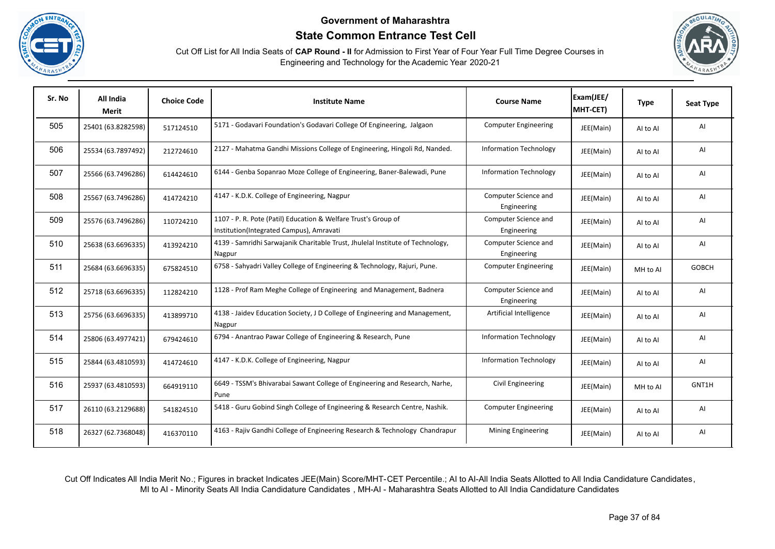





| Sr. No | All India<br>Merit | <b>Choice Code</b> | <b>Institute Name</b>                                                                                      | <b>Course Name</b>                  | Exam(JEE/<br>MHT-CET) | <b>Type</b> | <b>Seat Type</b> |
|--------|--------------------|--------------------|------------------------------------------------------------------------------------------------------------|-------------------------------------|-----------------------|-------------|------------------|
| 505    | 25401 (63.8282598) | 517124510          | 5171 - Godavari Foundation's Godavari College Of Engineering, Jalgaon                                      | <b>Computer Engineering</b>         | JEE(Main)             | AI to AI    | AI               |
| 506    | 25534 (63.7897492) | 212724610          | 2127 - Mahatma Gandhi Missions College of Engineering, Hingoli Rd, Nanded.                                 | <b>Information Technology</b>       | JEE(Main)             | Al to Al    | AI               |
| 507    | 25566 (63.7496286) | 614424610          | 6144 - Genba Sopanrao Moze College of Engineering, Baner-Balewadi, Pune                                    | <b>Information Technology</b>       | JEE(Main)             | Al to Al    | AI               |
| 508    | 25567 (63.7496286) | 414724210          | 4147 - K.D.K. College of Engineering, Nagpur                                                               | Computer Science and<br>Engineering | JEE(Main)             | Al to Al    | AI               |
| 509    | 25576 (63.7496286) | 110724210          | 1107 - P. R. Pote (Patil) Education & Welfare Trust's Group of<br>Institution(Integrated Campus), Amravati | Computer Science and<br>Engineering | JEE(Main)             | AI to AI    | AI               |
| 510    | 25638 (63.6696335) | 413924210          | 4139 - Samridhi Sarwajanik Charitable Trust, Jhulelal Institute of Technology,<br>Nagpur                   | Computer Science and<br>Engineering | JEE(Main)             | Al to Al    | AI               |
| 511    | 25684 (63.6696335) | 675824510          | 6758 - Sahyadri Valley College of Engineering & Technology, Rajuri, Pune.                                  | <b>Computer Engineering</b>         | JEE(Main)             | MH to Al    | <b>GOBCH</b>     |
| 512    | 25718 (63.6696335) | 112824210          | 1128 - Prof Ram Meghe College of Engineering and Management, Badnera                                       | Computer Science and<br>Engineering | JEE(Main)             | Al to Al    | AI               |
| 513    | 25756 (63.6696335) | 413899710          | 4138 - Jaidev Education Society, J D College of Engineering and Management,<br>Nagpur                      | Artificial Intelligence             | JEE(Main)             | Al to Al    | AI               |
| 514    | 25806 (63.4977421) | 679424610          | 6794 - Anantrao Pawar College of Engineering & Research, Pune                                              | <b>Information Technology</b>       | JEE(Main)             | Al to Al    | AI               |
| 515    | 25844 (63.4810593) | 414724610          | 4147 - K.D.K. College of Engineering, Nagpur                                                               | <b>Information Technology</b>       | JEE(Main)             | Al to Al    | AI               |
| 516    | 25937 (63.4810593) | 664919110          | 6649 - TSSM's Bhivarabai Sawant College of Engineering and Research, Narhe,<br>Pune                        | Civil Engineering                   | JEE(Main)             | MH to Al    | GNT1H            |
| 517    | 26110 (63.2129688) | 541824510          | 5418 - Guru Gobind Singh College of Engineering & Research Centre, Nashik.                                 | <b>Computer Engineering</b>         | JEE(Main)             | AI to AI    | AI               |
| 518    | 26327 (62.7368048) | 416370110          | 4163 - Rajiv Gandhi College of Engineering Research & Technology Chandrapur                                | Mining Engineering                  | JEE(Main)             | Al to Al    | AI               |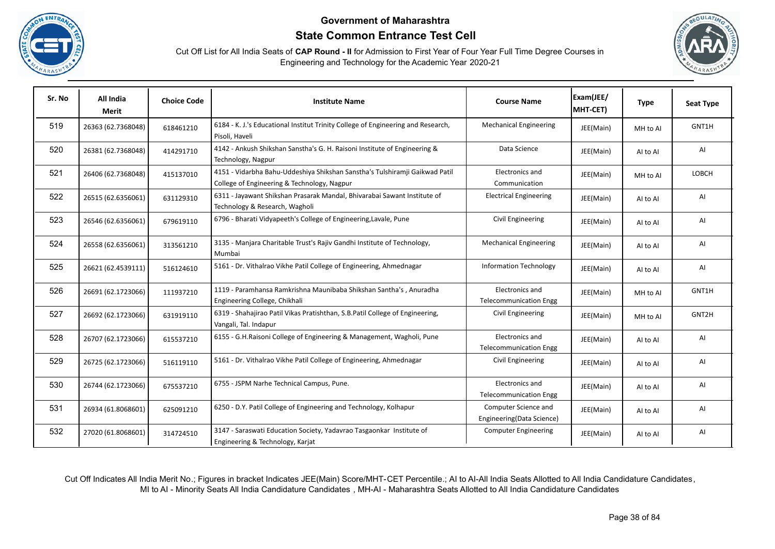





| Sr. No | All India<br><b>Merit</b> | <b>Choice Code</b> | <b>Institute Name</b>                                                                                                      | <b>Course Name</b>                                | Exam(JEE/<br>MHT-CET) | <b>Type</b> | <b>Seat Type</b> |
|--------|---------------------------|--------------------|----------------------------------------------------------------------------------------------------------------------------|---------------------------------------------------|-----------------------|-------------|------------------|
| 519    | 26363 (62.7368048)        | 618461210          | 6184 - K. J.'s Educational Institut Trinity College of Engineering and Research,<br>Pisoli, Haveli                         | <b>Mechanical Engineering</b>                     | JEE(Main)             | MH to Al    | GNT1H            |
| 520    | 26381 (62.7368048)        | 414291710          | 4142 - Ankush Shikshan Sanstha's G. H. Raisoni Institute of Engineering &<br>Technology, Nagpur                            | Data Science                                      | JEE(Main)             | Al to Al    | AI               |
| 521    | 26406 (62.7368048)        | 415137010          | 4151 - Vidarbha Bahu-Uddeshiya Shikshan Sanstha's Tulshiramji Gaikwad Patil<br>College of Engineering & Technology, Nagpur | Electronics and<br>Communication                  | JEE(Main)             | MH to Al    | LOBCH            |
| 522    | 26515 (62.6356061)        | 631129310          | 6311 - Jayawant Shikshan Prasarak Mandal, Bhivarabai Sawant Institute of<br>Technology & Research, Wagholi                 | <b>Electrical Engineering</b>                     | JEE(Main)             | Al to Al    | AI               |
| 523    | 26546 (62.6356061)        | 679619110          | 6796 - Bharati Vidyapeeth's College of Engineering, Lavale, Pune                                                           | Civil Engineering                                 | JEE(Main)             | Al to Al    | AI               |
| 524    | 26558 (62.6356061)        | 313561210          | 3135 - Manjara Charitable Trust's Rajiv Gandhi Institute of Technology,<br>Mumbai                                          | <b>Mechanical Engineering</b>                     | JEE(Main)             | Al to Al    | AI               |
| 525    | 26621 (62.4539111)        | 516124610          | 5161 - Dr. Vithalrao Vikhe Patil College of Engineering, Ahmednagar                                                        | <b>Information Technology</b>                     | JEE(Main)             | AI to AI    | AI               |
| 526    | 26691 (62.1723066)        | 111937210          | 1119 - Paramhansa Ramkrishna Maunibaba Shikshan Santha's, Anuradha<br>Engineering College, Chikhali                        | Electronics and<br><b>Telecommunication Engg</b>  | JEE(Main)             | MH to Al    | GNT1H            |
| 527    | 26692 (62.1723066)        | 631919110          | 6319 - Shahajirao Patil Vikas Pratishthan, S.B.Patil College of Engineering,<br>Vangali, Tal. Indapur                      | Civil Engineering                                 | JEE(Main)             | MH to Al    | GNT2H            |
| 528    | 26707 (62.1723066)        | 615537210          | 6155 - G.H.Raisoni College of Engineering & Management, Wagholi, Pune                                                      | Electronics and<br><b>Telecommunication Engg</b>  | JEE(Main)             | Al to Al    | AI               |
| 529    | 26725 (62.1723066)        | 516119110          | 5161 - Dr. Vithalrao Vikhe Patil College of Engineering, Ahmednagar                                                        | Civil Engineering                                 | JEE(Main)             | Al to Al    | Al               |
| 530    | 26744 (62.1723066)        | 675537210          | 6755 - JSPM Narhe Technical Campus, Pune.                                                                                  | Electronics and<br><b>Telecommunication Engg</b>  | JEE(Main)             | Al to Al    | AI               |
| 531    | 26934 (61.8068601)        | 625091210          | 6250 - D.Y. Patil College of Engineering and Technology, Kolhapur                                                          | Computer Science and<br>Engineering(Data Science) | JEE(Main)             | AI to AI    | AI               |
| 532    | 27020 (61.8068601)        | 314724510          | 3147 - Saraswati Education Society, Yadavrao Tasgaonkar Institute of<br>Engineering & Technology, Karjat                   | <b>Computer Engineering</b>                       | JEE(Main)             | Al to Al    | AI               |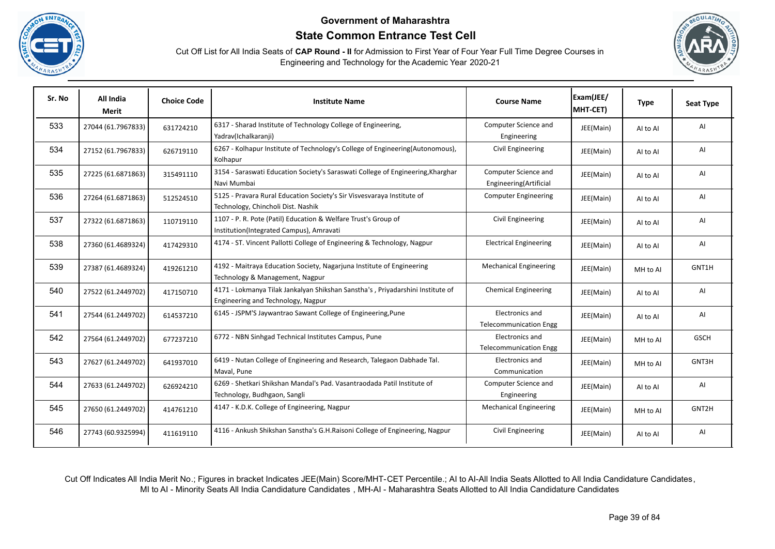





| Sr. No | All India<br><b>Merit</b> | <b>Choice Code</b> | <b>Institute Name</b>                                                                                                | <b>Course Name</b>                               | Exam(JEE/<br>MHT-CET) | <b>Type</b> | <b>Seat Type</b> |
|--------|---------------------------|--------------------|----------------------------------------------------------------------------------------------------------------------|--------------------------------------------------|-----------------------|-------------|------------------|
| 533    | 27044 (61.7967833)        | 631724210          | 6317 - Sharad Institute of Technology College of Engineering,<br>Yadrav(Ichalkaranji)                                | Computer Science and<br>Engineering              | JEE(Main)             | AI to AI    | AI               |
| 534    | 27152 (61.7967833)        | 626719110          | 6267 - Kolhapur Institute of Technology's College of Engineering(Autonomous),<br>Kolhapur                            | Civil Engineering                                | JEE(Main)             | Al to Al    | AI               |
| 535    | 27225 (61.6871863)        | 315491110          | 3154 - Saraswati Education Society's Saraswati College of Engineering, Kharghar<br>Navi Mumbai                       | Computer Science and<br>Engineering(Artificial   | JEE(Main)             | Al to Al    | AI               |
| 536    | 27264 (61.6871863)        | 512524510          | 5125 - Pravara Rural Education Society's Sir Visvesvaraya Institute of<br>Technology, Chincholi Dist. Nashik         | <b>Computer Engineering</b>                      | JEE(Main)             | Al to Al    | AI               |
| 537    | 27322 (61.6871863)        | 110719110          | 1107 - P. R. Pote (Patil) Education & Welfare Trust's Group of<br>Institution(Integrated Campus), Amravati           | Civil Engineering                                | JEE(Main)             | Al to Al    | AI               |
| 538    | 27360 (61.4689324)        | 417429310          | 4174 - ST. Vincent Pallotti College of Engineering & Technology, Nagpur                                              | <b>Electrical Engineering</b>                    | JEE(Main)             | Al to Al    | AI               |
| 539    | 27387 (61.4689324)        | 419261210          | 4192 - Maitraya Education Society, Nagarjuna Institute of Engineering<br>Technology & Management, Nagpur             | <b>Mechanical Engineering</b>                    | JEE(Main)             | MH to Al    | GNT1H            |
| 540    | 27522 (61.2449702)        | 417150710          | 4171 - Lokmanya Tilak Jankalyan Shikshan Sanstha's, Priyadarshini Institute of<br>Engineering and Technology, Nagpur | <b>Chemical Engineering</b>                      | JEE(Main)             | Al to Al    | AI               |
| 541    | 27544 (61.2449702)        | 614537210          | 6145 - JSPM'S Jaywantrao Sawant College of Engineering, Pune                                                         | Electronics and<br><b>Telecommunication Engg</b> | JEE(Main)             | Al to Al    | AI               |
| 542    | 27564 (61.2449702)        | 677237210          | 6772 - NBN Sinhgad Technical Institutes Campus, Pune                                                                 | Electronics and<br><b>Telecommunication Engg</b> | JEE(Main)             | MH to Al    | <b>GSCH</b>      |
| 543    | 27627 (61.2449702)        | 641937010          | 6419 - Nutan College of Engineering and Research, Talegaon Dabhade Tal.<br>Maval, Pune                               | Electronics and<br>Communication                 | JEE(Main)             | MH to Al    | GNT3H            |
| 544    | 27633 (61.2449702)        | 626924210          | 6269 - Shetkari Shikshan Mandal's Pad. Vasantraodada Patil Institute of<br>Technology, Budhgaon, Sangli              | Computer Science and<br>Engineering              | JEE(Main)             | AI to AI    | AI               |
| 545    | 27650 (61.2449702)        | 414761210          | 4147 - K.D.K. College of Engineering, Nagpur                                                                         | <b>Mechanical Engineering</b>                    | JEE(Main)             | MH to Al    | GNT2H            |
| 546    | 27743 (60.9325994)        | 411619110          | 4116 - Ankush Shikshan Sanstha's G.H.Raisoni College of Engineering, Nagpur                                          | Civil Engineering                                | JEE(Main)             | Al to Al    | AI               |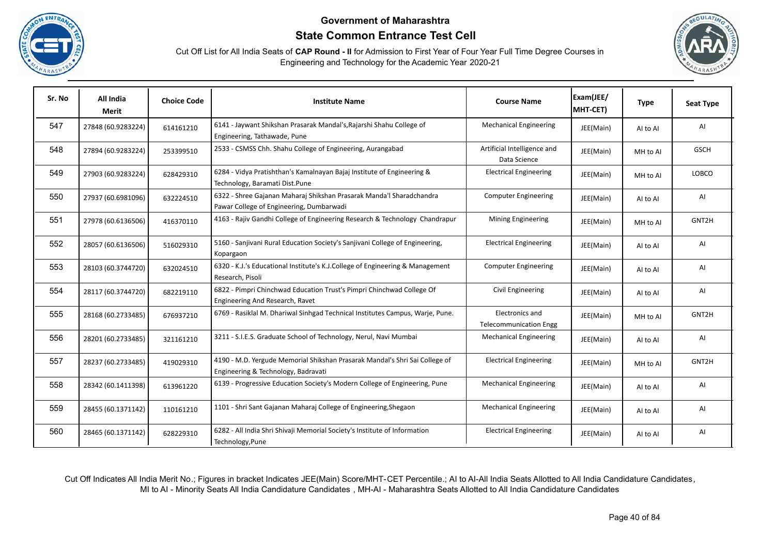





| Sr. No | All India<br>Merit | <b>Choice Code</b> | <b>Institute Name</b>                                                                                              | <b>Course Name</b>                               | Exam(JEE/<br>MHT-CET) | <b>Type</b> | Seat Type   |
|--------|--------------------|--------------------|--------------------------------------------------------------------------------------------------------------------|--------------------------------------------------|-----------------------|-------------|-------------|
| 547    | 27848 (60.9283224) | 614161210          | 6141 - Jaywant Shikshan Prasarak Mandal's, Rajarshi Shahu College of<br>Engineering, Tathawade, Pune               | <b>Mechanical Engineering</b>                    | JEE(Main)             | AI to AI    | Al          |
| 548    | 27894 (60.9283224) | 253399510          | 2533 - CSMSS Chh. Shahu College of Engineering, Aurangabad                                                         | Artificial Intelligence and<br>Data Science      | JEE(Main)             | MH to Al    | <b>GSCH</b> |
| 549    | 27903 (60.9283224) | 628429310          | 6284 - Vidya Pratishthan's Kamalnayan Bajaj Institute of Engineering &<br>Technology, Baramati Dist.Pune           | <b>Electrical Engineering</b>                    | JEE(Main)             | MH to Al    | LOBCO       |
| 550    | 27937 (60.6981096) | 632224510          | 6322 - Shree Gajanan Maharaj Shikshan Prasarak Manda'l Sharadchandra<br>Pawar College of Engineering, Dumbarwadi   | <b>Computer Engineering</b>                      | JEE(Main)             | Al to Al    | AI          |
| 551    | 27978 (60.6136506) | 416370110          | 4163 - Rajiv Gandhi College of Engineering Research & Technology Chandrapur                                        | Mining Engineering                               | JEE(Main)             | MH to AI    | GNT2H       |
| 552    | 28057 (60.6136506) | 516029310          | 5160 - Sanjivani Rural Education Society's Sanjivani College of Engineering,<br>Kopargaon                          | <b>Electrical Engineering</b>                    | JEE(Main)             | AI to AI    | Al          |
| 553    | 28103 (60.3744720) | 632024510          | 6320 - K.J.'s Educational Institute's K.J.College of Engineering & Management<br>Research, Pisoli                  | <b>Computer Engineering</b>                      | JEE(Main)             | AI to AI    | AI          |
| 554    | 28117 (60.3744720) | 682219110          | 6822 - Pimpri Chinchwad Education Trust's Pimpri Chinchwad College Of<br>Engineering And Research, Ravet           | Civil Engineering                                | JEE(Main)             | Al to Al    | AI          |
| 555    | 28168 (60.2733485) | 676937210          | 6769 - Rasiklal M. Dhariwal Sinhgad Technical Institutes Campus, Warje, Pune.                                      | Electronics and<br><b>Telecommunication Engg</b> | JEE(Main)             | MH to AI    | GNT2H       |
| 556    | 28201 (60.2733485) | 321161210          | 3211 - S.I.E.S. Graduate School of Technology, Nerul, Navi Mumbai                                                  | <b>Mechanical Engineering</b>                    | JEE(Main)             | AI to AI    | Al          |
| 557    | 28237 (60.2733485) | 419029310          | 4190 - M.D. Yergude Memorial Shikshan Prasarak Mandal's Shri Sai College of<br>Engineering & Technology, Badravati | <b>Electrical Engineering</b>                    | JEE(Main)             | MH to Al    | GNT2H       |
| 558    | 28342 (60.1411398) | 613961220          | 6139 - Progressive Education Society's Modern College of Engineering, Pune                                         | <b>Mechanical Engineering</b>                    | JEE(Main)             | Al to Al    | AI          |
| 559    | 28455 (60.1371142) | 110161210          | 1101 - Shri Sant Gajanan Maharaj College of Engineering, Shegaon                                                   | <b>Mechanical Engineering</b>                    | JEE(Main)             | AI to AI    | AI          |
| 560    | 28465 (60.1371142) | 628229310          | 6282 - All India Shri Shivaji Memorial Society's Institute of Information<br>Technology, Pune                      | <b>Electrical Engineering</b>                    | JEE(Main)             | AI to AI    | AI          |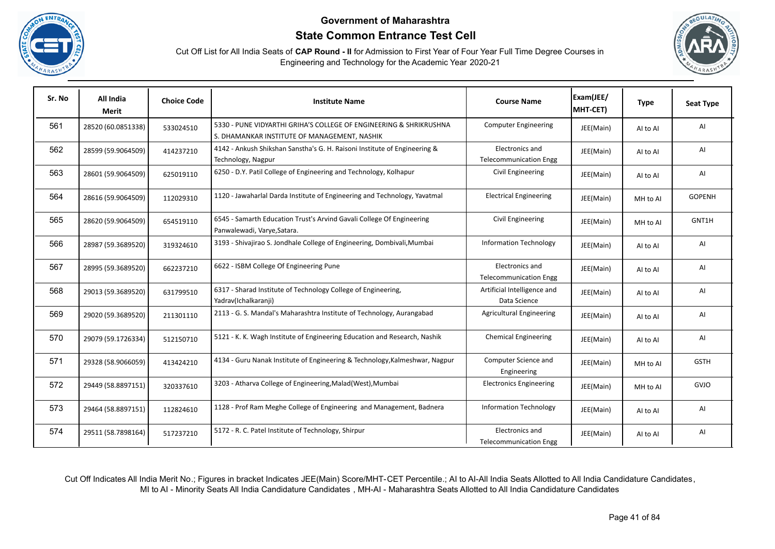





| Sr. No | All India<br><b>Merit</b> | <b>Choice Code</b> | <b>Institute Name</b>                                                                                              | <b>Course Name</b>                               | Exam(JEE/<br>MHT-CET) | <b>Type</b> | <b>Seat Type</b> |
|--------|---------------------------|--------------------|--------------------------------------------------------------------------------------------------------------------|--------------------------------------------------|-----------------------|-------------|------------------|
| 561    | 28520 (60.0851338)        | 533024510          | 5330 - PUNE VIDYARTHI GRIHA'S COLLEGE OF ENGINEERING & SHRIKRUSHNA<br>S. DHAMANKAR INSTITUTE OF MANAGEMENT, NASHIK | <b>Computer Engineering</b>                      | JEE(Main)             | Al to Al    | AI               |
| 562    | 28599 (59.9064509)        | 414237210          | 4142 - Ankush Shikshan Sanstha's G. H. Raisoni Institute of Engineering &<br>Technology, Nagpur                    | Electronics and<br><b>Telecommunication Engg</b> | JEE(Main)             | Al to Al    | AI               |
| 563    | 28601 (59.9064509)        | 625019110          | 6250 - D.Y. Patil College of Engineering and Technology, Kolhapur                                                  | Civil Engineering                                | JEE(Main)             | Al to Al    | AI               |
| 564    | 28616 (59.9064509)        | 112029310          | 1120 - Jawaharlal Darda Institute of Engineering and Technology, Yavatmal                                          | <b>Electrical Engineering</b>                    | JEE(Main)             | MH to Al    | <b>GOPENH</b>    |
| 565    | 28620 (59.9064509)        | 654519110          | 6545 - Samarth Education Trust's Arvind Gavali College Of Engineering<br>Panwalewadi, Varye, Satara.               | Civil Engineering                                | JEE(Main)             | MH to Al    | GNT1H            |
| 566    | 28987 (59.3689520)        | 319324610          | 3193 - Shivajirao S. Jondhale College of Engineering, Dombivali, Mumbai                                            | <b>Information Technology</b>                    | JEE(Main)             | Al to Al    | AI               |
| 567    | 28995 (59.3689520)        | 662237210          | 6622 - ISBM College Of Engineering Pune                                                                            | Electronics and<br><b>Telecommunication Engg</b> | JEE(Main)             | AI to AI    | AI               |
| 568    | 29013 (59.3689520)        | 631799510          | 6317 - Sharad Institute of Technology College of Engineering,<br>Yadrav(Ichalkaranji)                              | Artificial Intelligence and<br>Data Science      | JEE(Main)             | AI to AI    | AI               |
| 569    | 29020 (59.3689520)        | 211301110          | 2113 - G. S. Mandal's Maharashtra Institute of Technology, Aurangabad                                              | <b>Agricultural Engineering</b>                  | JEE(Main)             | AI to AI    | AI               |
| 570    | 29079 (59.1726334)        | 512150710          | 5121 - K. K. Wagh Institute of Engineering Education and Research, Nashik                                          | <b>Chemical Engineering</b>                      | JEE(Main)             | Al to Al    | AI               |
| 571    | 29328 (58.9066059)        | 413424210          | 4134 - Guru Nanak Institute of Engineering & Technology, Kalmeshwar, Nagpur                                        | Computer Science and<br>Engineering              | JEE(Main)             | MH to Al    | <b>GSTH</b>      |
| 572    | 29449 (58.8897151)        | 320337610          | 3203 - Atharva College of Engineering, Malad (West), Mumbai                                                        | <b>Electronics Engineering</b>                   | JEE(Main)             | MH to Al    | GVJO             |
| 573    | 29464 (58.8897151)        | 112824610          | 1128 - Prof Ram Meghe College of Engineering and Management, Badnera                                               | <b>Information Technology</b>                    | JEE(Main)             | Al to Al    | AI               |
| 574    | 29511 (58.7898164)        | 517237210          | 5172 - R. C. Patel Institute of Technology, Shirpur                                                                | Electronics and<br><b>Telecommunication Engg</b> | JEE(Main)             | AI to AI    | AI               |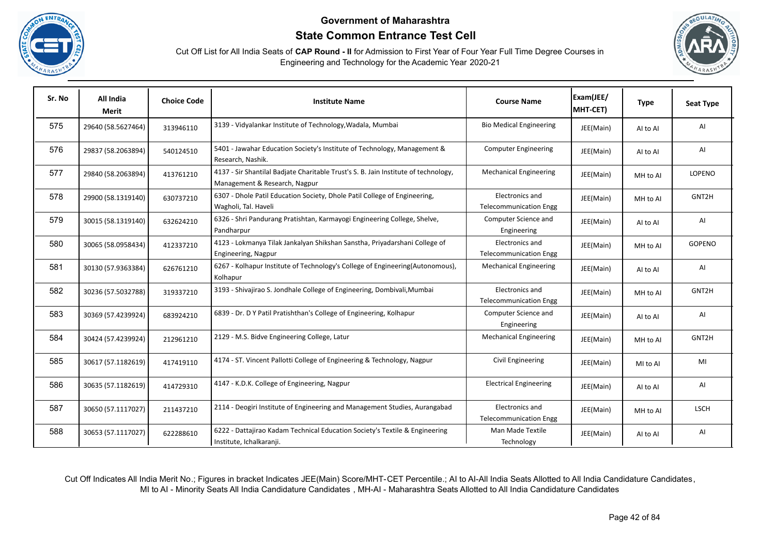





| Sr. No | All India<br>Merit | <b>Choice Code</b> | <b>Institute Name</b>                                                                                                | <b>Course Name</b>                               | Exam(JEE/<br>MHT-CET) | <b>Type</b> | <b>Seat Type</b> |
|--------|--------------------|--------------------|----------------------------------------------------------------------------------------------------------------------|--------------------------------------------------|-----------------------|-------------|------------------|
| 575    | 29640 (58.5627464) | 313946110          | 3139 - Vidyalankar Institute of Technology, Wadala, Mumbai                                                           | <b>Bio Medical Engineering</b>                   | JEE(Main)             | Al to Al    | Al               |
| 576    | 29837 (58.2063894) | 540124510          | 5401 - Jawahar Education Society's Institute of Technology, Management &<br>Research, Nashik.                        | <b>Computer Engineering</b>                      | JEE(Main)             | Al to Al    | AI               |
| 577    | 29840 (58.2063894) | 413761210          | 4137 - Sir Shantilal Badjate Charitable Trust's S. B. Jain Institute of technology,<br>Management & Research, Nagpur | <b>Mechanical Engineering</b>                    | JEE(Main)             | MH to Al    | LOPENO           |
| 578    | 29900 (58.1319140) | 630737210          | 6307 - Dhole Patil Education Society, Dhole Patil College of Engineering,<br>Wagholi, Tal. Haveli                    | Electronics and<br><b>Telecommunication Engg</b> | JEE(Main)             | MH to Al    | GNT2H            |
| 579    | 30015 (58.1319140) | 632624210          | 6326 - Shri Pandurang Pratishtan, Karmayogi Engineering College, Shelve,<br>Pandharpur                               | Computer Science and<br>Engineering              | JEE(Main)             | AI to AI    | AI               |
| 580    | 30065 (58.0958434) | 412337210          | 4123 - Lokmanya Tilak Jankalyan Shikshan Sanstha, Priyadarshani College of<br>Engineering, Nagpur                    | Electronics and<br><b>Telecommunication Engg</b> | JEE(Main)             | MH to Al    | <b>GOPENO</b>    |
| 581    | 30130 (57.9363384) | 626761210          | 6267 - Kolhapur Institute of Technology's College of Engineering(Autonomous),<br>Kolhapur                            | <b>Mechanical Engineering</b>                    | JEE(Main)             | AI to AI    | AI               |
| 582    | 30236 (57.5032788) | 319337210          | 3193 - Shivajirao S. Jondhale College of Engineering, Dombivali, Mumbai                                              | Electronics and<br><b>Telecommunication Engg</b> | JEE(Main)             | MH to Al    | GNT2H            |
| 583    | 30369 (57.4239924) | 683924210          | 6839 - Dr. D Y Patil Pratishthan's College of Engineering, Kolhapur                                                  | Computer Science and<br>Engineering              | JEE(Main)             | AI to AI    | AI               |
| 584    | 30424 (57.4239924) | 212961210          | 2129 - M.S. Bidve Engineering College, Latur                                                                         | <b>Mechanical Engineering</b>                    | JEE(Main)             | MH to Al    | GNT2H            |
| 585    | 30617 (57.1182619) | 417419110          | 4174 - ST. Vincent Pallotti College of Engineering & Technology, Nagpur                                              | Civil Engineering                                | JEE(Main)             | MI to AI    | MI               |
| 586    | 30635 (57.1182619) | 414729310          | 4147 - K.D.K. College of Engineering, Nagpur                                                                         | <b>Electrical Engineering</b>                    | JEE(Main)             | Al to Al    | AI               |
| 587    | 30650 (57.1117027) | 211437210          | 2114 - Deogiri Institute of Engineering and Management Studies, Aurangabad                                           | Electronics and<br><b>Telecommunication Engg</b> | JEE(Main)             | MH to Al    | <b>LSCH</b>      |
| 588    | 30653 (57.1117027) | 622288610          | 6222 - Dattajirao Kadam Technical Education Society's Textile & Engineering<br>Institute, Ichalkaranji.              | Man Made Textile<br>Technology                   | JEE(Main)             | Al to Al    | AI               |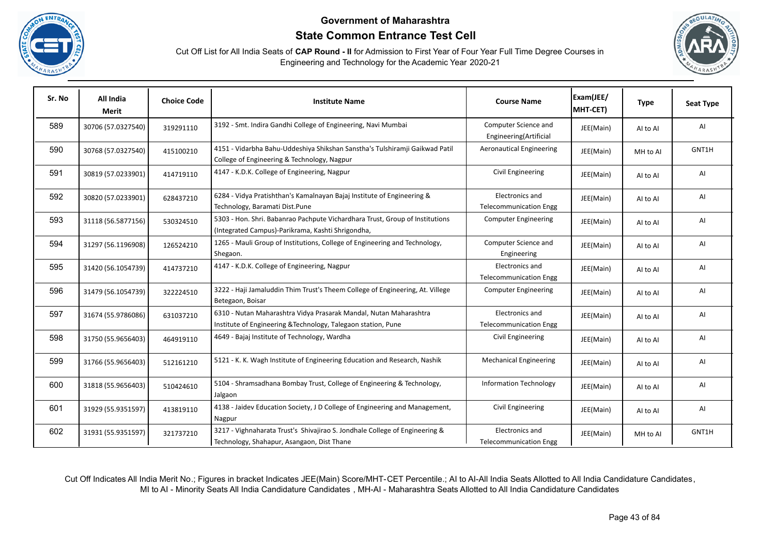





| Sr. No | All India<br><b>Merit</b> | <b>Choice Code</b> | <b>Institute Name</b>                                                                                                              | <b>Course Name</b>                               | Exam(JEE/<br>MHT-CET) | <b>Type</b> | <b>Seat Type</b> |
|--------|---------------------------|--------------------|------------------------------------------------------------------------------------------------------------------------------------|--------------------------------------------------|-----------------------|-------------|------------------|
| 589    | 30706 (57.0327540)        | 319291110          | 3192 - Smt. Indira Gandhi College of Engineering, Navi Mumbai                                                                      | Computer Science and<br>Engineering(Artificial   | JEE(Main)             | AI to AI    | AI               |
| 590    | 30768 (57.0327540)        | 415100210          | 4151 - Vidarbha Bahu-Uddeshiya Shikshan Sanstha's Tulshiramji Gaikwad Patil<br>College of Engineering & Technology, Nagpur         | <b>Aeronautical Engineering</b>                  | JEE(Main)             | MH to Al    | GNT1H            |
| 591    | 30819 (57.0233901)        | 414719110          | 4147 - K.D.K. College of Engineering, Nagpur                                                                                       | Civil Engineering                                | JEE(Main)             | AI to AI    | AI               |
| 592    | 30820 (57.0233901)        | 628437210          | 6284 - Vidya Pratishthan's Kamalnayan Bajaj Institute of Engineering &<br>Technology, Baramati Dist.Pune                           | Electronics and<br><b>Telecommunication Engg</b> | JEE(Main)             | Al to Al    | AI               |
| 593    | 31118 (56.5877156)        | 530324510          | 5303 - Hon. Shri. Babanrao Pachpute Vichardhara Trust, Group of Institutions<br>(Integrated Campus)-Parikrama, Kashti Shrigondha,  | <b>Computer Engineering</b>                      | JEE(Main)             | Al to Al    | AI               |
| 594    | 31297 (56.1196908)        | 126524210          | 1265 - Mauli Group of Institutions, College of Engineering and Technology,<br>Shegaon.                                             | Computer Science and<br>Engineering              | JEE(Main)             | AI to AI    | AI               |
| 595    | 31420 (56.1054739)        | 414737210          | 4147 - K.D.K. College of Engineering, Nagpur                                                                                       | Electronics and<br><b>Telecommunication Engg</b> | JEE(Main)             | AI to AI    | AI               |
| 596    | 31479 (56.1054739)        | 322224510          | 3222 - Haji Jamaluddin Thim Trust's Theem College of Engineering, At. Villege<br>Betegaon, Boisar                                  | <b>Computer Engineering</b>                      | JEE(Main)             | AI to AI    | AI               |
| 597    | 31674 (55.9786086)        | 631037210          | 6310 - Nutan Maharashtra Vidya Prasarak Mandal, Nutan Maharashtra<br>Institute of Engineering & Technology, Talegaon station, Pune | Electronics and<br><b>Telecommunication Engg</b> | JEE(Main)             | AI to AI    | AI               |
| 598    | 31750 (55.9656403)        | 464919110          | 4649 - Bajaj Institute of Technology, Wardha                                                                                       | Civil Engineering                                | JEE(Main)             | AI to AI    | AI               |
| 599    | 31766 (55.9656403)        | 512161210          | 5121 - K. K. Wagh Institute of Engineering Education and Research, Nashik                                                          | <b>Mechanical Engineering</b>                    | JEE(Main)             | AI to AI    | AI               |
| 600    | 31818 (55.9656403)        | 510424610          | 5104 - Shramsadhana Bombay Trust, College of Engineering & Technology,<br>Jalgaon                                                  | <b>Information Technology</b>                    | JEE(Main)             | Al to Al    | AI               |
| 601    | 31929 (55.9351597)        | 413819110          | 4138 - Jaidev Education Society, J D College of Engineering and Management,<br>Nagpur                                              | Civil Engineering                                | JEE(Main)             | Al to Al    | AI               |
| 602    | 31931 (55.9351597)        | 321737210          | 3217 - Vighnaharata Trust's Shivajirao S. Jondhale College of Engineering &<br>Technology, Shahapur, Asangaon, Dist Thane          | Electronics and<br><b>Telecommunication Engg</b> | JEE(Main)             | MH to Al    | GNT1H            |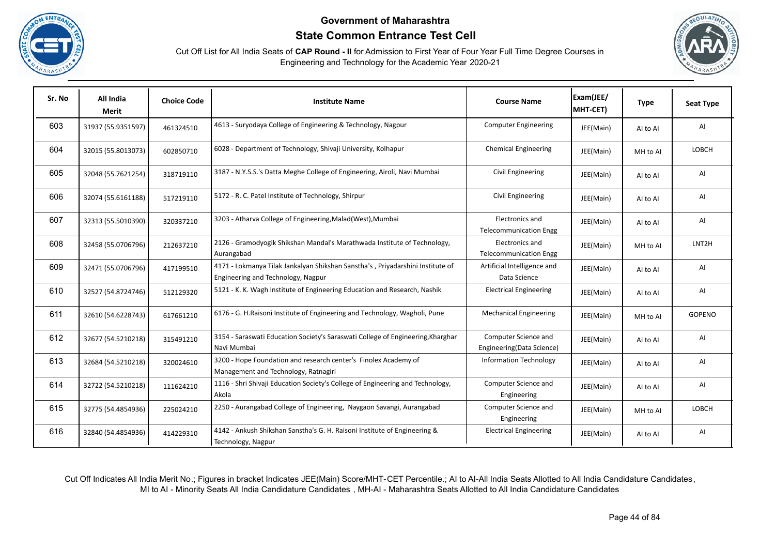





| Sr. No | All India<br><b>Merit</b> | <b>Choice Code</b> | <b>Institute Name</b>                                                                                                | <b>Course Name</b>                                | Exam(JEE/<br>MHT-CET) | <b>Type</b> | <b>Seat Type</b>   |
|--------|---------------------------|--------------------|----------------------------------------------------------------------------------------------------------------------|---------------------------------------------------|-----------------------|-------------|--------------------|
| 603    | 31937 (55.9351597)        | 461324510          | 4613 - Suryodaya College of Engineering & Technology, Nagpur                                                         | <b>Computer Engineering</b>                       | JEE(Main)             | AI to AI    | AI                 |
| 604    | 32015 (55.8013073)        | 602850710          | 6028 - Department of Technology, Shivaji University, Kolhapur                                                        | <b>Chemical Engineering</b>                       | JEE(Main)             | MH to Al    | LOBCH              |
| 605    | 32048 (55.7621254)        | 318719110          | 3187 - N.Y.S.S.'s Datta Meghe College of Engineering, Airoli, Navi Mumbai                                            | Civil Engineering                                 | JEE(Main)             | Al to Al    | AI                 |
| 606    | 32074 (55.6161188)        | 517219110          | 5172 - R. C. Patel Institute of Technology, Shirpur                                                                  | Civil Engineering                                 | JEE(Main)             | Al to Al    | AI                 |
| 607    | 32313 (55.5010390)        | 320337210          | 3203 - Atharva College of Engineering, Malad (West), Mumbai                                                          | Electronics and<br><b>Telecommunication Engg</b>  | JEE(Main)             | Al to Al    | AI                 |
| 608    | 32458 (55.0706796)        | 212637210          | 2126 - Gramodyogik Shikshan Mandal's Marathwada Institute of Technology,<br>Aurangabad                               | Electronics and<br><b>Telecommunication Engg</b>  | JEE(Main)             | MH to Al    | LNT <sub>2</sub> H |
| 609    | 32471 (55.0706796)        | 417199510          | 4171 - Lokmanya Tilak Jankalyan Shikshan Sanstha's, Priyadarshini Institute of<br>Engineering and Technology, Nagpur | Artificial Intelligence and<br>Data Science       | JEE(Main)             | AI to AI    | AI                 |
| 610    | 32527 (54.8724746)        | 512129320          | 5121 - K. K. Wagh Institute of Engineering Education and Research, Nashik                                            | <b>Electrical Engineering</b>                     | JEE(Main)             | AI to AI    | AI                 |
| 611    | 32610 (54.6228743)        | 617661210          | 6176 - G. H.Raisoni Institute of Engineering and Technology, Wagholi, Pune                                           | <b>Mechanical Engineering</b>                     | JEE(Main)             | MH to Al    | GOPENO             |
| 612    | 32677 (54.5210218)        | 315491210          | 3154 - Saraswati Education Society's Saraswati College of Engineering, Kharghar<br>Navi Mumbai                       | Computer Science and<br>Engineering(Data Science) | JEE(Main)             | Al to Al    | AI                 |
| 613    | 32684 (54.5210218)        | 320024610          | 3200 - Hope Foundation and research center's Finolex Academy of<br>Management and Technology, Ratnagiri              | <b>Information Technology</b>                     | JEE(Main)             | Al to Al    | AI                 |
| 614    | 32722 (54.5210218)        | 111624210          | 1116 - Shri Shivaji Education Society's College of Engineering and Technology,<br>Akola                              | Computer Science and<br>Engineering               | JEE(Main)             | Al to Al    | AI                 |
| 615    | 32775 (54.4854936)        | 225024210          | 2250 - Aurangabad College of Engineering, Naygaon Savangi, Aurangabad                                                | Computer Science and<br>Engineering               | JEE(Main)             | MH to Al    | <b>LOBCH</b>       |
| 616    | 32840 (54.4854936)        | 414229310          | 4142 - Ankush Shikshan Sanstha's G. H. Raisoni Institute of Engineering &<br>Technology, Nagpur                      | <b>Electrical Engineering</b>                     | JEE(Main)             | Al to Al    | AI                 |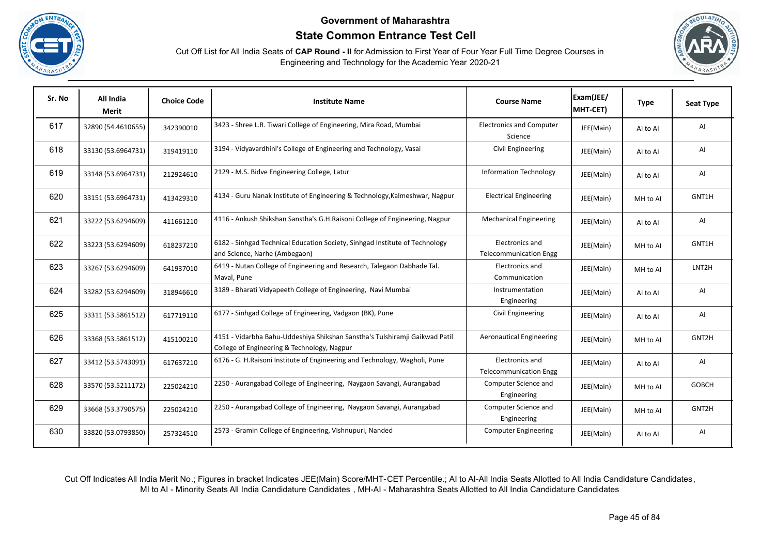





| Sr. No | All India<br>Merit | <b>Choice Code</b> | <b>Institute Name</b>                                                                                                      | <b>Course Name</b>                               | Exam(JEE/<br>MHT-CET) | <b>Type</b> | <b>Seat Type</b> |
|--------|--------------------|--------------------|----------------------------------------------------------------------------------------------------------------------------|--------------------------------------------------|-----------------------|-------------|------------------|
| 617    | 32890 (54.4610655) | 342390010          | 3423 - Shree L.R. Tiwari College of Engineering, Mira Road, Mumbai                                                         | <b>Electronics and Computer</b><br>Science       | JEE(Main)             | AI to AI    | AI               |
| 618    | 33130 (53.6964731) | 319419110          | 3194 - Vidyavardhini's College of Engineering and Technology, Vasai                                                        | Civil Engineering                                | JEE(Main)             | Al to Al    | AI               |
| 619    | 33148 (53.6964731) | 212924610          | 2129 - M.S. Bidve Engineering College, Latur                                                                               | <b>Information Technology</b>                    | JEE(Main)             | AI to AI    | AI               |
| 620    | 33151 (53.6964731) | 413429310          | 4134 - Guru Nanak Institute of Engineering & Technology, Kalmeshwar, Nagpur                                                | <b>Electrical Engineering</b>                    | JEE(Main)             | MH to Al    | GNT1H            |
| 621    | 33222 (53.6294609) | 411661210          | 4116 - Ankush Shikshan Sanstha's G.H.Raisoni College of Engineering, Nagpur                                                | <b>Mechanical Engineering</b>                    | JEE(Main)             | AI to AI    | AI               |
| 622    | 33223 (53.6294609) | 618237210          | 6182 - Sinhgad Technical Education Society, Sinhgad Institute of Technology<br>and Science, Narhe (Ambegaon)               | Electronics and<br><b>Telecommunication Engg</b> | JEE(Main)             | MH to Al    | GNT1H            |
| 623    | 33267 (53.6294609) | 641937010          | 6419 - Nutan College of Engineering and Research, Talegaon Dabhade Tal.<br>Maval, Pune                                     | Electronics and<br>Communication                 | JEE(Main)             | MH to Al    | LNT2H            |
| 624    | 33282 (53.6294609) | 318946610          | 3189 - Bharati Vidyapeeth College of Engineering, Navi Mumbai                                                              | Instrumentation<br>Engineering                   | JEE(Main)             | AI to AI    | AI               |
| 625    | 33311 (53.5861512) | 617719110          | 6177 - Sinhgad College of Engineering, Vadgaon (BK), Pune                                                                  | Civil Engineering                                | JEE(Main)             | AI to AI    | AI               |
| 626    | 33368 (53.5861512) | 415100210          | 4151 - Vidarbha Bahu-Uddeshiya Shikshan Sanstha's Tulshiramji Gaikwad Patil<br>College of Engineering & Technology, Nagpur | <b>Aeronautical Engineering</b>                  | JEE(Main)             | MH to Al    | GNT2H            |
| 627    | 33412 (53.5743091) | 617637210          | 6176 - G. H.Raisoni Institute of Engineering and Technology, Wagholi, Pune                                                 | Electronics and<br><b>Telecommunication Engg</b> | JEE(Main)             | AI to AI    | AI               |
| 628    | 33570 (53.5211172) | 225024210          | 2250 - Aurangabad College of Engineering, Naygaon Savangi, Aurangabad                                                      | Computer Science and<br>Engineering              | JEE(Main)             | MH to Al    | <b>GOBCH</b>     |
| 629    | 33668 (53.3790575) | 225024210          | 2250 - Aurangabad College of Engineering, Naygaon Savangi, Aurangabad                                                      | Computer Science and<br>Engineering              | JEE(Main)             | MH to Al    | GNT2H            |
| 630    | 33820 (53.0793850) | 257324510          | 2573 - Gramin College of Engineering, Vishnupuri, Nanded                                                                   | <b>Computer Engineering</b>                      | JEE(Main)             | Al to Al    | AI               |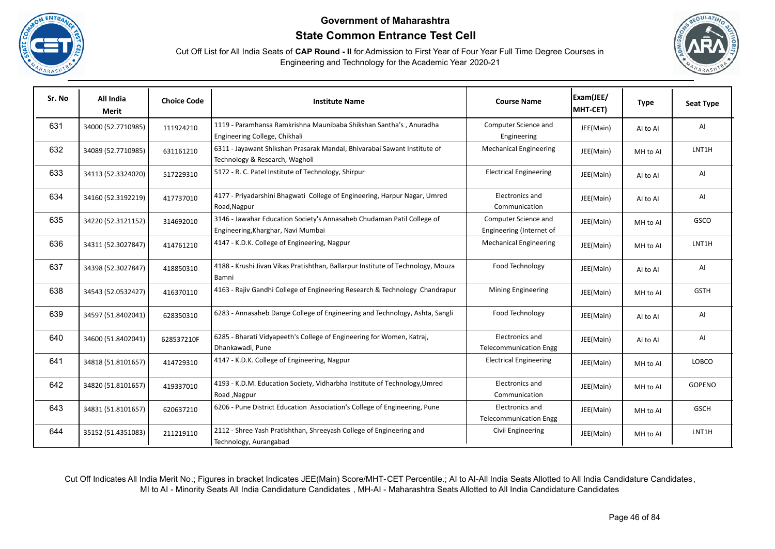





| Sr. No | All India<br><b>Merit</b> | <b>Choice Code</b> | <b>Institute Name</b>                                                                                        | <b>Course Name</b>                               | Exam(JEE/<br>MHT-CET) | <b>Type</b> | <b>Seat Type</b> |
|--------|---------------------------|--------------------|--------------------------------------------------------------------------------------------------------------|--------------------------------------------------|-----------------------|-------------|------------------|
| 631    | 34000 (52.7710985)        | 111924210          | 1119 - Paramhansa Ramkrishna Maunibaba Shikshan Santha's, Anuradha<br>Engineering College, Chikhali          | Computer Science and<br>Engineering              | JEE(Main)             | AI to AI    | AI               |
| 632    | 34089 (52.7710985)        | 631161210          | 6311 - Jayawant Shikshan Prasarak Mandal, Bhivarabai Sawant Institute of<br>Technology & Research, Wagholi   | <b>Mechanical Engineering</b>                    | JEE(Main)             | MH to Al    | LNT1H            |
| 633    | 34113 (52.3324020)        | 517229310          | 5172 - R. C. Patel Institute of Technology, Shirpur                                                          | <b>Electrical Engineering</b>                    | JEE(Main)             | Al to Al    | AI               |
| 634    | 34160 (52.3192219)        | 417737010          | 4177 - Priyadarshini Bhagwati College of Engineering, Harpur Nagar, Umred<br>Road, Nagpur                    | Electronics and<br>Communication                 | JEE(Main)             | Al to Al    | AI               |
| 635    | 34220 (52.3121152)        | 314692010          | 3146 - Jawahar Education Society's Annasaheb Chudaman Patil College of<br>Engineering, Kharghar, Navi Mumbai | Computer Science and<br>Engineering (Internet of | JEE(Main)             | MH to Al    | GSCO             |
| 636    | 34311 (52.3027847)        | 414761210          | 4147 - K.D.K. College of Engineering, Nagpur                                                                 | <b>Mechanical Engineering</b>                    | JEE(Main)             | MH to Al    | LNT1H            |
| 637    | 34398 (52.3027847)        | 418850310          | 4188 - Krushi Jivan Vikas Pratishthan, Ballarpur Institute of Technology, Mouza<br>Bamni                     | Food Technology                                  | JEE(Main)             | Al to Al    | AI               |
| 638    | 34543 (52.0532427)        | 416370110          | 4163 - Rajiv Gandhi College of Engineering Research & Technology Chandrapur                                  | Mining Engineering                               | JEE(Main)             | MH to Al    | <b>GSTH</b>      |
| 639    | 34597 (51.8402041)        | 628350310          | 6283 - Annasaheb Dange College of Engineering and Technology, Ashta, Sangli                                  | Food Technology                                  | JEE(Main)             | Al to Al    | AI               |
| 640    | 34600 (51.8402041)        | 628537210F         | 6285 - Bharati Vidyapeeth's College of Engineering for Women, Katraj,<br>Dhankawadi, Pune                    | Electronics and<br><b>Telecommunication Engg</b> | JEE(Main)             | AI to AI    | AI               |
| 641    | 34818 (51.8101657)        | 414729310          | 4147 - K.D.K. College of Engineering, Nagpur                                                                 | <b>Electrical Engineering</b>                    | JEE(Main)             | MH to Al    | LOBCO            |
| 642    | 34820 (51.8101657)        | 419337010          | 4193 - K.D.M. Education Society, Vidharbha Institute of Technology, Umred<br>Road, Nagpur                    | Electronics and<br>Communication                 | JEE(Main)             | MH to Al    | GOPENO           |
| 643    | 34831 (51.8101657)        | 620637210          | 6206 - Pune District Education Association's College of Engineering, Pune                                    | Electronics and<br><b>Telecommunication Engg</b> | JEE(Main)             | MH to Al    | <b>GSCH</b>      |
| 644    | 35152 (51.4351083)        | 211219110          | 2112 - Shree Yash Pratishthan, Shreeyash College of Engineering and<br>Technology, Aurangabad                | Civil Engineering                                | JEE(Main)             | MH to Al    | LNT1H            |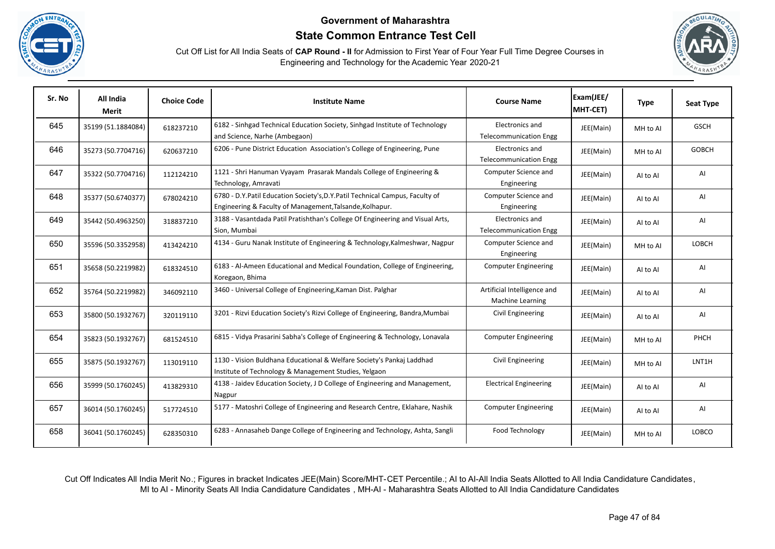





| Sr. No | All India<br><b>Merit</b> | <b>Choice Code</b> | <b>Institute Name</b>                                                                                                                    | <b>Course Name</b>                               | Exam(JEE/<br>MHT-CET) | <b>Type</b> | <b>Seat Type</b> |
|--------|---------------------------|--------------------|------------------------------------------------------------------------------------------------------------------------------------------|--------------------------------------------------|-----------------------|-------------|------------------|
| 645    | 35199 (51.1884084)        | 618237210          | 6182 - Sinhgad Technical Education Society, Sinhgad Institute of Technology<br>and Science, Narhe (Ambegaon)                             | Electronics and<br><b>Telecommunication Engg</b> | JEE(Main)             | MH to Al    | <b>GSCH</b>      |
| 646    | 35273 (50.7704716)        | 620637210          | 6206 - Pune District Education Association's College of Engineering, Pune                                                                | Electronics and<br><b>Telecommunication Engg</b> | JEE(Main)             | MH to Al    | <b>GOBCH</b>     |
| 647    | 35322 (50.7704716)        | 112124210          | 1121 - Shri Hanuman Vyayam Prasarak Mandals College of Engineering &<br>Technology, Amravati                                             | Computer Science and<br>Engineering              | JEE(Main)             | Al to Al    | AI               |
| 648    | 35377 (50.6740377)        | 678024210          | 6780 - D.Y.Patil Education Society's, D.Y.Patil Technical Campus, Faculty of<br>Engineering & Faculty of Management, Talsande, Kolhapur. | Computer Science and<br>Engineering              | JEE(Main)             | Al to Al    | AI               |
| 649    | 35442 (50.4963250)        | 318837210          | 3188 - Vasantdada Patil Pratishthan's College Of Engineering and Visual Arts,<br>Sion, Mumbai                                            | Electronics and<br><b>Telecommunication Engg</b> | JEE(Main)             | AI to AI    | AI               |
| 650    | 35596 (50.3352958)        | 413424210          | 4134 - Guru Nanak Institute of Engineering & Technology, Kalmeshwar, Nagpur                                                              | Computer Science and<br>Engineering              | JEE(Main)             | MH to Al    | LOBCH            |
| 651    | 35658 (50.2219982)        | 618324510          | 6183 - Al-Ameen Educational and Medical Foundation, College of Engineering,<br>Koregaon, Bhima                                           | <b>Computer Engineering</b>                      | JEE(Main)             | AI to AI    | AI               |
| 652    | 35764 (50.2219982)        | 346092110          | 3460 - Universal College of Engineering, Kaman Dist. Palghar                                                                             | Artificial Intelligence and<br>Machine Learning  | JEE(Main)             | AI to AI    | AI               |
| 653    | 35800 (50.1932767)        | 320119110          | 3201 - Rizvi Education Society's Rizvi College of Engineering, Bandra, Mumbai                                                            | Civil Engineering                                | JEE(Main)             | AI to AI    | AI               |
| 654    | 35823 (50.1932767)        | 681524510          | 6815 - Vidya Prasarini Sabha's College of Engineering & Technology, Lonavala                                                             | <b>Computer Engineering</b>                      | JEE(Main)             | MH to Al    | PHCH             |
| 655    | 35875 (50.1932767)        | 113019110          | 1130 - Vision Buldhana Educational & Welfare Society's Pankaj Laddhad<br>Institute of Technology & Management Studies, Yelgaon           | Civil Engineering                                | JEE(Main)             | MH to Al    | LNT1H            |
| 656    | 35999 (50.1760245)        | 413829310          | 4138 - Jaidev Education Society, J D College of Engineering and Management,<br>Nagpur                                                    | <b>Electrical Engineering</b>                    | JEE(Main)             | Al to Al    | AI               |
| 657    | 36014 (50.1760245)        | 517724510          | 5177 - Matoshri College of Engineering and Research Centre, Eklahare, Nashik                                                             | <b>Computer Engineering</b>                      | JEE(Main)             | AI to AI    | AI               |
| 658    | 36041 (50.1760245)        | 628350310          | 6283 - Annasaheb Dange College of Engineering and Technology, Ashta, Sangli                                                              | Food Technology                                  | JEE(Main)             | MH to Al    | <b>LOBCO</b>     |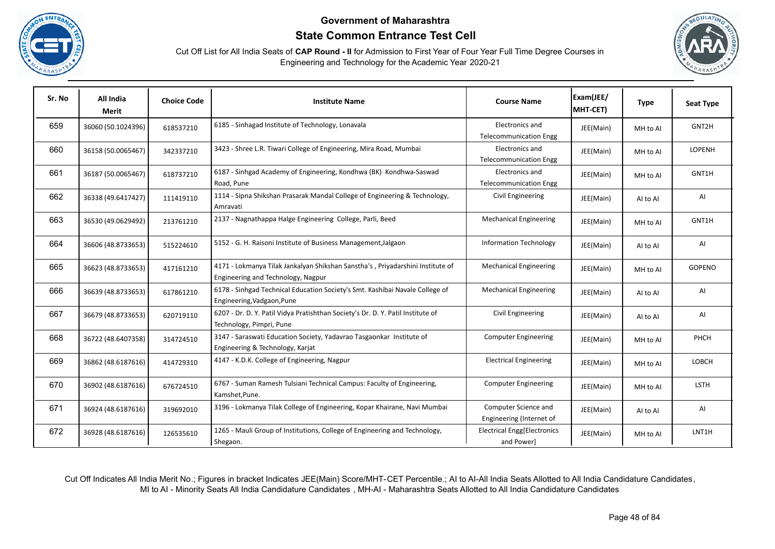





| Sr. No | All India<br>Merit | <b>Choice Code</b> | <b>Institute Name</b>                                                                                                | <b>Course Name</b>                               | Exam(JEE/<br>MHT-CET) | <b>Type</b> | Seat Type   |
|--------|--------------------|--------------------|----------------------------------------------------------------------------------------------------------------------|--------------------------------------------------|-----------------------|-------------|-------------|
| 659    | 36060 (50.1024396) | 618537210          | 6185 - Sinhagad Institute of Technology, Lonavala                                                                    | Electronics and<br><b>Telecommunication Engg</b> | JEE(Main)             | MH to Al    | GNT2H       |
| 660    | 36158 (50.0065467) | 342337210          | 3423 - Shree L.R. Tiwari College of Engineering, Mira Road, Mumbai                                                   | Electronics and<br><b>Telecommunication Engg</b> | JEE(Main)             | MH to Al    | LOPENH      |
| 661    | 36187 (50.0065467) | 618737210          | 6187 - Sinhgad Academy of Engineering, Kondhwa (BK) Kondhwa-Saswad<br>Road, Pune                                     | Electronics and<br><b>Telecommunication Engg</b> | JEE(Main)             | MH to Al    | GNT1H       |
| 662    | 36338 (49.6417427) | 111419110          | 1114 - Sipna Shikshan Prasarak Mandal College of Engineering & Technology,<br>Amravati                               | Civil Engineering                                | JEE(Main)             | Al to Al    | AI          |
| 663    | 36530 (49.0629492) | 213761210          | 2137 - Nagnathappa Halge Engineering College, Parli, Beed                                                            | <b>Mechanical Engineering</b>                    | JEE(Main)             | MH to Al    | GNT1H       |
| 664    | 36606 (48.8733653) | 515224610          | 5152 - G. H. Raisoni Institute of Business Management, Jalgaon                                                       | <b>Information Technology</b>                    | JEE(Main)             | AI to AI    | Al          |
| 665    | 36623 (48.8733653) | 417161210          | 4171 - Lokmanya Tilak Jankalyan Shikshan Sanstha's, Priyadarshini Institute of<br>Engineering and Technology, Nagpur | <b>Mechanical Engineering</b>                    | JEE(Main)             | MH to Al    | GOPENO      |
| 666    | 36639 (48.8733653) | 617861210          | 6178 - Sinhgad Technical Education Society's Smt. Kashibai Navale College of<br>Engineering, Vadgaon, Pune           | <b>Mechanical Engineering</b>                    | JEE(Main)             | AI to AI    | AI          |
| 667    | 36679 (48.8733653) | 620719110          | 6207 - Dr. D. Y. Patil Vidya Pratishthan Society's Dr. D. Y. Patil Institute of<br>Technology, Pimpri, Pune          | Civil Engineering                                | JEE(Main)             | AI to AI    | AI          |
| 668    | 36722 (48.6407358) | 314724510          | 3147 - Saraswati Education Society, Yadavrao Tasgaonkar Institute of<br>Engineering & Technology, Karjat             | <b>Computer Engineering</b>                      | JEE(Main)             | MH to Al    | PHCH        |
| 669    | 36862 (48.6187616) | 414729310          | 4147 - K.D.K. College of Engineering, Nagpur                                                                         | <b>Electrical Engineering</b>                    | JEE(Main)             | MH to Al    | LOBCH       |
| 670    | 36902 (48.6187616) | 676724510          | 6767 - Suman Ramesh Tulsiani Technical Campus: Faculty of Engineering,<br>Kamshet, Pune.                             | <b>Computer Engineering</b>                      | JEE(Main)             | MH to Al    | <b>LSTH</b> |
| 671    | 36924 (48.6187616) | 319692010          | 3196 - Lokmanya Tilak College of Engineering, Kopar Khairane, Navi Mumbai                                            | Computer Science and<br>Engineering (Internet of | JEE(Main)             | AI to AI    | AI          |
| 672    | 36928 (48.6187616) | 126535610          | 1265 - Mauli Group of Institutions, College of Engineering and Technology,<br>Shegaon.                               | <b>Electrical Engg[Electronics</b><br>and Power] | JEE(Main)             | MH to Al    | LNT1H       |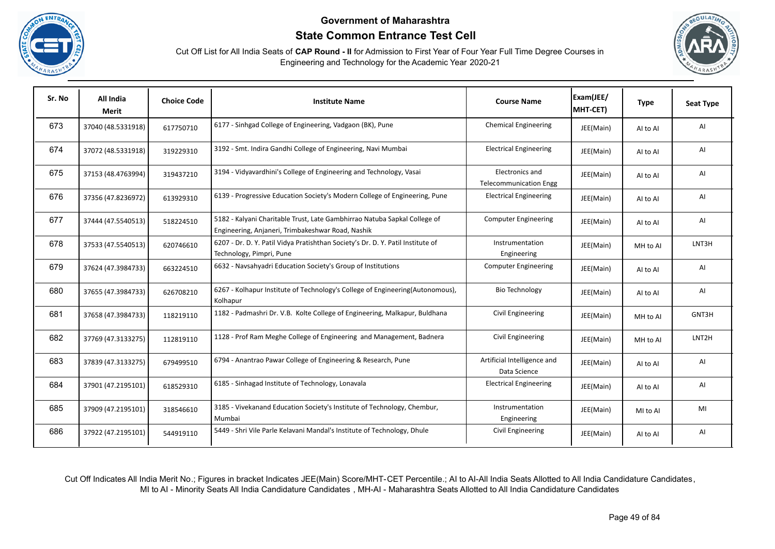





| Sr. No | All India<br>Merit | <b>Choice Code</b> | <b>Institute Name</b>                                                                                                          | <b>Course Name</b>                               | Exam(JEE/<br>MHT-CET) | <b>Type</b> | <b>Seat Type</b> |
|--------|--------------------|--------------------|--------------------------------------------------------------------------------------------------------------------------------|--------------------------------------------------|-----------------------|-------------|------------------|
| 673    | 37040 (48.5331918) | 617750710          | 6177 - Sinhgad College of Engineering, Vadgaon (BK), Pune                                                                      | <b>Chemical Engineering</b>                      | JEE(Main)             | AI to AI    | AI               |
| 674    | 37072 (48.5331918) | 319229310          | 3192 - Smt. Indira Gandhi College of Engineering, Navi Mumbai                                                                  | <b>Electrical Engineering</b>                    | JEE(Main)             | Al to Al    | AI               |
| 675    | 37153 (48.4763994) | 319437210          | 3194 - Vidyavardhini's College of Engineering and Technology, Vasai                                                            | Electronics and<br><b>Telecommunication Engg</b> | JEE(Main)             | Al to Al    | AI               |
| 676    | 37356 (47.8236972) | 613929310          | 6139 - Progressive Education Society's Modern College of Engineering, Pune                                                     | <b>Electrical Engineering</b>                    | JEE(Main)             | Al to Al    | AI               |
| 677    | 37444 (47.5540513) | 518224510          | 5182 - Kalyani Charitable Trust, Late Gambhirrao Natuba Sapkal College of<br>Engineering, Anjaneri, Trimbakeshwar Road, Nashik | <b>Computer Engineering</b>                      | JEE(Main)             | AI to AI    | AI               |
| 678    | 37533 (47.5540513) | 620746610          | 6207 - Dr. D. Y. Patil Vidya Pratishthan Society's Dr. D. Y. Patil Institute of<br>Technology, Pimpri, Pune                    | Instrumentation<br>Engineering                   | JEE(Main)             | MH to Al    | LNT3H            |
| 679    | 37624 (47.3984733) | 663224510          | 6632 - Navsahyadri Education Society's Group of Institutions                                                                   | <b>Computer Engineering</b>                      | JEE(Main)             | AI to AI    | AI               |
| 680    | 37655 (47.3984733) | 626708210          | 6267 - Kolhapur Institute of Technology's College of Engineering(Autonomous),<br>Kolhapur                                      | <b>Bio Technology</b>                            | JEE(Main)             | AI to AI    | AI               |
| 681    | 37658 (47.3984733) | 118219110          | 1182 - Padmashri Dr. V.B. Kolte College of Engineering, Malkapur, Buldhana                                                     | Civil Engineering                                | JEE(Main)             | MH to Al    | GNT3H            |
| 682    | 37769 (47.3133275) | 112819110          | 1128 - Prof Ram Meghe College of Engineering and Management, Badnera                                                           | Civil Engineering                                | JEE(Main)             | MH to Al    | LNT2H            |
| 683    | 37839 (47.3133275) | 679499510          | 6794 - Anantrao Pawar College of Engineering & Research, Pune                                                                  | Artificial Intelligence and<br>Data Science      | JEE(Main)             | AI to AI    | AI               |
| 684    | 37901 (47.2195101) | 618529310          | 6185 - Sinhagad Institute of Technology, Lonavala                                                                              | <b>Electrical Engineering</b>                    | JEE(Main)             | Al to Al    | AI               |
| 685    | 37909 (47.2195101) | 318546610          | 3185 - Vivekanand Education Society's Institute of Technology, Chembur,<br>Mumbai                                              | Instrumentation<br>Engineering                   | JEE(Main)             | MI to AI    | MI               |
| 686    | 37922 (47.2195101) | 544919110          | 5449 - Shri Vile Parle Kelavani Mandal's Institute of Technology, Dhule                                                        | Civil Engineering                                | JEE(Main)             | Al to Al    | AI               |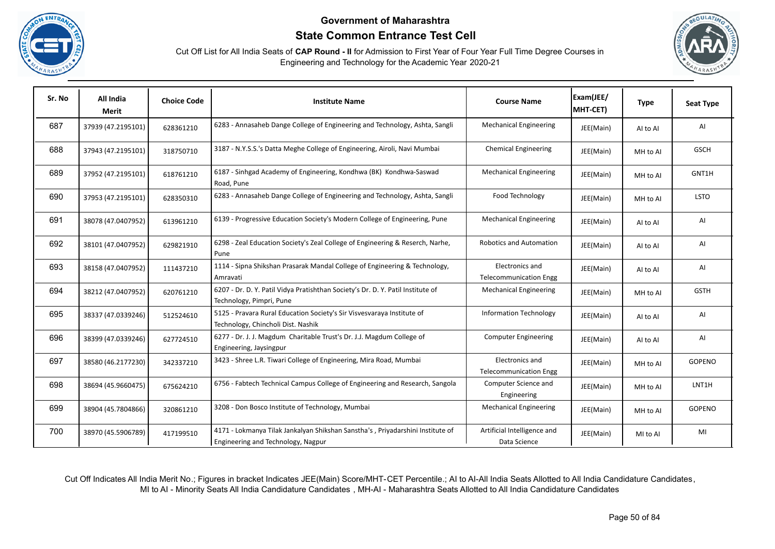





| Sr. No | All India<br>Merit | <b>Choice Code</b> | <b>Institute Name</b>                                                                                                | <b>Course Name</b>                               | Exam(JEE/<br>MHT-CET) | <b>Type</b> | <b>Seat Type</b> |
|--------|--------------------|--------------------|----------------------------------------------------------------------------------------------------------------------|--------------------------------------------------|-----------------------|-------------|------------------|
| 687    | 37939 (47.2195101) | 628361210          | 6283 - Annasaheb Dange College of Engineering and Technology, Ashta, Sangli                                          | <b>Mechanical Engineering</b>                    | JEE(Main)             | AI to AI    | AI               |
| 688    | 37943 (47.2195101) | 318750710          | 3187 - N.Y.S.S.'s Datta Meghe College of Engineering, Airoli, Navi Mumbai                                            | <b>Chemical Engineering</b>                      | JEE(Main)             | MH to Al    | <b>GSCH</b>      |
| 689    | 37952 (47.2195101) | 618761210          | 6187 - Sinhgad Academy of Engineering, Kondhwa (BK) Kondhwa-Saswad<br>Road, Pune                                     | <b>Mechanical Engineering</b>                    | JEE(Main)             | MH to Al    | GNT1H            |
| 690    | 37953 (47.2195101) | 628350310          | 6283 - Annasaheb Dange College of Engineering and Technology, Ashta, Sangli                                          | Food Technology                                  | JEE(Main)             | MH to AI    | <b>LSTO</b>      |
| 691    | 38078 (47.0407952) | 613961210          | 6139 - Progressive Education Society's Modern College of Engineering, Pune                                           | <b>Mechanical Engineering</b>                    | JEE(Main)             | Al to Al    | AI               |
| 692    | 38101 (47.0407952) | 629821910          | 6298 - Zeal Education Society's Zeal College of Engineering & Reserch, Narhe,<br>Pune                                | <b>Robotics and Automation</b>                   | JEE(Main)             | Al to Al    | AI               |
| 693    | 38158 (47.0407952) | 111437210          | 1114 - Sipna Shikshan Prasarak Mandal College of Engineering & Technology,<br>Amravati                               | Electronics and<br><b>Telecommunication Engg</b> | JEE(Main)             | Al to Al    | AI               |
| 694    | 38212 (47.0407952) | 620761210          | 6207 - Dr. D. Y. Patil Vidya Pratishthan Society's Dr. D. Y. Patil Institute of<br>Technology, Pimpri, Pune          | <b>Mechanical Engineering</b>                    | JEE(Main)             | MH to Al    | <b>GSTH</b>      |
| 695    | 38337 (47.0339246) | 512524610          | 5125 - Pravara Rural Education Society's Sir Visvesvaraya Institute of<br>Technology, Chincholi Dist. Nashik         | <b>Information Technology</b>                    | JEE(Main)             | AI to AI    | AI               |
| 696    | 38399 (47.0339246) | 627724510          | 6277 - Dr. J. J. Magdum Charitable Trust's Dr. J.J. Magdum College of<br>Engineering, Jaysingpur                     | <b>Computer Engineering</b>                      | JEE(Main)             | AI to AI    | AI               |
| 697    | 38580 (46.2177230) | 342337210          | 3423 - Shree L.R. Tiwari College of Engineering, Mira Road, Mumbai                                                   | Electronics and<br><b>Telecommunication Engg</b> | JEE(Main)             | MH to Al    | GOPENO           |
| 698    | 38694 (45.9660475) | 675624210          | 6756 - Fabtech Technical Campus College of Engineering and Research, Sangola                                         | Computer Science and<br>Engineering              | JEE(Main)             | MH to Al    | LNT1H            |
| 699    | 38904 (45.7804866) | 320861210          | 3208 - Don Bosco Institute of Technology, Mumbai                                                                     | <b>Mechanical Engineering</b>                    | JEE(Main)             | MH to Al    | GOPENO           |
| 700    | 38970 (45.5906789) | 417199510          | 4171 - Lokmanya Tilak Jankalyan Shikshan Sanstha's, Priyadarshini Institute of<br>Engineering and Technology, Nagpur | Artificial Intelligence and<br>Data Science      | JEE(Main)             | MI to AI    | MI               |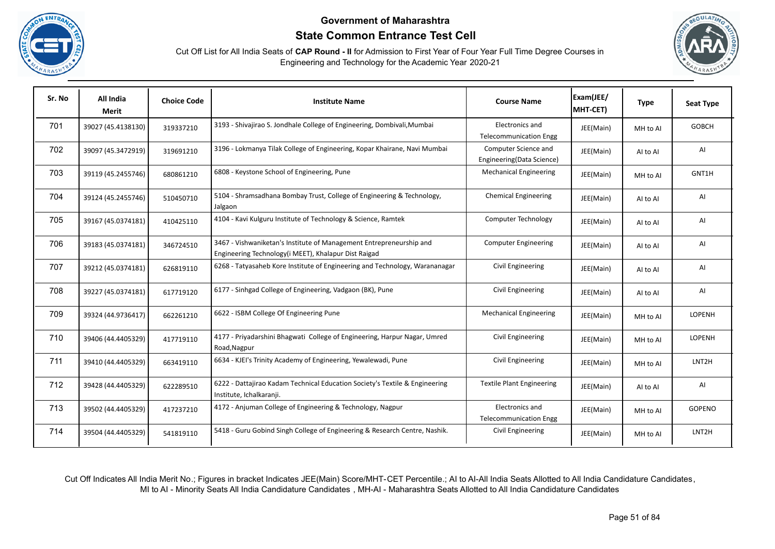



Cut Off List for All India Seats of **CAP Round - II** for Admission to First Year of Four Year Full Time Degree Courses in Engineering and Technology for the Academic Year 2020-21

| Sr. No | All India<br><b>Merit</b> | <b>Choice Code</b> | <b>Institute Name</b>                                                                                                       | <b>Course Name</b>                                | Exam(JEE/<br>MHT-CET) | <b>Type</b> | <b>Seat Type</b>   |
|--------|---------------------------|--------------------|-----------------------------------------------------------------------------------------------------------------------------|---------------------------------------------------|-----------------------|-------------|--------------------|
| 701    | 39027 (45.4138130)        | 319337210          | 3193 - Shivajirao S. Jondhale College of Engineering, Dombivali, Mumbai                                                     | Electronics and<br><b>Telecommunication Engg</b>  | JEE(Main)             | MH to Al    | <b>GOBCH</b>       |
| 702    | 39097 (45.3472919)        | 319691210          | 3196 - Lokmanya Tilak College of Engineering, Kopar Khairane, Navi Mumbai                                                   | Computer Science and<br>Engineering(Data Science) | JEE(Main)             | AI to AI    | AI                 |
| 703    | 39119 (45.2455746)        | 680861210          | 6808 - Keystone School of Engineering, Pune                                                                                 | <b>Mechanical Engineering</b>                     | JEE(Main)             | MH to Al    | GNT1H              |
| 704    | 39124 (45.2455746)        | 510450710          | 5104 - Shramsadhana Bombay Trust, College of Engineering & Technology,<br>Jalgaon                                           | <b>Chemical Engineering</b>                       | JEE(Main)             | Al to Al    | AI                 |
| 705    | 39167 (45.0374181)        | 410425110          | 4104 - Kavi Kulguru Institute of Technology & Science, Ramtek                                                               | Computer Technology                               | JEE(Main)             | Al to Al    | AI                 |
| 706    | 39183 (45.0374181)        | 346724510          | 3467 - Vishwaniketan's Institute of Management Entrepreneurship and<br>Engineering Technology(i MEET), Khalapur Dist Raigad | <b>Computer Engineering</b>                       | JEE(Main)             | AI to AI    | AI                 |
| 707    | 39212 (45.0374181)        | 626819110          | 6268 - Tatyasaheb Kore Institute of Engineering and Technology, Warananagar                                                 | Civil Engineering                                 | JEE(Main)             | AI to AI    | AI                 |
| 708    | 39227 (45.0374181)        | 617719120          | 6177 - Sinhgad College of Engineering, Vadgaon (BK), Pune                                                                   | Civil Engineering                                 | JEE(Main)             | AI to AI    | Al                 |
| 709    | 39324 (44.9736417)        | 662261210          | 6622 - ISBM College Of Engineering Pune                                                                                     | <b>Mechanical Engineering</b>                     | JEE(Main)             | MH to Al    | LOPENH             |
| 710    | 39406 (44.4405329)        | 417719110          | 4177 - Priyadarshini Bhagwati College of Engineering, Harpur Nagar, Umred<br>Road, Nagpur                                   | Civil Engineering                                 | JEE(Main)             | MH to Al    | LOPENH             |
| 711    | 39410 (44.4405329)        | 663419110          | 6634 - KJEI's Trinity Academy of Engineering, Yewalewadi, Pune                                                              | Civil Engineering                                 | JEE(Main)             | MH to Al    | LNT <sub>2</sub> H |
| 712    | 39428 (44.4405329)        | 622289510          | 6222 - Dattajirao Kadam Technical Education Society's Textile & Engineering<br>Institute, Ichalkaranji.                     | <b>Textile Plant Engineering</b>                  | JEE(Main)             | AI to AI    | AI                 |
| 713    | 39502 (44.4405329)        | 417237210          | 4172 - Anjuman College of Engineering & Technology, Nagpur                                                                  | Electronics and<br><b>Telecommunication Engg</b>  | JEE(Main)             | MH to Al    | GOPENO             |
| 714    | 39504 (44.4405329)        | 541819110          | 5418 - Guru Gobind Singh College of Engineering & Research Centre, Nashik.                                                  | Civil Engineering                                 | JEE(Main)             | MH to Al    | LNT <sub>2</sub> H |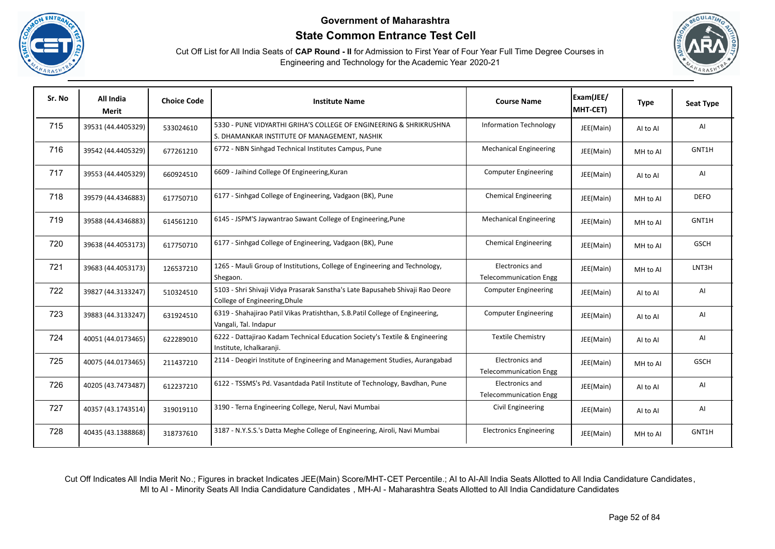



Cut Off List for All India Seats of **CAP Round - II** for Admission to First Year of Four Year Full Time Degree Courses in Engineering and Technology for the Academic Year 2020-21

| Sr. No | All India<br>Merit | <b>Choice Code</b> | <b>Institute Name</b>                                                                                              | <b>Course Name</b>                               | Exam(JEE/<br>MHT-CET) | <b>Type</b> | <b>Seat Type</b> |
|--------|--------------------|--------------------|--------------------------------------------------------------------------------------------------------------------|--------------------------------------------------|-----------------------|-------------|------------------|
| 715    | 39531 (44.4405329) | 533024610          | 5330 - PUNE VIDYARTHI GRIHA'S COLLEGE OF ENGINEERING & SHRIKRUSHNA<br>S. DHAMANKAR INSTITUTE OF MANAGEMENT, NASHIK | <b>Information Technology</b>                    | JEE(Main)             | Al to Al    | AI               |
| 716    | 39542 (44.4405329) | 677261210          | 6772 - NBN Sinhgad Technical Institutes Campus, Pune                                                               | <b>Mechanical Engineering</b>                    | JEE(Main)             | MH to Al    | GNT1H            |
| 717    | 39553 (44.4405329) | 660924510          | 6609 - Jaihind College Of Engineering, Kuran                                                                       | <b>Computer Engineering</b>                      | JEE(Main)             | Al to Al    | AI               |
| 718    | 39579 (44.4346883) | 617750710          | 6177 - Sinhgad College of Engineering, Vadgaon (BK), Pune                                                          | <b>Chemical Engineering</b>                      | JEE(Main)             | MH to AI    | <b>DEFO</b>      |
| 719    | 39588 (44.4346883) | 614561210          | 6145 - JSPM'S Jaywantrao Sawant College of Engineering, Pune                                                       | <b>Mechanical Engineering</b>                    | JEE(Main)             | MH to Al    | GNT1H            |
| 720    | 39638 (44.4053173) | 617750710          | 6177 - Sinhgad College of Engineering, Vadgaon (BK), Pune                                                          | <b>Chemical Engineering</b>                      | JEE(Main)             | MH to Al    | <b>GSCH</b>      |
| 721    | 39683 (44.4053173) | 126537210          | 1265 - Mauli Group of Institutions, College of Engineering and Technology,<br>Shegaon.                             | Electronics and<br><b>Telecommunication Engg</b> | JEE(Main)             | MH to Al    | LNT3H            |
| 722    | 39827 (44.3133247) | 510324510          | 5103 - Shri Shivaji Vidya Prasarak Sanstha's Late Bapusaheb Shivaji Rao Deore<br>College of Engineering, Dhule     | <b>Computer Engineering</b>                      | JEE(Main)             | Al to Al    | AI               |
| 723    | 39883 (44.3133247) | 631924510          | 6319 - Shahajirao Patil Vikas Pratishthan, S.B.Patil College of Engineering,<br>Vangali, Tal. Indapur              | <b>Computer Engineering</b>                      | JEE(Main)             | Al to Al    | Al               |
| 724    | 40051 (44.0173465) | 622289010          | 6222 - Dattajirao Kadam Technical Education Society's Textile & Engineering<br>Institute, Ichalkaranji.            | <b>Textile Chemistry</b>                         | JEE(Main)             | Al to Al    | AI               |
| 725    | 40075 (44.0173465) | 211437210          | 2114 - Deogiri Institute of Engineering and Management Studies, Aurangabad                                         | Electronics and<br><b>Telecommunication Engg</b> | JEE(Main)             | MH to Al    | <b>GSCH</b>      |
| 726    | 40205 (43.7473487) | 612237210          | 6122 - TSSMS's Pd. Vasantdada Patil Institute of Technology, Bavdhan, Pune                                         | Electronics and<br><b>Telecommunication Engg</b> | JEE(Main)             | AI to AI    | Al               |
| 727    | 40357 (43.1743514) | 319019110          | 3190 - Terna Engineering College, Nerul, Navi Mumbai                                                               | Civil Engineering                                | JEE(Main)             | Al to Al    | AI               |
| 728    | 40435 (43.1388868) | 318737610          | 3187 - N.Y.S.S.'s Datta Meghe College of Engineering, Airoli, Navi Mumbai                                          | <b>Electronics Engineering</b>                   | JEE(Main)             | MH to AI    | GNT1H            |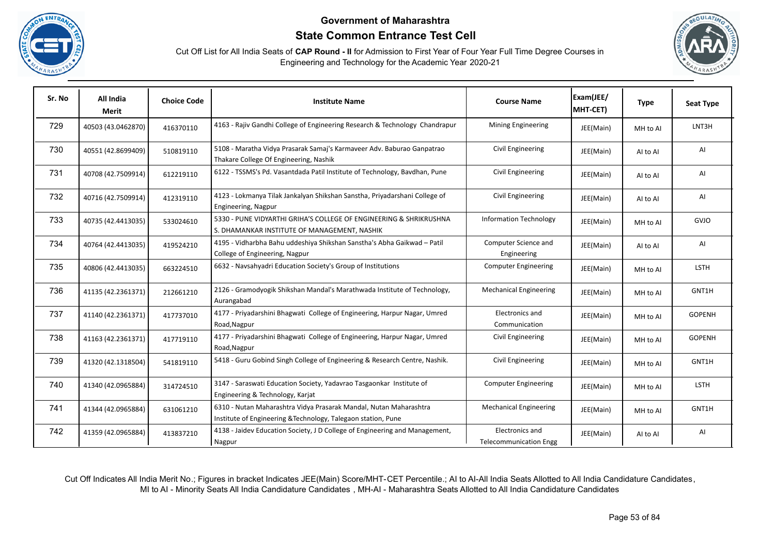





| Sr. No | All India<br>Merit | <b>Choice Code</b> | <b>Institute Name</b>                                                                                                              | <b>Course Name</b>                               | Exam(JEE/<br>MHT-CET) | <b>Type</b> | <b>Seat Type</b> |
|--------|--------------------|--------------------|------------------------------------------------------------------------------------------------------------------------------------|--------------------------------------------------|-----------------------|-------------|------------------|
| 729    | 40503 (43.0462870) | 416370110          | 4163 - Rajiv Gandhi College of Engineering Research & Technology Chandrapur                                                        | Mining Engineering                               | JEE(Main)             | MH to Al    | LNT3H            |
| 730    | 40551 (42.8699409) | 510819110          | 5108 - Maratha Vidya Prasarak Samaj's Karmaveer Adv. Baburao Ganpatrao<br>Thakare College Of Engineering, Nashik                   | Civil Engineering                                | JEE(Main)             | Al to Al    | AI               |
| 731    | 40708 (42.7509914) | 612219110          | 6122 - TSSMS's Pd. Vasantdada Patil Institute of Technology, Bavdhan, Pune                                                         | Civil Engineering                                | JEE(Main)             | Al to Al    | AI               |
| 732    | 40716 (42.7509914) | 412319110          | 4123 - Lokmanya Tilak Jankalyan Shikshan Sanstha, Priyadarshani College of<br>Engineering, Nagpur                                  | Civil Engineering                                | JEE(Main)             | Al to Al    | AI               |
| 733    | 40735 (42.4413035) | 533024610          | 5330 - PUNE VIDYARTHI GRIHA'S COLLEGE OF ENGINEERING & SHRIKRUSHNA<br>S. DHAMANKAR INSTITUTE OF MANAGEMENT, NASHIK                 | <b>Information Technology</b>                    | JEE(Main)             | MH to Al    | GVJO             |
| 734    | 40764 (42.4413035) | 419524210          | 4195 - Vidharbha Bahu uddeshiya Shikshan Sanstha's Abha Gaikwad - Patil<br>College of Engineering, Nagpur                          | Computer Science and<br>Engineering              | JEE(Main)             | Al to Al    | AI               |
| 735    | 40806 (42.4413035) | 663224510          | 6632 - Navsahyadri Education Society's Group of Institutions                                                                       | <b>Computer Engineering</b>                      | JEE(Main)             | MH to Al    | LSTH             |
| 736    | 41135 (42.2361371) | 212661210          | 2126 - Gramodyogik Shikshan Mandal's Marathwada Institute of Technology,<br>Aurangabad                                             | <b>Mechanical Engineering</b>                    | JEE(Main)             | MH to Al    | GNT1H            |
| 737    | 41140 (42.2361371) | 417737010          | 4177 - Priyadarshini Bhagwati College of Engineering, Harpur Nagar, Umred<br>Road, Nagpur                                          | Electronics and<br>Communication                 | JEE(Main)             | MH to Al    | <b>GOPENH</b>    |
| 738    | 41163 (42.2361371) | 417719110          | 4177 - Priyadarshini Bhagwati College of Engineering, Harpur Nagar, Umred<br>Road, Nagpur                                          | Civil Engineering                                | JEE(Main)             | MH to Al    | <b>GOPENH</b>    |
| 739    | 41320 (42.1318504) | 541819110          | 5418 - Guru Gobind Singh College of Engineering & Research Centre, Nashik.                                                         | Civil Engineering                                | JEE(Main)             | MH to Al    | GNT1H            |
| 740    | 41340 (42.0965884) | 314724510          | 3147 - Saraswati Education Society, Yadavrao Tasgaonkar Institute of<br>Engineering & Technology, Karjat                           | <b>Computer Engineering</b>                      | JEE(Main)             | MH to Al    | LSTH             |
| 741    | 41344 (42.0965884) | 631061210          | 6310 - Nutan Maharashtra Vidya Prasarak Mandal, Nutan Maharashtra<br>Institute of Engineering & Technology, Talegaon station, Pune | <b>Mechanical Engineering</b>                    | JEE(Main)             | MH to Al    | GNT1H            |
| 742    | 41359 (42.0965884) | 413837210          | 4138 - Jaidev Education Society, J D College of Engineering and Management,<br>Nagpur                                              | Electronics and<br><b>Telecommunication Engg</b> | JEE(Main)             | Al to Al    | AI               |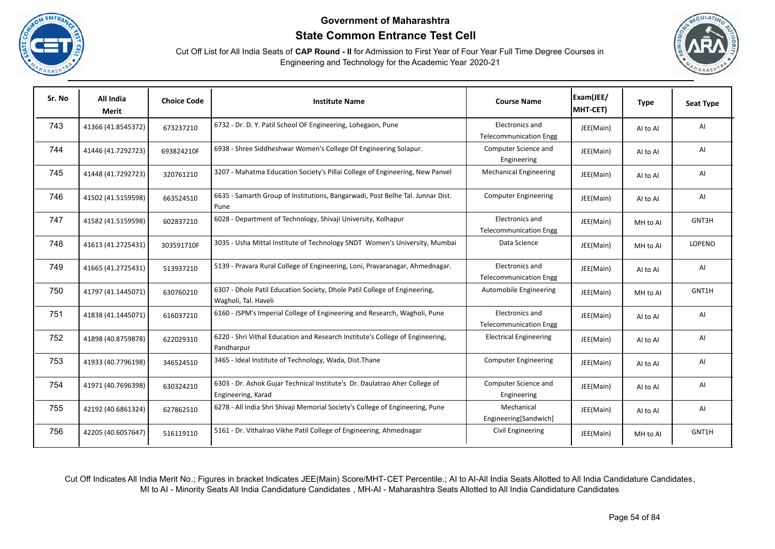





| Sr. No | All India<br><b>Merit</b> | <b>Choice Code</b> | <b>Institute Name</b>                                                                             | <b>Course Name</b>                               | Exam(JEE/<br>MHT-CET) | <b>Type</b> | <b>Seat Type</b> |
|--------|---------------------------|--------------------|---------------------------------------------------------------------------------------------------|--------------------------------------------------|-----------------------|-------------|------------------|
| 743    | 41366 (41.8545372)        | 673237210          | 6732 - Dr. D. Y. Patil School OF Engineering, Lohegaon, Pune                                      | Electronics and<br><b>Telecommunication Engg</b> | JEE(Main)             | Al to Al    | AI               |
| 744    | 41446 (41.7292723)        | 693824210F         | 6938 - Shree Siddheshwar Women's College Of Engineering Solapur.                                  | Computer Science and<br>Engineering              | JEE(Main)             | Al to Al    | AI               |
| 745    | 41448 (41.7292723)        | 320761210          | 3207 - Mahatma Education Society's Pillai College of Engineering, New Panvel                      | <b>Mechanical Engineering</b>                    | JEE(Main)             | Al to Al    | AI               |
| 746    | 41502 (41.5159598)        | 663524510          | 6635 - Samarth Group of Institutions, Bangarwadi, Post Belhe Tal. Junnar Dist.<br>Pune            | <b>Computer Engineering</b>                      | JEE(Main)             | AI to AI    | AI               |
| 747    | 41582 (41.5159598)        | 602837210          | 6028 - Department of Technology, Shivaji University, Kolhapur                                     | Electronics and<br><b>Telecommunication Engg</b> | JEE(Main)             | MH to Al    | GNT3H            |
| 748    | 41613 (41.2725431)        | 303591710F         | 3035 - Usha Mittal Institute of Technology SNDT Women's University, Mumbai                        | Data Science                                     | JEE(Main)             | MH to Al    | LOPENO           |
| 749    | 41665 (41.2725431)        | 513937210          | 5139 - Pravara Rural College of Engineering, Loni, Pravaranagar, Ahmednagar.                      | Electronics and<br><b>Telecommunication Engg</b> | JEE(Main)             | Al to Al    | AI               |
| 750    | 41797 (41.1445071)        | 630760210          | 6307 - Dhole Patil Education Society, Dhole Patil College of Engineering,<br>Wagholi, Tal. Haveli | Automobile Engineering                           | JEE(Main)             | MH to AI    | GNT1H            |
| 751    | 41838 (41.1445071)        | 616037210          | 6160 - JSPM's Imperial College of Engineering and Research, Wagholi, Pune                         | Electronics and<br><b>Telecommunication Engg</b> | JEE(Main)             | AI to AI    | AI               |
| 752    | 41898 (40.8759878)        | 622029310          | 6220 - Shri Vithal Education and Research Institute's College of Engineering,<br>Pandharpur       | <b>Electrical Engineering</b>                    | JEE(Main)             | Al to Al    | AI               |
| 753    | 41933 (40.7796198)        | 346524510          | 3465 - Ideal Institute of Technology, Wada, Dist. Thane                                           | <b>Computer Engineering</b>                      | JEE(Main)             | Al to Al    | AI               |
| 754    | 41971 (40.7696398)        | 630324210          | 6303 - Dr. Ashok Gujar Technical Institute's Dr. Daulatrao Aher College of<br>Engineering, Karad  | Computer Science and<br>Engineering              | JEE(Main)             | AI to AI    | AI               |
| 755    | 42192 (40.6861324)        | 627862510          | 6278 - All India Shri Shivaji Memorial Society's College of Engineering, Pune                     | Mechanical<br>Engineering[Sandwich]              | JEE(Main)             | AI to AI    | AI               |
| 756    | 42205 (40.6057647)        | 516119110          | 5161 - Dr. Vithalrao Vikhe Patil College of Engineering, Ahmednagar                               | Civil Engineering                                | JEE(Main)             | MH to Al    | GNT1H            |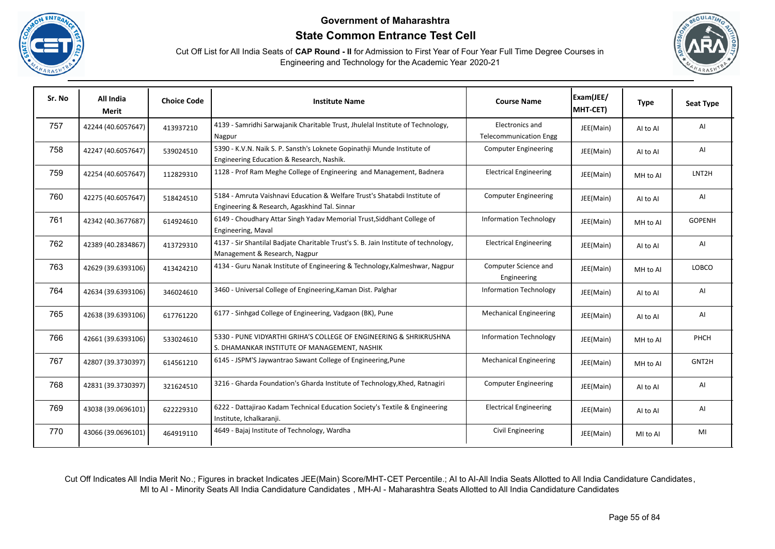





| Sr. No | All India<br>Merit | <b>Choice Code</b> | <b>Institute Name</b>                                                                                                      | <b>Course Name</b>                               | Exam(JEE/<br>MHT-CET) | <b>Type</b> | <b>Seat Type</b>   |
|--------|--------------------|--------------------|----------------------------------------------------------------------------------------------------------------------------|--------------------------------------------------|-----------------------|-------------|--------------------|
| 757    | 42244 (40.6057647) | 413937210          | 4139 - Samridhi Sarwajanik Charitable Trust, Jhulelal Institute of Technology,<br>Nagpur                                   | Electronics and<br><b>Telecommunication Engg</b> | JEE(Main)             | Al to Al    | AI                 |
| 758    | 42247 (40.6057647) | 539024510          | 5390 - K.V.N. Naik S. P. Sansth's Loknete Gopinathii Munde Institute of<br>Engineering Education & Research, Nashik.       | <b>Computer Engineering</b>                      | JEE(Main)             | Al to Al    | AI                 |
| 759    | 42254 (40.6057647) | 112829310          | 1128 - Prof Ram Meghe College of Engineering and Management, Badnera                                                       | <b>Electrical Engineering</b>                    | JEE(Main)             | MH to Al    | LNT <sub>2</sub> H |
| 760    | 42275 (40.6057647) | 518424510          | 5184 - Amruta Vaishnavi Education & Welfare Trust's Shatabdi Institute of<br>Engineering & Research, Agaskhind Tal. Sinnar | <b>Computer Engineering</b>                      | JEE(Main)             | Al to Al    | AI                 |
| 761    | 42342 (40.3677687) | 614924610          | 6149 - Choudhary Attar Singh Yadav Memorial Trust, Siddhant College of<br>Engineering, Maval                               | <b>Information Technology</b>                    | JEE(Main)             | MH to Al    | <b>GOPENH</b>      |
| 762    | 42389 (40.2834867) | 413729310          | 4137 - Sir Shantilal Badjate Charitable Trust's S. B. Jain Institute of technology,<br>Management & Research, Nagpur       | <b>Electrical Engineering</b>                    | JEE(Main)             | Al to Al    | AI                 |
| 763    | 42629 (39.6393106) | 413424210          | 4134 - Guru Nanak Institute of Engineering & Technology, Kalmeshwar, Nagpur                                                | Computer Science and<br>Engineering              | JEE(Main)             | MH to Al    | LOBCO              |
| 764    | 42634 (39.6393106) | 346024610          | 3460 - Universal College of Engineering, Kaman Dist. Palghar                                                               | <b>Information Technology</b>                    | JEE(Main)             | AI to AI    | AI                 |
| 765    | 42638 (39.6393106) | 617761220          | 6177 - Sinhgad College of Engineering, Vadgaon (BK), Pune                                                                  | <b>Mechanical Engineering</b>                    | JEE(Main)             | Al to Al    | AI                 |
| 766    | 42661 (39.6393106) | 533024610          | 5330 - PUNE VIDYARTHI GRIHA'S COLLEGE OF ENGINEERING & SHRIKRUSHNA<br>S. DHAMANKAR INSTITUTE OF MANAGEMENT, NASHIK         | <b>Information Technology</b>                    | JEE(Main)             | MH to Al    | PHCH               |
| 767    | 42807 (39.3730397) | 614561210          | 6145 - JSPM'S Jaywantrao Sawant College of Engineering, Pune                                                               | <b>Mechanical Engineering</b>                    | JEE(Main)             | MH to Al    | GNT2H              |
| 768    | 42831 (39.3730397) | 321624510          | 3216 - Gharda Foundation's Gharda Institute of Technology, Khed, Ratnagiri                                                 | <b>Computer Engineering</b>                      | JEE(Main)             | Al to Al    | AI                 |
| 769    | 43038 (39.0696101) | 622229310          | 6222 - Dattajirao Kadam Technical Education Society's Textile & Engineering<br>Institute, Ichalkaranji.                    | <b>Electrical Engineering</b>                    | JEE(Main)             | Al to Al    | AI                 |
| 770    | 43066 (39.0696101) | 464919110          | 4649 - Bajaj Institute of Technology, Wardha                                                                               | Civil Engineering                                | JEE(Main)             | MI to AI    | MI                 |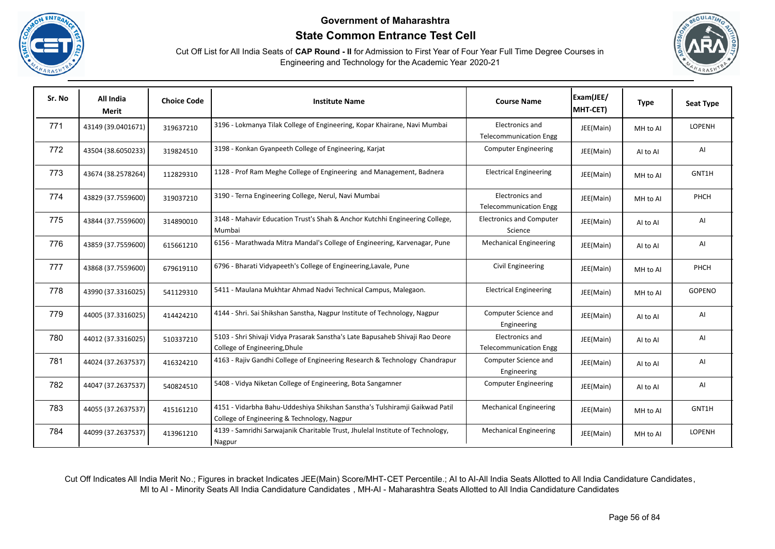





| Sr. No | All India<br>Merit | <b>Choice Code</b> | <b>Institute Name</b>                                                                                                      | <b>Course Name</b>                               | Exam(JEE/<br>MHT-CET) | <b>Type</b> | <b>Seat Type</b> |
|--------|--------------------|--------------------|----------------------------------------------------------------------------------------------------------------------------|--------------------------------------------------|-----------------------|-------------|------------------|
| 771    | 43149 (39.0401671) | 319637210          | 3196 - Lokmanya Tilak College of Engineering, Kopar Khairane, Navi Mumbai                                                  | Electronics and<br><b>Telecommunication Engg</b> | JEE(Main)             | MH to Al    | LOPENH           |
| 772    | 43504 (38.6050233) | 319824510          | 3198 - Konkan Gyanpeeth College of Engineering, Karjat                                                                     | <b>Computer Engineering</b>                      | JEE(Main)             | Al to Al    | AI               |
| 773    | 43674 (38.2578264) | 112829310          | 1128 - Prof Ram Meghe College of Engineering and Management, Badnera                                                       | <b>Electrical Engineering</b>                    | JEE(Main)             | MH to Al    | GNT1H            |
| 774    | 43829 (37.7559600) | 319037210          | 3190 - Terna Engineering College, Nerul, Navi Mumbai                                                                       | Electronics and<br><b>Telecommunication Engg</b> | JEE(Main)             | MH to Al    | PHCH             |
| 775    | 43844 (37.7559600) | 314890010          | 3148 - Mahavir Education Trust's Shah & Anchor Kutchhi Engineering College,<br>Mumbai                                      | <b>Electronics and Computer</b><br>Science       | JEE(Main)             | Al to Al    | AI               |
| 776    | 43859 (37.7559600) | 615661210          | 6156 - Marathwada Mitra Mandal's College of Engineering, Karvenagar, Pune                                                  | <b>Mechanical Engineering</b>                    | JEE(Main)             | Al to Al    | AI               |
| 777    | 43868 (37.7559600) | 679619110          | 6796 - Bharati Vidyapeeth's College of Engineering, Lavale, Pune                                                           | Civil Engineering                                | JEE(Main)             | MH to Al    | PHCH             |
| 778    | 43990 (37.3316025) | 541129310          | 5411 - Maulana Mukhtar Ahmad Nadvi Technical Campus, Malegaon.                                                             | <b>Electrical Engineering</b>                    | JEE(Main)             | MH to Al    | GOPENO           |
| 779    | 44005 (37.3316025) | 414424210          | 4144 - Shri. Sai Shikshan Sanstha, Nagpur Institute of Technology, Nagpur                                                  | Computer Science and<br>Engineering              | JEE(Main)             | AI to AI    | AI               |
| 780    | 44012 (37.3316025) | 510337210          | 5103 - Shri Shivaji Vidya Prasarak Sanstha's Late Bapusaheb Shivaji Rao Deore<br>College of Engineering, Dhule             | Electronics and<br><b>Telecommunication Engg</b> | JEE(Main)             | Al to Al    | AI               |
| 781    | 44024 (37.2637537) | 416324210          | 4163 - Rajiv Gandhi College of Engineering Research & Technology Chandrapur                                                | Computer Science and<br>Engineering              | JEE(Main)             | AI to AI    | AI               |
| 782    | 44047 (37.2637537) | 540824510          | 5408 - Vidya Niketan College of Engineering, Bota Sangamner                                                                | <b>Computer Engineering</b>                      | JEE(Main)             | Al to Al    | AI               |
| 783    | 44055 (37.2637537) | 415161210          | 4151 - Vidarbha Bahu-Uddeshiya Shikshan Sanstha's Tulshiramji Gaikwad Patil<br>College of Engineering & Technology, Nagpur | <b>Mechanical Engineering</b>                    | JEE(Main)             | MH to Al    | GNT1H            |
| 784    | 44099 (37.2637537) | 413961210          | 4139 - Samridhi Sarwajanik Charitable Trust, Jhulelal Institute of Technology,<br>Nagpur                                   | <b>Mechanical Engineering</b>                    | JEE(Main)             | MH to Al    | <b>LOPENH</b>    |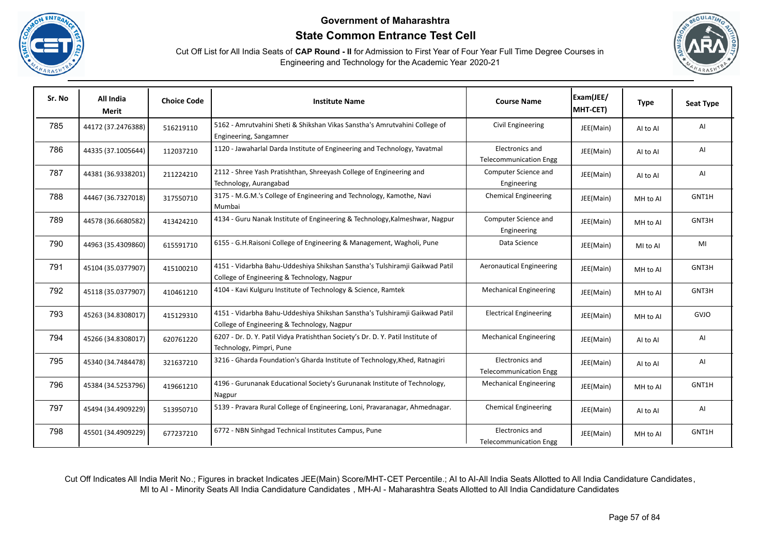





| Sr. No | All India<br>Merit | <b>Choice Code</b> | <b>Institute Name</b>                                                                                                      | <b>Course Name</b>                               | Exam(JEE/<br>MHT-CET) | <b>Type</b> | <b>Seat Type</b> |
|--------|--------------------|--------------------|----------------------------------------------------------------------------------------------------------------------------|--------------------------------------------------|-----------------------|-------------|------------------|
| 785    | 44172 (37.2476388) | 516219110          | 5162 - Amrutvahini Sheti & Shikshan Vikas Sanstha's Amrutvahini College of<br>Engineering, Sangamner                       | Civil Engineering                                | JEE(Main)             | Al to Al    | AI               |
| 786    | 44335 (37.1005644) | 112037210          | 1120 - Jawaharlal Darda Institute of Engineering and Technology, Yavatmal                                                  | Electronics and<br><b>Telecommunication Engg</b> | JEE(Main)             | Al to Al    | AI               |
| 787    | 44381 (36.9338201) | 211224210          | 2112 - Shree Yash Pratishthan, Shreeyash College of Engineering and<br>Technology, Aurangabad                              | Computer Science and<br>Engineering              | JEE(Main)             | Al to Al    | AI               |
| 788    | 44467 (36.7327018) | 317550710          | 3175 - M.G.M.'s College of Engineering and Technology, Kamothe, Navi<br>Mumbai                                             | <b>Chemical Engineering</b>                      | JEE(Main)             | MH to Al    | GNT1H            |
| 789    | 44578 (36.6680582) | 413424210          | 4134 - Guru Nanak Institute of Engineering & Technology, Kalmeshwar, Nagpur                                                | Computer Science and<br>Engineering              | JEE(Main)             | MH to Al    | GNT3H            |
| 790    | 44963 (35.4309860) | 615591710          | 6155 - G.H.Raisoni College of Engineering & Management, Wagholi, Pune                                                      | Data Science                                     | JEE(Main)             | MI to AI    | MI               |
| 791    | 45104 (35.0377907) | 415100210          | 4151 - Vidarbha Bahu-Uddeshiya Shikshan Sanstha's Tulshiramji Gaikwad Patil<br>College of Engineering & Technology, Nagpur | <b>Aeronautical Engineering</b>                  | JEE(Main)             | MH to AI    | GNT3H            |
| 792    | 45118 (35.0377907) | 410461210          | 4104 - Kavi Kulguru Institute of Technology & Science, Ramtek                                                              | <b>Mechanical Engineering</b>                    | JEE(Main)             | MH to Al    | GNT3H            |
| 793    | 45263 (34.8308017) | 415129310          | 4151 - Vidarbha Bahu-Uddeshiya Shikshan Sanstha's Tulshiramji Gaikwad Patil<br>College of Engineering & Technology, Nagpur | <b>Electrical Engineering</b>                    | JEE(Main)             | MH to Al    | <b>GVJO</b>      |
| 794    | 45266 (34.8308017) | 620761220          | 6207 - Dr. D. Y. Patil Vidya Pratishthan Society's Dr. D. Y. Patil Institute of<br>Technology, Pimpri, Pune                | <b>Mechanical Engineering</b>                    | JEE(Main)             | Al to Al    | AI               |
| 795    | 45340 (34.7484478) | 321637210          | 3216 - Gharda Foundation's Gharda Institute of Technology, Khed, Ratnagiri                                                 | Electronics and<br><b>Telecommunication Engg</b> | JEE(Main)             | Al to Al    | AI               |
| 796    | 45384 (34.5253796) | 419661210          | 4196 - Gurunanak Educational Society's Gurunanak Institute of Technology,<br>Nagpur                                        | <b>Mechanical Engineering</b>                    | JEE(Main)             | MH to Al    | GNT1H            |
| 797    | 45494 (34.4909229) | 513950710          | 5139 - Pravara Rural College of Engineering, Loni, Pravaranagar, Ahmednagar.                                               | <b>Chemical Engineering</b>                      | JEE(Main)             | Al to Al    | AI               |
| 798    | 45501 (34.4909229) | 677237210          | 6772 - NBN Sinhgad Technical Institutes Campus, Pune                                                                       | Electronics and<br><b>Telecommunication Engg</b> | JEE(Main)             | MH to Al    | GNT1H            |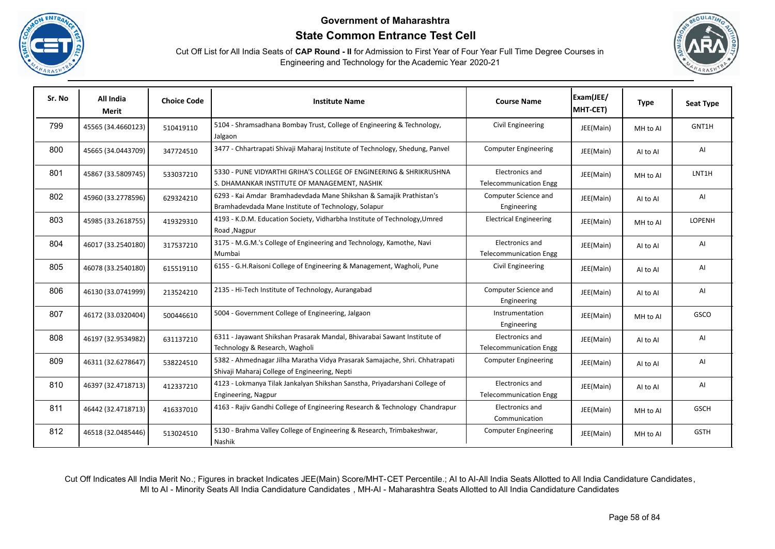





| Sr. No | All India<br><b>Merit</b> | <b>Choice Code</b> | <b>Institute Name</b>                                                                                                        | <b>Course Name</b>                               | Exam(JEE/<br>MHT-CET) | <b>Type</b> | <b>Seat Type</b> |
|--------|---------------------------|--------------------|------------------------------------------------------------------------------------------------------------------------------|--------------------------------------------------|-----------------------|-------------|------------------|
| 799    | 45565 (34.4660123)        | 510419110          | 5104 - Shramsadhana Bombay Trust, College of Engineering & Technology,<br>Jalgaon                                            | Civil Engineering                                | JEE(Main)             | MH to Al    | GNT1H            |
| 800    | 45665 (34.0443709)        | 347724510          | 3477 - Chhartrapati Shivaji Maharaj Institute of Technology, Shedung, Panvel                                                 | <b>Computer Engineering</b>                      | JEE(Main)             | Al to Al    | AI               |
| 801    | 45867 (33.5809745)        | 533037210          | 5330 - PUNE VIDYARTHI GRIHA'S COLLEGE OF ENGINEERING & SHRIKRUSHNA<br>S. DHAMANKAR INSTITUTE OF MANAGEMENT, NASHIK           | Electronics and<br><b>Telecommunication Engg</b> | JEE(Main)             | MH to Al    | LNT1H            |
| 802    | 45960 (33.2778596)        | 629324210          | 6293 - Kai Amdar Bramhadevdada Mane Shikshan & Samajik Prathistan's<br>Bramhadevdada Mane Institute of Technology, Solapur   | Computer Science and<br>Engineering              | JEE(Main)             | AI to AI    | AI               |
| 803    | 45985 (33.2618755)        | 419329310          | 4193 - K.D.M. Education Society, Vidharbha Institute of Technology, Umred<br>Road, Nagpur                                    | <b>Electrical Engineering</b>                    | JEE(Main)             | MH to Al    | LOPENH           |
| 804    | 46017 (33.2540180)        | 317537210          | 3175 - M.G.M.'s College of Engineering and Technology, Kamothe, Navi<br>Mumbai                                               | Electronics and<br><b>Telecommunication Engg</b> | JEE(Main)             | Al to Al    | AI               |
| 805    | 46078 (33.2540180)        | 615519110          | 6155 - G.H.Raisoni College of Engineering & Management, Wagholi, Pune                                                        | Civil Engineering                                | JEE(Main)             | Al to Al    | AI               |
| 806    | 46130 (33.0741999)        | 213524210          | 2135 - Hi-Tech Institute of Technology, Aurangabad                                                                           | Computer Science and<br>Engineering              | JEE(Main)             | AI to AI    | AI               |
| 807    | 46172 (33.0320404)        | 500446610          | 5004 - Government College of Engineering, Jalgaon                                                                            | Instrumentation<br>Engineering                   | JEE(Main)             | MH to Al    | GSCO             |
| 808    | 46197 (32.9534982)        | 631137210          | 6311 - Jayawant Shikshan Prasarak Mandal, Bhivarabai Sawant Institute of<br>Technology & Research, Wagholi                   | Electronics and<br><b>Telecommunication Engg</b> | JEE(Main)             | Al to Al    | AI               |
| 809    | 46311 (32.6278647)        | 538224510          | 5382 - Ahmednagar Jilha Maratha Vidya Prasarak Samajache, Shri. Chhatrapati<br>Shivaji Maharaj College of Engineering, Nepti | <b>Computer Engineering</b>                      | JEE(Main)             | Al to Al    | AI               |
| 810    | 46397 (32.4718713)        | 412337210          | 4123 - Lokmanya Tilak Jankalyan Shikshan Sanstha, Priyadarshani College of<br>Engineering, Nagpur                            | Electronics and<br><b>Telecommunication Engg</b> | JEE(Main)             | AI to AI    | AI               |
| 811    | 46442 (32.4718713)        | 416337010          | 4163 - Rajiv Gandhi College of Engineering Research & Technology Chandrapur                                                  | Electronics and<br>Communication                 | JEE(Main)             | MH to Al    | <b>GSCH</b>      |
| 812    | 46518 (32.0485446)        | 513024510          | 5130 - Brahma Valley College of Engineering & Research, Trimbakeshwar,<br>Nashik                                             | <b>Computer Engineering</b>                      | JEE(Main)             | MH to Al    | <b>GSTH</b>      |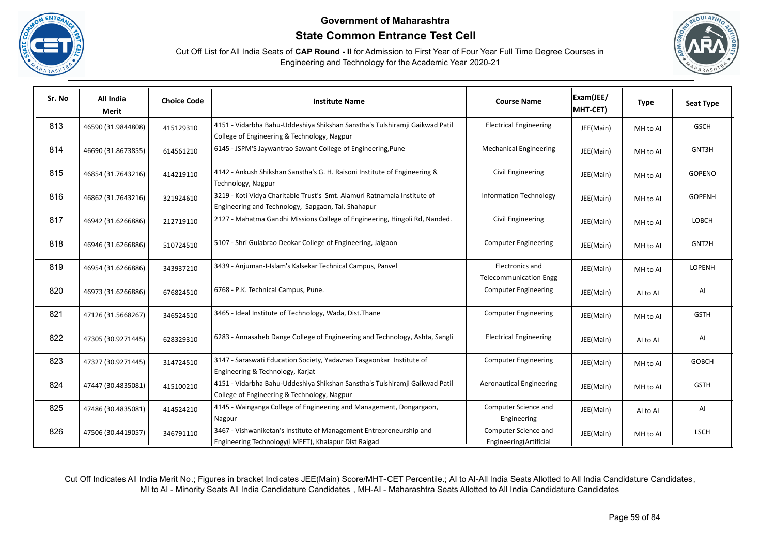





| Sr. No | All India<br><b>Merit</b> | <b>Choice Code</b> | <b>Institute Name</b>                                                                                                          | <b>Course Name</b>                               | Exam(JEE/<br>MHT-CET) | <b>Type</b> | <b>Seat Type</b> |
|--------|---------------------------|--------------------|--------------------------------------------------------------------------------------------------------------------------------|--------------------------------------------------|-----------------------|-------------|------------------|
| 813    | 46590 (31.9844808)        | 415129310          | 4151 - Vidarbha Bahu-Uddeshiya Shikshan Sanstha's Tulshiramji Gaikwad Patil<br>College of Engineering & Technology, Nagpur     | <b>Electrical Engineering</b>                    | JEE(Main)             | MH to Al    | <b>GSCH</b>      |
| 814    | 46690 (31.8673855)        | 614561210          | 6145 - JSPM'S Jaywantrao Sawant College of Engineering, Pune                                                                   | <b>Mechanical Engineering</b>                    | JEE(Main)             | MH to Al    | GNT3H            |
| 815    | 46854 (31.7643216)        | 414219110          | 4142 - Ankush Shikshan Sanstha's G. H. Raisoni Institute of Engineering &<br>Technology, Nagpur                                | Civil Engineering                                | JEE(Main)             | MH to Al    | GOPENO           |
| 816    | 46862 (31.7643216)        | 321924610          | 3219 - Koti Vidya Charitable Trust's Smt. Alamuri Ratnamala Institute of<br>Engineering and Technology, Sapgaon, Tal. Shahapur | <b>Information Technology</b>                    | JEE(Main)             | MH to Al    | GOPENH           |
| 817    | 46942 (31.6266886)        | 212719110          | 2127 - Mahatma Gandhi Missions College of Engineering, Hingoli Rd, Nanded.                                                     | Civil Engineering                                | JEE(Main)             | MH to Al    | <b>LOBCH</b>     |
| 818    | 46946 (31.6266886)        | 510724510          | 5107 - Shri Gulabrao Deokar College of Engineering, Jalgaon                                                                    | <b>Computer Engineering</b>                      | JEE(Main)             | MH to Al    | GNT2H            |
| 819    | 46954 (31.6266886)        | 343937210          | 3439 - Anjuman-I-Islam's Kalsekar Technical Campus, Panvel                                                                     | Electronics and<br><b>Telecommunication Engg</b> | JEE(Main)             | MH to Al    | LOPENH           |
| 820    | 46973 (31.6266886)        | 676824510          | 6768 - P.K. Technical Campus, Pune.                                                                                            | <b>Computer Engineering</b>                      | JEE(Main)             | AI to AI    | AI               |
| 821    | 47126 (31.5668267)        | 346524510          | 3465 - Ideal Institute of Technology, Wada, Dist. Thane                                                                        | <b>Computer Engineering</b>                      | JEE(Main)             | MH to Al    | <b>GSTH</b>      |
| 822    | 47305 (30.9271445)        | 628329310          | 6283 - Annasaheb Dange College of Engineering and Technology, Ashta, Sangli                                                    | <b>Electrical Engineering</b>                    | JEE(Main)             | Al to Al    | AI               |
| 823    | 47327 (30.9271445)        | 314724510          | 3147 - Saraswati Education Society, Yadavrao Tasgaonkar Institute of<br>Engineering & Technology, Karjat                       | <b>Computer Engineering</b>                      | JEE(Main)             | MH to Al    | <b>GOBCH</b>     |
| 824    | 47447 (30.4835081)        | 415100210          | 4151 - Vidarbha Bahu-Uddeshiya Shikshan Sanstha's Tulshiramji Gaikwad Patil<br>College of Engineering & Technology, Nagpur     | <b>Aeronautical Engineering</b>                  | JEE(Main)             | MH to Al    | <b>GSTH</b>      |
| 825    | 47486 (30.4835081)        | 414524210          | 4145 - Wainganga College of Engineering and Management, Dongargaon,<br>Nagpur                                                  | Computer Science and<br>Engineering              | JEE(Main)             | AI to AI    | AI               |
| 826    | 47506 (30.4419057)        | 346791110          | 3467 - Vishwaniketan's Institute of Management Entrepreneurship and<br>Engineering Technology(i MEET), Khalapur Dist Raigad    | Computer Science and<br>Engineering(Artificial   | JEE(Main)             | MH to Al    | <b>LSCH</b>      |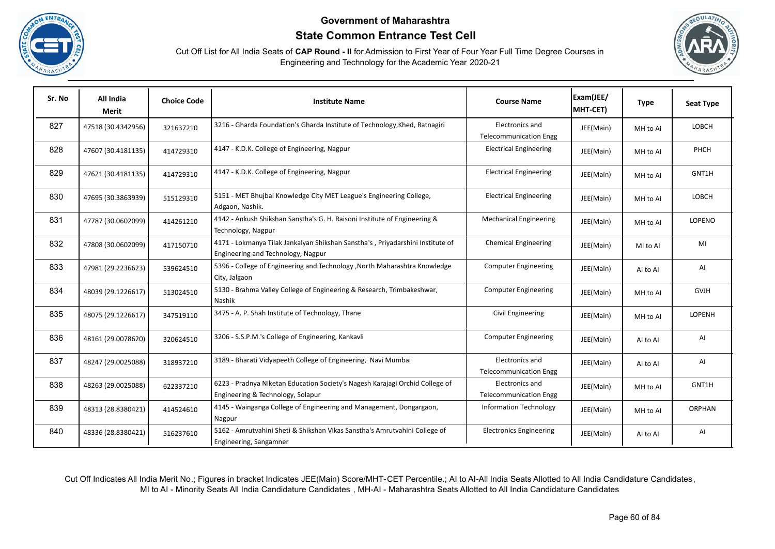





| Sr. No | All India<br>Merit | <b>Choice Code</b> | <b>Institute Name</b>                                                                                                | <b>Course Name</b>                               | Exam(JEE/<br>MHT-CET) | <b>Type</b> | <b>Seat Type</b> |
|--------|--------------------|--------------------|----------------------------------------------------------------------------------------------------------------------|--------------------------------------------------|-----------------------|-------------|------------------|
| 827    | 47518 (30.4342956) | 321637210          | 3216 - Gharda Foundation's Gharda Institute of Technology, Khed, Ratnagiri                                           | Electronics and<br><b>Telecommunication Engg</b> | JEE(Main)             | MH to Al    | LOBCH            |
| 828    | 47607 (30.4181135) | 414729310          | 4147 - K.D.K. College of Engineering, Nagpur                                                                         | <b>Electrical Engineering</b>                    | JEE(Main)             | MH to Al    | PHCH             |
| 829    | 47621 (30.4181135) | 414729310          | 4147 - K.D.K. College of Engineering, Nagpur                                                                         | <b>Electrical Engineering</b>                    | JEE(Main)             | MH to Al    | GNT1H            |
| 830    | 47695 (30.3863939) | 515129310          | 5151 - MET Bhujbal Knowledge City MET League's Engineering College,<br>Adgaon, Nashik.                               | <b>Electrical Engineering</b>                    | JEE(Main)             | MH to Al    | LOBCH            |
| 831    | 47787 (30.0602099) | 414261210          | 4142 - Ankush Shikshan Sanstha's G. H. Raisoni Institute of Engineering &<br>Technology, Nagpur                      | <b>Mechanical Engineering</b>                    | JEE(Main)             | MH to Al    | <b>LOPENO</b>    |
| 832    | 47808 (30.0602099) | 417150710          | 4171 - Lokmanya Tilak Jankalyan Shikshan Sanstha's, Priyadarshini Institute of<br>Engineering and Technology, Nagpur | <b>Chemical Engineering</b>                      | JEE(Main)             | MI to AI    | MI               |
| 833    | 47981 (29.2236623) | 539624510          | 5396 - College of Engineering and Technology , North Maharashtra Knowledge<br>City, Jalgaon                          | <b>Computer Engineering</b>                      | JEE(Main)             | Al to Al    | AI               |
| 834    | 48039 (29.1226617) | 513024510          | 5130 - Brahma Valley College of Engineering & Research, Trimbakeshwar,<br>Nashik                                     | <b>Computer Engineering</b>                      | JEE(Main)             | MH to AI    | <b>GVJH</b>      |
| 835    | 48075 (29.1226617) | 347519110          | 3475 - A. P. Shah Institute of Technology, Thane                                                                     | Civil Engineering                                | JEE(Main)             | MH to Al    | LOPENH           |
| 836    | 48161 (29.0078620) | 320624510          | 3206 - S.S.P.M.'s College of Engineering, Kankavli                                                                   | <b>Computer Engineering</b>                      | JEE(Main)             | Al to Al    | AI               |
| 837    | 48247 (29.0025088) | 318937210          | 3189 - Bharati Vidyapeeth College of Engineering, Navi Mumbai                                                        | Electronics and<br><b>Telecommunication Engg</b> | JEE(Main)             | AI to AI    | AI               |
| 838    | 48263 (29.0025088) | 622337210          | 6223 - Pradnya Niketan Education Society's Nagesh Karajagi Orchid College of<br>Engineering & Technology, Solapur    | Electronics and<br><b>Telecommunication Engg</b> | JEE(Main)             | MH to Al    | GNT1H            |
| 839    | 48313 (28.8380421) | 414524610          | 4145 - Wainganga College of Engineering and Management, Dongargaon,<br>Nagpur                                        | <b>Information Technology</b>                    | JEE(Main)             | MH to Al    | <b>ORPHAN</b>    |
| 840    | 48336 (28.8380421) | 516237610          | 5162 - Amrutvahini Sheti & Shikshan Vikas Sanstha's Amrutvahini College of<br>Engineering, Sangamner                 | <b>Electronics Engineering</b>                   | JEE(Main)             | Al to Al    | AI               |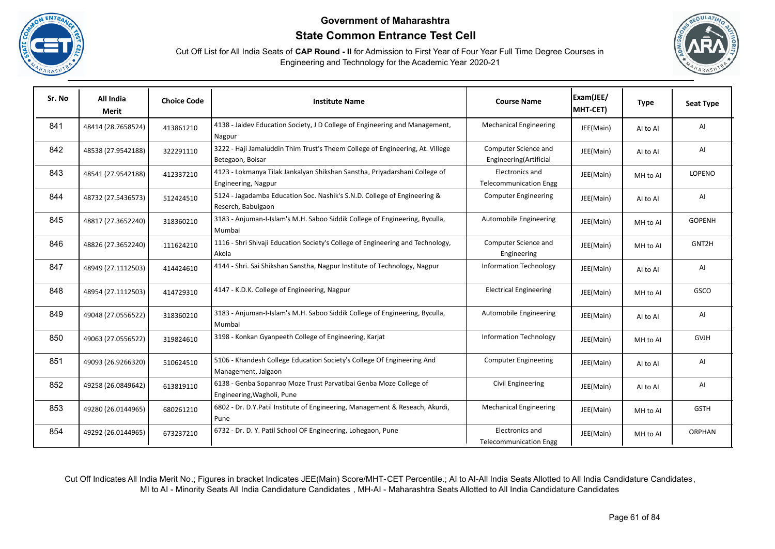





| Sr. No | All India<br>Merit | <b>Choice Code</b> | <b>Institute Name</b>                                                                             | <b>Course Name</b>                               | Exam(JEE/<br>MHT-CET) | <b>Type</b> | <b>Seat Type</b> |
|--------|--------------------|--------------------|---------------------------------------------------------------------------------------------------|--------------------------------------------------|-----------------------|-------------|------------------|
| 841    | 48414 (28.7658524) | 413861210          | 4138 - Jaidev Education Society, J D College of Engineering and Management,<br>Nagpur             | <b>Mechanical Engineering</b>                    | JEE(Main)             | Al to Al    | AI               |
| 842    | 48538 (27.9542188) | 322291110          | 3222 - Haji Jamaluddin Thim Trust's Theem College of Engineering, At. Villege<br>Betegaon, Boisar | Computer Science and<br>Engineering(Artificial   | JEE(Main)             | Al to Al    | AI               |
| 843    | 48541 (27.9542188) | 412337210          | 4123 - Lokmanya Tilak Jankalyan Shikshan Sanstha, Priyadarshani College of<br>Engineering, Nagpur | Electronics and<br><b>Telecommunication Engg</b> | JEE(Main)             | MH to Al    | LOPENO           |
| 844    | 48732 (27.5436573) | 512424510          | 5124 - Jagadamba Education Soc. Nashik's S.N.D. College of Engineering &<br>Reserch, Babulgaon    | <b>Computer Engineering</b>                      | JEE(Main)             | Al to Al    | AI               |
| 845    | 48817 (27.3652240) | 318360210          | 3183 - Anjuman-I-Islam's M.H. Saboo Siddik College of Engineering, Byculla,<br>Mumbai             | Automobile Engineering                           | JEE(Main)             | MH to Al    | <b>GOPENH</b>    |
| 846    | 48826 (27.3652240) | 111624210          | 1116 - Shri Shivaji Education Society's College of Engineering and Technology,<br>Akola           | Computer Science and<br>Engineering              | JEE(Main)             | MH to AI    | GNT2H            |
| 847    | 48949 (27.1112503) | 414424610          | 4144 - Shri. Sai Shikshan Sanstha, Nagpur Institute of Technology, Nagpur                         | <b>Information Technology</b>                    | JEE(Main)             | AI to AI    | AI               |
| 848    | 48954 (27.1112503) | 414729310          | 4147 - K.D.K. College of Engineering, Nagpur                                                      | <b>Electrical Engineering</b>                    | JEE(Main)             | MH to Al    | GSCO             |
| 849    | 49048 (27.0556522) | 318360210          | 3183 - Anjuman-I-Islam's M.H. Saboo Siddik College of Engineering, Byculla,<br>Mumbai             | Automobile Engineering                           | JEE(Main)             | Al to Al    | AI               |
| 850    | 49063 (27.0556522) | 319824610          | 3198 - Konkan Gyanpeeth College of Engineering, Karjat                                            | Information Technology                           | JEE(Main)             | MH to Al    | <b>GVJH</b>      |
| 851    | 49093 (26.9266320) | 510624510          | 5106 - Khandesh College Education Society's College Of Engineering And<br>Management, Jalgaon     | <b>Computer Engineering</b>                      | JEE(Main)             | Al to Al    | AI               |
| 852    | 49258 (26.0849642) | 613819110          | 6138 - Genba Sopanrao Moze Trust Parvatibai Genba Moze College of<br>Engineering, Wagholi, Pune   | Civil Engineering                                | JEE(Main)             | Al to Al    | AI               |
| 853    | 49280 (26.0144965) | 680261210          | 6802 - Dr. D.Y.Patil Institute of Engineering, Management & Reseach, Akurdi,<br>Pune              | <b>Mechanical Engineering</b>                    | JEE(Main)             | MH to Al    | <b>GSTH</b>      |
| 854    | 49292 (26.0144965) | 673237210          | 6732 - Dr. D. Y. Patil School OF Engineering, Lohegaon, Pune                                      | Electronics and<br><b>Telecommunication Engg</b> | JEE(Main)             | MH to Al    | <b>ORPHAN</b>    |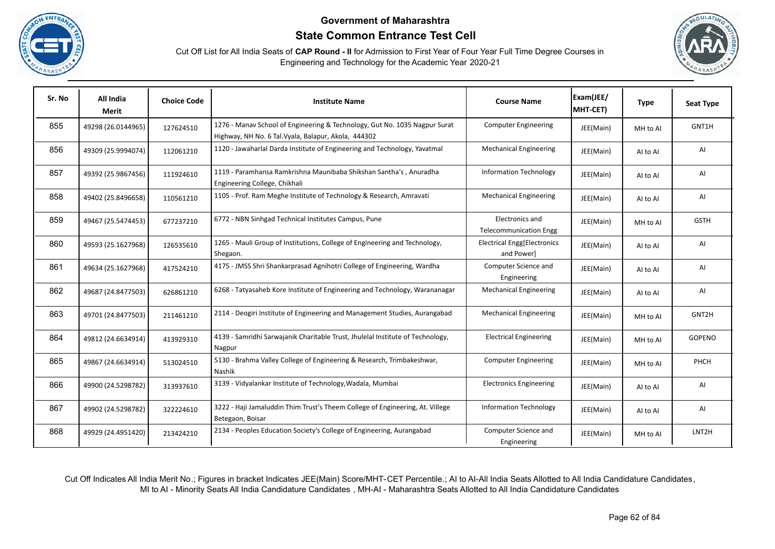





| Sr. No | All India<br>Merit | <b>Choice Code</b> | <b>Institute Name</b>                                                                                                              | <b>Course Name</b>                               | Exam(JEE/<br>MHT-CET) | <b>Type</b> | <b>Seat Type</b>   |
|--------|--------------------|--------------------|------------------------------------------------------------------------------------------------------------------------------------|--------------------------------------------------|-----------------------|-------------|--------------------|
| 855    | 49298 (26.0144965) | 127624510          | 1276 - Manav School of Engineering & Technology, Gut No. 1035 Nagpur Surat<br>Highway, NH No. 6 Tal. Vyala, Balapur, Akola, 444302 | <b>Computer Engineering</b>                      | JEE(Main)             | MH to Al    | GNT1H              |
| 856    | 49309 (25.9994074) | 112061210          | 1120 - Jawaharlal Darda Institute of Engineering and Technology, Yavatmal                                                          | <b>Mechanical Engineering</b>                    | JEE(Main)             | Al to Al    | AI                 |
| 857    | 49392 (25.9867456) | 111924610          | 1119 - Paramhansa Ramkrishna Maunibaba Shikshan Santha's, Anuradha<br>Engineering College, Chikhali                                | <b>Information Technology</b>                    | JEE(Main)             | Al to Al    | AI                 |
| 858    | 49402 (25.8496658) | 110561210          | 1105 - Prof. Ram Meghe Institute of Technology & Research, Amravati                                                                | <b>Mechanical Engineering</b>                    | JEE(Main)             | Al to Al    | AI                 |
| 859    | 49467 (25.5474453) | 677237210          | 6772 - NBN Sinhgad Technical Institutes Campus, Pune                                                                               | Electronics and<br><b>Telecommunication Engg</b> | JEE(Main)             | MH to Al    | <b>GSTH</b>        |
| 860    | 49593 (25.1627968) | 126535610          | 1265 - Mauli Group of Institutions, College of Engineering and Technology,<br>Shegaon.                                             | Electrical Engg[Electronics<br>and Power]        | JEE(Main)             | Al to Al    | AI                 |
| 861    | 49634 (25.1627968) | 417524210          | 4175 - JMSS Shri Shankarprasad Agnihotri College of Engineering, Wardha                                                            | Computer Science and<br>Engineering              | JEE(Main)             | Al to Al    | AI                 |
| 862    | 49687 (24.8477503) | 626861210          | 6268 - Tatyasaheb Kore Institute of Engineering and Technology, Warananagar                                                        | <b>Mechanical Engineering</b>                    | JEE(Main)             | Al to Al    | AI                 |
| 863    | 49701 (24.8477503) | 211461210          | 2114 - Deogiri Institute of Engineering and Management Studies, Aurangabad                                                         | <b>Mechanical Engineering</b>                    | JEE(Main)             | MH to Al    | GNT2H              |
| 864    | 49812 (24.6634914) | 413929310          | 4139 - Samridhi Sarwajanik Charitable Trust, Jhulelal Institute of Technology,<br>Nagpur                                           | <b>Electrical Engineering</b>                    | JEE(Main)             | MH to Al    | <b>GOPENO</b>      |
| 865    | 49867 (24.6634914) | 513024510          | 5130 - Brahma Valley College of Engineering & Research, Trimbakeshwar,<br>Nashik                                                   | <b>Computer Engineering</b>                      | JEE(Main)             | MH to Al    | PHCH               |
| 866    | 49900 (24.5298782) | 313937610          | 3139 - Vidyalankar Institute of Technology, Wadala, Mumbai                                                                         | <b>Electronics Engineering</b>                   | JEE(Main)             | Al to Al    | AI                 |
| 867    | 49902 (24.5298782) | 322224610          | 3222 - Haji Jamaluddin Thim Trust's Theem College of Engineering, At. Villege<br>Betegaon, Boisar                                  | <b>Information Technology</b>                    | JEE(Main)             | Al to Al    | AI                 |
| 868    | 49929 (24.4951420) | 213424210          | 2134 - Peoples Education Society's College of Engineering, Aurangabad                                                              | Computer Science and<br>Engineering              | JEE(Main)             | MH to Al    | LNT <sub>2</sub> H |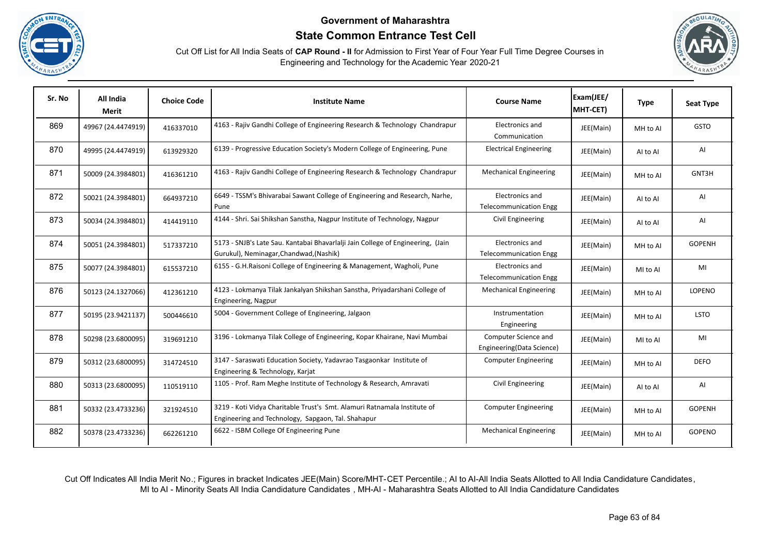





| Sr. No | All India<br>Merit | <b>Choice Code</b> | <b>Institute Name</b>                                                                                                          | <b>Course Name</b>                                | Exam(JEE/<br>MHT-CET) | <b>Type</b> | <b>Seat Type</b> |
|--------|--------------------|--------------------|--------------------------------------------------------------------------------------------------------------------------------|---------------------------------------------------|-----------------------|-------------|------------------|
| 869    | 49967 (24.4474919) | 416337010          | 4163 - Rajiv Gandhi College of Engineering Research & Technology Chandrapur                                                    | Electronics and<br>Communication                  | JEE(Main)             | MH to Al    | <b>GSTO</b>      |
| 870    | 49995 (24.4474919) | 613929320          | 6139 - Progressive Education Society's Modern College of Engineering, Pune                                                     | <b>Electrical Engineering</b>                     | JEE(Main)             | AI to AI    | AI               |
| 871    | 50009 (24.3984801) | 416361210          | 4163 - Rajiv Gandhi College of Engineering Research & Technology Chandrapur                                                    | <b>Mechanical Engineering</b>                     | JEE(Main)             | MH to Al    | GNT3H            |
| 872    | 50021 (24.3984801) | 664937210          | 6649 - TSSM's Bhivarabai Sawant College of Engineering and Research, Narhe,<br>Pune                                            | Electronics and<br><b>Telecommunication Engg</b>  | JEE(Main)             | AI to AI    | AI               |
| 873    | 50034 (24.3984801) | 414419110          | 4144 - Shri. Sai Shikshan Sanstha, Nagpur Institute of Technology, Nagpur                                                      | Civil Engineering                                 | JEE(Main)             | AI to AI    | AI               |
| 874    | 50051 (24.3984801) | 517337210          | 5173 - SNJB's Late Sau. Kantabai Bhavarlalji Jain College of Engineering, (Jain<br>Gurukul), Neminagar, Chandwad, (Nashik)     | Electronics and<br><b>Telecommunication Engg</b>  | JEE(Main)             | MH to Al    | <b>GOPENH</b>    |
| 875    | 50077 (24.3984801) | 615537210          | 6155 - G.H.Raisoni College of Engineering & Management, Wagholi, Pune                                                          | Electronics and<br><b>Telecommunication Engg</b>  | JEE(Main)             | MI to AI    | MI               |
| 876    | 50123 (24.1327066) | 412361210          | 4123 - Lokmanya Tilak Jankalyan Shikshan Sanstha, Priyadarshani College of<br>Engineering, Nagpur                              | <b>Mechanical Engineering</b>                     | JEE(Main)             | MH to Al    | LOPENO           |
| 877    | 50195 (23.9421137) | 500446610          | 5004 - Government College of Engineering, Jalgaon                                                                              | Instrumentation<br>Engineering                    | JEE(Main)             | MH to Al    | <b>LSTO</b>      |
| 878    | 50298 (23.6800095) | 319691210          | 3196 - Lokmanya Tilak College of Engineering, Kopar Khairane, Navi Mumbai                                                      | Computer Science and<br>Engineering(Data Science) | JEE(Main)             | MI to AI    | MI               |
| 879    | 50312 (23.6800095) | 314724510          | 3147 - Saraswati Education Society, Yadavrao Tasgaonkar Institute of<br>Engineering & Technology, Karjat                       | <b>Computer Engineering</b>                       | JEE(Main)             | MH to Al    | <b>DEFO</b>      |
| 880    | 50313 (23.6800095) | 110519110          | 1105 - Prof. Ram Meghe Institute of Technology & Research, Amravati                                                            | Civil Engineering                                 | JEE(Main)             | Al to Al    | AI               |
| 881    | 50332 (23.4733236) | 321924510          | 3219 - Koti Vidya Charitable Trust's Smt. Alamuri Ratnamala Institute of<br>Engineering and Technology, Sapgaon, Tal. Shahapur | <b>Computer Engineering</b>                       | JEE(Main)             | MH to Al    | <b>GOPENH</b>    |
| 882    | 50378 (23.4733236) | 662261210          | 6622 - ISBM College Of Engineering Pune                                                                                        | <b>Mechanical Engineering</b>                     | JEE(Main)             | MH to Al    | <b>GOPENO</b>    |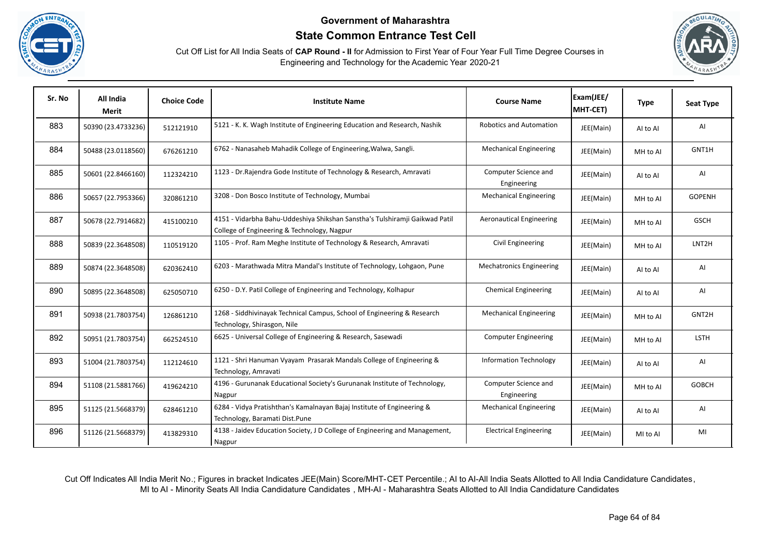





| Sr. No | All India<br><b>Merit</b> | <b>Choice Code</b> | <b>Institute Name</b>                                                                                                      | <b>Course Name</b>                  | Exam(JEE/<br>MHT-CET) | <b>Type</b> | <b>Seat Type</b>   |
|--------|---------------------------|--------------------|----------------------------------------------------------------------------------------------------------------------------|-------------------------------------|-----------------------|-------------|--------------------|
| 883    | 50390 (23.4733236)        | 512121910          | 5121 - K. K. Wagh Institute of Engineering Education and Research, Nashik                                                  | <b>Robotics and Automation</b>      | JEE(Main)             | Al to Al    | AI                 |
| 884    | 50488 (23.0118560)        | 676261210          | 6762 - Nanasaheb Mahadik College of Engineering, Walwa, Sangli.                                                            | <b>Mechanical Engineering</b>       | JEE(Main)             | MH to Al    | GNT1H              |
| 885    | 50601 (22.8466160)        | 112324210          | 1123 - Dr. Rajendra Gode Institute of Technology & Research, Amravati                                                      | Computer Science and<br>Engineering | JEE(Main)             | Al to Al    | AI                 |
| 886    | 50657 (22.7953366)        | 320861210          | 3208 - Don Bosco Institute of Technology, Mumbai                                                                           | <b>Mechanical Engineering</b>       | JEE(Main)             | MH to Al    | <b>GOPENH</b>      |
| 887    | 50678 (22.7914682)        | 415100210          | 4151 - Vidarbha Bahu-Uddeshiya Shikshan Sanstha's Tulshiramji Gaikwad Patil<br>College of Engineering & Technology, Nagpur | <b>Aeronautical Engineering</b>     | JEE(Main)             | MH to Al    | <b>GSCH</b>        |
| 888    | 50839 (22.3648508)        | 110519120          | 1105 - Prof. Ram Meghe Institute of Technology & Research, Amravati                                                        | Civil Engineering                   | JEE(Main)             | MH to Al    | LNT <sub>2</sub> H |
| 889    | 50874 (22.3648508)        | 620362410          | 6203 - Marathwada Mitra Mandal's Institute of Technology, Lohgaon, Pune                                                    | <b>Mechatronics Engineering</b>     | JEE(Main)             | AI to AI    | AI                 |
| 890    | 50895 (22.3648508)        | 625050710          | 6250 - D.Y. Patil College of Engineering and Technology, Kolhapur                                                          | <b>Chemical Engineering</b>         | JEE(Main)             | AI to AI    | AI                 |
| 891    | 50938 (21.7803754)        | 126861210          | 1268 - Siddhivinayak Technical Campus, School of Engineering & Research<br>Technology, Shirasgon, Nile                     | <b>Mechanical Engineering</b>       | JEE(Main)             | MH to Al    | GNT2H              |
| 892    | 50951 (21.7803754)        | 662524510          | 6625 - Universal College of Engineering & Research, Sasewadi                                                               | <b>Computer Engineering</b>         | JEE(Main)             | MH to Al    | <b>LSTH</b>        |
| 893    | 51004 (21.7803754)        | 112124610          | 1121 - Shri Hanuman Vyayam Prasarak Mandals College of Engineering &<br>Technology, Amravati                               | <b>Information Technology</b>       | JEE(Main)             | AI to AI    | AI                 |
| 894    | 51108 (21.5881766)        | 419624210          | 4196 - Gurunanak Educational Society's Gurunanak Institute of Technology,<br>Nagpur                                        | Computer Science and<br>Engineering | JEE(Main)             | MH to Al    | <b>GOBCH</b>       |
| 895    | 51125 (21.5668379)        | 628461210          | 6284 - Vidya Pratishthan's Kamalnayan Bajaj Institute of Engineering &<br>Technology, Baramati Dist.Pune                   | <b>Mechanical Engineering</b>       | JEE(Main)             | AI to AI    | AI                 |
| 896    | 51126 (21.5668379)        | 413829310          | 4138 - Jaidev Education Society, J D College of Engineering and Management,<br>Nagpur                                      | <b>Electrical Engineering</b>       | JEE(Main)             | MI to AI    | MI                 |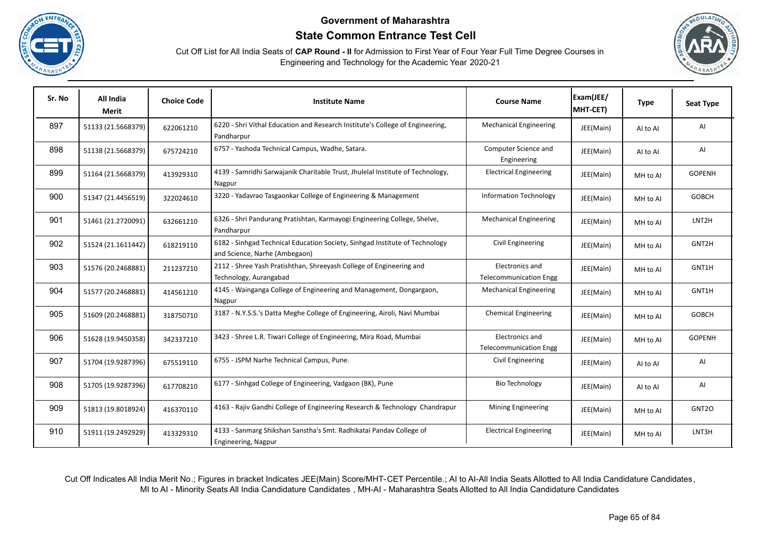





| Sr. No | All India<br>Merit | <b>Choice Code</b> | <b>Institute Name</b>                                                                                        | <b>Course Name</b>                               | Exam(JEE/<br>MHT-CET) | <b>Type</b> | <b>Seat Type</b>   |
|--------|--------------------|--------------------|--------------------------------------------------------------------------------------------------------------|--------------------------------------------------|-----------------------|-------------|--------------------|
| 897    | 51133 (21.5668379) | 622061210          | 6220 - Shri Vithal Education and Research Institute's College of Engineering,<br>Pandharpur                  | <b>Mechanical Engineering</b>                    | JEE(Main)             | AI to AI    | AI                 |
| 898    | 51138 (21.5668379) | 675724210          | 6757 - Yashoda Technical Campus, Wadhe, Satara.                                                              | Computer Science and<br>Engineering              | JEE(Main)             | AI to AI    | AI                 |
| 899    | 51164 (21.5668379) | 413929310          | 4139 - Samridhi Sarwajanik Charitable Trust, Jhulelal Institute of Technology,<br>Nagpur                     | <b>Electrical Engineering</b>                    | JEE(Main)             | MH to Al    | <b>GOPENH</b>      |
| 900    | 51347 (21.4456519) | 322024610          | 3220 - Yadavrao Tasgaonkar College of Engineering & Management                                               | <b>Information Technology</b>                    | JEE(Main)             | MH to Al    | <b>GOBCH</b>       |
| 901    | 51461 (21.2720091) | 632661210          | 6326 - Shri Pandurang Pratishtan, Karmayogi Engineering College, Shelve,<br>Pandharpur                       | <b>Mechanical Engineering</b>                    | JEE(Main)             | MH to Al    | LNT <sub>2</sub> H |
| 902    | 51524 (21.1611442) | 618219110          | 6182 - Sinhgad Technical Education Society, Sinhgad Institute of Technology<br>and Science, Narhe (Ambegaon) | Civil Engineering                                | JEE(Main)             | MH to Al    | GNT2H              |
| 903    | 51576 (20.2468881) | 211237210          | 2112 - Shree Yash Pratishthan, Shreeyash College of Engineering and<br>Technology, Aurangabad                | Electronics and<br><b>Telecommunication Engg</b> | JEE(Main)             | MH to Al    | GNT1H              |
| 904    | 51577 (20.2468881) | 414561210          | 4145 - Wainganga College of Engineering and Management, Dongargaon,<br>Nagpur                                | <b>Mechanical Engineering</b>                    | JEE(Main)             | MH to AI    | GNT1H              |
| 905    | 51609 (20.2468881) | 318750710          | 3187 - N.Y.S.S.'s Datta Meghe College of Engineering, Airoli, Navi Mumbai                                    | <b>Chemical Engineering</b>                      | JEE(Main)             | MH to Al    | <b>GOBCH</b>       |
| 906    | 51628 (19.9450358) | 342337210          | 3423 - Shree L.R. Tiwari College of Engineering, Mira Road, Mumbai                                           | Electronics and<br><b>Telecommunication Engg</b> | JEE(Main)             | MH to AI    | <b>GOPENH</b>      |
| 907    | 51704 (19.9287396) | 675519110          | 6755 - JSPM Narhe Technical Campus, Pune.                                                                    | Civil Engineering                                | JEE(Main)             | Al to Al    | Al                 |
| 908    | 51705 (19.9287396) | 617708210          | 6177 - Sinhgad College of Engineering, Vadgaon (BK), Pune                                                    | <b>Bio Technology</b>                            | JEE(Main)             | Al to Al    | AI                 |
| 909    | 51813 (19.8018924) | 416370110          | 4163 - Rajiv Gandhi College of Engineering Research & Technology Chandrapur                                  | Mining Engineering                               | JEE(Main)             | MH to Al    | GNT <sub>20</sub>  |
| 910    | 51911 (19.2492929) | 413329310          | 4133 - Sanmarg Shikshan Sanstha's Smt. Radhikatai Pandav College of<br>Engineering, Nagpur                   | <b>Electrical Engineering</b>                    | JEE(Main)             | MH to Al    | LNT3H              |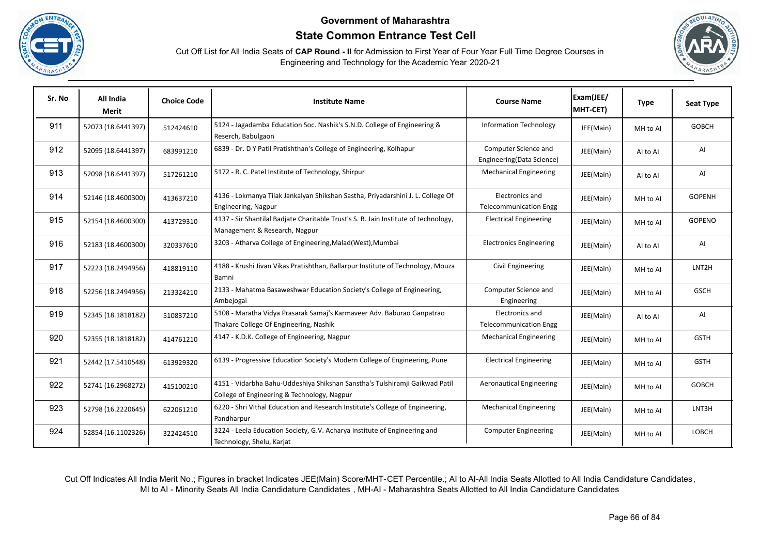





| Sr. No | All India<br>Merit | <b>Choice Code</b> | <b>Institute Name</b>                                                                                                      | <b>Course Name</b>                                | Exam(JEE/<br>MHT-CET) | <b>Type</b> | <b>Seat Type</b>   |
|--------|--------------------|--------------------|----------------------------------------------------------------------------------------------------------------------------|---------------------------------------------------|-----------------------|-------------|--------------------|
| 911    | 52073 (18.6441397) | 512424610          | 5124 - Jagadamba Education Soc. Nashik's S.N.D. College of Engineering &<br>Reserch, Babulgaon                             | <b>Information Technology</b>                     | JEE(Main)             | MH to Al    | <b>GOBCH</b>       |
| 912    | 52095 (18.6441397) | 683991210          | 6839 - Dr. D Y Patil Pratishthan's College of Engineering, Kolhapur                                                        | Computer Science and<br>Engineering(Data Science) | JEE(Main)             | Al to Al    | AI                 |
| 913    | 52098 (18.6441397) | 517261210          | 5172 - R. C. Patel Institute of Technology, Shirpur                                                                        | <b>Mechanical Engineering</b>                     | JEE(Main)             | AI to AI    | AI                 |
| 914    | 52146 (18.4600300) | 413637210          | 4136 - Lokmanya Tilak Jankalyan Shikshan Sastha, Priyadarshini J. L. College Of<br>Engineering, Nagpur                     | Electronics and<br><b>Telecommunication Engg</b>  | JEE(Main)             | MH to Al    | <b>GOPENH</b>      |
| 915    | 52154 (18.4600300) | 413729310          | 4137 - Sir Shantilal Badjate Charitable Trust's S. B. Jain Institute of technology,<br>Management & Research, Nagpur       | <b>Electrical Engineering</b>                     | JEE(Main)             | MH to Al    | GOPENO             |
| 916    | 52183 (18.4600300) | 320337610          | 3203 - Atharva College of Engineering, Malad (West), Mumbai                                                                | <b>Electronics Engineering</b>                    | JEE(Main)             | AI to AI    | AI                 |
| 917    | 52223 (18.2494956) | 418819110          | 4188 - Krushi Jivan Vikas Pratishthan, Ballarpur Institute of Technology, Mouza<br>Bamni                                   | Civil Engineering                                 | JEE(Main)             | MH to AI    | LNT <sub>2</sub> H |
| 918    | 52256 (18.2494956) | 213324210          | 2133 - Mahatma Basaweshwar Education Society's College of Engineering,<br>Ambejogai                                        | Computer Science and<br>Engineering               | JEE(Main)             | MH to AI    | <b>GSCH</b>        |
| 919    | 52345 (18.1818182) | 510837210          | 5108 - Maratha Vidya Prasarak Samaj's Karmaveer Adv. Baburao Ganpatrao<br>Thakare College Of Engineering, Nashik           | Electronics and<br><b>Telecommunication Engg</b>  | JEE(Main)             | Al to Al    | AI                 |
| 920    | 52355 (18.1818182) | 414761210          | 4147 - K.D.K. College of Engineering, Nagpur                                                                               | <b>Mechanical Engineering</b>                     | JEE(Main)             | MH to Al    | <b>GSTH</b>        |
| 921    | 52442 (17.5410548) | 613929320          | 6139 - Progressive Education Society's Modern College of Engineering, Pune                                                 | <b>Electrical Engineering</b>                     | JEE(Main)             | MH to Al    | <b>GSTH</b>        |
| 922    | 52741 (16.2968272) | 415100210          | 4151 - Vidarbha Bahu-Uddeshiya Shikshan Sanstha's Tulshiramji Gaikwad Patil<br>College of Engineering & Technology, Nagpur | Aeronautical Engineering                          | JEE(Main)             | MH to Al    | <b>GOBCH</b>       |
| 923    | 52798 (16.2220645) | 622061210          | 6220 - Shri Vithal Education and Research Institute's College of Engineering,<br>Pandharpur                                | <b>Mechanical Engineering</b>                     | JEE(Main)             | MH to Al    | LNT3H              |
| 924    | 52854 (16.1102326) | 322424510          | 3224 - Leela Education Society, G.V. Acharya Institute of Engineering and<br>Technology, Shelu, Karjat                     | <b>Computer Engineering</b>                       | JEE(Main)             | MH to Al    | <b>LOBCH</b>       |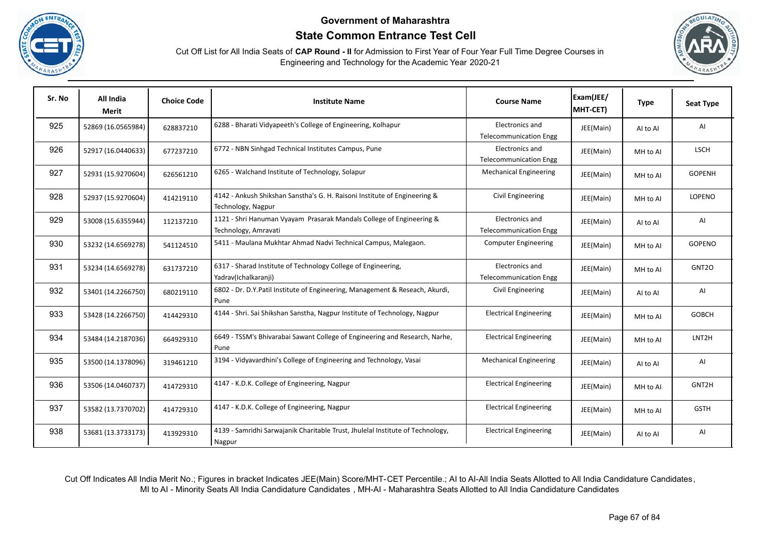





| Sr. No | All India<br><b>Merit</b> | <b>Choice Code</b> | <b>Institute Name</b>                                                                           | <b>Course Name</b>                               | Exam(JEE/<br>MHT-CET) | <b>Type</b> | <b>Seat Type</b>   |
|--------|---------------------------|--------------------|-------------------------------------------------------------------------------------------------|--------------------------------------------------|-----------------------|-------------|--------------------|
| 925    | 52869 (16.0565984)        | 628837210          | 6288 - Bharati Vidyapeeth's College of Engineering, Kolhapur                                    | Electronics and<br><b>Telecommunication Engg</b> | JEE(Main)             | AI to AI    | AI                 |
| 926    | 52917 (16.0440633)        | 677237210          | 6772 - NBN Sinhgad Technical Institutes Campus, Pune                                            | Electronics and<br><b>Telecommunication Engg</b> | JEE(Main)             | MH to Al    | <b>LSCH</b>        |
| 927    | 52931 (15.9270604)        | 626561210          | 6265 - Walchand Institute of Technology, Solapur                                                | <b>Mechanical Engineering</b>                    | JEE(Main)             | MH to AI    | <b>GOPENH</b>      |
| 928    | 52937 (15.9270604)        | 414219110          | 4142 - Ankush Shikshan Sanstha's G. H. Raisoni Institute of Engineering &<br>Technology, Nagpur | Civil Engineering                                | JEE(Main)             | MH to Al    | LOPENO             |
| 929    | 53008 (15.6355944)        | 112137210          | 1121 - Shri Hanuman Vyayam Prasarak Mandals College of Engineering &<br>Technology, Amravati    | Electronics and<br><b>Telecommunication Engg</b> | JEE(Main)             | Al to Al    | AI                 |
| 930    | 53232 (14.6569278)        | 541124510          | 5411 - Maulana Mukhtar Ahmad Nadvi Technical Campus, Malegaon.                                  | <b>Computer Engineering</b>                      | JEE(Main)             | MH to Al    | <b>GOPENO</b>      |
| 931    | 53234 (14.6569278)        | 631737210          | 6317 - Sharad Institute of Technology College of Engineering,<br>Yadrav(Ichalkaranji)           | Electronics and<br><b>Telecommunication Engg</b> | JEE(Main)             | MH to Al    | GNT <sub>20</sub>  |
| 932    | 53401 (14.2266750)        | 680219110          | 6802 - Dr. D.Y.Patil Institute of Engineering, Management & Reseach, Akurdi,<br>Pune            | Civil Engineering                                | JEE(Main)             | Al to Al    | AI                 |
| 933    | 53428 (14.2266750)        | 414429310          | 4144 - Shri. Sai Shikshan Sanstha, Nagpur Institute of Technology, Nagpur                       | <b>Electrical Engineering</b>                    | JEE(Main)             | MH to Al    | <b>GOBCH</b>       |
| 934    | 53484 (14.2187036)        | 664929310          | 6649 - TSSM's Bhivarabai Sawant College of Engineering and Research, Narhe,<br>Pune             | <b>Electrical Engineering</b>                    | JEE(Main)             | MH to Al    | LNT <sub>2</sub> H |
| 935    | 53500 (14.1378096)        | 319461210          | 3194 - Vidyavardhini's College of Engineering and Technology, Vasai                             | <b>Mechanical Engineering</b>                    | JEE(Main)             | Al to Al    | AI                 |
| 936    | 53506 (14.0460737)        | 414729310          | 4147 - K.D.K. College of Engineering, Nagpur                                                    | <b>Electrical Engineering</b>                    | JEE(Main)             | MH to Al    | GNT2H              |
| 937    | 53582 (13.7370702)        | 414729310          | 4147 - K.D.K. College of Engineering, Nagpur                                                    | <b>Electrical Engineering</b>                    | JEE(Main)             | MH to Al    | <b>GSTH</b>        |
| 938    | 53681 (13.3733173)        | 413929310          | 4139 - Samridhi Sarwajanik Charitable Trust, Jhulelal Institute of Technology,<br>Nagpur        | <b>Electrical Engineering</b>                    | JEE(Main)             | Al to Al    | AI                 |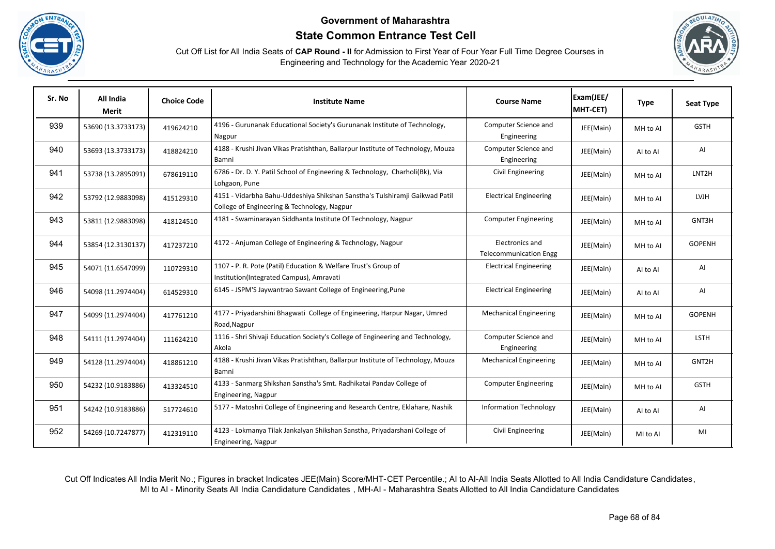





| Sr. No | All India<br>Merit | <b>Choice Code</b> | <b>Institute Name</b>                                                                                                      | <b>Course Name</b>                               | Exam(JEE/<br>MHT-CET) | <b>Type</b> | <b>Seat Type</b>   |
|--------|--------------------|--------------------|----------------------------------------------------------------------------------------------------------------------------|--------------------------------------------------|-----------------------|-------------|--------------------|
| 939    | 53690 (13.3733173) | 419624210          | 4196 - Gurunanak Educational Society's Gurunanak Institute of Technology,<br>Nagpur                                        | Computer Science and<br>Engineering              | JEE(Main)             | MH to Al    | <b>GSTH</b>        |
| 940    | 53693 (13.3733173) | 418824210          | 4188 - Krushi Jivan Vikas Pratishthan, Ballarpur Institute of Technology, Mouza<br>Bamni                                   | Computer Science and<br>Engineering              | JEE(Main)             | Al to Al    | AI                 |
| 941    | 53738 (13.2895091) | 678619110          | 6786 - Dr. D. Y. Patil School of Engineering & Technology, Charholi(Bk), Via<br>Lohgaon, Pune                              | Civil Engineering                                | JEE(Main)             | MH to Al    | LNT <sub>2</sub> H |
| 942    | 53792 (12.9883098) | 415129310          | 4151 - Vidarbha Bahu-Uddeshiya Shikshan Sanstha's Tulshiramji Gaikwad Patil<br>College of Engineering & Technology, Nagpur | <b>Electrical Engineering</b>                    | JEE(Main)             | MH to Al    | <b>LVJH</b>        |
| 943    | 53811 (12.9883098) | 418124510          | 4181 - Swaminarayan Siddhanta Institute Of Technology, Nagpur                                                              | <b>Computer Engineering</b>                      | JEE(Main)             | MH to Al    | GNT3H              |
| 944    | 53854 (12.3130137) | 417237210          | 4172 - Anjuman College of Engineering & Technology, Nagpur                                                                 | Electronics and<br><b>Telecommunication Engg</b> | JEE(Main)             | MH to Al    | <b>GOPENH</b>      |
| 945    | 54071 (11.6547099) | 110729310          | 1107 - P. R. Pote (Patil) Education & Welfare Trust's Group of<br>Institution(Integrated Campus), Amravati                 | <b>Electrical Engineering</b>                    | JEE(Main)             | Al to Al    | AI                 |
| 946    | 54098 (11.2974404) | 614529310          | 6145 - JSPM'S Jaywantrao Sawant College of Engineering, Pune                                                               | <b>Electrical Engineering</b>                    | JEE(Main)             | Al to Al    | AI                 |
| 947    | 54099 (11.2974404) | 417761210          | 4177 - Priyadarshini Bhagwati College of Engineering, Harpur Nagar, Umred<br>Road, Nagpur                                  | <b>Mechanical Engineering</b>                    | JEE(Main)             | MH to Al    | <b>GOPENH</b>      |
| 948    | 54111 (11.2974404) | 111624210          | 1116 - Shri Shivaji Education Society's College of Engineering and Technology,<br>Akola                                    | Computer Science and<br>Engineering              | JEE(Main)             | MH to Al    | LSTH               |
| 949    | 54128 (11.2974404) | 418861210          | 4188 - Krushi Jivan Vikas Pratishthan, Ballarpur Institute of Technology, Mouza<br>Bamni                                   | <b>Mechanical Engineering</b>                    | JEE(Main)             | MH to Al    | GNT2H              |
| 950    | 54232 (10.9183886) | 413324510          | 4133 - Sanmarg Shikshan Sanstha's Smt. Radhikatai Pandav College of<br>Engineering, Nagpur                                 | <b>Computer Engineering</b>                      | JEE(Main)             | MH to Al    | <b>GSTH</b>        |
| 951    | 54242 (10.9183886) | 517724610          | 5177 - Matoshri College of Engineering and Research Centre, Eklahare, Nashik                                               | <b>Information Technology</b>                    | JEE(Main)             | Al to Al    | AI                 |
| 952    | 54269 (10.7247877) | 412319110          | 4123 - Lokmanya Tilak Jankalyan Shikshan Sanstha, Priyadarshani College of<br>Engineering, Nagpur                          | Civil Engineering                                | JEE(Main)             | MI to AI    | MI                 |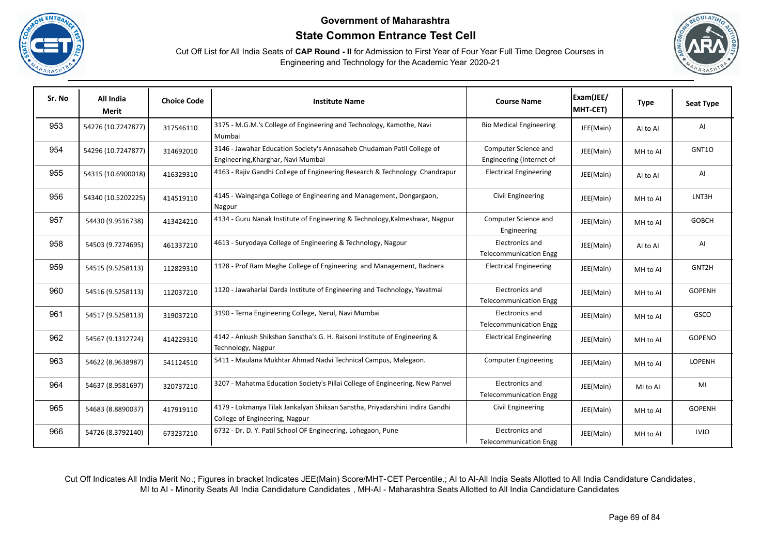





| Sr. No | All India<br>Merit | <b>Choice Code</b> | <b>Institute Name</b>                                                                                          | <b>Course Name</b>                               | Exam(JEE/<br>MHT-CET) | <b>Type</b> | <b>Seat Type</b> |
|--------|--------------------|--------------------|----------------------------------------------------------------------------------------------------------------|--------------------------------------------------|-----------------------|-------------|------------------|
| 953    | 54276 (10.7247877) | 317546110          | 3175 - M.G.M.'s College of Engineering and Technology, Kamothe, Navi<br>Mumbai                                 | <b>Bio Medical Engineering</b>                   | JEE(Main)             | Al to Al    | AI               |
| 954    | 54296 (10.7247877) | 314692010          | 3146 - Jawahar Education Society's Annasaheb Chudaman Patil College of<br>Engineering, Kharghar, Navi Mumbai   | Computer Science and<br>Engineering (Internet of | JEE(Main)             | MH to Al    | GNT10            |
| 955    | 54315 (10.6900018) | 416329310          | 4163 - Rajiv Gandhi College of Engineering Research & Technology Chandrapur                                    | <b>Electrical Engineering</b>                    | JEE(Main)             | Al to Al    | AI               |
| 956    | 54340 (10.5202225) | 414519110          | 4145 - Wainganga College of Engineering and Management, Dongargaon,<br>Nagpur                                  | Civil Engineering                                | JEE(Main)             | MH to Al    | LNT3H            |
| 957    | 54430 (9.9516738)  | 413424210          | 4134 - Guru Nanak Institute of Engineering & Technology, Kalmeshwar, Nagpur                                    | Computer Science and<br>Engineering              | JEE(Main)             | MH to Al    | <b>GOBCH</b>     |
| 958    | 54503 (9.7274695)  | 461337210          | 4613 - Suryodaya College of Engineering & Technology, Nagpur                                                   | Electronics and<br><b>Telecommunication Engg</b> | JEE(Main)             | Al to Al    | AI               |
| 959    | 54515 (9.5258113)  | 112829310          | 1128 - Prof Ram Meghe College of Engineering and Management, Badnera                                           | <b>Electrical Engineering</b>                    | JEE(Main)             | MH to Al    | GNT2H            |
| 960    | 54516 (9.5258113)  | 112037210          | 1120 - Jawaharlal Darda Institute of Engineering and Technology, Yavatmal                                      | Electronics and<br><b>Telecommunication Engg</b> | JEE(Main)             | MH to Al    | <b>GOPENH</b>    |
| 961    | 54517 (9.5258113)  | 319037210          | 3190 - Terna Engineering College, Nerul, Navi Mumbai                                                           | Electronics and<br><b>Telecommunication Engg</b> | JEE(Main)             | MH to Al    | GSCO             |
| 962    | 54567 (9.1312724)  | 414229310          | 4142 - Ankush Shikshan Sanstha's G. H. Raisoni Institute of Engineering &<br>Technology, Nagpur                | <b>Electrical Engineering</b>                    | JEE(Main)             | MH to Al    | <b>GOPENO</b>    |
| 963    | 54622 (8.9638987)  | 541124510          | 5411 - Maulana Mukhtar Ahmad Nadvi Technical Campus, Malegaon.                                                 | <b>Computer Engineering</b>                      | JEE(Main)             | MH to Al    | LOPENH           |
| 964    | 54637 (8.9581697)  | 320737210          | 3207 - Mahatma Education Society's Pillai College of Engineering, New Panvel                                   | Electronics and<br><b>Telecommunication Engg</b> | JEE(Main)             | MI to AI    | MI               |
| 965    | 54683 (8.8890037)  | 417919110          | 4179 - Lokmanya Tilak Jankalyan Shiksan Sanstha, Priyadarshini Indira Gandhi<br>College of Engineering, Nagpur | Civil Engineering                                | JEE(Main)             | MH to Al    | <b>GOPENH</b>    |
| 966    | 54726 (8.3792140)  | 673237210          | 6732 - Dr. D. Y. Patil School OF Engineering, Lohegaon, Pune                                                   | Electronics and<br><b>Telecommunication Engg</b> | JEE(Main)             | MH to Al    | LVJO             |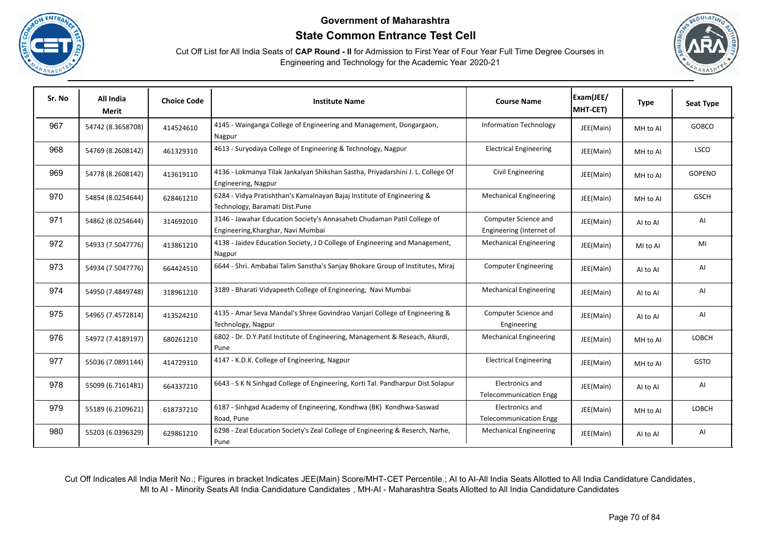





| Sr. No | All India<br>Merit | <b>Choice Code</b> | <b>Institute Name</b>                                                                                        | <b>Course Name</b>                               | Exam(JEE/<br>MHT-CET) | <b>Type</b> | <b>Seat Type</b> |
|--------|--------------------|--------------------|--------------------------------------------------------------------------------------------------------------|--------------------------------------------------|-----------------------|-------------|------------------|
| 967    | 54742 (8.3658708)  | 414524610          | 4145 - Wainganga College of Engineering and Management, Dongargaon,<br>Nagpur                                | <b>Information Technology</b>                    | JEE(Main)             | MH to Al    | <b>GOBCO</b>     |
| 968    | 54769 (8.2608142)  | 461329310          | 4613 - Suryodaya College of Engineering & Technology, Nagpur                                                 | <b>Electrical Engineering</b>                    | JEE(Main)             | MH to Al    | <b>LSCO</b>      |
| 969    | 54778 (8.2608142)  | 413619110          | 4136 - Lokmanya Tilak Jankalyan Shikshan Sastha, Priyadarshini J. L. College Of<br>Engineering, Nagpur       | Civil Engineering                                | JEE(Main)             | MH to Al    | GOPENO           |
| 970    | 54854 (8.0254644)  | 628461210          | 6284 - Vidya Pratishthan's Kamalnayan Bajaj Institute of Engineering &<br>Technology, Baramati Dist.Pune     | <b>Mechanical Engineering</b>                    | JEE(Main)             | MH to Al    | <b>GSCH</b>      |
| 971    | 54862 (8.0254644)  | 314692010          | 3146 - Jawahar Education Society's Annasaheb Chudaman Patil College of<br>Engineering, Kharghar, Navi Mumbai | Computer Science and<br>Engineering (Internet of | JEE(Main)             | Al to Al    | Al               |
| 972    | 54933 (7.5047776)  | 413861210          | 4138 - Jaidev Education Society, J D College of Engineering and Management,<br>Nagpur                        | <b>Mechanical Engineering</b>                    | JEE(Main)             | MI to AI    | MI               |
| 973    | 54934 (7.5047776)  | 664424510          | 6644 - Shri. Ambabai Talim Sanstha's Sanjay Bhokare Group of Institutes, Miraj                               | <b>Computer Engineering</b>                      | JEE(Main)             | Al to Al    | AI               |
| 974    | 54950 (7.4849748)  | 318961210          | 3189 - Bharati Vidyapeeth College of Engineering, Navi Mumbai                                                | <b>Mechanical Engineering</b>                    | JEE(Main)             | Al to Al    | Al               |
| 975    | 54965 (7.4572814)  | 413524210          | 4135 - Amar Seva Mandal's Shree Govindrao Vanjari College of Engineering &<br>Technology, Nagpur             | Computer Science and<br>Engineering              | JEE(Main)             | Al to Al    | AI               |
| 976    | 54972 (7.4189197)  | 680261210          | 6802 - Dr. D.Y.Patil Institute of Engineering, Management & Reseach, Akurdi,<br>Pune                         | <b>Mechanical Engineering</b>                    | JEE(Main)             | MH to Al    | LOBCH            |
| 977    | 55036 (7.0891144)  | 414729310          | 4147 - K.D.K. College of Engineering, Nagpur                                                                 | <b>Electrical Engineering</b>                    | JEE(Main)             | MH to Al    | <b>GSTO</b>      |
| 978    | 55099 (6.7161481)  | 664337210          | 6643 - S K N Sinhgad College of Engineering, Korti Tal. Pandharpur Dist Solapur                              | Electronics and<br><b>Telecommunication Engg</b> | JEE(Main)             | Al to Al    | AI               |
| 979    | 55189 (6.2109621)  | 618737210          | 6187 - Sinhgad Academy of Engineering, Kondhwa (BK) Kondhwa-Saswad<br>Road, Pune                             | Electronics and<br><b>Telecommunication Engg</b> | JEE(Main)             | MH to AI    | LOBCH            |
| 980    | 55203 (6.0396329)  | 629861210          | 6298 - Zeal Education Society's Zeal College of Engineering & Reserch, Narhe,<br>Pune                        | <b>Mechanical Engineering</b>                    | JEE(Main)             | Al to Al    | Al               |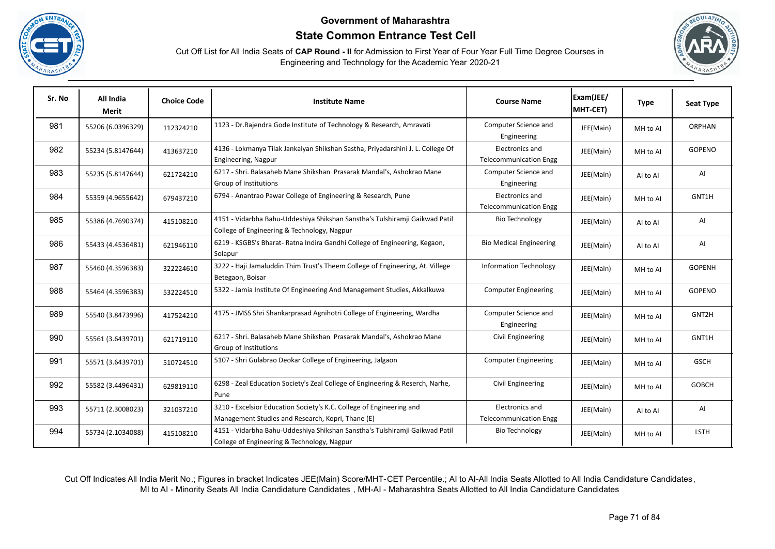





| Sr. No | All India<br><b>Merit</b> | <b>Choice Code</b> | <b>Institute Name</b>                                                                                                      | <b>Course Name</b>                               | Exam(JEE/<br>MHT-CET) | <b>Type</b> | <b>Seat Type</b> |
|--------|---------------------------|--------------------|----------------------------------------------------------------------------------------------------------------------------|--------------------------------------------------|-----------------------|-------------|------------------|
| 981    | 55206 (6.0396329)         | 112324210          | 1123 - Dr. Rajendra Gode Institute of Technology & Research, Amravati                                                      | Computer Science and<br>Engineering              | JEE(Main)             | MH to Al    | <b>ORPHAN</b>    |
| 982    | 55234 (5.8147644)         | 413637210          | 4136 - Lokmanya Tilak Jankalyan Shikshan Sastha, Priyadarshini J. L. College Of<br>Engineering, Nagpur                     | Electronics and<br><b>Telecommunication Engg</b> | JEE(Main)             | MH to Al    | GOPENO           |
| 983    | 55235 (5.8147644)         | 621724210          | 6217 - Shri. Balasaheb Mane Shikshan Prasarak Mandal's, Ashokrao Mane<br>Group of Institutions                             | Computer Science and<br>Engineering              | JEE(Main)             | Al to Al    | AI               |
| 984    | 55359 (4.9655642)         | 679437210          | 6794 - Anantrao Pawar College of Engineering & Research, Pune                                                              | Electronics and<br><b>Telecommunication Engg</b> | JEE(Main)             | MH to Al    | GNT1H            |
| 985    | 55386 (4.7690374)         | 415108210          | 4151 - Vidarbha Bahu-Uddeshiya Shikshan Sanstha's Tulshiramji Gaikwad Patil<br>College of Engineering & Technology, Nagpur | <b>Bio Technology</b>                            | JEE(Main)             | AI to AI    | AI               |
| 986    | 55433 (4.4536481)         | 621946110          | 6219 - KSGBS's Bharat- Ratna Indira Gandhi College of Engineering, Kegaon,<br>Solapur                                      | <b>Bio Medical Engineering</b>                   | JEE(Main)             | Al to Al    | AI               |
| 987    | 55460 (4.3596383)         | 322224610          | 3222 - Haji Jamaluddin Thim Trust's Theem College of Engineering, At. Villege<br>Betegaon, Boisar                          | <b>Information Technology</b>                    | JEE(Main)             | MH to Al    | GOPENH           |
| 988    | 55464 (4.3596383)         | 532224510          | 5322 - Jamia Institute Of Engineering And Management Studies, Akkalkuwa                                                    | <b>Computer Engineering</b>                      | JEE(Main)             | MH to Al    | GOPENO           |
| 989    | 55540 (3.8473996)         | 417524210          | 4175 - JMSS Shri Shankarprasad Agnihotri College of Engineering, Wardha                                                    | Computer Science and<br>Engineering              | JEE(Main)             | MH to Al    | GNT2H            |
| 990    | 55561 (3.6439701)         | 621719110          | 6217 - Shri. Balasaheb Mane Shikshan Prasarak Mandal's, Ashokrao Mane<br>Group of Institutions                             | Civil Engineering                                | JEE(Main)             | MH to Al    | GNT1H            |
| 991    | 55571 (3.6439701)         | 510724510          | 5107 - Shri Gulabrao Deokar College of Engineering, Jalgaon                                                                | <b>Computer Engineering</b>                      | JEE(Main)             | MH to Al    | <b>GSCH</b>      |
| 992    | 55582 (3.4496431)         | 629819110          | 6298 - Zeal Education Society's Zeal College of Engineering & Reserch, Narhe,<br>Pune                                      | Civil Engineering                                | JEE(Main)             | MH to Al    | <b>GOBCH</b>     |
| 993    | 55711 (2.3008023)         | 321037210          | 3210 - Excelsior Education Society's K.C. College of Engineering and<br>Management Studies and Research, Kopri, Thane (E)  | Electronics and<br><b>Telecommunication Engg</b> | JEE(Main)             | Al to Al    | AI               |
| 994    | 55734 (2.1034088)         | 415108210          | 4151 - Vidarbha Bahu-Uddeshiya Shikshan Sanstha's Tulshiramji Gaikwad Patil<br>College of Engineering & Technology, Nagpur | <b>Bio Technology</b>                            | JEE(Main)             | MH to Al    | <b>LSTH</b>      |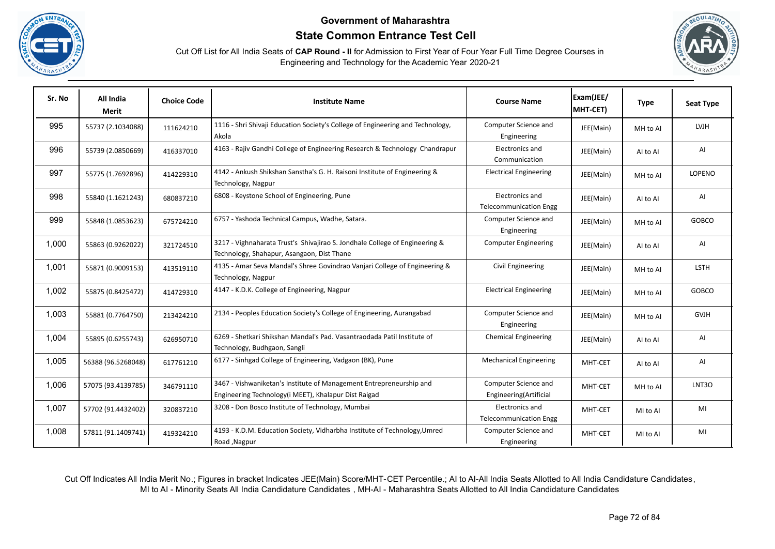





| Sr. No | All India<br>Merit | <b>Choice Code</b> | <b>Institute Name</b>                                                                                                       | <b>Course Name</b>                               | Exam(JEE/<br>MHT-CET) | <b>Type</b> | <b>Seat Type</b> |
|--------|--------------------|--------------------|-----------------------------------------------------------------------------------------------------------------------------|--------------------------------------------------|-----------------------|-------------|------------------|
| 995    | 55737 (2.1034088)  | 111624210          | 1116 - Shri Shivaji Education Society's College of Engineering and Technology,<br>Akola                                     | Computer Science and<br>Engineering              | JEE(Main)             | MH to Al    | <b>LVJH</b>      |
| 996    | 55739 (2.0850669)  | 416337010          | 4163 - Rajiv Gandhi College of Engineering Research & Technology Chandrapur                                                 | Electronics and<br>Communication                 | JEE(Main)             | AI to AI    | AI               |
| 997    | 55775 (1.7692896)  | 414229310          | 4142 - Ankush Shikshan Sanstha's G. H. Raisoni Institute of Engineering &<br>Technology, Nagpur                             | <b>Electrical Engineering</b>                    | JEE(Main)             | MH to Al    | <b>LOPENO</b>    |
| 998    | 55840 (1.1621243)  | 680837210          | 6808 - Keystone School of Engineering, Pune                                                                                 | Electronics and<br><b>Telecommunication Engg</b> | JEE(Main)             | Al to Al    | AI               |
| 999    | 55848 (1.0853623)  | 675724210          | 6757 - Yashoda Technical Campus, Wadhe, Satara.                                                                             | Computer Science and<br>Engineering              | JEE(Main)             | MH to Al    | <b>GOBCO</b>     |
| 1,000  | 55863 (0.9262022)  | 321724510          | 3217 - Vighnaharata Trust's Shivajirao S. Jondhale College of Engineering &<br>Technology, Shahapur, Asangaon, Dist Thane   | <b>Computer Engineering</b>                      | JEE(Main)             | Al to Al    | AI               |
| 1,001  | 55871 (0.9009153)  | 413519110          | 4135 - Amar Seva Mandal's Shree Govindrao Vanjari College of Engineering &<br>Technology, Nagpur                            | Civil Engineering                                | JEE(Main)             | MH to Al    | <b>LSTH</b>      |
| 1,002  | 55875 (0.8425472)  | 414729310          | 4147 - K.D.K. College of Engineering, Nagpur                                                                                | <b>Electrical Engineering</b>                    | JEE(Main)             | MH to Al    | GOBCO            |
| 1,003  | 55881 (0.7764750)  | 213424210          | 2134 - Peoples Education Society's College of Engineering, Aurangabad                                                       | Computer Science and<br>Engineering              | JEE(Main)             | MH to Al    | <b>GVJH</b>      |
| 1,004  | 55895 (0.6255743)  | 626950710          | 6269 - Shetkari Shikshan Mandal's Pad. Vasantraodada Patil Institute of<br>Technology, Budhgaon, Sangli                     | <b>Chemical Engineering</b>                      | JEE(Main)             | Al to Al    | AI               |
| 1,005  | 56388 (96.5268048) | 617761210          | 6177 - Sinhgad College of Engineering, Vadgaon (BK), Pune                                                                   | <b>Mechanical Engineering</b>                    | MHT-CET               | AI to AI    | AI               |
| 1,006  | 57075 (93.4139785) | 346791110          | 3467 - Vishwaniketan's Institute of Management Entrepreneurship and<br>Engineering Technology(i MEET), Khalapur Dist Raigad | Computer Science and<br>Engineering(Artificial   | MHT-CET               | MH to Al    | LNT3O            |
| 1,007  | 57702 (91.4432402) | 320837210          | 3208 - Don Bosco Institute of Technology, Mumbai                                                                            | Electronics and<br><b>Telecommunication Engg</b> | MHT-CET               | MI to AI    | MI               |
| 1,008  | 57811 (91.1409741) | 419324210          | 4193 - K.D.M. Education Society, Vidharbha Institute of Technology, Umred<br>Road, Nagpur                                   | Computer Science and<br>Engineering              | MHT-CET               | MI to AI    | MI               |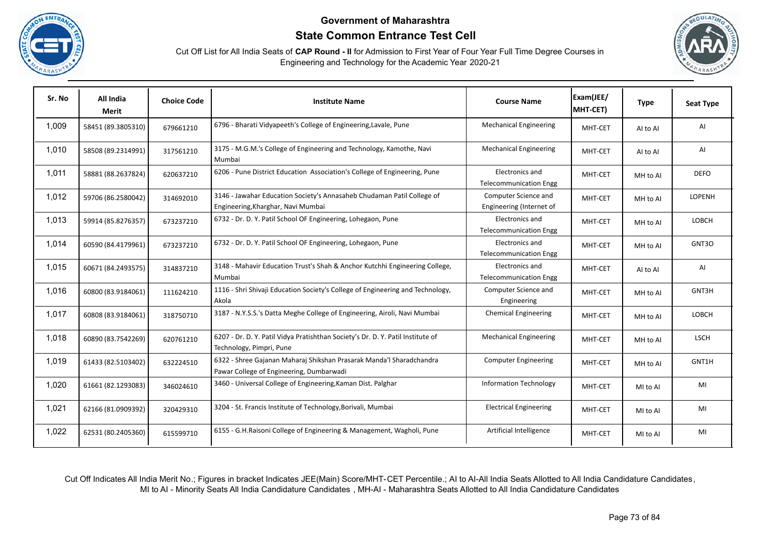





| Sr. No | All India<br><b>Merit</b> | <b>Choice Code</b> | <b>Institute Name</b>                                                                                            | <b>Course Name</b>                               | Exam(JEE/<br>MHT-CET) | <b>Type</b> | <b>Seat Type</b> |
|--------|---------------------------|--------------------|------------------------------------------------------------------------------------------------------------------|--------------------------------------------------|-----------------------|-------------|------------------|
| 1,009  | 58451 (89.3805310)        | 679661210          | 6796 - Bharati Vidyapeeth's College of Engineering, Lavale, Pune                                                 | <b>Mechanical Engineering</b>                    | MHT-CET               | AI to AI    | AI               |
| 1,010  | 58508 (89.2314991)        | 317561210          | 3175 - M.G.M.'s College of Engineering and Technology, Kamothe, Navi<br>Mumbai                                   | <b>Mechanical Engineering</b>                    | MHT-CET               | AI to AI    | AI               |
| 1,011  | 58881 (88.2637824)        | 620637210          | 6206 - Pune District Education Association's College of Engineering, Pune                                        | Electronics and<br><b>Telecommunication Engg</b> | MHT-CET               | MH to Al    | <b>DEFO</b>      |
| 1,012  | 59706 (86.2580042)        | 314692010          | 3146 - Jawahar Education Society's Annasaheb Chudaman Patil College of<br>Engineering, Kharghar, Navi Mumbai     | Computer Science and<br>Engineering (Internet of | MHT-CET               | MH to Al    | LOPENH           |
| 1,013  | 59914 (85.8276357)        | 673237210          | 6732 - Dr. D. Y. Patil School OF Engineering, Lohegaon, Pune                                                     | Electronics and<br><b>Telecommunication Engg</b> | MHT-CET               | MH to Al    | LOBCH            |
| 1,014  | 60590 (84.4179961)        | 673237210          | 6732 - Dr. D. Y. Patil School OF Engineering, Lohegaon, Pune                                                     | Electronics and<br><b>Telecommunication Engg</b> | MHT-CET               | MH to Al    | GNT3O            |
| 1,015  | 60671 (84.2493575)        | 314837210          | 3148 - Mahavir Education Trust's Shah & Anchor Kutchhi Engineering College,<br>Mumbai                            | Electronics and<br><b>Telecommunication Engg</b> | MHT-CET               | AI to AI    | AI               |
| 1,016  | 60800 (83.9184061)        | 111624210          | 1116 - Shri Shivaji Education Society's College of Engineering and Technology,<br>Akola                          | Computer Science and<br>Engineering              | MHT-CET               | MH to Al    | GNT3H            |
| 1,017  | 60808 (83.9184061)        | 318750710          | 3187 - N.Y.S.S.'s Datta Meghe College of Engineering, Airoli, Navi Mumbai                                        | <b>Chemical Engineering</b>                      | MHT-CET               | MH to Al    | LOBCH            |
| 1,018  | 60890 (83.7542269)        | 620761210          | 6207 - Dr. D. Y. Patil Vidya Pratishthan Society's Dr. D. Y. Patil Institute of<br>Technology, Pimpri, Pune      | <b>Mechanical Engineering</b>                    | MHT-CET               | MH to Al    | <b>LSCH</b>      |
| 1,019  | 61433 (82.5103402)        | 632224510          | 6322 - Shree Gajanan Maharaj Shikshan Prasarak Manda'l Sharadchandra<br>Pawar College of Engineering, Dumbarwadi | <b>Computer Engineering</b>                      | MHT-CET               | MH to Al    | GNT1H            |
| 1,020  | 61661 (82.1293083)        | 346024610          | 3460 - Universal College of Engineering, Kaman Dist. Palghar                                                     | <b>Information Technology</b>                    | MHT-CET               | MI to AI    | MI               |
| 1,021  | 62166 (81.0909392)        | 320429310          | 3204 - St. Francis Institute of Technology, Borivali, Mumbai                                                     | <b>Electrical Engineering</b>                    | MHT-CET               | MI to AI    | MI               |
| 1,022  | 62531 (80.2405360)        | 615599710          | 6155 - G.H.Raisoni College of Engineering & Management, Wagholi, Pune                                            | Artificial Intelligence                          | MHT-CET               | MI to AI    | MI               |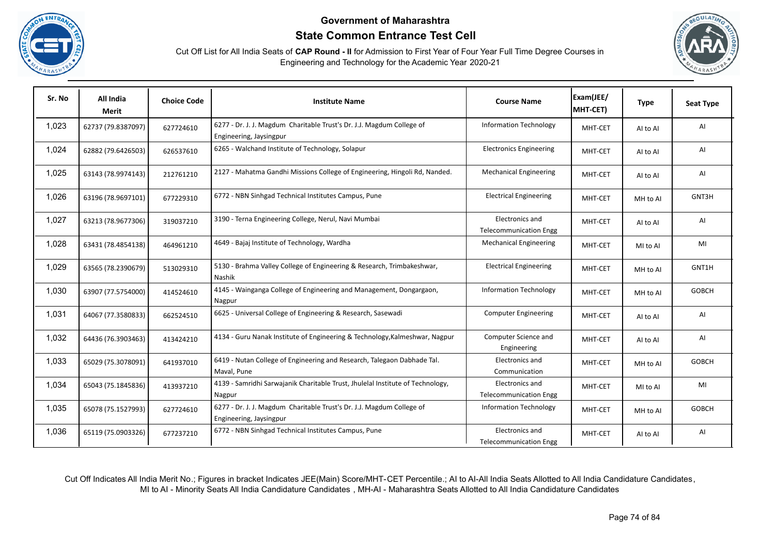





| Sr. No | All India<br>Merit | <b>Choice Code</b> | <b>Institute Name</b>                                                                            | <b>Course Name</b>                                      | Exam(JEE/<br>MHT-CET) | <b>Type</b> | <b>Seat Type</b> |
|--------|--------------------|--------------------|--------------------------------------------------------------------------------------------------|---------------------------------------------------------|-----------------------|-------------|------------------|
| 1,023  | 62737 (79.8387097) | 627724610          | 6277 - Dr. J. J. Magdum Charitable Trust's Dr. J.J. Magdum College of<br>Engineering, Jaysingpur | <b>Information Technology</b>                           | MHT-CET               | AI to AI    | AI               |
| 1,024  | 62882 (79.6426503) | 626537610          | 6265 - Walchand Institute of Technology, Solapur                                                 | <b>Electronics Engineering</b>                          | MHT-CET               | AI to AI    | AI               |
| 1,025  | 63143 (78.9974143) | 212761210          | 2127 - Mahatma Gandhi Missions College of Engineering, Hingoli Rd, Nanded.                       | <b>Mechanical Engineering</b>                           | MHT-CET               | AI to AI    | AI               |
| 1,026  | 63196 (78.9697101) | 677229310          | 6772 - NBN Sinhgad Technical Institutes Campus, Pune                                             | <b>Electrical Engineering</b>                           | MHT-CET               | MH to Al    | GNT3H            |
| 1,027  | 63213 (78.9677306) | 319037210          | 3190 - Terna Engineering College, Nerul, Navi Mumbai                                             | Electronics and<br><b>Telecommunication Engg</b>        | MHT-CET               | AI to AI    | AI               |
| 1,028  | 63431 (78.4854138) | 464961210          | 4649 - Bajaj Institute of Technology, Wardha                                                     | <b>Mechanical Engineering</b>                           | MHT-CET               | MI to AI    | MI               |
| 1,029  | 63565 (78.2390679) | 513029310          | 5130 - Brahma Valley College of Engineering & Research, Trimbakeshwar,<br>Nashik                 | <b>Electrical Engineering</b>                           | MHT-CET               | MH to AI    | GNT1H            |
| 1,030  | 63907 (77.5754000) | 414524610          | 4145 - Wainganga College of Engineering and Management, Dongargaon,<br>Nagpur                    | <b>Information Technology</b>                           | MHT-CET               | MH to Al    | <b>GOBCH</b>     |
| 1,031  | 64067 (77.3580833) | 662524510          | 6625 - Universal College of Engineering & Research, Sasewadi                                     | <b>Computer Engineering</b>                             | MHT-CET               | AI to AI    | AI               |
| 1,032  | 64436 (76.3903463) | 413424210          | 4134 - Guru Nanak Institute of Engineering & Technology, Kalmeshwar, Nagpur                      | Computer Science and<br>Engineering                     | MHT-CET               | AI to AI    | AI               |
| 1,033  | 65029 (75.3078091) | 641937010          | 6419 - Nutan College of Engineering and Research, Talegaon Dabhade Tal.<br>Maval, Pune           | Electronics and<br>Communication                        | MHT-CET               | MH to AI    | <b>GOBCH</b>     |
| 1,034  | 65043 (75.1845836) | 413937210          | 4139 - Samridhi Sarwajanik Charitable Trust, Jhulelal Institute of Technology,<br>Nagpur         | Electronics and<br><b>Telecommunication Engg</b>        | MHT-CET               | MI to AI    | MI               |
| 1,035  | 65078 (75.1527993) | 627724610          | 6277 - Dr. J. J. Magdum Charitable Trust's Dr. J.J. Magdum College of<br>Engineering, Jaysingpur | <b>Information Technology</b>                           | MHT-CET               | MH to Al    | <b>GOBCH</b>     |
| 1,036  | 65119 (75.0903326) | 677237210          | 6772 - NBN Sinhgad Technical Institutes Campus, Pune                                             | <b>Electronics and</b><br><b>Telecommunication Engg</b> | MHT-CET               | AI to AI    | AI               |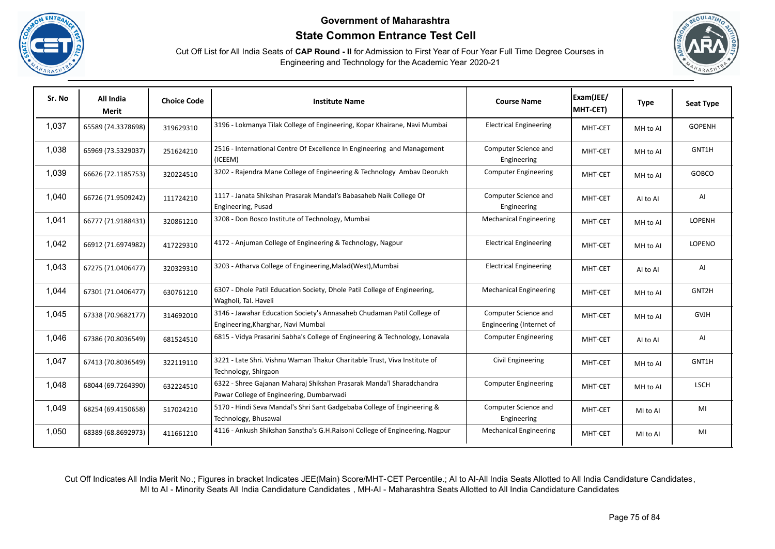





| Sr. No | All India<br>Merit | <b>Choice Code</b> | <b>Institute Name</b>                                                                                            | <b>Course Name</b>                               | Exam(JEE/<br>MHT-CET) | <b>Type</b> | <b>Seat Type</b> |
|--------|--------------------|--------------------|------------------------------------------------------------------------------------------------------------------|--------------------------------------------------|-----------------------|-------------|------------------|
| 1,037  | 65589 (74.3378698) | 319629310          | 3196 - Lokmanya Tilak College of Engineering, Kopar Khairane, Navi Mumbai                                        | <b>Electrical Engineering</b>                    | MHT-CET               | MH to AI    | <b>GOPENH</b>    |
| 1,038  | 65969 (73.5329037) | 251624210          | 2516 - International Centre Of Excellence In Engineering and Management<br>(ICEEM)                               | Computer Science and<br>Engineering              | MHT-CET               | MH to Al    | GNT1H            |
| 1,039  | 66626 (72.1185753) | 320224510          | 3202 - Rajendra Mane College of Engineering & Technology Ambav Deorukh                                           | <b>Computer Engineering</b>                      | MHT-CET               | MH to Al    | <b>GOBCO</b>     |
| 1,040  | 66726 (71.9509242) | 111724210          | 1117 - Janata Shikshan Prasarak Mandal's Babasaheb Naik College Of<br>Engineering, Pusad                         | Computer Science and<br>Engineering              | MHT-CET               | Al to Al    | AI               |
| 1,041  | 66777 (71.9188431) | 320861210          | 3208 - Don Bosco Institute of Technology, Mumbai                                                                 | <b>Mechanical Engineering</b>                    | MHT-CET               | MH to AI    | LOPENH           |
| 1,042  | 66912 (71.6974982) | 417229310          | 4172 - Anjuman College of Engineering & Technology, Nagpur                                                       | <b>Electrical Engineering</b>                    | MHT-CET               | MH to Al    | LOPENO           |
| 1,043  | 67275 (71.0406477) | 320329310          | 3203 - Atharva College of Engineering, Malad (West), Mumbai                                                      | <b>Electrical Engineering</b>                    | MHT-CET               | Al to Al    | AI               |
| 1,044  | 67301 (71.0406477) | 630761210          | 6307 - Dhole Patil Education Society, Dhole Patil College of Engineering,<br>Wagholi, Tal. Haveli                | <b>Mechanical Engineering</b>                    | MHT-CET               | MH to Al    | GNT2H            |
| 1,045  | 67338 (70.9682177) | 314692010          | 3146 - Jawahar Education Society's Annasaheb Chudaman Patil College of<br>Engineering, Kharghar, Navi Mumbai     | Computer Science and<br>Engineering (Internet of | MHT-CET               | MH to Al    | <b>GVJH</b>      |
| 1,046  | 67386 (70.8036549) | 681524510          | 6815 - Vidya Prasarini Sabha's College of Engineering & Technology, Lonavala                                     | <b>Computer Engineering</b>                      | MHT-CET               | Al to Al    | AI               |
| 1,047  | 67413 (70.8036549) | 322119110          | 3221 - Late Shri. Vishnu Waman Thakur Charitable Trust, Viva Institute of<br>Technology, Shirgaon                | Civil Engineering                                | MHT-CET               | MH to Al    | GNT1H            |
| 1,048  | 68044 (69.7264390) | 632224510          | 6322 - Shree Gajanan Maharaj Shikshan Prasarak Manda'l Sharadchandra<br>Pawar College of Engineering, Dumbarwadi | <b>Computer Engineering</b>                      | MHT-CET               | MH to Al    | <b>LSCH</b>      |
| 1,049  | 68254 (69.4150658) | 517024210          | 5170 - Hindi Seva Mandal's Shri Sant Gadgebaba College of Engineering &<br>Technology, Bhusawal                  | Computer Science and<br>Engineering              | MHT-CET               | MI to AI    | MI               |
| 1,050  | 68389 (68.8692973) | 411661210          | 4116 - Ankush Shikshan Sanstha's G.H.Raisoni College of Engineering, Nagpur                                      | <b>Mechanical Engineering</b>                    | MHT-CET               | MI to AI    | MI               |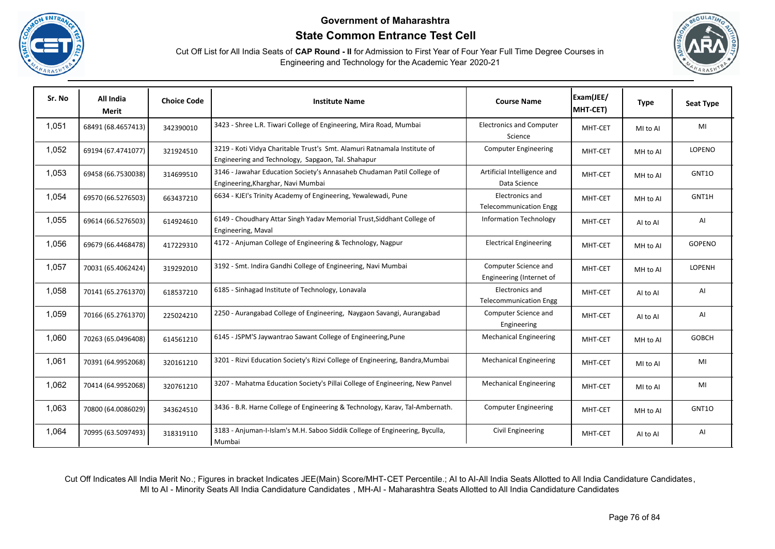





| Sr. No | All India<br>Merit | <b>Choice Code</b> | <b>Institute Name</b>                                                                                                          | <b>Course Name</b>                               | Exam(JEE/<br>MHT-CET) | <b>Type</b> | <b>Seat Type</b> |
|--------|--------------------|--------------------|--------------------------------------------------------------------------------------------------------------------------------|--------------------------------------------------|-----------------------|-------------|------------------|
| 1,051  | 68491 (68.4657413) | 342390010          | 3423 - Shree L.R. Tiwari College of Engineering, Mira Road, Mumbai                                                             | <b>Electronics and Computer</b><br>Science       | MHT-CET               | MI to AI    | MI               |
| 1,052  | 69194 (67.4741077) | 321924510          | 3219 - Koti Vidya Charitable Trust's Smt. Alamuri Ratnamala Institute of<br>Engineering and Technology, Sapgaon, Tal. Shahapur | <b>Computer Engineering</b>                      | MHT-CET               | MH to Al    | LOPENO           |
| 1,053  | 69458 (66.7530038) | 314699510          | 3146 - Jawahar Education Society's Annasaheb Chudaman Patil College of<br>Engineering, Kharghar, Navi Mumbai                   | Artificial Intelligence and<br>Data Science      | MHT-CET               | MH to Al    | GNT10            |
| 1,054  | 69570 (66.5276503) | 663437210          | 6634 - KJEI's Trinity Academy of Engineering, Yewalewadi, Pune                                                                 | Electronics and<br><b>Telecommunication Engg</b> | MHT-CET               | MH to Al    | GNT1H            |
| 1,055  | 69614 (66.5276503) | 614924610          | 6149 - Choudhary Attar Singh Yadav Memorial Trust, Siddhant College of<br>Engineering, Maval                                   | <b>Information Technology</b>                    | MHT-CET               | Al to Al    | AI               |
| 1,056  | 69679 (66.4468478) | 417229310          | 4172 - Anjuman College of Engineering & Technology, Nagpur                                                                     | <b>Electrical Engineering</b>                    | MHT-CET               | MH to AI    | <b>GOPENO</b>    |
| 1,057  | 70031 (65.4062424) | 319292010          | 3192 - Smt. Indira Gandhi College of Engineering, Navi Mumbai                                                                  | Computer Science and<br>Engineering (Internet of | MHT-CET               | MH to Al    | LOPENH           |
| 1,058  | 70141 (65.2761370) | 618537210          | 6185 - Sinhagad Institute of Technology, Lonavala                                                                              | Electronics and<br><b>Telecommunication Engg</b> | MHT-CET               | AI to AI    | AI               |
| 1,059  | 70166 (65.2761370) | 225024210          | 2250 - Aurangabad College of Engineering, Naygaon Savangi, Aurangabad                                                          | Computer Science and<br>Engineering              | MHT-CET               | Al to Al    | AI               |
| 1,060  | 70263 (65.0496408) | 614561210          | 6145 - JSPM'S Jaywantrao Sawant College of Engineering, Pune                                                                   | <b>Mechanical Engineering</b>                    | MHT-CET               | MH to Al    | <b>GOBCH</b>     |
| 1,061  | 70391 (64.9952068) | 320161210          | 3201 - Rizvi Education Society's Rizvi College of Engineering, Bandra, Mumbai                                                  | <b>Mechanical Engineering</b>                    | MHT-CET               | MI to AI    | MI               |
| 1,062  | 70414 (64.9952068) | 320761210          | 3207 - Mahatma Education Society's Pillai College of Engineering, New Panvel                                                   | <b>Mechanical Engineering</b>                    | MHT-CET               | MI to AI    | MI               |
| 1,063  | 70800 (64.0086029) | 343624510          | 3436 - B.R. Harne College of Engineering & Technology, Karav, Tal-Ambernath.                                                   | <b>Computer Engineering</b>                      | MHT-CET               | MH to Al    | GNT10            |
| 1,064  | 70995 (63.5097493) | 318319110          | 3183 - Anjuman-I-Islam's M.H. Saboo Siddik College of Engineering, Byculla,<br>Mumbai                                          | Civil Engineering                                | MHT-CET               | Al to Al    | AI               |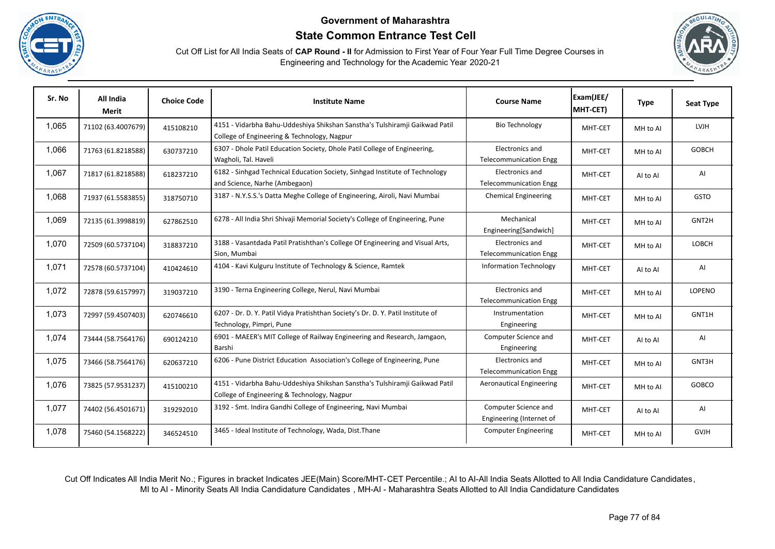





| Sr. No | All India<br><b>Merit</b> | <b>Choice Code</b> | <b>Institute Name</b>                                                                                                      | <b>Course Name</b>                                      | Exam(JEE/<br>MHT-CET) | <b>Type</b> | <b>Seat Type</b> |
|--------|---------------------------|--------------------|----------------------------------------------------------------------------------------------------------------------------|---------------------------------------------------------|-----------------------|-------------|------------------|
| 1,065  | 71102 (63.4007679)        | 415108210          | 4151 - Vidarbha Bahu-Uddeshiya Shikshan Sanstha's Tulshiramji Gaikwad Patil<br>College of Engineering & Technology, Nagpur | <b>Bio Technology</b>                                   | MHT-CET               | MH to AI    | <b>LVJH</b>      |
| 1,066  | 71763 (61.8218588)        | 630737210          | 6307 - Dhole Patil Education Society, Dhole Patil College of Engineering,<br>Wagholi, Tal. Haveli                          | Electronics and<br><b>Telecommunication Engg</b>        | MHT-CET               | MH to Al    | <b>GOBCH</b>     |
| 1,067  | 71817 (61.8218588)        | 618237210          | 6182 - Sinhgad Technical Education Society, Sinhgad Institute of Technology<br>and Science, Narhe (Ambegaon)               | Electronics and<br><b>Telecommunication Engg</b>        | MHT-CET               | AI to AI    | AI               |
| 1,068  | 71937 (61.5583855)        | 318750710          | 3187 - N.Y.S.S.'s Datta Meghe College of Engineering, Airoli, Navi Mumbai                                                  | <b>Chemical Engineering</b>                             | MHT-CET               | MH to Al    | <b>GSTO</b>      |
| 1,069  | 72135 (61.3998819)        | 627862510          | 6278 - All India Shri Shivaji Memorial Society's College of Engineering, Pune                                              | Mechanical<br>Engineering[Sandwich]                     | MHT-CET               | MH to Al    | GNT2H            |
| 1,070  | 72509 (60.5737104)        | 318837210          | 3188 - Vasantdada Patil Pratishthan's College Of Engineering and Visual Arts,<br>Sion. Mumbai                              | <b>Electronics and</b><br><b>Telecommunication Engg</b> | MHT-CET               | MH to Al    | <b>LOBCH</b>     |
| 1,071  | 72578 (60.5737104)        | 410424610          | 4104 - Kavi Kulguru Institute of Technology & Science, Ramtek                                                              | <b>Information Technology</b>                           | MHT-CET               | AI to AI    | AI               |
| 1,072  | 72878 (59.6157997)        | 319037210          | 3190 - Terna Engineering College, Nerul, Navi Mumbai                                                                       | Electronics and<br><b>Telecommunication Engg</b>        | MHT-CET               | MH to Al    | LOPENO           |
| 1,073  | 72997 (59.4507403)        | 620746610          | 6207 - Dr. D. Y. Patil Vidya Pratishthan Society's Dr. D. Y. Patil Institute of<br>Technology, Pimpri, Pune                | Instrumentation<br>Engineering                          | MHT-CET               | MH to Al    | GNT1H            |
| 1,074  | 73444 (58.7564176)        | 690124210          | 6901 - MAEER's MIT College of Railway Engineering and Research, Jamgaon,<br>Barshi                                         | Computer Science and<br>Engineering                     | MHT-CET               | AI to AI    | AI               |
| 1,075  | 73466 (58.7564176)        | 620637210          | 6206 - Pune District Education Association's College of Engineering, Pune                                                  | Electronics and<br><b>Telecommunication Engg</b>        | MHT-CET               | MH to Al    | GNT3H            |
| 1,076  | 73825 (57.9531237)        | 415100210          | 4151 - Vidarbha Bahu-Uddeshiya Shikshan Sanstha's Tulshiramji Gaikwad Patil<br>College of Engineering & Technology, Nagpur | <b>Aeronautical Engineering</b>                         | MHT-CET               | MH to Al    | GOBCO            |
| 1,077  | 74402 (56.4501671)        | 319292010          | 3192 - Smt. Indira Gandhi College of Engineering, Navi Mumbai                                                              | Computer Science and<br>Engineering (Internet of        | MHT-CET               | AI to AI    | AI               |
| 1,078  | 75460 (54.1568222)        | 346524510          | 3465 - Ideal Institute of Technology, Wada, Dist. Thane                                                                    | <b>Computer Engineering</b>                             | MHT-CET               | MH to Al    | <b>GVJH</b>      |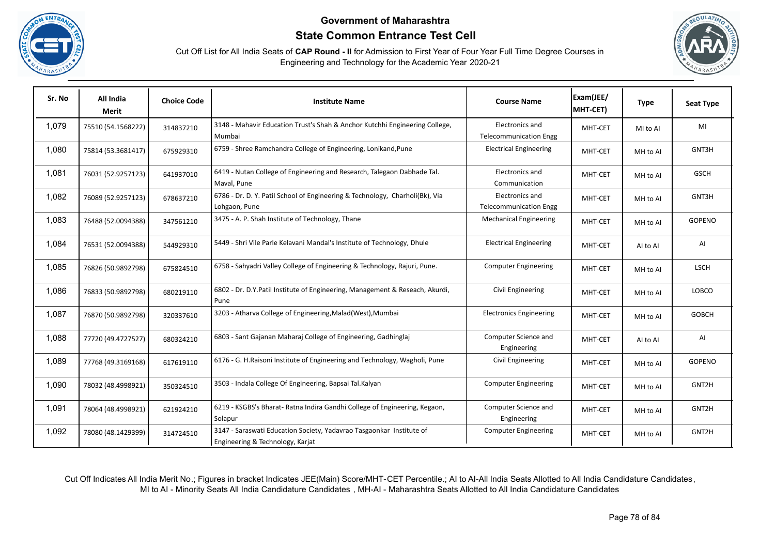





| Sr. No | All India<br>Merit | <b>Choice Code</b> | <b>Institute Name</b>                                                                                    | <b>Course Name</b>                               | Exam(JEE/<br>MHT-CET) | <b>Type</b> | <b>Seat Type</b> |
|--------|--------------------|--------------------|----------------------------------------------------------------------------------------------------------|--------------------------------------------------|-----------------------|-------------|------------------|
| 1,079  | 75510 (54.1568222) | 314837210          | 3148 - Mahavir Education Trust's Shah & Anchor Kutchhi Engineering College,<br>Mumbai                    | Electronics and<br><b>Telecommunication Engg</b> | MHT-CET               | MI to AI    | MI               |
| 1,080  | 75814 (53.3681417) | 675929310          | 6759 - Shree Ramchandra College of Engineering, Lonikand, Pune                                           | <b>Electrical Engineering</b>                    | MHT-CET               | MH to Al    | GNT3H            |
| 1,081  | 76031 (52.9257123) | 641937010          | 6419 - Nutan College of Engineering and Research, Talegaon Dabhade Tal.<br>Maval, Pune                   | Electronics and<br>Communication                 | MHT-CET               | MH to Al    | <b>GSCH</b>      |
| 1,082  | 76089 (52.9257123) | 678637210          | 6786 - Dr. D. Y. Patil School of Engineering & Technology, Charholi(Bk), Via<br>Lohgaon, Pune            | Electronics and<br><b>Telecommunication Engg</b> | MHT-CET               | MH to Al    | GNT3H            |
| 1,083  | 76488 (52.0094388) | 347561210          | 3475 - A. P. Shah Institute of Technology, Thane                                                         | <b>Mechanical Engineering</b>                    | MHT-CET               | MH to Al    | <b>GOPENO</b>    |
| 1,084  | 76531 (52.0094388) | 544929310          | 5449 - Shri Vile Parle Kelavani Mandal's Institute of Technology, Dhule                                  | <b>Electrical Engineering</b>                    | MHT-CET               | Al to Al    | AI               |
| 1,085  | 76826 (50.9892798) | 675824510          | 6758 - Sahyadri Valley College of Engineering & Technology, Rajuri, Pune.                                | <b>Computer Engineering</b>                      | MHT-CET               | MH to Al    | <b>LSCH</b>      |
| 1,086  | 76833 (50.9892798) | 680219110          | 6802 - Dr. D.Y.Patil Institute of Engineering, Management & Reseach, Akurdi,<br>Pune                     | Civil Engineering                                | MHT-CET               | MH to Al    | LOBCO            |
| 1,087  | 76870 (50.9892798) | 320337610          | 3203 - Atharva College of Engineering, Malad (West), Mumbai                                              | <b>Electronics Engineering</b>                   | MHT-CET               | MH to Al    | <b>GOBCH</b>     |
| 1,088  | 77720 (49.4727527) | 680324210          | 6803 - Sant Gajanan Maharaj College of Engineering, Gadhinglaj                                           | Computer Science and<br>Engineering              | MHT-CET               | Al to Al    | AI               |
| 1,089  | 77768 (49.3169168) | 617619110          | 6176 - G. H.Raisoni Institute of Engineering and Technology, Wagholi, Pune                               | Civil Engineering                                | MHT-CET               | MH to AI    | <b>GOPENO</b>    |
| 1,090  | 78032 (48.4998921) | 350324510          | 3503 - Indala College Of Engineering, Bapsai Tal.Kalyan                                                  | <b>Computer Engineering</b>                      | MHT-CET               | MH to Al    | GNT2H            |
| 1,091  | 78064 (48.4998921) | 621924210          | 6219 - KSGBS's Bharat- Ratna Indira Gandhi College of Engineering, Kegaon,<br>Solapur                    | Computer Science and<br>Engineering              | MHT-CET               | MH to Al    | GNT2H            |
| 1,092  | 78080 (48.1429399) | 314724510          | 3147 - Saraswati Education Society, Yadavrao Tasgaonkar Institute of<br>Engineering & Technology, Karjat | <b>Computer Engineering</b>                      | MHT-CET               | MH to Al    | GNT2H            |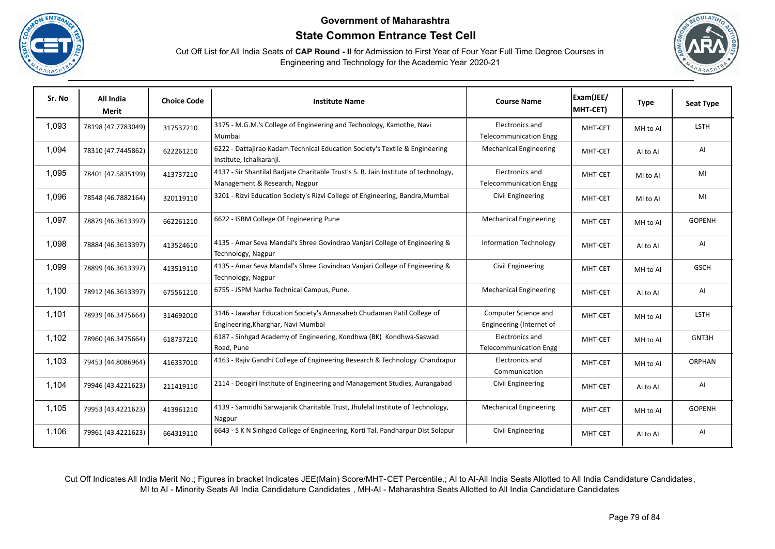





| Sr. No | All India<br>Merit | <b>Choice Code</b> | <b>Institute Name</b>                                                                                                | <b>Course Name</b>                               | Exam(JEE/<br>MHT-CET) | <b>Type</b> | <b>Seat Type</b> |
|--------|--------------------|--------------------|----------------------------------------------------------------------------------------------------------------------|--------------------------------------------------|-----------------------|-------------|------------------|
| 1,093  | 78198 (47.7783049) | 317537210          | 3175 - M.G.M.'s College of Engineering and Technology, Kamothe, Navi<br>Mumbai                                       | Electronics and<br><b>Telecommunication Engg</b> | MHT-CET               | MH to Al    | <b>LSTH</b>      |
| 1,094  | 78310 (47.7445862) | 622261210          | 6222 - Dattajirao Kadam Technical Education Society's Textile & Engineering<br>Institute, Ichalkaranji.              | <b>Mechanical Engineering</b>                    | MHT-CET               | Al to Al    | AI               |
| 1,095  | 78401 (47.5835199) | 413737210          | 4137 - Sir Shantilal Badjate Charitable Trust's S. B. Jain Institute of technology,<br>Management & Research, Nagpur | Electronics and<br><b>Telecommunication Engg</b> | MHT-CET               | MI to AI    | MI               |
| 1,096  | 78548 (46.7882164) | 320119110          | 3201 - Rizvi Education Society's Rizvi College of Engineering, Bandra, Mumbai                                        | Civil Engineering                                | MHT-CET               | MI to AI    | MI               |
| 1,097  | 78879 (46.3613397) | 662261210          | 6622 - ISBM College Of Engineering Pune                                                                              | <b>Mechanical Engineering</b>                    | MHT-CET               | MH to AI    | <b>GOPENH</b>    |
| 1,098  | 78884 (46.3613397) | 413524610          | 4135 - Amar Seva Mandal's Shree Govindrao Vanjari College of Engineering &<br>Technology, Nagpur                     | <b>Information Technology</b>                    | MHT-CET               | Al to Al    | AI               |
| 1,099  | 78899 (46.3613397) | 413519110          | 4135 - Amar Seva Mandal's Shree Govindrao Vanjari College of Engineering &<br>Technology, Nagpur                     | Civil Engineering                                | MHT-CET               | MH to AI    | <b>GSCH</b>      |
| 1,100  | 78912 (46.3613397) | 675561210          | 6755 - JSPM Narhe Technical Campus, Pune.                                                                            | <b>Mechanical Engineering</b>                    | MHT-CET               | AI to AI    | AI               |
| 1,101  | 78939 (46.3475664) | 314692010          | 3146 - Jawahar Education Society's Annasaheb Chudaman Patil College of<br>Engineering, Kharghar, Navi Mumbai         | Computer Science and<br>Engineering (Internet of | MHT-CET               | MH to Al    | <b>LSTH</b>      |
| 1,102  | 78960 (46.3475664) | 618737210          | 6187 - Sinhgad Academy of Engineering, Kondhwa (BK) Kondhwa-Saswad<br>Road, Pune                                     | Electronics and<br><b>Telecommunication Engg</b> | MHT-CET               | MH to Al    | GNT3H            |
| 1,103  | 79453 (44.8086964) | 416337010          | 4163 - Rajiv Gandhi College of Engineering Research & Technology Chandrapur                                          | Electronics and<br>Communication                 | MHT-CET               | MH to Al    | <b>ORPHAN</b>    |
| 1,104  | 79946 (43.4221623) | 211419110          | 2114 - Deogiri Institute of Engineering and Management Studies, Aurangabad                                           | Civil Engineering                                | MHT-CET               | Al to Al    | AI               |
| 1,105  | 79953 (43.4221623) | 413961210          | 4139 - Samridhi Sarwajanik Charitable Trust, Jhulelal Institute of Technology,<br>Nagpur                             | <b>Mechanical Engineering</b>                    | MHT-CET               | MH to AI    | <b>GOPENH</b>    |
| 1,106  | 79961 (43.4221623) | 664319110          | 6643 - S K N Sinhgad College of Engineering, Korti Tal. Pandharpur Dist Solapur                                      | Civil Engineering                                | MHT-CET               | Al to Al    | AI               |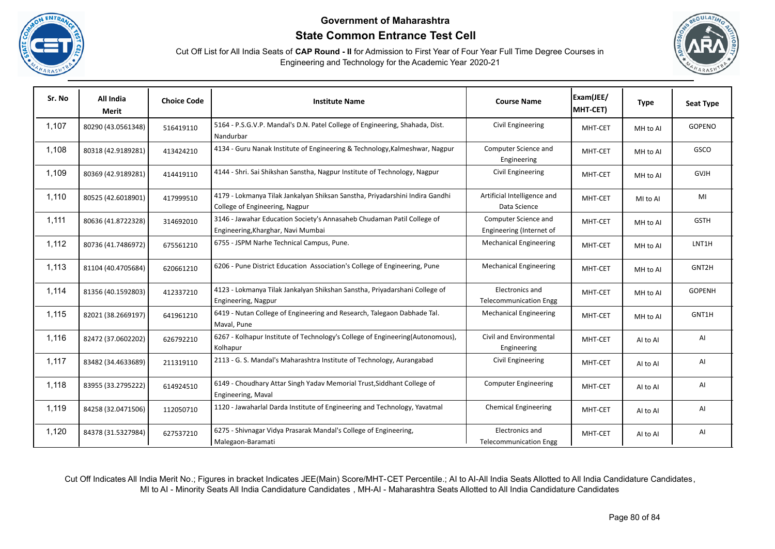





| Sr. No | All India<br>Merit | <b>Choice Code</b> | <b>Institute Name</b>                                                                                          | <b>Course Name</b>                               | Exam(JEE/<br>MHT-CET) | <b>Type</b> | <b>Seat Type</b> |
|--------|--------------------|--------------------|----------------------------------------------------------------------------------------------------------------|--------------------------------------------------|-----------------------|-------------|------------------|
| 1,107  | 80290 (43.0561348) | 516419110          | 5164 - P.S.G.V.P. Mandal's D.N. Patel College of Engineering, Shahada, Dist.<br>Nandurbar                      | Civil Engineering                                | MHT-CET               | MH to Al    | <b>GOPENO</b>    |
| 1,108  | 80318 (42.9189281) | 413424210          | 4134 - Guru Nanak Institute of Engineering & Technology, Kalmeshwar, Nagpur                                    | Computer Science and<br>Engineering              | MHT-CET               | MH to Al    | GSCO             |
| 1,109  | 80369 (42.9189281) | 414419110          | 4144 - Shri. Sai Shikshan Sanstha, Nagpur Institute of Technology, Nagpur                                      | Civil Engineering                                | MHT-CET               | MH to Al    | <b>GVJH</b>      |
| 1,110  | 80525 (42.6018901) | 417999510          | 4179 - Lokmanya Tilak Jankalyan Shiksan Sanstha, Priyadarshini Indira Gandhi<br>College of Engineering, Nagpur | Artificial Intelligence and<br>Data Science      | MHT-CET               | MI to AI    | MI               |
| 1,111  | 80636 (41.8722328) | 314692010          | 3146 - Jawahar Education Society's Annasaheb Chudaman Patil College of<br>Engineering, Kharghar, Navi Mumbai   | Computer Science and<br>Engineering (Internet of | MHT-CET               | MH to Al    | <b>GSTH</b>      |
| 1,112  | 80736 (41.7486972) | 675561210          | 6755 - JSPM Narhe Technical Campus, Pune.                                                                      | <b>Mechanical Engineering</b>                    | MHT-CET               | MH to Al    | LNT1H            |
| 1,113  | 81104 (40.4705684) | 620661210          | 6206 - Pune District Education Association's College of Engineering, Pune                                      | <b>Mechanical Engineering</b>                    | MHT-CET               | MH to Al    | GNT2H            |
| 1,114  | 81356 (40.1592803) | 412337210          | 4123 - Lokmanya Tilak Jankalyan Shikshan Sanstha, Priyadarshani College of<br>Engineering, Nagpur              | Electronics and<br><b>Telecommunication Engg</b> | MHT-CET               | MH to Al    | <b>GOPENH</b>    |
| 1,115  | 82021 (38.2669197) | 641961210          | 6419 - Nutan College of Engineering and Research, Talegaon Dabhade Tal.<br>Maval, Pune                         | <b>Mechanical Engineering</b>                    | MHT-CET               | MH to Al    | GNT1H            |
| 1,116  | 82472 (37.0602202) | 626792210          | 6267 - Kolhapur Institute of Technology's College of Engineering(Autonomous),<br>Kolhapur                      | Civil and Environmental<br>Engineering           | MHT-CET               | AI to AI    | AI               |
| 1,117  | 83482 (34.4633689) | 211319110          | 2113 - G. S. Mandal's Maharashtra Institute of Technology, Aurangabad                                          | Civil Engineering                                | MHT-CET               | AI to AI    | AI               |
| 1,118  | 83955 (33.2795222) | 614924510          | 6149 - Choudhary Attar Singh Yadav Memorial Trust, Siddhant College of<br>Engineering, Maval                   | <b>Computer Engineering</b>                      | MHT-CET               | AI to AI    | AI               |
| 1,119  | 84258 (32.0471506) | 112050710          | 1120 - Jawaharlal Darda Institute of Engineering and Technology, Yavatmal                                      | <b>Chemical Engineering</b>                      | MHT-CET               | AI to AI    | AI               |
| 1,120  | 84378 (31.5327984) | 627537210          | 6275 - Shivnagar Vidya Prasarak Mandal's College of Engineering,<br>Malegaon-Baramati                          | Electronics and<br><b>Telecommunication Engg</b> | MHT-CET               | Al to Al    | AI               |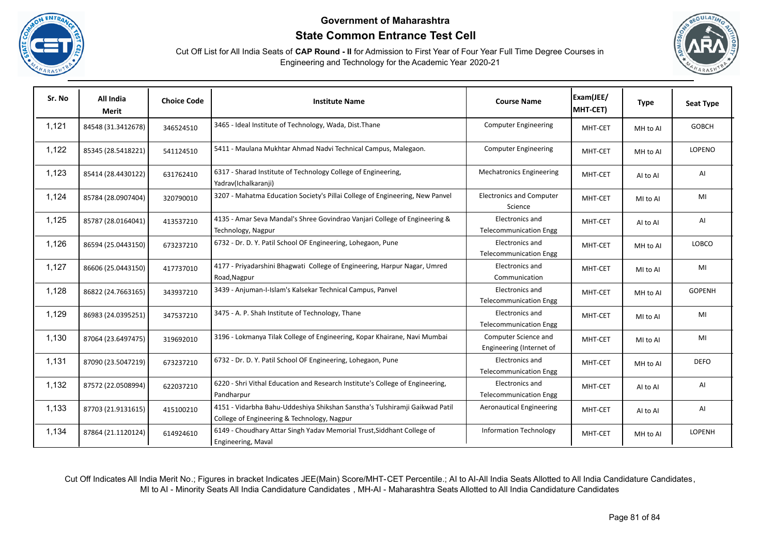





| Sr. No | All India<br>Merit | <b>Choice Code</b> | <b>Institute Name</b>                                                                                                      | <b>Course Name</b>                               | Exam(JEE/<br>MHT-CET) | <b>Type</b> | <b>Seat Type</b> |
|--------|--------------------|--------------------|----------------------------------------------------------------------------------------------------------------------------|--------------------------------------------------|-----------------------|-------------|------------------|
| 1,121  | 84548 (31.3412678) | 346524510          | 3465 - Ideal Institute of Technology, Wada, Dist. Thane                                                                    | <b>Computer Engineering</b>                      | MHT-CET               | MH to Al    | <b>GOBCH</b>     |
| 1,122  | 85345 (28.5418221) | 541124510          | 5411 - Maulana Mukhtar Ahmad Nadvi Technical Campus, Malegaon.                                                             | <b>Computer Engineering</b>                      | MHT-CET               | MH to Al    | LOPENO           |
| 1,123  | 85414 (28.4430122) | 631762410          | 6317 - Sharad Institute of Technology College of Engineering,<br>Yadrav(Ichalkaranji)                                      | <b>Mechatronics Engineering</b>                  | MHT-CET               | Al to Al    | AI               |
| 1,124  | 85784 (28.0907404) | 320790010          | 3207 - Mahatma Education Society's Pillai College of Engineering, New Panvel                                               | <b>Electronics and Computer</b><br>Science       | MHT-CET               | MI to AI    | MI               |
| 1,125  | 85787 (28.0164041) | 413537210          | 4135 - Amar Seva Mandal's Shree Govindrao Vanjari College of Engineering &<br>Technology, Nagpur                           | Electronics and<br><b>Telecommunication Engg</b> | MHT-CET               | Al to Al    | AI               |
| 1,126  | 86594 (25.0443150) | 673237210          | 6732 - Dr. D. Y. Patil School OF Engineering, Lohegaon, Pune                                                               | Electronics and<br><b>Telecommunication Engg</b> | MHT-CET               | MH to AI    | LOBCO            |
| 1,127  | 86606 (25.0443150) | 417737010          | 4177 - Priyadarshini Bhagwati College of Engineering, Harpur Nagar, Umred<br>Road, Nagpur                                  | Electronics and<br>Communication                 | MHT-CET               | MI to AI    | MI               |
| 1,128  | 86822 (24.7663165) | 343937210          | 3439 - Anjuman-I-Islam's Kalsekar Technical Campus, Panvel                                                                 | Electronics and<br><b>Telecommunication Engg</b> | MHT-CET               | MH to AI    | <b>GOPENH</b>    |
| 1,129  | 86983 (24.0395251) | 347537210          | 3475 - A. P. Shah Institute of Technology, Thane                                                                           | Electronics and<br><b>Telecommunication Engg</b> | MHT-CET               | MI to AI    | MI               |
| 1,130  | 87064 (23.6497475) | 319692010          | 3196 - Lokmanya Tilak College of Engineering, Kopar Khairane, Navi Mumbai                                                  | Computer Science and<br>Engineering (Internet of | MHT-CET               | MI to AI    | MI               |
| 1,131  | 87090 (23.5047219) | 673237210          | 6732 - Dr. D. Y. Patil School OF Engineering, Lohegaon, Pune                                                               | Electronics and<br><b>Telecommunication Engg</b> | MHT-CET               | MH to Al    | <b>DEFO</b>      |
| 1,132  | 87572 (22.0508994) | 622037210          | 6220 - Shri Vithal Education and Research Institute's College of Engineering,<br>Pandharpur                                | Electronics and<br><b>Telecommunication Engg</b> | MHT-CET               | Al to Al    | AI               |
| 1,133  | 87703 (21.9131615) | 415100210          | 4151 - Vidarbha Bahu-Uddeshiya Shikshan Sanstha's Tulshiramji Gaikwad Patil<br>College of Engineering & Technology, Nagpur | <b>Aeronautical Engineering</b>                  | MHT-CET               | Al to Al    | Al               |
| 1,134  | 87864 (21.1120124) | 614924610          | 6149 - Choudhary Attar Singh Yadav Memorial Trust, Siddhant College of<br>Engineering, Maval                               | <b>Information Technology</b>                    | MHT-CET               | MH to Al    | <b>LOPENH</b>    |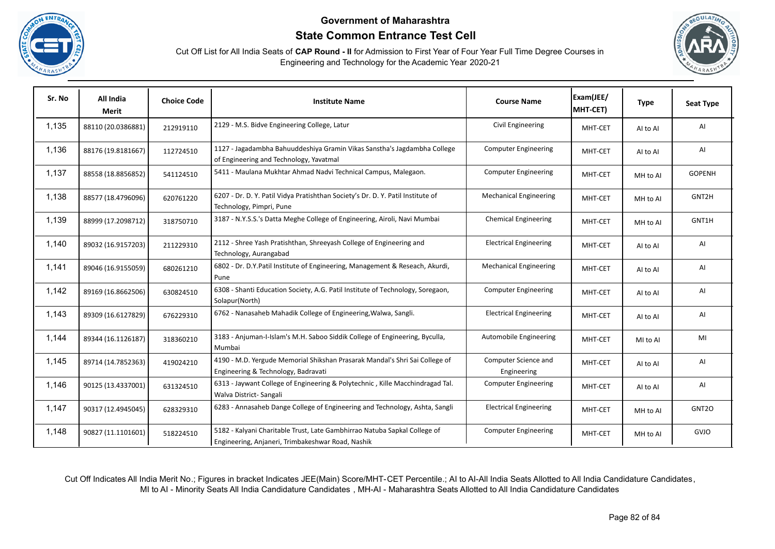





| Sr. No | All India<br>Merit | <b>Choice Code</b> | <b>Institute Name</b>                                                                                                          | <b>Course Name</b>                  | Exam(JEE/<br>MHT-CET) | <b>Type</b> | <b>Seat Type</b>  |
|--------|--------------------|--------------------|--------------------------------------------------------------------------------------------------------------------------------|-------------------------------------|-----------------------|-------------|-------------------|
| 1,135  | 88110 (20.0386881) | 212919110          | 2129 - M.S. Bidve Engineering College, Latur                                                                                   | Civil Engineering                   | MHT-CET               | AI to AI    | AI                |
| 1,136  | 88176 (19.8181667) | 112724510          | 1127 - Jagadambha Bahuuddeshiya Gramin Vikas Sanstha's Jagdambha College<br>of Engineering and Technology, Yavatmal            | <b>Computer Engineering</b>         | MHT-CET               | AI to AI    | AI                |
| 1,137  | 88558 (18.8856852) | 541124510          | 5411 - Maulana Mukhtar Ahmad Nadvi Technical Campus, Malegaon.                                                                 | <b>Computer Engineering</b>         | MHT-CET               | MH to Al    | <b>GOPENH</b>     |
| 1,138  | 88577 (18.4796096) | 620761220          | 6207 - Dr. D. Y. Patil Vidya Pratishthan Society's Dr. D. Y. Patil Institute of<br>Technology, Pimpri, Pune                    | <b>Mechanical Engineering</b>       | MHT-CET               | MH to Al    | GNT2H             |
| 1,139  | 88999 (17.2098712) | 318750710          | 3187 - N.Y.S.S.'s Datta Meghe College of Engineering, Airoli, Navi Mumbai                                                      | <b>Chemical Engineering</b>         | MHT-CET               | MH to Al    | GNT1H             |
| 1,140  | 89032 (16.9157203) | 211229310          | 2112 - Shree Yash Pratishthan, Shreeyash College of Engineering and<br>Technology, Aurangabad                                  | <b>Electrical Engineering</b>       | MHT-CET               | AI to AI    | AI                |
| 1,141  | 89046 (16.9155059) | 680261210          | 6802 - Dr. D.Y.Patil Institute of Engineering, Management & Reseach, Akurdi,<br>Pune                                           | <b>Mechanical Engineering</b>       | MHT-CET               | Al to Al    | AI                |
| 1,142  | 89169 (16.8662506) | 630824510          | 6308 - Shanti Education Society, A.G. Patil Institute of Technology, Soregaon,<br>Solapur(North)                               | <b>Computer Engineering</b>         | MHT-CET               | AI to AI    | AI                |
| 1,143  | 89309 (16.6127829) | 676229310          | 6762 - Nanasaheb Mahadik College of Engineering, Walwa, Sangli.                                                                | <b>Electrical Engineering</b>       | MHT-CET               | AI to AI    | AI                |
| 1,144  | 89344 (16.1126187) | 318360210          | 3183 - Anjuman-I-Islam's M.H. Saboo Siddik College of Engineering, Byculla,<br>Mumbai                                          | Automobile Engineering              | MHT-CET               | MI to AI    | MI                |
| 1,145  | 89714 (14.7852363) | 419024210          | 4190 - M.D. Yergude Memorial Shikshan Prasarak Mandal's Shri Sai College of<br>Engineering & Technology, Badravati             | Computer Science and<br>Engineering | MHT-CET               | AI to AI    | AI                |
| 1,146  | 90125 (13.4337001) | 631324510          | 6313 - Jaywant College of Engineering & Polytechnic, Kille Macchindragad Tal.<br>Walva District-Sangali                        | <b>Computer Engineering</b>         | MHT-CET               | Al to Al    | AI                |
| 1,147  | 90317 (12.4945045) | 628329310          | 6283 - Annasaheb Dange College of Engineering and Technology, Ashta, Sangli                                                    | <b>Electrical Engineering</b>       | MHT-CET               | MH to Al    | GNT <sub>20</sub> |
| 1,148  | 90827 (11.1101601) | 518224510          | 5182 - Kalyani Charitable Trust, Late Gambhirrao Natuba Sapkal College of<br>Engineering, Anjaneri, Trimbakeshwar Road, Nashik | <b>Computer Engineering</b>         | MHT-CET               | MH to Al    | <b>GVJO</b>       |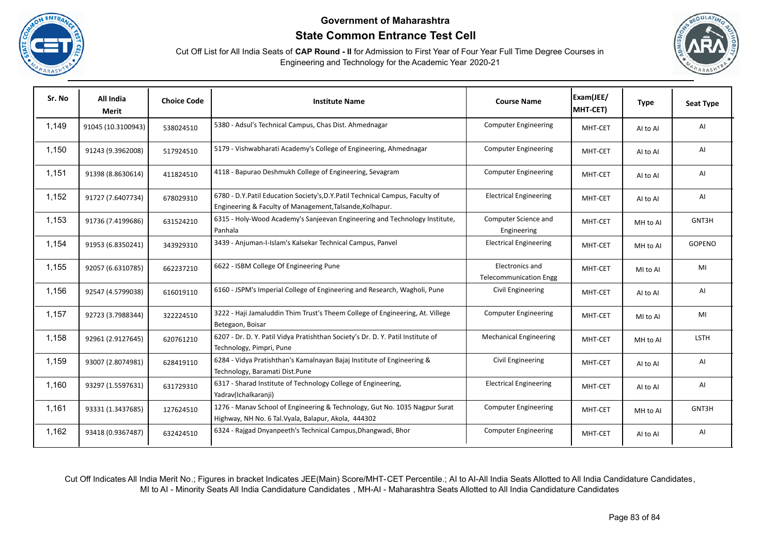





| Sr. No | All India<br>Merit | <b>Choice Code</b> | <b>Institute Name</b>                                                                                                                    | <b>Course Name</b>                               | Exam(JEE/<br>MHT-CET) | <b>Type</b> | <b>Seat Type</b> |
|--------|--------------------|--------------------|------------------------------------------------------------------------------------------------------------------------------------------|--------------------------------------------------|-----------------------|-------------|------------------|
| 1,149  | 91045 (10.3100943) | 538024510          | 5380 - Adsul's Technical Campus, Chas Dist. Ahmednagar                                                                                   | <b>Computer Engineering</b>                      | MHT-CET               | AI to AI    | AI               |
| 1,150  | 91243 (9.3962008)  | 517924510          | 5179 - Vishwabharati Academy's College of Engineering, Ahmednagar                                                                        | <b>Computer Engineering</b>                      | MHT-CET               | AI to AI    | AI               |
| 1,151  | 91398 (8.8630614)  | 411824510          | 4118 - Bapurao Deshmukh College of Engineering, Sevagram                                                                                 | <b>Computer Engineering</b>                      | MHT-CET               | Al to Al    | AI               |
| 1,152  | 91727 (7.6407734)  | 678029310          | 6780 - D.Y.Patil Education Society's, D.Y.Patil Technical Campus, Faculty of<br>Engineering & Faculty of Management, Talsande, Kolhapur. | <b>Electrical Engineering</b>                    | MHT-CET               | Al to Al    | AI               |
| 1,153  | 91736 (7.4199686)  | 631524210          | 6315 - Holy-Wood Academy's Sanjeevan Engineering and Technology Institute,<br>Panhala                                                    | Computer Science and<br>Engineering              | MHT-CET               | MH to AI    | GNT3H            |
| 1,154  | 91953 (6.8350241)  | 343929310          | 3439 - Anjuman-I-Islam's Kalsekar Technical Campus, Panvel                                                                               | <b>Electrical Engineering</b>                    | MHT-CET               | MH to Al    | GOPENO           |
| 1,155  | 92057 (6.6310785)  | 662237210          | 6622 - ISBM College Of Engineering Pune                                                                                                  | Electronics and<br><b>Telecommunication Engg</b> | MHT-CET               | MI to AI    | MI               |
| 1,156  | 92547 (4.5799038)  | 616019110          | 6160 - JSPM's Imperial College of Engineering and Research, Wagholi, Pune                                                                | Civil Engineering                                | MHT-CET               | AI to AI    | AI               |
| 1,157  | 92723 (3.7988344)  | 322224510          | 3222 - Haji Jamaluddin Thim Trust's Theem College of Engineering, At. Villege<br>Betegaon, Boisar                                        | <b>Computer Engineering</b>                      | MHT-CET               | MI to AI    | MI               |
| 1,158  | 92961 (2.9127645)  | 620761210          | 6207 - Dr. D. Y. Patil Vidya Pratishthan Society's Dr. D. Y. Patil Institute of<br>Technology, Pimpri, Pune                              | <b>Mechanical Engineering</b>                    | MHT-CET               | MH to Al    | <b>LSTH</b>      |
| 1,159  | 93007 (2.8074981)  | 628419110          | 6284 - Vidya Pratishthan's Kamalnayan Bajaj Institute of Engineering &<br>Technology, Baramati Dist.Pune                                 | Civil Engineering                                | MHT-CET               | AI to AI    | AI               |
| 1,160  | 93297 (1.5597631)  | 631729310          | 6317 - Sharad Institute of Technology College of Engineering,<br>Yadrav(Ichalkaranji)                                                    | <b>Electrical Engineering</b>                    | MHT-CET               | Al to Al    | AI               |
| 1,161  | 93331 (1.3437685)  | 127624510          | 1276 - Manav School of Engineering & Technology, Gut No. 1035 Nagpur Surat<br>Highway, NH No. 6 Tal. Vyala, Balapur, Akola, 444302       | <b>Computer Engineering</b>                      | MHT-CET               | MH to AI    | GNT3H            |
| 1,162  | 93418 (0.9367487)  | 632424510          | 6324 - Rajgad Dnyanpeeth's Technical Campus, Dhangwadi, Bhor                                                                             | <b>Computer Engineering</b>                      | MHT-CET               | Al to Al    | AI               |